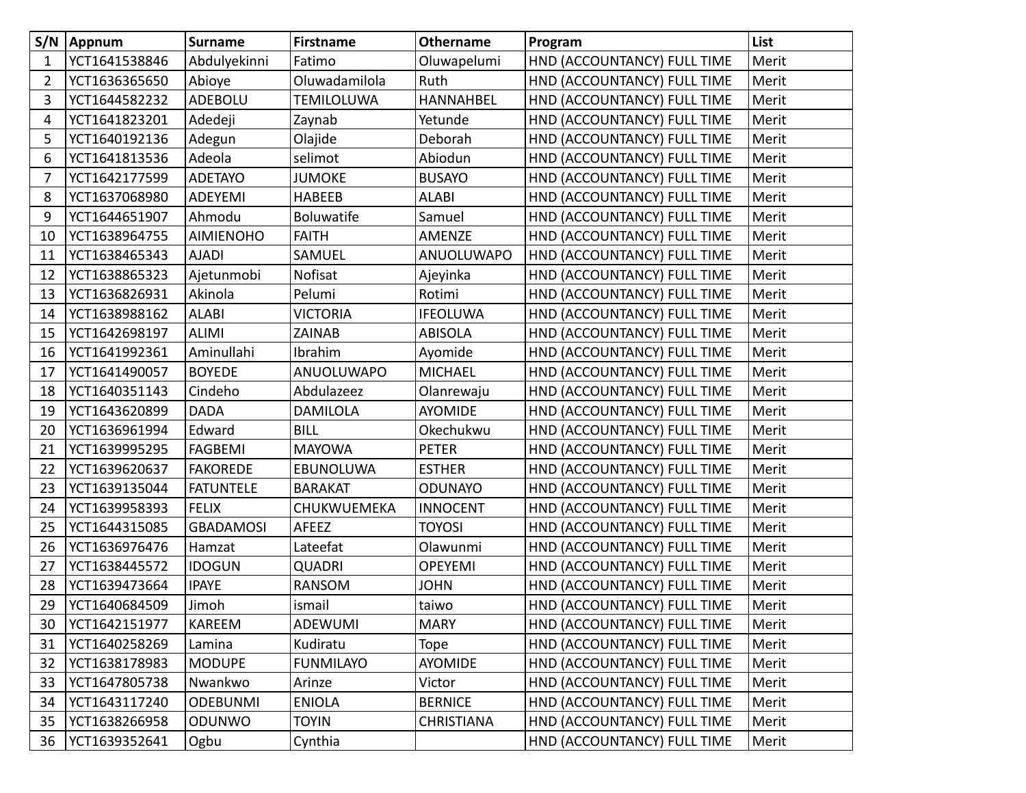|    | S/N   Appnum  | <b>Surname</b>   | <b>Firstname</b>  | <b>Othername</b>  | Program                     | List  |
|----|---------------|------------------|-------------------|-------------------|-----------------------------|-------|
| 1  | YCT1641538846 | Abdulyekinni     | Fatimo            | Oluwapelumi       | HND (ACCOUNTANCY) FULL TIME | Merit |
| 2  | YCT1636365650 | Abioye           | Oluwadamilola     | Ruth              | HND (ACCOUNTANCY) FULL TIME | Merit |
| 3  | YCT1644582232 | ADEBOLU          | <b>TEMILOLUWA</b> | <b>HANNAHBEL</b>  | HND (ACCOUNTANCY) FULL TIME | Merit |
| 4  | YCT1641823201 | Adedeji          | Zaynab            | Yetunde           | HND (ACCOUNTANCY) FULL TIME | Merit |
| 5  | YCT1640192136 | Adegun           | Olajide           | Deborah           | HND (ACCOUNTANCY) FULL TIME | Merit |
| 6  | YCT1641813536 | Adeola           | selimot           | Abiodun           | HND (ACCOUNTANCY) FULL TIME | Merit |
| 7  | YCT1642177599 | <b>ADETAYO</b>   | <b>JUMOKE</b>     | <b>BUSAYO</b>     | HND (ACCOUNTANCY) FULL TIME | Merit |
| 8  | YCT1637068980 | <b>ADEYEMI</b>   | <b>HABEEB</b>     | <b>ALABI</b>      | HND (ACCOUNTANCY) FULL TIME | Merit |
| 9  | YCT1644651907 | Ahmodu           | Boluwatife        | Samuel            | HND (ACCOUNTANCY) FULL TIME | Merit |
| 10 | YCT1638964755 | <b>AIMIENOHO</b> | <b>FAITH</b>      | AMENZE            | HND (ACCOUNTANCY) FULL TIME | Merit |
| 11 | YCT1638465343 | <b>AJADI</b>     | SAMUEL            | ANUOLUWAPO        | HND (ACCOUNTANCY) FULL TIME | Merit |
| 12 | YCT1638865323 | Ajetunmobi       | Nofisat           | Ajeyinka          | HND (ACCOUNTANCY) FULL TIME | Merit |
| 13 | YCT1636826931 | Akinola          | Pelumi            | Rotimi            | HND (ACCOUNTANCY) FULL TIME | Merit |
| 14 | YCT1638988162 | <b>ALABI</b>     | <b>VICTORIA</b>   | <b>IFEOLUWA</b>   | HND (ACCOUNTANCY) FULL TIME | Merit |
| 15 | YCT1642698197 | <b>ALIMI</b>     | <b>ZAINAB</b>     | <b>ABISOLA</b>    | HND (ACCOUNTANCY) FULL TIME | Merit |
| 16 | YCT1641992361 | Aminullahi       | Ibrahim           | Ayomide           | HND (ACCOUNTANCY) FULL TIME | Merit |
| 17 | YCT1641490057 | <b>BOYEDE</b>    | <b>ANUOLUWAPO</b> | <b>MICHAEL</b>    | HND (ACCOUNTANCY) FULL TIME | Merit |
| 18 | YCT1640351143 | Cindeho          | Abdulazeez        | Olanrewaju        | HND (ACCOUNTANCY) FULL TIME | Merit |
| 19 | YCT1643620899 | <b>DADA</b>      | <b>DAMILOLA</b>   | <b>AYOMIDE</b>    | HND (ACCOUNTANCY) FULL TIME | Merit |
| 20 | YCT1636961994 | Edward           | <b>BILL</b>       | Okechukwu         | HND (ACCOUNTANCY) FULL TIME | Merit |
| 21 | YCT1639995295 | <b>FAGBEMI</b>   | <b>MAYOWA</b>     | <b>PETER</b>      | HND (ACCOUNTANCY) FULL TIME | Merit |
| 22 | YCT1639620637 | <b>FAKOREDE</b>  | EBUNOLUWA         | <b>ESTHER</b>     | HND (ACCOUNTANCY) FULL TIME | Merit |
| 23 | YCT1639135044 | <b>FATUNTELE</b> | <b>BARAKAT</b>    | <b>ODUNAYO</b>    | HND (ACCOUNTANCY) FULL TIME | Merit |
| 24 | YCT1639958393 | <b>FELIX</b>     | CHUKWUEMEKA       | <b>INNOCENT</b>   | HND (ACCOUNTANCY) FULL TIME | Merit |
| 25 | YCT1644315085 | <b>GBADAMOSI</b> | AFEEZ             | <b>TOYOSI</b>     | HND (ACCOUNTANCY) FULL TIME | Merit |
| 26 | YCT1636976476 | Hamzat           | Lateefat          | Olawunmi          | HND (ACCOUNTANCY) FULL TIME | Merit |
| 27 | YCT1638445572 | <b>IDOGUN</b>    | <b>QUADRI</b>     | <b>OPEYEMI</b>    | HND (ACCOUNTANCY) FULL TIME | Merit |
| 28 | YCT1639473664 | <b>IPAYE</b>     | <b>RANSOM</b>     | <b>JOHN</b>       | HND (ACCOUNTANCY) FULL TIME | Merit |
| 29 | YCT1640684509 | Jimoh            | ismail            | taiwo             | HND (ACCOUNTANCY) FULL TIME | Merit |
| 30 | YCT1642151977 | KAREEM           | <b>ADEWUMI</b>    | <b>MARY</b>       | HND (ACCOUNTANCY) FULL TIME | Merit |
| 31 | YCT1640258269 | Lamina           | Kudiratu          | <b>Tope</b>       | HND (ACCOUNTANCY) FULL TIME | Merit |
| 32 | YCT1638178983 | <b>MODUPE</b>    | <b>FUNMILAYO</b>  | AYOMIDE           | HND (ACCOUNTANCY) FULL TIME | Merit |
| 33 | YCT1647805738 | Nwankwo          | Arinze            | Victor            | HND (ACCOUNTANCY) FULL TIME | Merit |
| 34 | YCT1643117240 | <b>ODEBUNMI</b>  | <b>ENIOLA</b>     | <b>BERNICE</b>    | HND (ACCOUNTANCY) FULL TIME | Merit |
| 35 | YCT1638266958 | ODUNWO           | <b>TOYIN</b>      | <b>CHRISTIANA</b> | HND (ACCOUNTANCY) FULL TIME | Merit |
| 36 | YCT1639352641 | Ogbu             | Cynthia           |                   | HND (ACCOUNTANCY) FULL TIME | Merit |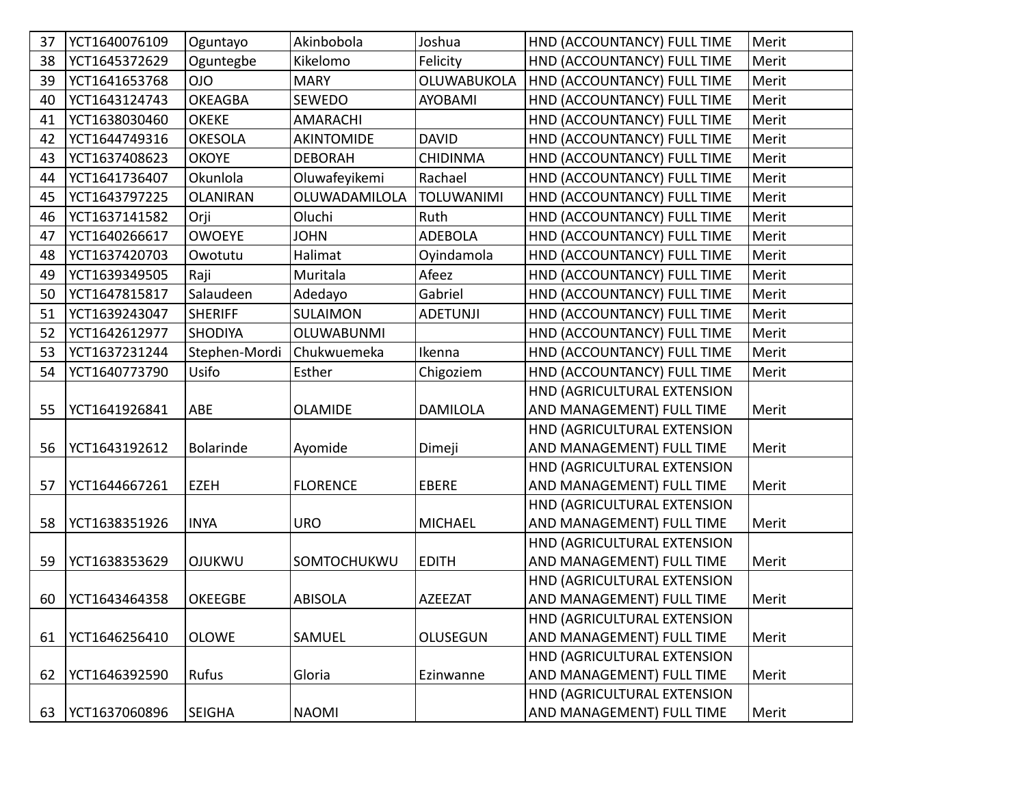| 37 | YCT1640076109 | Oguntayo        | Akinbobola        | Joshua            | HND (ACCOUNTANCY) FULL TIME | Merit |
|----|---------------|-----------------|-------------------|-------------------|-----------------------------|-------|
| 38 | YCT1645372629 | Oguntegbe       | Kikelomo          | Felicity          | HND (ACCOUNTANCY) FULL TIME | Merit |
| 39 | YCT1641653768 | <b>OIO</b>      | <b>MARY</b>       | OLUWABUKOLA       | HND (ACCOUNTANCY) FULL TIME | Merit |
| 40 | YCT1643124743 | <b>OKEAGBA</b>  | <b>SEWEDO</b>     | <b>AYOBAMI</b>    | HND (ACCOUNTANCY) FULL TIME | Merit |
| 41 | YCT1638030460 | <b>OKEKE</b>    | <b>AMARACHI</b>   |                   | HND (ACCOUNTANCY) FULL TIME | Merit |
| 42 | YCT1644749316 | <b>OKESOLA</b>  | <b>AKINTOMIDE</b> | <b>DAVID</b>      | HND (ACCOUNTANCY) FULL TIME | Merit |
| 43 | YCT1637408623 | <b>OKOYE</b>    | <b>DEBORAH</b>    | <b>CHIDINMA</b>   | HND (ACCOUNTANCY) FULL TIME | Merit |
| 44 | YCT1641736407 | Okunlola        | Oluwafeyikemi     | Rachael           | HND (ACCOUNTANCY) FULL TIME | Merit |
| 45 | YCT1643797225 | <b>OLANIRAN</b> | OLUWADAMILOLA     | <b>TOLUWANIMI</b> | HND (ACCOUNTANCY) FULL TIME | Merit |
| 46 | YCT1637141582 | Orji            | Oluchi            | Ruth              | HND (ACCOUNTANCY) FULL TIME | Merit |
| 47 | YCT1640266617 | <b>OWOEYE</b>   | <b>JOHN</b>       | <b>ADEBOLA</b>    | HND (ACCOUNTANCY) FULL TIME | Merit |
| 48 | YCT1637420703 | Owotutu         | Halimat           | Oyindamola        | HND (ACCOUNTANCY) FULL TIME | Merit |
| 49 | YCT1639349505 | Raji            | Muritala          | Afeez             | HND (ACCOUNTANCY) FULL TIME | Merit |
| 50 | YCT1647815817 | Salaudeen       | Adedayo           | Gabriel           | HND (ACCOUNTANCY) FULL TIME | Merit |
| 51 | YCT1639243047 | <b>SHERIFF</b>  | <b>SULAIMON</b>   | <b>ADETUNJI</b>   | HND (ACCOUNTANCY) FULL TIME | Merit |
| 52 | YCT1642612977 | <b>SHODIYA</b>  | <b>OLUWABUNMI</b> |                   | HND (ACCOUNTANCY) FULL TIME | Merit |
| 53 | YCT1637231244 | Stephen-Mordi   | Chukwuemeka       | Ikenna            | HND (ACCOUNTANCY) FULL TIME | Merit |
| 54 | YCT1640773790 | Usifo           | Esther            | Chigoziem         | HND (ACCOUNTANCY) FULL TIME | Merit |
|    |               |                 |                   |                   | HND (AGRICULTURAL EXTENSION |       |
| 55 | YCT1641926841 | ABE             | <b>OLAMIDE</b>    | <b>DAMILOLA</b>   | AND MANAGEMENT) FULL TIME   | Merit |
|    |               |                 |                   |                   | HND (AGRICULTURAL EXTENSION |       |
| 56 | YCT1643192612 | Bolarinde       | Ayomide           | Dimeji            | AND MANAGEMENT) FULL TIME   | Merit |
|    |               |                 |                   |                   | HND (AGRICULTURAL EXTENSION |       |
| 57 | YCT1644667261 | <b>EZEH</b>     | <b>FLORENCE</b>   | <b>EBERE</b>      | AND MANAGEMENT) FULL TIME   | Merit |
|    |               |                 |                   |                   | HND (AGRICULTURAL EXTENSION |       |
| 58 | YCT1638351926 | <b>INYA</b>     | <b>URO</b>        | <b>MICHAEL</b>    | AND MANAGEMENT) FULL TIME   | Merit |
|    |               |                 |                   |                   | HND (AGRICULTURAL EXTENSION |       |
| 59 | YCT1638353629 | <b>OJUKWU</b>   | SOMTOCHUKWU       | <b>EDITH</b>      | AND MANAGEMENT) FULL TIME   | Merit |
|    |               |                 |                   |                   | HND (AGRICULTURAL EXTENSION |       |
| 60 | YCT1643464358 | <b>OKEEGBE</b>  | <b>ABISOLA</b>    | <b>AZEEZAT</b>    | AND MANAGEMENT) FULL TIME   | Merit |
|    |               |                 |                   |                   | HND (AGRICULTURAL EXTENSION |       |
| 61 | YCT1646256410 | <b>OLOWE</b>    | SAMUEL            | OLUSEGUN          | AND MANAGEMENT) FULL TIME   | Merit |
|    |               |                 |                   |                   | HND (AGRICULTURAL EXTENSION |       |
| 62 | YCT1646392590 | Rufus           | Gloria            | Ezinwanne         | AND MANAGEMENT) FULL TIME   | Merit |
|    |               |                 |                   |                   | HND (AGRICULTURAL EXTENSION |       |
| 63 | YCT1637060896 | <b>SEIGHA</b>   | <b>NAOMI</b>      |                   | AND MANAGEMENT) FULL TIME   | Merit |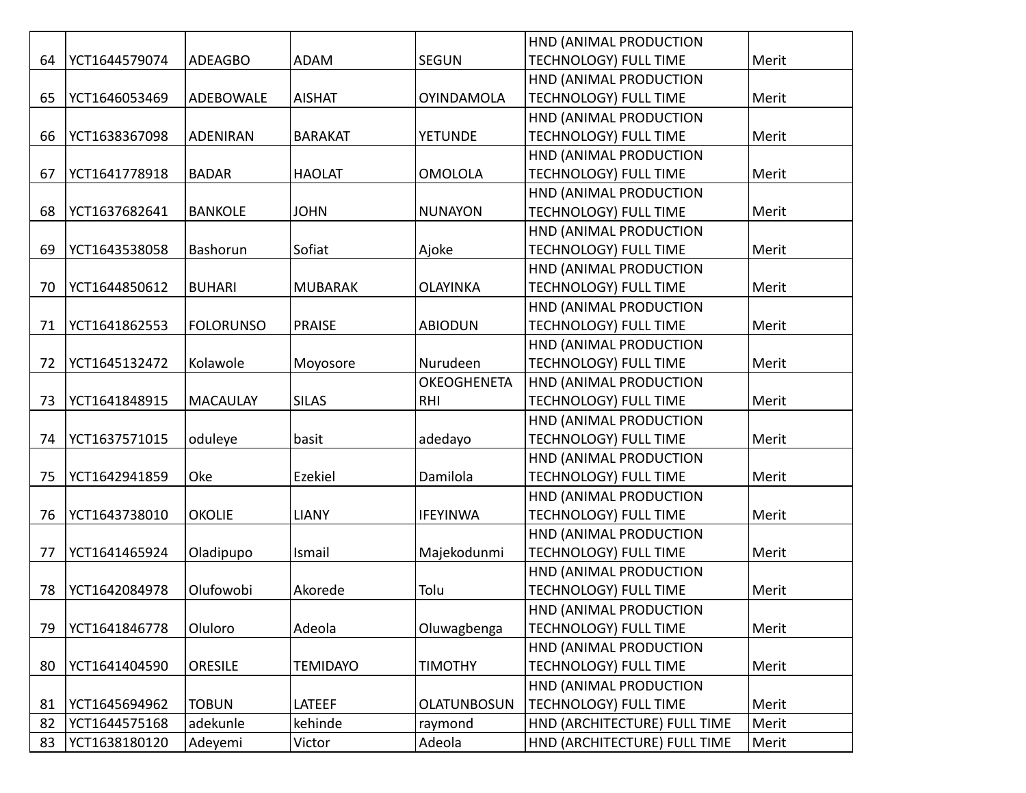|    |               |                  |                 |                    | HND (ANIMAL PRODUCTION       |       |
|----|---------------|------------------|-----------------|--------------------|------------------------------|-------|
| 64 | YCT1644579074 | <b>ADEAGBO</b>   | <b>ADAM</b>     | <b>SEGUN</b>       | <b>TECHNOLOGY) FULL TIME</b> | Merit |
|    |               |                  |                 |                    | HND (ANIMAL PRODUCTION       |       |
| 65 | YCT1646053469 | <b>ADEBOWALE</b> | <b>AISHAT</b>   | <b>OYINDAMOLA</b>  | <b>TECHNOLOGY) FULL TIME</b> | Merit |
|    |               |                  |                 |                    | HND (ANIMAL PRODUCTION       |       |
| 66 | YCT1638367098 | <b>ADENIRAN</b>  | <b>BARAKAT</b>  | <b>YETUNDE</b>     | <b>TECHNOLOGY) FULL TIME</b> | Merit |
|    |               |                  |                 |                    | HND (ANIMAL PRODUCTION       |       |
| 67 | YCT1641778918 | <b>BADAR</b>     | <b>HAOLAT</b>   | <b>OMOLOLA</b>     | <b>TECHNOLOGY) FULL TIME</b> | Merit |
|    |               |                  |                 |                    | HND (ANIMAL PRODUCTION       |       |
| 68 | YCT1637682641 | <b>BANKOLE</b>   | <b>JOHN</b>     | <b>NUNAYON</b>     | <b>TECHNOLOGY) FULL TIME</b> | Merit |
|    |               |                  |                 |                    | HND (ANIMAL PRODUCTION       |       |
| 69 | YCT1643538058 | Bashorun         | Sofiat          | Ajoke              | <b>TECHNOLOGY) FULL TIME</b> | Merit |
|    |               |                  |                 |                    | HND (ANIMAL PRODUCTION       |       |
| 70 | YCT1644850612 | <b>BUHARI</b>    | <b>MUBARAK</b>  | <b>OLAYINKA</b>    | <b>TECHNOLOGY) FULL TIME</b> | Merit |
|    |               |                  |                 |                    | HND (ANIMAL PRODUCTION       |       |
| 71 | YCT1641862553 | <b>FOLORUNSO</b> | <b>PRAISE</b>   | <b>ABIODUN</b>     | <b>TECHNOLOGY) FULL TIME</b> | Merit |
|    |               |                  |                 |                    | HND (ANIMAL PRODUCTION       |       |
| 72 | YCT1645132472 | Kolawole         | Moyosore        | Nurudeen           | <b>TECHNOLOGY) FULL TIME</b> | Merit |
|    |               |                  |                 | <b>OKEOGHENETA</b> | HND (ANIMAL PRODUCTION       |       |
| 73 | YCT1641848915 | <b>MACAULAY</b>  | <b>SILAS</b>    | <b>RHI</b>         | TECHNOLOGY) FULL TIME        | Merit |
|    |               |                  |                 |                    | HND (ANIMAL PRODUCTION       |       |
| 74 | YCT1637571015 | oduleye          | basit           | adedayo            | <b>TECHNOLOGY) FULL TIME</b> | Merit |
|    |               |                  |                 |                    | HND (ANIMAL PRODUCTION       |       |
| 75 | YCT1642941859 | Oke              | Ezekiel         | Damilola           | <b>TECHNOLOGY) FULL TIME</b> | Merit |
|    |               |                  |                 |                    | HND (ANIMAL PRODUCTION       |       |
| 76 | YCT1643738010 | <b>OKOLIE</b>    | <b>LIANY</b>    | <b>IFEYINWA</b>    | <b>TECHNOLOGY) FULL TIME</b> | Merit |
|    |               |                  |                 |                    | HND (ANIMAL PRODUCTION       |       |
| 77 | YCT1641465924 | Oladipupo        | Ismail          | Majekodunmi        | <b>TECHNOLOGY) FULL TIME</b> | Merit |
|    |               |                  |                 |                    | HND (ANIMAL PRODUCTION       |       |
| 78 | YCT1642084978 | Olufowobi        | Akorede         | Tolu               | <b>TECHNOLOGY) FULL TIME</b> | Merit |
|    |               |                  |                 |                    | HND (ANIMAL PRODUCTION       |       |
| 79 | YCT1641846778 | Oluloro          | Adeola          | Oluwagbenga        | <b>TECHNOLOGY) FULL TIME</b> | Merit |
|    |               |                  |                 |                    | HND (ANIMAL PRODUCTION       |       |
| 80 | YCT1641404590 | <b>ORESILE</b>   | <b>TEMIDAYO</b> | <b>TIMOTHY</b>     | <b>TECHNOLOGY) FULL TIME</b> | Merit |
|    |               |                  |                 |                    | HND (ANIMAL PRODUCTION       |       |
| 81 | YCT1645694962 | <b>TOBUN</b>     | LATEEF          | <b>OLATUNBOSUN</b> | <b>TECHNOLOGY) FULL TIME</b> | Merit |
| 82 | YCT1644575168 | adekunle         | kehinde         | raymond            | HND (ARCHITECTURE) FULL TIME | Merit |
| 83 | YCT1638180120 | Adeyemi          | Victor          | Adeola             | HND (ARCHITECTURE) FULL TIME | Merit |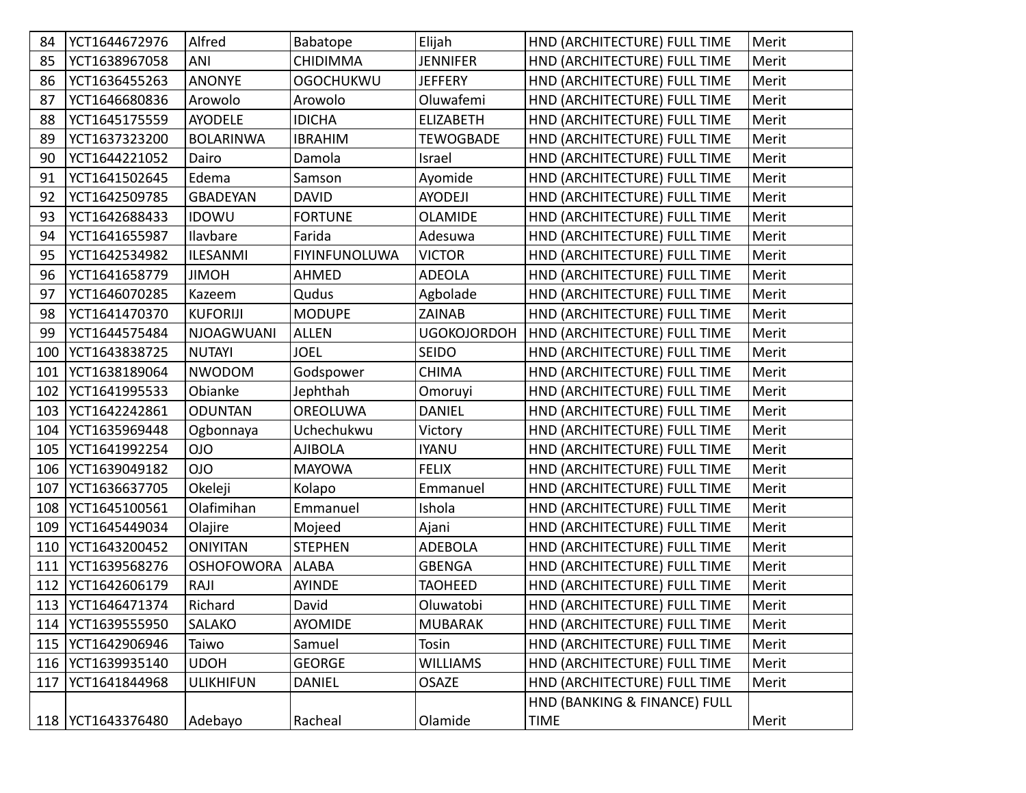| 84  | YCT1644672976       | Alfred            | Babatope             | Elijah             | HND (ARCHITECTURE) FULL TIME | Merit |
|-----|---------------------|-------------------|----------------------|--------------------|------------------------------|-------|
| 85  | YCT1638967058       | ANI               | <b>CHIDIMMA</b>      | <b>JENNIFER</b>    | HND (ARCHITECTURE) FULL TIME | Merit |
| 86  | YCT1636455263       | <b>ANONYE</b>     | <b>OGOCHUKWU</b>     | <b>JEFFERY</b>     | HND (ARCHITECTURE) FULL TIME | Merit |
| 87  | YCT1646680836       | Arowolo           | Arowolo              | Oluwafemi          | HND (ARCHITECTURE) FULL TIME | Merit |
| 88  | YCT1645175559       | <b>AYODELE</b>    | <b>IDICHA</b>        | <b>ELIZABETH</b>   | HND (ARCHITECTURE) FULL TIME | Merit |
| 89  | YCT1637323200       | <b>BOLARINWA</b>  | <b>IBRAHIM</b>       | <b>TEWOGBADE</b>   | HND (ARCHITECTURE) FULL TIME | Merit |
| 90  | YCT1644221052       | Dairo             | Damola               | Israel             | HND (ARCHITECTURE) FULL TIME | Merit |
| 91  | YCT1641502645       | Edema             | Samson               | Ayomide            | HND (ARCHITECTURE) FULL TIME | Merit |
| 92  | YCT1642509785       | <b>GBADEYAN</b>   | <b>DAVID</b>         | <b>AYODEJI</b>     | HND (ARCHITECTURE) FULL TIME | Merit |
| 93  | YCT1642688433       | <b>IDOWU</b>      | <b>FORTUNE</b>       | <b>OLAMIDE</b>     | HND (ARCHITECTURE) FULL TIME | Merit |
| 94  | YCT1641655987       | Ilavbare          | Farida               | Adesuwa            | HND (ARCHITECTURE) FULL TIME | Merit |
| 95  | YCT1642534982       | <b>ILESANMI</b>   | <b>FIYINFUNOLUWA</b> | <b>VICTOR</b>      | HND (ARCHITECTURE) FULL TIME | Merit |
| 96  | YCT1641658779       | <b>JIMOH</b>      | AHMED                | <b>ADEOLA</b>      | HND (ARCHITECTURE) FULL TIME | Merit |
| 97  | YCT1646070285       | Kazeem            | Qudus                | Agbolade           | HND (ARCHITECTURE) FULL TIME | Merit |
| 98  | YCT1641470370       | <b>KUFORIJI</b>   | <b>MODUPE</b>        | <b>ZAINAB</b>      | HND (ARCHITECTURE) FULL TIME | Merit |
| 99  | YCT1644575484       | <b>NJOAGWUANI</b> | <b>ALLEN</b>         | <b>UGOKOJORDOH</b> | HND (ARCHITECTURE) FULL TIME | Merit |
| 100 | YCT1643838725       | <b>NUTAYI</b>     | <b>JOEL</b>          | <b>SEIDO</b>       | HND (ARCHITECTURE) FULL TIME | Merit |
| 101 | YCT1638189064       | <b>NWODOM</b>     | Godspower            | <b>CHIMA</b>       | HND (ARCHITECTURE) FULL TIME | Merit |
| 102 | YCT1641995533       | Obianke           | Jephthah             | Omoruyi            | HND (ARCHITECTURE) FULL TIME | Merit |
| 103 | YCT1642242861       | <b>ODUNTAN</b>    | <b>OREOLUWA</b>      | <b>DANIEL</b>      | HND (ARCHITECTURE) FULL TIME | Merit |
|     | 104   YCT1635969448 | Ogbonnaya         | Uchechukwu           | Victory            | HND (ARCHITECTURE) FULL TIME | Merit |
| 105 | YCT1641992254       | <b>OIO</b>        | <b>AJIBOLA</b>       | <b>IYANU</b>       | HND (ARCHITECTURE) FULL TIME | Merit |
|     | 106   YCT1639049182 | <b>OIO</b>        | <b>MAYOWA</b>        | <b>FELIX</b>       | HND (ARCHITECTURE) FULL TIME | Merit |
| 107 | YCT1636637705       | Okeleji           | Kolapo               | Emmanuel           | HND (ARCHITECTURE) FULL TIME | Merit |
| 108 | YCT1645100561       | Olafimihan        | Emmanuel             | Ishola             | HND (ARCHITECTURE) FULL TIME | Merit |
| 109 | YCT1645449034       | Olajire           | Mojeed               | Ajani              | HND (ARCHITECTURE) FULL TIME | Merit |
| 110 | YCT1643200452       | <b>ONIYITAN</b>   | <b>STEPHEN</b>       | <b>ADEBOLA</b>     | HND (ARCHITECTURE) FULL TIME | Merit |
| 111 | YCT1639568276       | <b>OSHOFOWORA</b> | <b>ALABA</b>         | <b>GBENGA</b>      | HND (ARCHITECTURE) FULL TIME | Merit |
| 112 | YCT1642606179       | RAJI              | AYINDE               | <b>TAOHEED</b>     | HND (ARCHITECTURE) FULL TIME | Merit |
|     | 113 YCT1646471374   | Richard           | David                | Oluwatobi          | HND (ARCHITECTURE) FULL TIME | Merit |
|     | 114   YCT1639555950 | SALAKO            | <b>AYOMIDE</b>       | <b>MUBARAK</b>     | HND (ARCHITECTURE) FULL TIME | Merit |
|     | 115   YCT1642906946 | Taiwo             | Samuel               | Tosin              | HND (ARCHITECTURE) FULL TIME | Merit |
|     | 116   YCT1639935140 | <b>UDOH</b>       | <b>GEORGE</b>        | <b>WILLIAMS</b>    | HND (ARCHITECTURE) FULL TIME | Merit |
| 117 | YCT1641844968       | <b>ULIKHIFUN</b>  | <b>DANIEL</b>        | <b>OSAZE</b>       | HND (ARCHITECTURE) FULL TIME | Merit |
|     |                     |                   |                      |                    | HND (BANKING & FINANCE) FULL |       |
|     | 118   YCT1643376480 | Adebayo           | Racheal              | Olamide            | <b>TIME</b>                  | Merit |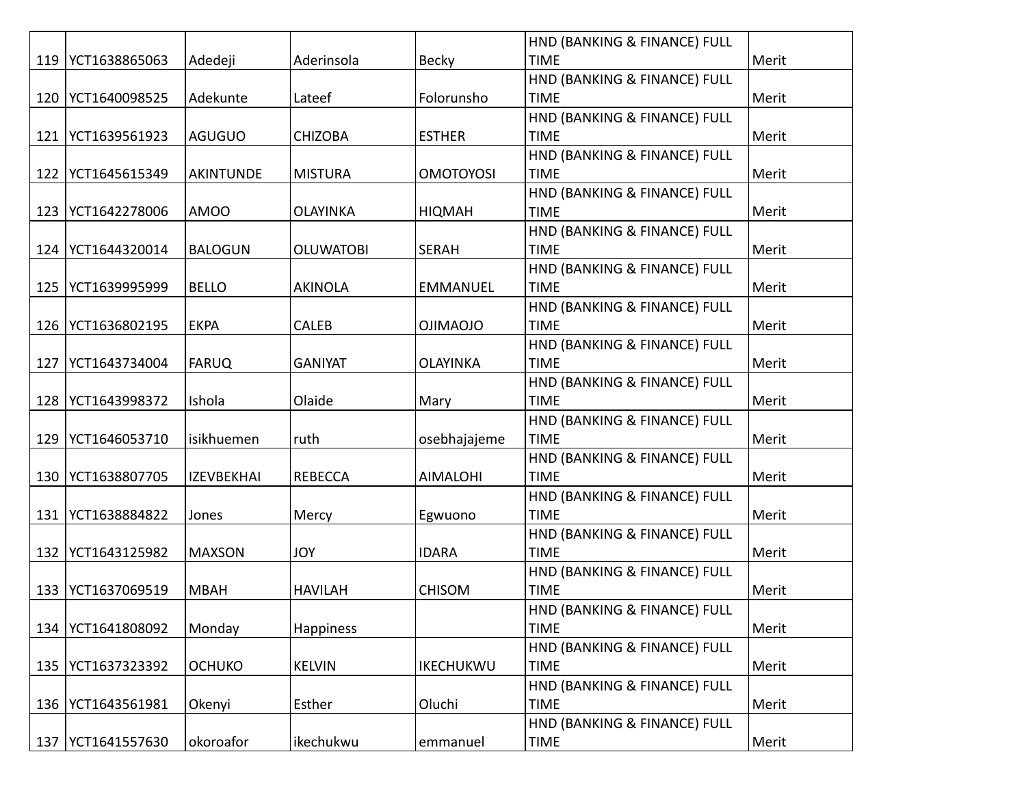|     |               |                   |                  |                  | HND (BANKING & FINANCE) FULL |       |
|-----|---------------|-------------------|------------------|------------------|------------------------------|-------|
| 119 | YCT1638865063 | Adedeji           | Aderinsola       | <b>Becky</b>     | <b>TIME</b>                  | Merit |
|     |               |                   |                  |                  | HND (BANKING & FINANCE) FULL |       |
| 120 | YCT1640098525 | Adekunte          | Lateef           | Folorunsho       | <b>TIME</b>                  | Merit |
|     |               |                   |                  |                  | HND (BANKING & FINANCE) FULL |       |
| 121 | YCT1639561923 | <b>AGUGUO</b>     | <b>CHIZOBA</b>   | <b>ESTHER</b>    | <b>TIME</b>                  | Merit |
|     |               |                   |                  |                  | HND (BANKING & FINANCE) FULL |       |
| 122 | YCT1645615349 | <b>AKINTUNDE</b>  | <b>MISTURA</b>   | <b>OMOTOYOSI</b> | <b>TIME</b>                  | Merit |
|     |               |                   |                  |                  | HND (BANKING & FINANCE) FULL |       |
| 123 | YCT1642278006 | <b>AMOO</b>       | <b>OLAYINKA</b>  | <b>HIQMAH</b>    | <b>TIME</b>                  | Merit |
|     |               |                   |                  |                  | HND (BANKING & FINANCE) FULL |       |
| 124 | YCT1644320014 | <b>BALOGUN</b>    | <b>OLUWATOBI</b> | <b>SERAH</b>     | <b>TIME</b>                  | Merit |
|     |               |                   |                  |                  | HND (BANKING & FINANCE) FULL |       |
| 125 | YCT1639995999 | <b>BELLO</b>      | <b>AKINOLA</b>   | <b>EMMANUEL</b>  | <b>TIME</b>                  | Merit |
|     |               |                   |                  |                  | HND (BANKING & FINANCE) FULL |       |
| 126 | YCT1636802195 | <b>EKPA</b>       | CALEB            | <b>OJIMAOJO</b>  | <b>TIME</b>                  | Merit |
|     |               |                   |                  |                  | HND (BANKING & FINANCE) FULL |       |
| 127 | YCT1643734004 | <b>FARUQ</b>      | <b>GANIYAT</b>   | <b>OLAYINKA</b>  | <b>TIME</b>                  | Merit |
|     |               |                   |                  |                  | HND (BANKING & FINANCE) FULL |       |
| 128 | YCT1643998372 | Ishola            | Olaide           | Mary             | <b>TIME</b>                  | Merit |
|     |               |                   |                  |                  | HND (BANKING & FINANCE) FULL |       |
| 129 | YCT1646053710 | isikhuemen        | ruth             | osebhajajeme     | <b>TIME</b>                  | Merit |
|     |               |                   |                  |                  | HND (BANKING & FINANCE) FULL |       |
| 130 | YCT1638807705 | <b>IZEVBEKHAI</b> | <b>REBECCA</b>   | <b>AIMALOHI</b>  | <b>TIME</b>                  | Merit |
|     |               |                   |                  |                  | HND (BANKING & FINANCE) FULL |       |
| 131 | YCT1638884822 | Jones             | Mercy            | Egwuono          | <b>TIME</b>                  | Merit |
|     |               |                   |                  |                  | HND (BANKING & FINANCE) FULL |       |
| 132 | YCT1643125982 | <b>MAXSON</b>     | <b>JOY</b>       | <b>IDARA</b>     | <b>TIME</b>                  | Merit |
|     |               |                   |                  |                  | HND (BANKING & FINANCE) FULL |       |
| 133 | YCT1637069519 | <b>MBAH</b>       | <b>HAVILAH</b>   | <b>CHISOM</b>    | <b>TIME</b>                  | Merit |
|     |               |                   |                  |                  | HND (BANKING & FINANCE) FULL |       |
| 134 | YCT1641808092 | Monday            | Happiness        |                  | <b>TIME</b>                  | Merit |
|     |               |                   |                  |                  | HND (BANKING & FINANCE) FULL |       |
| 135 | YCT1637323392 | <b>OCHUKO</b>     | <b>KELVIN</b>    | <b>IKECHUKWU</b> | <b>TIME</b>                  | Merit |
|     |               |                   |                  |                  | HND (BANKING & FINANCE) FULL |       |
| 136 | YCT1643561981 | Okenyi            | Esther           | Oluchi           | <b>TIME</b>                  | Merit |
|     |               |                   |                  |                  | HND (BANKING & FINANCE) FULL |       |
| 137 | YCT1641557630 | okoroafor         | ikechukwu        | emmanuel         | <b>TIME</b>                  | Merit |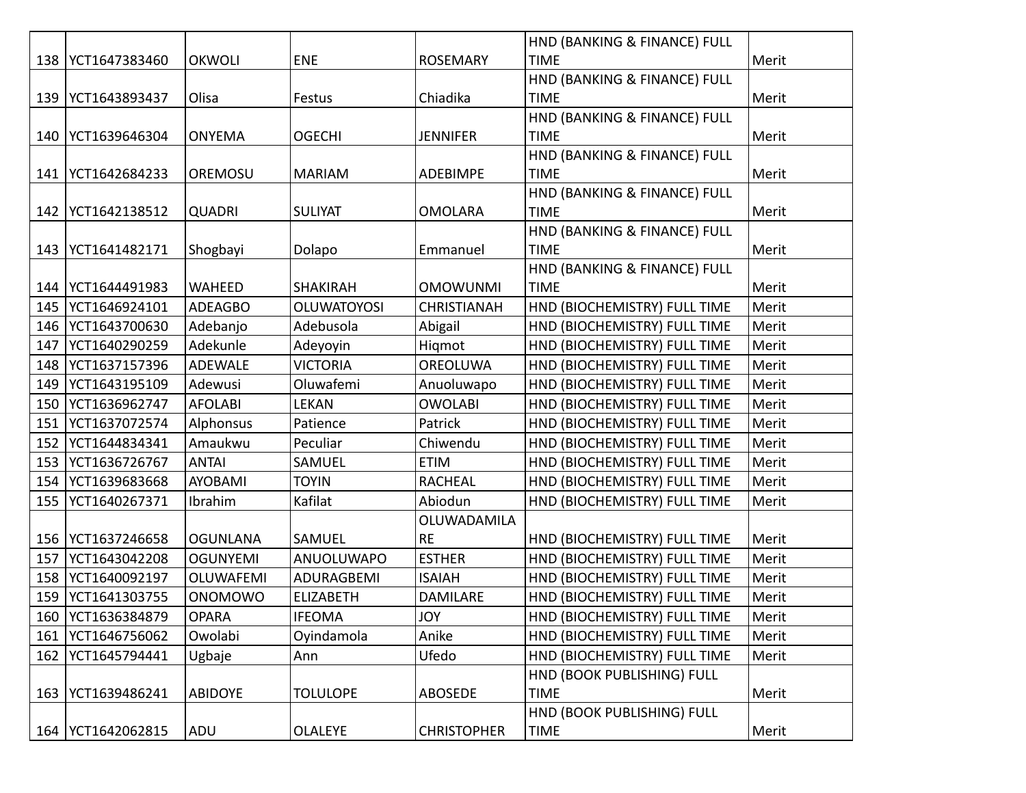|     |                     |                  |                    |                    | HND (BANKING & FINANCE) FULL |       |
|-----|---------------------|------------------|--------------------|--------------------|------------------------------|-------|
|     | 138   YCT1647383460 | <b>OKWOLI</b>    | <b>ENE</b>         | <b>ROSEMARY</b>    | <b>TIME</b>                  | Merit |
|     |                     |                  |                    |                    | HND (BANKING & FINANCE) FULL |       |
| 139 | YCT1643893437       | Olisa            | Festus             | Chiadika           | <b>TIME</b>                  | Merit |
|     |                     |                  |                    |                    | HND (BANKING & FINANCE) FULL |       |
| 140 | YCT1639646304       | <b>ONYEMA</b>    | <b>OGECHI</b>      | <b>JENNIFER</b>    | <b>TIME</b>                  | Merit |
|     |                     |                  |                    |                    | HND (BANKING & FINANCE) FULL |       |
| 141 | YCT1642684233       | OREMOSU          | <b>MARIAM</b>      | ADEBIMPE           | <b>TIME</b>                  | Merit |
|     |                     |                  |                    |                    | HND (BANKING & FINANCE) FULL |       |
| 142 | YCT1642138512       | <b>QUADRI</b>    | <b>SULIYAT</b>     | <b>OMOLARA</b>     | <b>TIME</b>                  | Merit |
|     |                     |                  |                    |                    | HND (BANKING & FINANCE) FULL |       |
| 143 | YCT1641482171       | Shogbayi         | Dolapo             | Emmanuel           | <b>TIME</b>                  | Merit |
|     |                     |                  |                    |                    | HND (BANKING & FINANCE) FULL |       |
| 144 | YCT1644491983       | <b>WAHEED</b>    | <b>SHAKIRAH</b>    | <b>OMOWUNMI</b>    | <b>TIME</b>                  | Merit |
| 145 | YCT1646924101       | <b>ADEAGBO</b>   | <b>OLUWATOYOSI</b> | <b>CHRISTIANAH</b> | HND (BIOCHEMISTRY) FULL TIME | Merit |
| 146 | YCT1643700630       | Adebanjo         | Adebusola          | Abigail            | HND (BIOCHEMISTRY) FULL TIME | Merit |
| 147 | YCT1640290259       | Adekunle         | Adeyoyin           | Higmot             | HND (BIOCHEMISTRY) FULL TIME | Merit |
| 148 | YCT1637157396       | <b>ADEWALE</b>   | <b>VICTORIA</b>    | OREOLUWA           | HND (BIOCHEMISTRY) FULL TIME | Merit |
| 149 | YCT1643195109       | Adewusi          | Oluwafemi          | Anuoluwapo         | HND (BIOCHEMISTRY) FULL TIME | Merit |
| 150 | YCT1636962747       | <b>AFOLABI</b>   | <b>LEKAN</b>       | <b>OWOLABI</b>     | HND (BIOCHEMISTRY) FULL TIME | Merit |
| 151 | YCT1637072574       | Alphonsus        | Patience           | Patrick            | HND (BIOCHEMISTRY) FULL TIME | Merit |
| 152 | YCT1644834341       | Amaukwu          | Peculiar           | Chiwendu           | HND (BIOCHEMISTRY) FULL TIME | Merit |
| 153 | YCT1636726767       | <b>ANTAI</b>     | SAMUEL             | <b>ETIM</b>        | HND (BIOCHEMISTRY) FULL TIME | Merit |
| 154 | YCT1639683668       | AYOBAMI          | <b>TOYIN</b>       | <b>RACHEAL</b>     | HND (BIOCHEMISTRY) FULL TIME | Merit |
| 155 | YCT1640267371       | Ibrahim          | Kafilat            | Abiodun            | HND (BIOCHEMISTRY) FULL TIME | Merit |
|     |                     |                  |                    | OLUWADAMILA        |                              |       |
| 156 | YCT1637246658       | <b>OGUNLANA</b>  | SAMUEL             | <b>RE</b>          | HND (BIOCHEMISTRY) FULL TIME | Merit |
| 157 | YCT1643042208       | <b>OGUNYEMI</b>  | ANUOLUWAPO         | <b>ESTHER</b>      | HND (BIOCHEMISTRY) FULL TIME | Merit |
| 158 | YCT1640092197       | <b>OLUWAFEMI</b> | ADURAGBEMI         | <b>ISAIAH</b>      | HND (BIOCHEMISTRY) FULL TIME | Merit |
| 159 | YCT1641303755       | <b>ONOMOWO</b>   | <b>ELIZABETH</b>   | DAMILARE           | HND (BIOCHEMISTRY) FULL TIME | Merit |
|     | 160 YCT1636384879   | <b>OPARA</b>     | <b>IFEOMA</b>      | JOY                | HND (BIOCHEMISTRY) FULL TIME | Merit |
| 161 | YCT1646756062       | Owolabi          | Oyindamola         | Anike              | HND (BIOCHEMISTRY) FULL TIME | Merit |
| 162 | YCT1645794441       | Ugbaje           | Ann                | Ufedo              | HND (BIOCHEMISTRY) FULL TIME | Merit |
|     |                     |                  |                    |                    | HND (BOOK PUBLISHING) FULL   |       |
| 163 | YCT1639486241       | <b>ABIDOYE</b>   | <b>TOLULOPE</b>    | ABOSEDE            | <b>TIME</b>                  | Merit |
|     |                     |                  |                    |                    | HND (BOOK PUBLISHING) FULL   |       |
| 164 | YCT1642062815       | ADU              | <b>OLALEYE</b>     | <b>CHRISTOPHER</b> | <b>TIME</b>                  | Merit |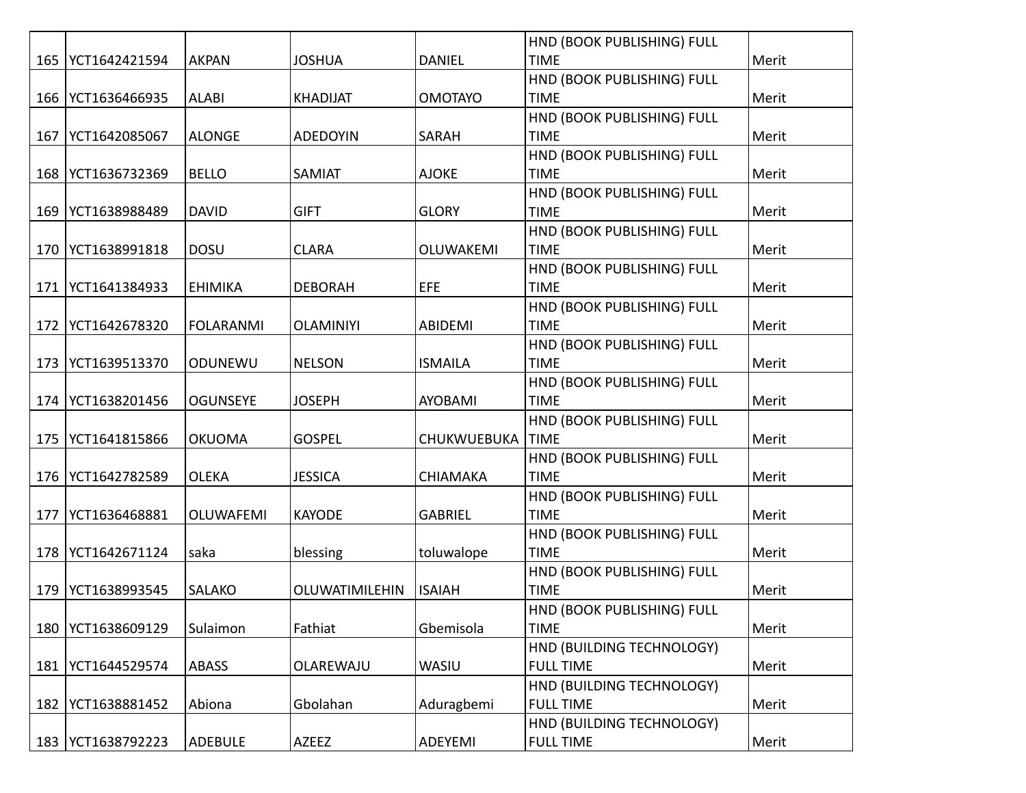|     |               |                  |                  |                    | HND (BOOK PUBLISHING) FULL |       |
|-----|---------------|------------------|------------------|--------------------|----------------------------|-------|
| 165 | YCT1642421594 | <b>AKPAN</b>     | <b>JOSHUA</b>    | <b>DANIEL</b>      | <b>TIME</b>                | Merit |
|     |               |                  |                  |                    | HND (BOOK PUBLISHING) FULL |       |
| 166 | YCT1636466935 | <b>ALABI</b>     | <b>KHADIJAT</b>  | <b>OMOTAYO</b>     | <b>TIME</b>                | Merit |
|     |               |                  |                  |                    | HND (BOOK PUBLISHING) FULL |       |
| 167 | YCT1642085067 | <b>ALONGE</b>    | <b>ADEDOYIN</b>  | SARAH              | <b>TIME</b>                | Merit |
|     |               |                  |                  |                    | HND (BOOK PUBLISHING) FULL |       |
| 168 | YCT1636732369 | <b>BELLO</b>     | SAMIAT           | <b>AJOKE</b>       | <b>TIME</b>                | Merit |
|     |               |                  |                  |                    | HND (BOOK PUBLISHING) FULL |       |
| 169 | YCT1638988489 | <b>DAVID</b>     | <b>GIFT</b>      | <b>GLORY</b>       | <b>TIME</b>                | Merit |
|     |               |                  |                  |                    | HND (BOOK PUBLISHING) FULL |       |
| 170 | YCT1638991818 | <b>DOSU</b>      | <b>CLARA</b>     | OLUWAKEMI          | <b>TIME</b>                | Merit |
|     |               |                  |                  |                    | HND (BOOK PUBLISHING) FULL |       |
| 171 | YCT1641384933 | <b>EHIMIKA</b>   | <b>DEBORAH</b>   | EFE                | <b>TIME</b>                | Merit |
|     |               |                  |                  |                    | HND (BOOK PUBLISHING) FULL |       |
| 172 | YCT1642678320 | <b>FOLARANMI</b> | <b>OLAMINIYI</b> | <b>ABIDEMI</b>     | <b>TIME</b>                | Merit |
|     |               |                  |                  |                    | HND (BOOK PUBLISHING) FULL |       |
| 173 | YCT1639513370 | ODUNEWU          | <b>NELSON</b>    | <b>ISMAILA</b>     | <b>TIME</b>                | Merit |
|     |               |                  |                  |                    | HND (BOOK PUBLISHING) FULL |       |
| 174 | YCT1638201456 | <b>OGUNSEYE</b>  | <b>JOSEPH</b>    | <b>AYOBAMI</b>     | <b>TIME</b>                | Merit |
|     |               |                  |                  |                    | HND (BOOK PUBLISHING) FULL |       |
| 175 | YCT1641815866 | <b>OKUOMA</b>    | <b>GOSPEL</b>    | <b>CHUKWUEBUKA</b> | <b>TIME</b>                | Merit |
|     |               |                  |                  |                    | HND (BOOK PUBLISHING) FULL |       |
| 176 | YCT1642782589 | <b>OLEKA</b>     | <b>JESSICA</b>   | <b>CHIAMAKA</b>    | <b>TIME</b>                | Merit |
|     |               |                  |                  |                    | HND (BOOK PUBLISHING) FULL |       |
| 177 | YCT1636468881 | <b>OLUWAFEMI</b> | <b>KAYODE</b>    | <b>GABRIEL</b>     | <b>TIME</b>                | Merit |
|     |               |                  |                  |                    | HND (BOOK PUBLISHING) FULL |       |
| 178 | YCT1642671124 | saka             | blessing         | toluwalope         | <b>TIME</b>                | Merit |
|     |               |                  |                  |                    | HND (BOOK PUBLISHING) FULL |       |
| 179 | YCT1638993545 | SALAKO           | OLUWATIMILEHIN   | <b>ISAIAH</b>      | <b>TIME</b>                | Merit |
|     |               |                  |                  |                    | HND (BOOK PUBLISHING) FULL |       |
| 180 | YCT1638609129 | Sulaimon         | Fathiat          | Gbemisola          | <b>TIME</b>                | Merit |
|     |               |                  |                  |                    | HND (BUILDING TECHNOLOGY)  |       |
| 181 | YCT1644529574 | ABASS            | OLAREWAJU        | WASIU              | <b>FULL TIME</b>           | Merit |
|     |               |                  |                  |                    | HND (BUILDING TECHNOLOGY)  |       |
| 182 | YCT1638881452 | Abiona           | Gbolahan         | Aduragbemi         | <b>FULL TIME</b>           | Merit |
|     |               |                  |                  |                    | HND (BUILDING TECHNOLOGY)  |       |
| 183 | YCT1638792223 | <b>ADEBULE</b>   | AZEEZ            | ADEYEMI            | <b>FULL TIME</b>           | Merit |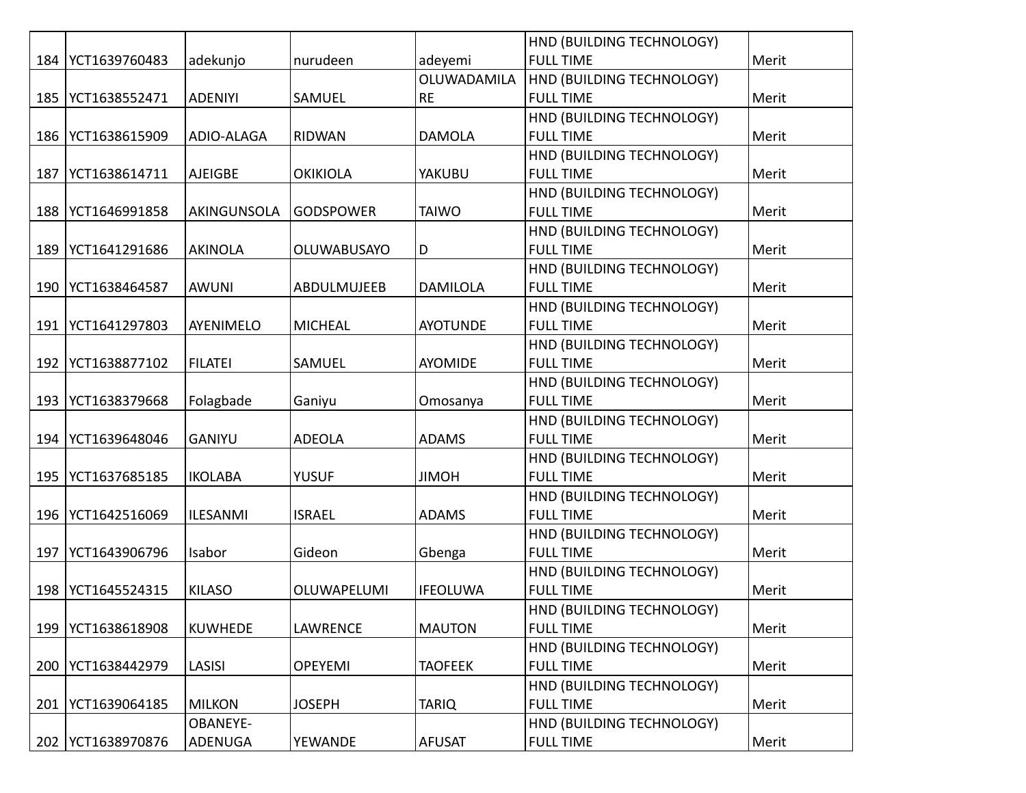|     |               |                   |                  |                 | HND (BUILDING TECHNOLOGY) |       |
|-----|---------------|-------------------|------------------|-----------------|---------------------------|-------|
| 184 | YCT1639760483 | adekunjo          | nurudeen         | adeyemi         | <b>FULL TIME</b>          | Merit |
|     |               |                   |                  | OLUWADAMILA     | HND (BUILDING TECHNOLOGY) |       |
| 185 | YCT1638552471 | <b>ADENIYI</b>    | SAMUEL           | <b>RE</b>       | <b>FULL TIME</b>          | Merit |
|     |               |                   |                  |                 | HND (BUILDING TECHNOLOGY) |       |
| 186 | YCT1638615909 | <b>ADIO-ALAGA</b> | <b>RIDWAN</b>    | <b>DAMOLA</b>   | <b>FULL TIME</b>          | Merit |
|     |               |                   |                  |                 | HND (BUILDING TECHNOLOGY) |       |
| 187 | YCT1638614711 | <b>AJEIGBE</b>    | <b>OKIKIOLA</b>  | <b>YAKUBU</b>   | <b>FULL TIME</b>          | Merit |
|     |               |                   |                  |                 | HND (BUILDING TECHNOLOGY) |       |
| 188 | YCT1646991858 | AKINGUNSOLA       | <b>GODSPOWER</b> | <b>TAIWO</b>    | <b>FULL TIME</b>          | Merit |
|     |               |                   |                  |                 | HND (BUILDING TECHNOLOGY) |       |
| 189 | YCT1641291686 | <b>AKINOLA</b>    | OLUWABUSAYO      | D               | <b>FULL TIME</b>          | Merit |
|     |               |                   |                  |                 | HND (BUILDING TECHNOLOGY) |       |
| 190 | YCT1638464587 | <b>AWUNI</b>      | ABDULMUJEEB      | <b>DAMILOLA</b> | <b>FULL TIME</b>          | Merit |
|     |               |                   |                  |                 | HND (BUILDING TECHNOLOGY) |       |
| 191 | YCT1641297803 | AYENIMELO         | <b>MICHEAL</b>   | <b>AYOTUNDE</b> | <b>FULL TIME</b>          | Merit |
|     |               |                   |                  |                 | HND (BUILDING TECHNOLOGY) |       |
| 192 | YCT1638877102 | <b>FILATEI</b>    | SAMUEL           | AYOMIDE         | <b>FULL TIME</b>          | Merit |
|     |               |                   |                  |                 | HND (BUILDING TECHNOLOGY) |       |
| 193 | YCT1638379668 | Folagbade         | Ganiyu           | Omosanya        | <b>FULL TIME</b>          | Merit |
|     |               |                   |                  |                 | HND (BUILDING TECHNOLOGY) |       |
| 194 | YCT1639648046 | <b>GANIYU</b>     | <b>ADEOLA</b>    | <b>ADAMS</b>    | <b>FULL TIME</b>          | Merit |
|     |               |                   |                  |                 | HND (BUILDING TECHNOLOGY) |       |
| 195 | YCT1637685185 | <b>IKOLABA</b>    | <b>YUSUF</b>     | <b>JIMOH</b>    | <b>FULL TIME</b>          | Merit |
|     |               |                   |                  |                 | HND (BUILDING TECHNOLOGY) |       |
| 196 | YCT1642516069 | <b>ILESANMI</b>   | <b>ISRAEL</b>    | <b>ADAMS</b>    | <b>FULL TIME</b>          | Merit |
|     |               |                   |                  |                 | HND (BUILDING TECHNOLOGY) |       |
| 197 | YCT1643906796 | Isabor            | Gideon           | Gbenga          | <b>FULL TIME</b>          | Merit |
|     |               |                   |                  |                 | HND (BUILDING TECHNOLOGY) |       |
| 198 | YCT1645524315 | KILASO            | OLUWAPELUMI      | <b>IFEOLUWA</b> | <b>FULL TIME</b>          | Merit |
|     |               |                   |                  |                 | HND (BUILDING TECHNOLOGY) |       |
| 199 | YCT1638618908 | KUWHEDE           | <b>LAWRENCE</b>  | <b>MAUTON</b>   | <b>FULL TIME</b>          | Merit |
|     |               |                   |                  |                 | HND (BUILDING TECHNOLOGY) |       |
| 200 | YCT1638442979 | LASISI            | <b>OPEYEMI</b>   | <b>TAOFEEK</b>  | <b>FULL TIME</b>          | Merit |
|     |               |                   |                  |                 | HND (BUILDING TECHNOLOGY) |       |
| 201 | YCT1639064185 | <b>MILKON</b>     | <b>JOSEPH</b>    | <b>TARIQ</b>    | <b>FULL TIME</b>          | Merit |
|     |               | <b>OBANEYE-</b>   |                  |                 | HND (BUILDING TECHNOLOGY) |       |
| 202 | YCT1638970876 | ADENUGA           | YEWANDE          | <b>AFUSAT</b>   | <b>FULL TIME</b>          | Merit |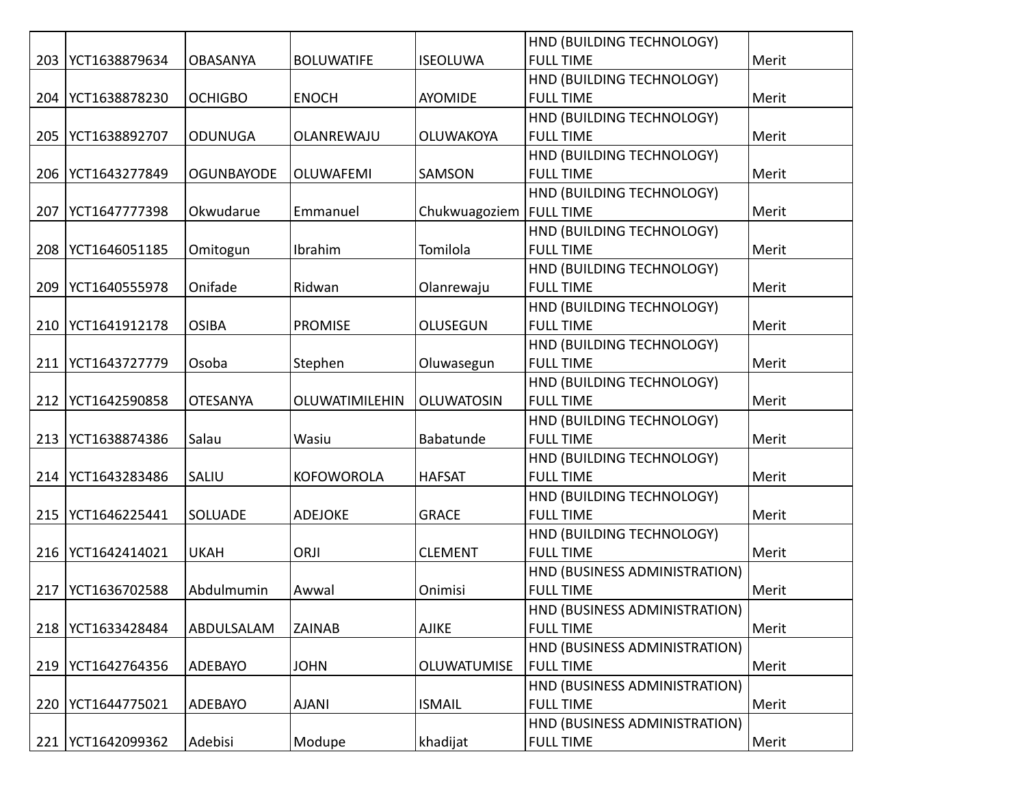|     |                     |                   |                   |                           | HND (BUILDING TECHNOLOGY)     |       |
|-----|---------------------|-------------------|-------------------|---------------------------|-------------------------------|-------|
| 203 | YCT1638879634       | <b>OBASANYA</b>   | <b>BOLUWATIFE</b> | <b>ISEOLUWA</b>           | <b>FULL TIME</b>              | Merit |
|     |                     |                   |                   |                           | HND (BUILDING TECHNOLOGY)     |       |
| 204 | YCT1638878230       | <b>OCHIGBO</b>    | <b>ENOCH</b>      | <b>AYOMIDE</b>            | <b>FULL TIME</b>              | Merit |
|     |                     |                   |                   |                           | HND (BUILDING TECHNOLOGY)     |       |
| 205 | YCT1638892707       | <b>ODUNUGA</b>    | OLANREWAJU        | <b>OLUWAKOYA</b>          | <b>FULL TIME</b>              | Merit |
|     |                     |                   |                   |                           | HND (BUILDING TECHNOLOGY)     |       |
| 206 | YCT1643277849       | <b>OGUNBAYODE</b> | OLUWAFEMI         | SAMSON                    | <b>FULL TIME</b>              | Merit |
|     |                     |                   |                   |                           | HND (BUILDING TECHNOLOGY)     |       |
| 207 | YCT1647777398       | Okwudarue         | Emmanuel          | Chukwuagoziem   FULL TIME |                               | Merit |
|     |                     |                   |                   |                           | HND (BUILDING TECHNOLOGY)     |       |
| 208 | YCT1646051185       | Omitogun          | Ibrahim           | Tomilola                  | <b>FULL TIME</b>              | Merit |
|     |                     |                   |                   |                           | HND (BUILDING TECHNOLOGY)     |       |
| 209 | YCT1640555978       | Onifade           | Ridwan            | Olanrewaju                | <b>FULL TIME</b>              | Merit |
|     |                     |                   |                   |                           | HND (BUILDING TECHNOLOGY)     |       |
| 210 | YCT1641912178       | <b>OSIBA</b>      | <b>PROMISE</b>    | <b>OLUSEGUN</b>           | <b>FULL TIME</b>              | Merit |
|     |                     |                   |                   |                           | HND (BUILDING TECHNOLOGY)     |       |
| 211 | YCT1643727779       | Osoba             | Stephen           | Oluwasegun                | <b>FULL TIME</b>              | Merit |
|     |                     |                   |                   |                           | HND (BUILDING TECHNOLOGY)     |       |
| 212 | YCT1642590858       | <b>OTESANYA</b>   | OLUWATIMILEHIN    | <b>OLUWATOSIN</b>         | <b>FULL TIME</b>              | Merit |
|     |                     |                   |                   |                           | HND (BUILDING TECHNOLOGY)     |       |
| 213 | YCT1638874386       | Salau             | Wasiu             | Babatunde                 | <b>FULL TIME</b>              | Merit |
|     |                     |                   |                   |                           | HND (BUILDING TECHNOLOGY)     |       |
|     | 214   YCT1643283486 | SALIU             | <b>KOFOWOROLA</b> | <b>HAFSAT</b>             | <b>FULL TIME</b>              | Merit |
|     |                     |                   |                   |                           | HND (BUILDING TECHNOLOGY)     |       |
| 215 | YCT1646225441       | SOLUADE           | <b>ADEJOKE</b>    | <b>GRACE</b>              | <b>FULL TIME</b>              | Merit |
|     |                     |                   |                   |                           | HND (BUILDING TECHNOLOGY)     |       |
| 216 | YCT1642414021       | <b>UKAH</b>       | ORJI              | <b>CLEMENT</b>            | <b>FULL TIME</b>              | Merit |
|     |                     |                   |                   |                           | HND (BUSINESS ADMINISTRATION) |       |
| 217 | YCT1636702588       | Abdulmumin        | Awwal             | Onimisi                   | <b>FULL TIME</b>              | Merit |
|     |                     |                   |                   |                           | HND (BUSINESS ADMINISTRATION) |       |
| 218 | YCT1633428484       | ABDULSALAM        | <b>ZAINAB</b>     | <b>AJIKE</b>              | <b>FULL TIME</b>              | Merit |
|     |                     |                   |                   |                           | HND (BUSINESS ADMINISTRATION) |       |
| 219 | YCT1642764356       | ADEBAYO           | <b>JOHN</b>       | OLUWATUMISE               | <b>FULL TIME</b>              | Merit |
|     |                     |                   |                   |                           | HND (BUSINESS ADMINISTRATION) |       |
| 220 | YCT1644775021       | ADEBAYO           | <b>AJANI</b>      | <b>ISMAIL</b>             | <b>FULL TIME</b>              | Merit |
|     |                     |                   |                   |                           | HND (BUSINESS ADMINISTRATION) |       |
| 221 | YCT1642099362       | Adebisi           | Modupe            | khadijat                  | <b>FULL TIME</b>              | Merit |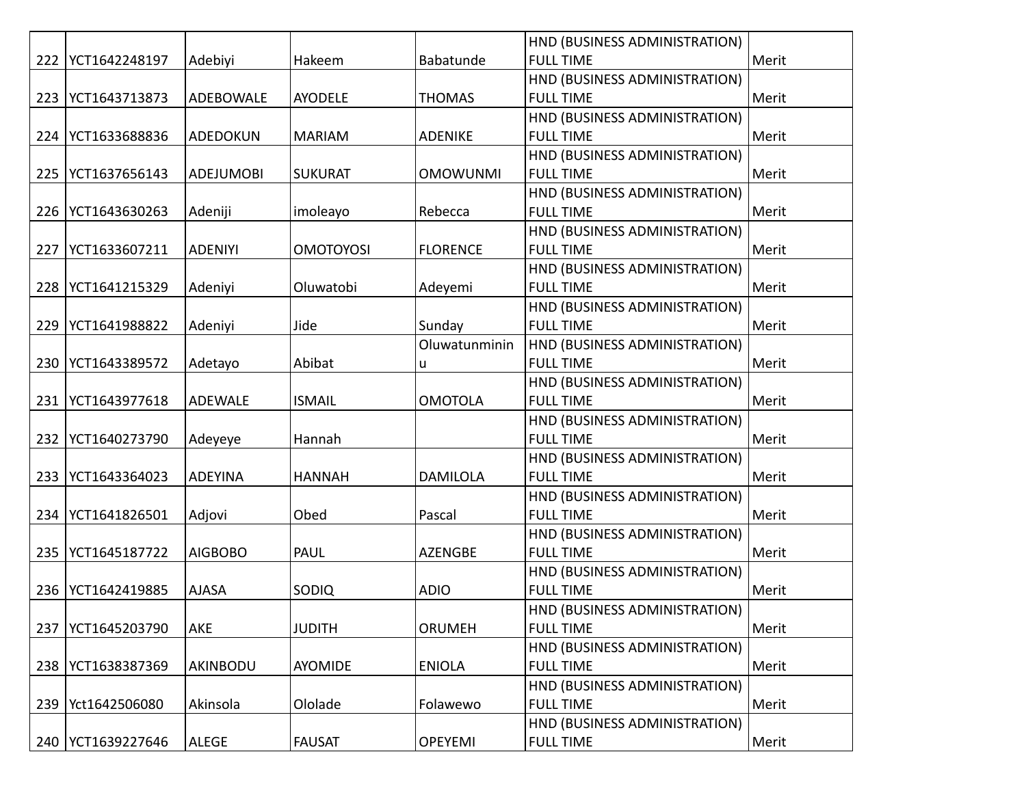|     |                     |                  |                  |                 | HND (BUSINESS ADMINISTRATION) |       |
|-----|---------------------|------------------|------------------|-----------------|-------------------------------|-------|
| 222 | YCT1642248197       | Adebiyi          | Hakeem           | Babatunde       | <b>FULL TIME</b>              | Merit |
|     |                     |                  |                  |                 | HND (BUSINESS ADMINISTRATION) |       |
| 223 | YCT1643713873       | ADEBOWALE        | <b>AYODELE</b>   | <b>THOMAS</b>   | <b>FULL TIME</b>              | Merit |
|     |                     |                  |                  |                 | HND (BUSINESS ADMINISTRATION) |       |
|     | 224   YCT1633688836 | ADEDOKUN         | <b>MARIAM</b>    | <b>ADENIKE</b>  | <b>FULL TIME</b>              | Merit |
|     |                     |                  |                  |                 | HND (BUSINESS ADMINISTRATION) |       |
| 225 | YCT1637656143       | <b>ADEJUMOBI</b> | <b>SUKURAT</b>   | <b>OMOWUNMI</b> | <b>FULL TIME</b>              | Merit |
|     |                     |                  |                  |                 | HND (BUSINESS ADMINISTRATION) |       |
| 226 | YCT1643630263       | Adeniji          | imoleayo         | Rebecca         | <b>FULL TIME</b>              | Merit |
|     |                     |                  |                  |                 | HND (BUSINESS ADMINISTRATION) |       |
| 227 | YCT1633607211       | <b>ADENIYI</b>   | <b>OMOTOYOSI</b> | <b>FLORENCE</b> | <b>FULL TIME</b>              | Merit |
|     |                     |                  |                  |                 | HND (BUSINESS ADMINISTRATION) |       |
| 228 | YCT1641215329       | Adeniyi          | Oluwatobi        | Adeyemi         | <b>FULL TIME</b>              | Merit |
|     |                     |                  |                  |                 | HND (BUSINESS ADMINISTRATION) |       |
| 229 | YCT1641988822       | Adeniyi          | Jide             | Sunday          | <b>FULL TIME</b>              | Merit |
|     |                     |                  |                  | Oluwatunminin   | HND (BUSINESS ADMINISTRATION) |       |
| 230 | YCT1643389572       | Adetayo          | Abibat           | u               | <b>FULL TIME</b>              | Merit |
|     |                     |                  |                  |                 | HND (BUSINESS ADMINISTRATION) |       |
| 231 | YCT1643977618       | <b>ADEWALE</b>   | <b>ISMAIL</b>    | <b>OMOTOLA</b>  | <b>FULL TIME</b>              | Merit |
|     |                     |                  |                  |                 | HND (BUSINESS ADMINISTRATION) |       |
| 232 | YCT1640273790       | Adeyeye          | Hannah           |                 | <b>FULL TIME</b>              | Merit |
|     |                     |                  |                  |                 | HND (BUSINESS ADMINISTRATION) |       |
|     | 233   YCT1643364023 | <b>ADEYINA</b>   | <b>HANNAH</b>    | DAMILOLA        | <b>FULL TIME</b>              | Merit |
|     |                     |                  |                  |                 | HND (BUSINESS ADMINISTRATION) |       |
| 234 | YCT1641826501       | Adjovi           | Obed             | Pascal          | <b>FULL TIME</b>              | Merit |
|     |                     |                  |                  |                 | HND (BUSINESS ADMINISTRATION) |       |
| 235 | YCT1645187722       | <b>AIGBOBO</b>   | PAUL             | <b>AZENGBE</b>  | <b>FULL TIME</b>              | Merit |
|     |                     |                  |                  |                 | HND (BUSINESS ADMINISTRATION) |       |
| 236 | YCT1642419885       | <b>AJASA</b>     | SODIQ            | <b>ADIO</b>     | <b>FULL TIME</b>              | Merit |
|     |                     |                  |                  |                 | HND (BUSINESS ADMINISTRATION) |       |
| 237 | YCT1645203790       | AKE              | <b>JUDITH</b>    | ORUMEH          | <b>FULL TIME</b>              | Merit |
|     |                     |                  |                  |                 | HND (BUSINESS ADMINISTRATION) |       |
| 238 | YCT1638387369       | AKINBODU         | AYOMIDE          | <b>ENIOLA</b>   | <b>FULL TIME</b>              | Merit |
|     |                     |                  |                  |                 | HND (BUSINESS ADMINISTRATION) |       |
| 239 | Yct1642506080       | Akinsola         | Ololade          | Folawewo        | <b>FULL TIME</b>              | Merit |
|     |                     |                  |                  |                 | HND (BUSINESS ADMINISTRATION) |       |
|     | 240   YCT1639227646 | <b>ALEGE</b>     | <b>FAUSAT</b>    | <b>OPEYEMI</b>  | <b>FULL TIME</b>              | Merit |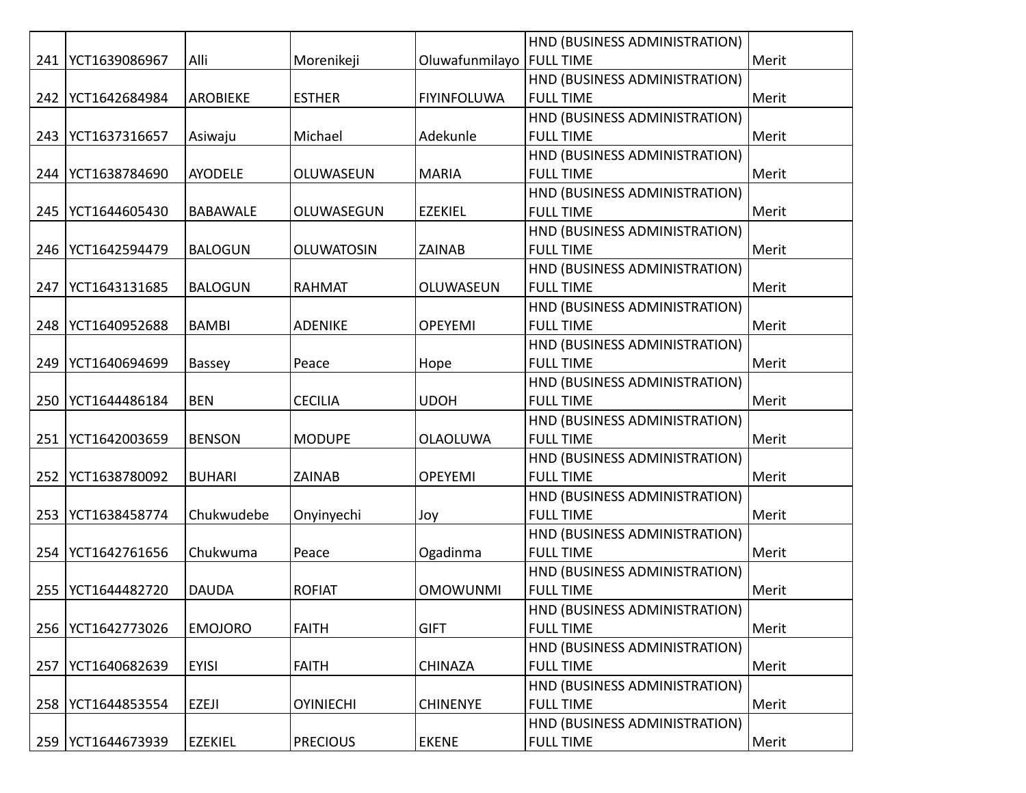|     |                     |                 |                   |                            | HND (BUSINESS ADMINISTRATION) |       |
|-----|---------------------|-----------------|-------------------|----------------------------|-------------------------------|-------|
| 241 | YCT1639086967       | Alli            | Morenikeji        | Oluwafunmilayo   FULL TIME |                               | Merit |
|     |                     |                 |                   |                            | HND (BUSINESS ADMINISTRATION) |       |
| 242 | YCT1642684984       | <b>AROBIEKE</b> | <b>ESTHER</b>     | <b>FIYINFOLUWA</b>         | <b>FULL TIME</b>              | Merit |
|     |                     |                 |                   |                            | HND (BUSINESS ADMINISTRATION) |       |
|     | 243   YCT1637316657 | Asiwaju         | Michael           | Adekunle                   | <b>FULL TIME</b>              | Merit |
|     |                     |                 |                   |                            | HND (BUSINESS ADMINISTRATION) |       |
| 244 | YCT1638784690       | <b>AYODELE</b>  | OLUWASEUN         | <b>MARIA</b>               | <b>FULL TIME</b>              | Merit |
|     |                     |                 |                   |                            | HND (BUSINESS ADMINISTRATION) |       |
| 245 | YCT1644605430       | <b>BABAWALE</b> | OLUWASEGUN        | <b>EZEKIEL</b>             | <b>FULL TIME</b>              | Merit |
|     |                     |                 |                   |                            | HND (BUSINESS ADMINISTRATION) |       |
| 246 | YCT1642594479       | <b>BALOGUN</b>  | <b>OLUWATOSIN</b> | <b>ZAINAB</b>              | <b>FULL TIME</b>              | Merit |
|     |                     |                 |                   |                            | HND (BUSINESS ADMINISTRATION) |       |
| 247 | YCT1643131685       | <b>BALOGUN</b>  | <b>RAHMAT</b>     | OLUWASEUN                  | <b>FULL TIME</b>              | Merit |
|     |                     |                 |                   |                            | HND (BUSINESS ADMINISTRATION) |       |
| 248 | YCT1640952688       | <b>BAMBI</b>    | <b>ADENIKE</b>    | <b>OPEYEMI</b>             | <b>FULL TIME</b>              | Merit |
|     |                     |                 |                   |                            | HND (BUSINESS ADMINISTRATION) |       |
| 249 | YCT1640694699       | Bassey          | Peace             | Hope                       | <b>FULL TIME</b>              | Merit |
|     |                     |                 |                   |                            | HND (BUSINESS ADMINISTRATION) |       |
| 250 | YCT1644486184       | <b>BEN</b>      | <b>CECILIA</b>    | <b>UDOH</b>                | <b>FULL TIME</b>              | Merit |
|     |                     |                 |                   |                            | HND (BUSINESS ADMINISTRATION) |       |
| 251 | YCT1642003659       | <b>BENSON</b>   | <b>MODUPE</b>     | <b>OLAOLUWA</b>            | <b>FULL TIME</b>              | Merit |
|     |                     |                 |                   |                            | HND (BUSINESS ADMINISTRATION) |       |
| 252 | YCT1638780092       | <b>BUHARI</b>   | <b>ZAINAB</b>     | <b>OPEYEMI</b>             | <b>FULL TIME</b>              | Merit |
|     |                     |                 |                   |                            | HND (BUSINESS ADMINISTRATION) |       |
| 253 | YCT1638458774       | Chukwudebe      | Onyinyechi        | Joy                        | <b>FULL TIME</b>              | Merit |
|     |                     |                 |                   |                            | HND (BUSINESS ADMINISTRATION) |       |
| 254 | YCT1642761656       | Chukwuma        | Peace             | Ogadinma                   | <b>FULL TIME</b>              | Merit |
|     |                     |                 |                   |                            | HND (BUSINESS ADMINISTRATION) |       |
| 255 | YCT1644482720       | <b>DAUDA</b>    | <b>ROFIAT</b>     | <b>OMOWUNMI</b>            | <b>FULL TIME</b>              | Merit |
|     |                     |                 |                   |                            | HND (BUSINESS ADMINISTRATION) |       |
| 256 | YCT1642773026       | <b>EMOJORO</b>  | <b>FAITH</b>      | <b>GIFT</b>                | <b>FULL TIME</b>              | Merit |
|     |                     |                 |                   |                            | HND (BUSINESS ADMINISTRATION) |       |
| 257 | YCT1640682639       | <b>EYISI</b>    | <b>FAITH</b>      | <b>CHINAZA</b>             | <b>FULL TIME</b>              | Merit |
|     |                     |                 |                   |                            | HND (BUSINESS ADMINISTRATION) |       |
| 258 | YCT1644853554       | <b>EZEJI</b>    | <b>OYINIECHI</b>  | <b>CHINENYE</b>            | <b>FULL TIME</b>              | Merit |
|     |                     |                 |                   |                            | HND (BUSINESS ADMINISTRATION) |       |
|     | 259   YCT1644673939 | <b>EZEKIEL</b>  | <b>PRECIOUS</b>   | <b>EKENE</b>               | <b>FULL TIME</b>              | Merit |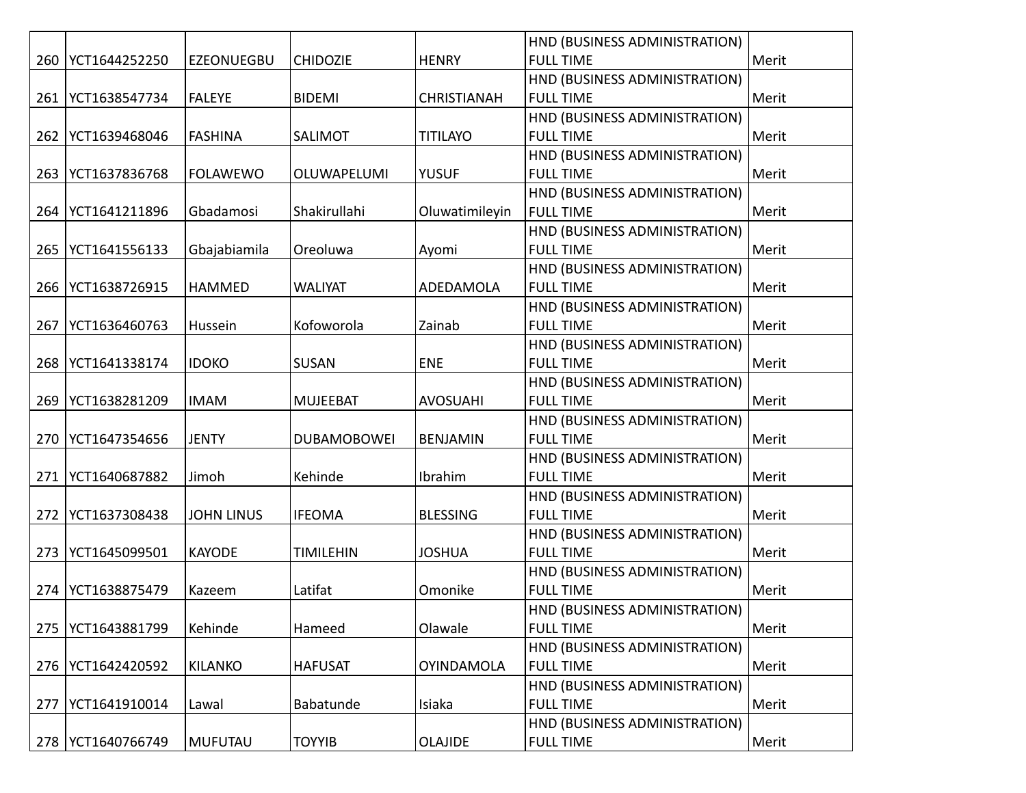|     |               |                   |                    |                    | HND (BUSINESS ADMINISTRATION) |       |
|-----|---------------|-------------------|--------------------|--------------------|-------------------------------|-------|
| 260 | YCT1644252250 | <b>EZEONUEGBU</b> | <b>CHIDOZIE</b>    | <b>HENRY</b>       | <b>FULL TIME</b>              | Merit |
|     |               |                   |                    |                    | HND (BUSINESS ADMINISTRATION) |       |
| 261 | YCT1638547734 | <b>FALEYE</b>     | <b>BIDEMI</b>      | <b>CHRISTIANAH</b> | <b>FULL TIME</b>              | Merit |
|     |               |                   |                    |                    | HND (BUSINESS ADMINISTRATION) |       |
| 262 | YCT1639468046 | <b>FASHINA</b>    | SALIMOT            | <b>TITILAYO</b>    | <b>FULL TIME</b>              | Merit |
|     |               |                   |                    |                    | HND (BUSINESS ADMINISTRATION) |       |
| 263 | YCT1637836768 | <b>FOLAWEWO</b>   | OLUWAPELUMI        | <b>YUSUF</b>       | <b>FULL TIME</b>              | Merit |
|     |               |                   |                    |                    | HND (BUSINESS ADMINISTRATION) |       |
| 264 | YCT1641211896 | Gbadamosi         | Shakirullahi       | Oluwatimileyin     | <b>FULL TIME</b>              | Merit |
|     |               |                   |                    |                    | HND (BUSINESS ADMINISTRATION) |       |
| 265 | YCT1641556133 | Gbajabiamila      | Oreoluwa           | Ayomi              | <b>FULL TIME</b>              | Merit |
|     |               |                   |                    |                    | HND (BUSINESS ADMINISTRATION) |       |
| 266 | YCT1638726915 | HAMMED            | <b>WALIYAT</b>     | ADEDAMOLA          | <b>FULL TIME</b>              | Merit |
|     |               |                   |                    |                    | HND (BUSINESS ADMINISTRATION) |       |
| 267 | YCT1636460763 | Hussein           | Kofoworola         | Zainab             | <b>FULL TIME</b>              | Merit |
|     |               |                   |                    |                    | HND (BUSINESS ADMINISTRATION) |       |
| 268 | YCT1641338174 | <b>IDOKO</b>      | <b>SUSAN</b>       | <b>ENE</b>         | <b>FULL TIME</b>              | Merit |
|     |               |                   |                    |                    | HND (BUSINESS ADMINISTRATION) |       |
| 269 | YCT1638281209 | <b>IMAM</b>       | <b>MUJEEBAT</b>    | <b>AVOSUAHI</b>    | <b>FULL TIME</b>              | Merit |
|     |               |                   |                    |                    | HND (BUSINESS ADMINISTRATION) |       |
| 270 | YCT1647354656 | <b>JENTY</b>      | <b>DUBAMOBOWEI</b> | <b>BENJAMIN</b>    | <b>FULL TIME</b>              | Merit |
|     |               |                   |                    |                    | HND (BUSINESS ADMINISTRATION) |       |
| 271 | YCT1640687882 | Jimoh             | Kehinde            | Ibrahim            | <b>FULL TIME</b>              | Merit |
|     |               |                   |                    |                    | HND (BUSINESS ADMINISTRATION) |       |
| 272 | YCT1637308438 | <b>JOHN LINUS</b> | <b>IFEOMA</b>      | <b>BLESSING</b>    | <b>FULL TIME</b>              | Merit |
|     |               |                   |                    |                    | HND (BUSINESS ADMINISTRATION) |       |
| 273 | YCT1645099501 | <b>KAYODE</b>     | <b>TIMILEHIN</b>   | <b>JOSHUA</b>      | <b>FULL TIME</b>              | Merit |
|     |               |                   |                    |                    | HND (BUSINESS ADMINISTRATION) |       |
| 274 | YCT1638875479 | Kazeem            | Latifat            | Omonike            | <b>FULL TIME</b>              | Merit |
|     |               |                   |                    |                    | HND (BUSINESS ADMINISTRATION) |       |
| 275 | YCT1643881799 | Kehinde           | Hameed             | Olawale            | <b>FULL TIME</b>              | Merit |
|     |               |                   |                    |                    | HND (BUSINESS ADMINISTRATION) |       |
| 276 | YCT1642420592 | <b>KILANKO</b>    | <b>HAFUSAT</b>     | <b>OYINDAMOLA</b>  | <b>FULL TIME</b>              | Merit |
|     |               |                   |                    |                    | HND (BUSINESS ADMINISTRATION) |       |
| 277 | YCT1641910014 | Lawal             | Babatunde          | Isiaka             | <b>FULL TIME</b>              | Merit |
|     |               |                   |                    |                    | HND (BUSINESS ADMINISTRATION) |       |
| 278 | YCT1640766749 | <b>MUFUTAU</b>    | <b>TOYYIB</b>      | <b>OLAJIDE</b>     | <b>FULL TIME</b>              | Merit |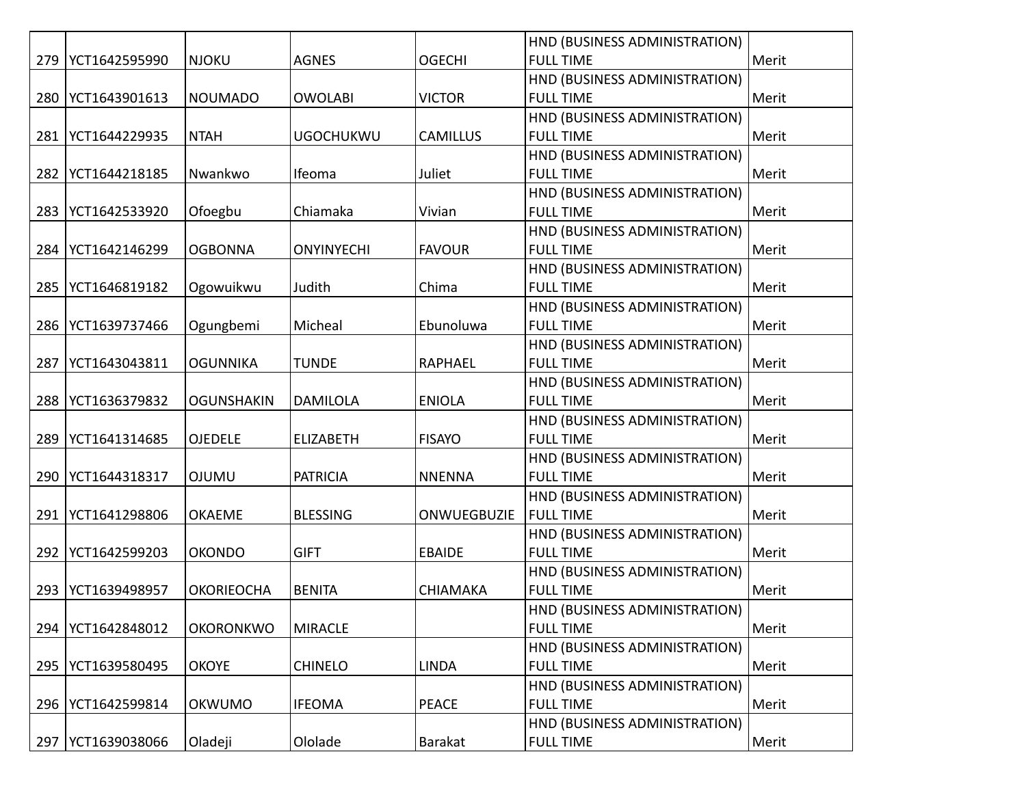|     |               |                   |                   |                 | HND (BUSINESS ADMINISTRATION) |       |
|-----|---------------|-------------------|-------------------|-----------------|-------------------------------|-------|
| 279 | YCT1642595990 | <b>NJOKU</b>      | <b>AGNES</b>      | <b>OGECHI</b>   | <b>FULL TIME</b>              | Merit |
|     |               |                   |                   |                 | HND (BUSINESS ADMINISTRATION) |       |
| 280 | YCT1643901613 | <b>NOUMADO</b>    | <b>OWOLABI</b>    | <b>VICTOR</b>   | <b>FULL TIME</b>              | Merit |
|     |               |                   |                   |                 | HND (BUSINESS ADMINISTRATION) |       |
| 281 | YCT1644229935 | <b>NTAH</b>       | <b>UGOCHUKWU</b>  | <b>CAMILLUS</b> | <b>FULL TIME</b>              | Merit |
|     |               |                   |                   |                 | HND (BUSINESS ADMINISTRATION) |       |
| 282 | YCT1644218185 | Nwankwo           | Ifeoma            | Juliet          | <b>FULL TIME</b>              | Merit |
|     |               |                   |                   |                 | HND (BUSINESS ADMINISTRATION) |       |
| 283 | YCT1642533920 | Ofoegbu           | Chiamaka          | Vivian          | <b>FULL TIME</b>              | Merit |
|     |               |                   |                   |                 | HND (BUSINESS ADMINISTRATION) |       |
| 284 | YCT1642146299 | <b>OGBONNA</b>    | <b>ONYINYECHI</b> | <b>FAVOUR</b>   | <b>FULL TIME</b>              | Merit |
|     |               |                   |                   |                 | HND (BUSINESS ADMINISTRATION) |       |
| 285 | YCT1646819182 | Ogowuikwu         | Judith            | Chima           | <b>FULL TIME</b>              | Merit |
|     |               |                   |                   |                 | HND (BUSINESS ADMINISTRATION) |       |
| 286 | YCT1639737466 | Ogungbemi         | Micheal           | Ebunoluwa       | <b>FULL TIME</b>              | Merit |
|     |               |                   |                   |                 | HND (BUSINESS ADMINISTRATION) |       |
| 287 | YCT1643043811 | <b>OGUNNIKA</b>   | <b>TUNDE</b>      | <b>RAPHAEL</b>  | <b>FULL TIME</b>              | Merit |
|     |               |                   |                   |                 | HND (BUSINESS ADMINISTRATION) |       |
| 288 | YCT1636379832 | <b>OGUNSHAKIN</b> | <b>DAMILOLA</b>   | <b>ENIOLA</b>   | <b>FULL TIME</b>              | Merit |
|     |               |                   |                   |                 | HND (BUSINESS ADMINISTRATION) |       |
| 289 | YCT1641314685 | <b>OJEDELE</b>    | <b>ELIZABETH</b>  | <b>FISAYO</b>   | <b>FULL TIME</b>              | Merit |
|     |               |                   |                   |                 | HND (BUSINESS ADMINISTRATION) |       |
| 290 | YCT1644318317 | <b>OJUMU</b>      | <b>PATRICIA</b>   | <b>NNENNA</b>   | <b>FULL TIME</b>              | Merit |
|     |               |                   |                   |                 | HND (BUSINESS ADMINISTRATION) |       |
| 291 | YCT1641298806 | <b>OKAEME</b>     | <b>BLESSING</b>   | ONWUEGBUZIE     | <b>FULL TIME</b>              | Merit |
|     |               |                   |                   |                 | HND (BUSINESS ADMINISTRATION) |       |
| 292 | YCT1642599203 | <b>OKONDO</b>     | <b>GIFT</b>       | <b>EBAIDE</b>   | <b>FULL TIME</b>              | Merit |
|     |               |                   |                   |                 | HND (BUSINESS ADMINISTRATION) |       |
| 293 | YCT1639498957 | <b>OKORIEOCHA</b> | <b>BENITA</b>     | <b>CHIAMAKA</b> | <b>FULL TIME</b>              | Merit |
|     |               |                   |                   |                 | HND (BUSINESS ADMINISTRATION) |       |
| 294 | YCT1642848012 | <b>OKORONKWO</b>  | <b>MIRACLE</b>    |                 | <b>FULL TIME</b>              | Merit |
|     |               |                   |                   |                 | HND (BUSINESS ADMINISTRATION) |       |
| 295 | YCT1639580495 | <b>OKOYE</b>      | <b>CHINELO</b>    | <b>LINDA</b>    | <b>FULL TIME</b>              | Merit |
|     |               |                   |                   |                 | HND (BUSINESS ADMINISTRATION) |       |
| 296 | YCT1642599814 | <b>OKWUMO</b>     | <b>IFEOMA</b>     | <b>PEACE</b>    | <b>FULL TIME</b>              | Merit |
|     |               |                   |                   |                 | HND (BUSINESS ADMINISTRATION) |       |
| 297 | YCT1639038066 | Oladeji           | Ololade           | Barakat         | <b>FULL TIME</b>              | Merit |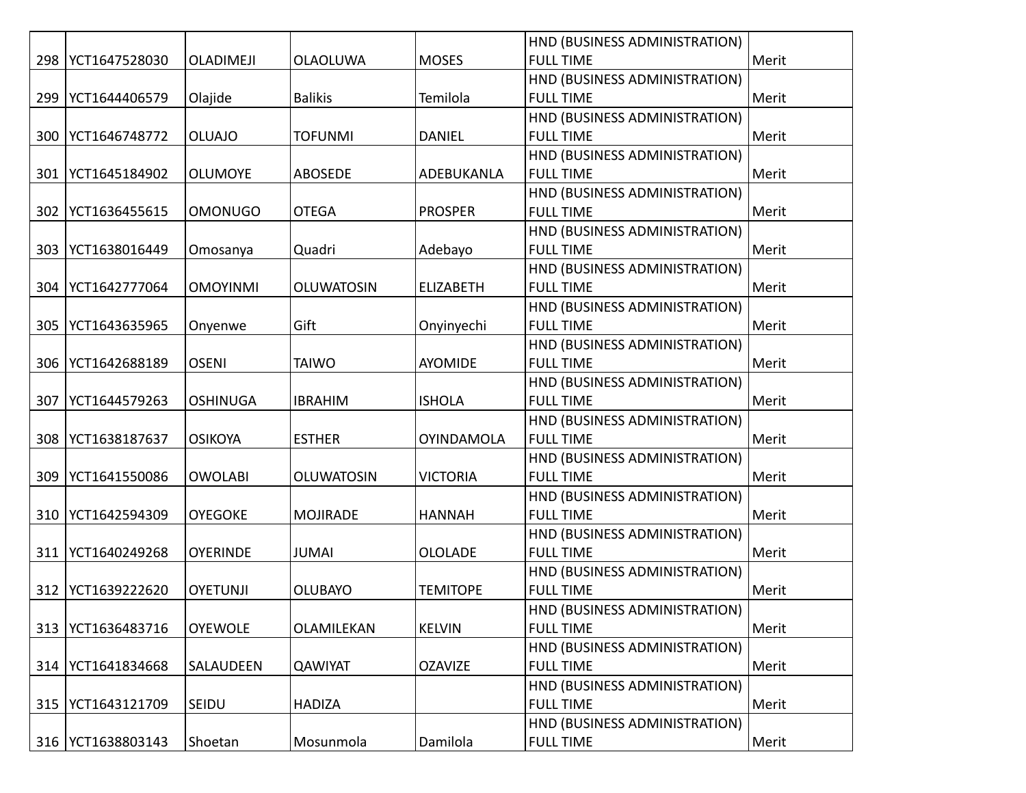|     |                     |                  |                   |                   | HND (BUSINESS ADMINISTRATION) |       |
|-----|---------------------|------------------|-------------------|-------------------|-------------------------------|-------|
| 298 | YCT1647528030       | <b>OLADIMEJI</b> | <b>OLAOLUWA</b>   | <b>MOSES</b>      | <b>FULL TIME</b>              | Merit |
|     |                     |                  |                   |                   | HND (BUSINESS ADMINISTRATION) |       |
| 299 | YCT1644406579       | Olajide          | <b>Balikis</b>    | Temilola          | <b>FULL TIME</b>              | Merit |
|     |                     |                  |                   |                   | HND (BUSINESS ADMINISTRATION) |       |
| 300 | YCT1646748772       | <b>OLUAJO</b>    | <b>TOFUNMI</b>    | <b>DANIEL</b>     | <b>FULL TIME</b>              | Merit |
|     |                     |                  |                   |                   | HND (BUSINESS ADMINISTRATION) |       |
| 301 | YCT1645184902       | <b>OLUMOYE</b>   | ABOSEDE           | ADEBUKANLA        | <b>FULL TIME</b>              | Merit |
|     |                     |                  |                   |                   | HND (BUSINESS ADMINISTRATION) |       |
| 302 | YCT1636455615       | <b>OMONUGO</b>   | <b>OTEGA</b>      | <b>PROSPER</b>    | <b>FULL TIME</b>              | Merit |
|     |                     |                  |                   |                   | HND (BUSINESS ADMINISTRATION) |       |
| 303 | YCT1638016449       | Omosanya         | Quadri            | Adebayo           | <b>FULL TIME</b>              | Merit |
|     |                     |                  |                   |                   | HND (BUSINESS ADMINISTRATION) |       |
| 304 | YCT1642777064       | <b>OMOYINMI</b>  | <b>OLUWATOSIN</b> | <b>ELIZABETH</b>  | <b>FULL TIME</b>              | Merit |
|     |                     |                  |                   |                   | HND (BUSINESS ADMINISTRATION) |       |
| 305 | YCT1643635965       | Onyenwe          | Gift              | Onyinyechi        | <b>FULL TIME</b>              | Merit |
|     |                     |                  |                   |                   | HND (BUSINESS ADMINISTRATION) |       |
| 306 | YCT1642688189       | <b>OSENI</b>     | <b>TAIWO</b>      | <b>AYOMIDE</b>    | <b>FULL TIME</b>              | Merit |
|     |                     |                  |                   |                   | HND (BUSINESS ADMINISTRATION) |       |
| 307 | YCT1644579263       | <b>OSHINUGA</b>  | <b>IBRAHIM</b>    | <b>ISHOLA</b>     | <b>FULL TIME</b>              | Merit |
|     |                     |                  |                   |                   | HND (BUSINESS ADMINISTRATION) |       |
| 308 | YCT1638187637       | <b>OSIKOYA</b>   | <b>ESTHER</b>     | <b>OYINDAMOLA</b> | <b>FULL TIME</b>              | Merit |
|     |                     |                  |                   |                   | HND (BUSINESS ADMINISTRATION) |       |
| 309 | YCT1641550086       | <b>OWOLABI</b>   | <b>OLUWATOSIN</b> | <b>VICTORIA</b>   | <b>FULL TIME</b>              | Merit |
|     |                     |                  |                   |                   | HND (BUSINESS ADMINISTRATION) |       |
| 310 | YCT1642594309       | <b>OYEGOKE</b>   | <b>MOJIRADE</b>   | <b>HANNAH</b>     | <b>FULL TIME</b>              | Merit |
|     |                     |                  |                   |                   | HND (BUSINESS ADMINISTRATION) |       |
|     | 311   YCT1640249268 | <b>OYERINDE</b>  | <b>JUMAI</b>      | <b>OLOLADE</b>    | <b>FULL TIME</b>              | Merit |
|     |                     |                  |                   |                   | HND (BUSINESS ADMINISTRATION) |       |
| 312 | YCT1639222620       | <b>OYETUNJI</b>  | <b>OLUBAYO</b>    | <b>TEMITOPE</b>   | <b>FULL TIME</b>              | Merit |
|     |                     |                  |                   |                   | HND (BUSINESS ADMINISTRATION) |       |
| 313 | YCT1636483716       | <b>OYEWOLE</b>   | OLAMILEKAN        | <b>KELVIN</b>     | <b>FULL TIME</b>              | Merit |
|     |                     |                  |                   |                   | HND (BUSINESS ADMINISTRATION) |       |
| 314 | YCT1641834668       | SALAUDEEN        | <b>QAWIYAT</b>    | <b>OZAVIZE</b>    | <b>FULL TIME</b>              | Merit |
|     |                     |                  |                   |                   | HND (BUSINESS ADMINISTRATION) |       |
| 315 | YCT1643121709       | SEIDU            | <b>HADIZA</b>     |                   | <b>FULL TIME</b>              | Merit |
|     |                     |                  |                   |                   | HND (BUSINESS ADMINISTRATION) |       |
| 316 | YCT1638803143       | Shoetan          | Mosunmola         | Damilola          | <b>FULL TIME</b>              | Merit |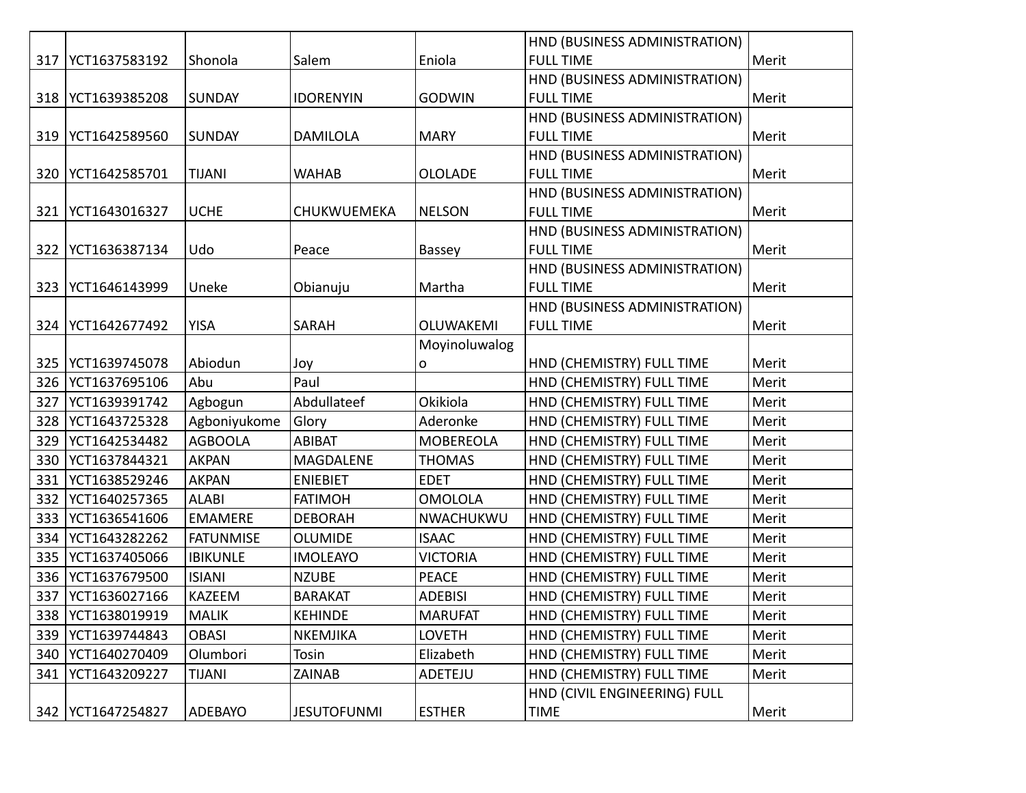|     |                     |                  |                    |                  | HND (BUSINESS ADMINISTRATION) |       |
|-----|---------------------|------------------|--------------------|------------------|-------------------------------|-------|
| 317 | YCT1637583192       | Shonola          | Salem              | Eniola           | <b>FULL TIME</b>              | Merit |
|     |                     |                  |                    |                  | HND (BUSINESS ADMINISTRATION) |       |
| 318 | YCT1639385208       | <b>SUNDAY</b>    | <b>IDORENYIN</b>   | <b>GODWIN</b>    | <b>FULL TIME</b>              | Merit |
|     |                     |                  |                    |                  | HND (BUSINESS ADMINISTRATION) |       |
|     | 319   YCT1642589560 | <b>SUNDAY</b>    | <b>DAMILOLA</b>    | <b>MARY</b>      | <b>FULL TIME</b>              | Merit |
|     |                     |                  |                    |                  | HND (BUSINESS ADMINISTRATION) |       |
| 320 | YCT1642585701       | <b>TIJANI</b>    | <b>WAHAB</b>       | <b>OLOLADE</b>   | <b>FULL TIME</b>              | Merit |
|     |                     |                  |                    |                  | HND (BUSINESS ADMINISTRATION) |       |
|     | 321   YCT1643016327 | <b>UCHE</b>      | CHUKWUEMEKA        | <b>NELSON</b>    | <b>FULL TIME</b>              | Merit |
|     |                     |                  |                    |                  | HND (BUSINESS ADMINISTRATION) |       |
| 322 | YCT1636387134       | Udo              | Peace              | Bassey           | <b>FULL TIME</b>              | Merit |
|     |                     |                  |                    |                  | HND (BUSINESS ADMINISTRATION) |       |
| 323 | YCT1646143999       | Uneke            | Obianuju           | Martha           | <b>FULL TIME</b>              | Merit |
|     |                     |                  |                    |                  | HND (BUSINESS ADMINISTRATION) |       |
| 324 | YCT1642677492       | <b>YISA</b>      | SARAH              | OLUWAKEMI        | <b>FULL TIME</b>              | Merit |
|     |                     |                  |                    | Moyinoluwalog    |                               |       |
| 325 | YCT1639745078       | Abiodun          | Joy                | 0                | HND (CHEMISTRY) FULL TIME     | Merit |
| 326 | YCT1637695106       | Abu              | Paul               |                  | HND (CHEMISTRY) FULL TIME     | Merit |
| 327 | YCT1639391742       | Agbogun          | Abdullateef        | Okikiola         | HND (CHEMISTRY) FULL TIME     | Merit |
| 328 | YCT1643725328       | Agboniyukome     | Glory              | Aderonke         | HND (CHEMISTRY) FULL TIME     | Merit |
| 329 | YCT1642534482       | <b>AGBOOLA</b>   | <b>ABIBAT</b>      | <b>MOBEREOLA</b> | HND (CHEMISTRY) FULL TIME     | Merit |
| 330 | YCT1637844321       | <b>AKPAN</b>     | MAGDALENE          | <b>THOMAS</b>    | HND (CHEMISTRY) FULL TIME     | Merit |
| 331 | YCT1638529246       | <b>AKPAN</b>     | <b>ENIEBIET</b>    | <b>EDET</b>      | HND (CHEMISTRY) FULL TIME     | Merit |
| 332 | YCT1640257365       | <b>ALABI</b>     | <b>FATIMOH</b>     | <b>OMOLOLA</b>   | HND (CHEMISTRY) FULL TIME     | Merit |
| 333 | YCT1636541606       | <b>EMAMERE</b>   | <b>DEBORAH</b>     | NWACHUKWU        | HND (CHEMISTRY) FULL TIME     | Merit |
| 334 | YCT1643282262       | <b>FATUNMISE</b> | <b>OLUMIDE</b>     | <b>ISAAC</b>     | HND (CHEMISTRY) FULL TIME     | Merit |
| 335 | YCT1637405066       | <b>IBIKUNLE</b>  | <b>IMOLEAYO</b>    | <b>VICTORIA</b>  | HND (CHEMISTRY) FULL TIME     | Merit |
| 336 | YCT1637679500       | <b>ISIANI</b>    | <b>NZUBE</b>       | <b>PEACE</b>     | HND (CHEMISTRY) FULL TIME     | Merit |
| 337 | YCT1636027166       | KAZEEM           | <b>BARAKAT</b>     | <b>ADEBISI</b>   | HND (CHEMISTRY) FULL TIME     | Merit |
| 338 | YCT1638019919       | <b>MALIK</b>     | <b>KEHINDE</b>     | <b>MARUFAT</b>   | HND (CHEMISTRY) FULL TIME     | Merit |
| 339 | YCT1639744843       | <b>OBASI</b>     | NKEMJIKA           | <b>LOVETH</b>    | HND (CHEMISTRY) FULL TIME     | Merit |
| 340 | YCT1640270409       | Olumbori         | Tosin              | Elizabeth        | HND (CHEMISTRY) FULL TIME     | Merit |
| 341 | YCT1643209227       | <b>TIJANI</b>    | ZAINAB             | ADETEJU          | HND (CHEMISTRY) FULL TIME     | Merit |
|     |                     |                  |                    |                  | HND (CIVIL ENGINEERING) FULL  |       |
| 342 | YCT1647254827       | ADEBAYO          | <b>JESUTOFUNMI</b> | <b>ESTHER</b>    | <b>TIME</b>                   | Merit |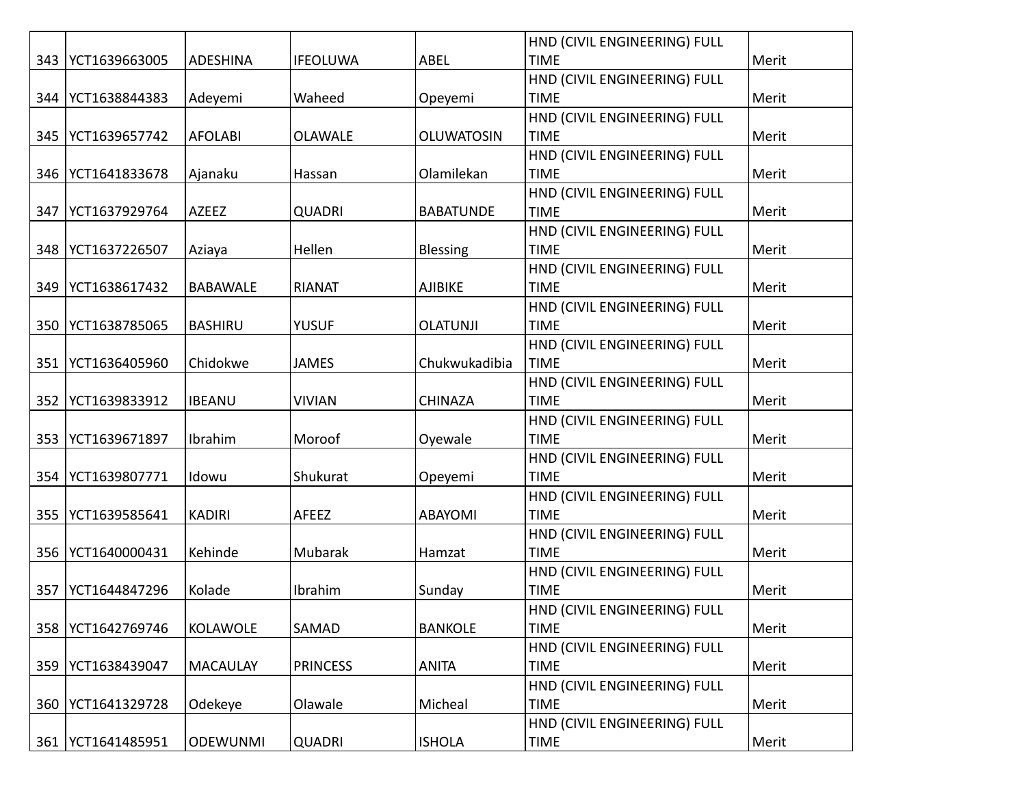|     |               |                 |                 |                   | HND (CIVIL ENGINEERING) FULL |       |
|-----|---------------|-----------------|-----------------|-------------------|------------------------------|-------|
| 343 | YCT1639663005 | <b>ADESHINA</b> | <b>IFEOLUWA</b> | ABEL              | <b>TIME</b>                  | Merit |
|     |               |                 |                 |                   | HND (CIVIL ENGINEERING) FULL |       |
| 344 | YCT1638844383 | Adeyemi         | Waheed          | Opeyemi           | <b>TIME</b>                  | Merit |
|     |               |                 |                 |                   | HND (CIVIL ENGINEERING) FULL |       |
| 345 | YCT1639657742 | <b>AFOLABI</b>  | <b>OLAWALE</b>  | <b>OLUWATOSIN</b> | <b>TIME</b>                  | Merit |
|     |               |                 |                 |                   | HND (CIVIL ENGINEERING) FULL |       |
| 346 | YCT1641833678 | Ajanaku         | Hassan          | Olamilekan        | <b>TIME</b>                  | Merit |
|     |               |                 |                 |                   | HND (CIVIL ENGINEERING) FULL |       |
| 347 | YCT1637929764 | <b>AZEEZ</b>    | <b>QUADRI</b>   | <b>BABATUNDE</b>  | <b>TIME</b>                  | Merit |
|     |               |                 |                 |                   | HND (CIVIL ENGINEERING) FULL |       |
| 348 | YCT1637226507 | Aziaya          | Hellen          | <b>Blessing</b>   | <b>TIME</b>                  | Merit |
|     |               |                 |                 |                   | HND (CIVIL ENGINEERING) FULL |       |
| 349 | YCT1638617432 | <b>BABAWALE</b> | <b>RIANAT</b>   | <b>AJIBIKE</b>    | <b>TIME</b>                  | Merit |
|     |               |                 |                 |                   | HND (CIVIL ENGINEERING) FULL |       |
| 350 | YCT1638785065 | <b>BASHIRU</b>  | <b>YUSUF</b>    | <b>OLATUNJI</b>   | <b>TIME</b>                  | Merit |
|     |               |                 |                 |                   | HND (CIVIL ENGINEERING) FULL |       |
| 351 | YCT1636405960 | Chidokwe        | <b>JAMES</b>    | Chukwukadibia     | <b>TIME</b>                  | Merit |
|     |               |                 |                 |                   | HND (CIVIL ENGINEERING) FULL |       |
| 352 | YCT1639833912 | <b>IBEANU</b>   | <b>VIVIAN</b>   | <b>CHINAZA</b>    | <b>TIME</b>                  | Merit |
|     |               |                 |                 |                   | HND (CIVIL ENGINEERING) FULL |       |
| 353 | YCT1639671897 | Ibrahim         | Moroof          | Oyewale           | <b>TIME</b>                  | Merit |
|     |               |                 |                 |                   | HND (CIVIL ENGINEERING) FULL |       |
| 354 | YCT1639807771 | Idowu           | Shukurat        | Opeyemi           | <b>TIME</b>                  | Merit |
|     |               |                 |                 |                   | HND (CIVIL ENGINEERING) FULL |       |
| 355 | YCT1639585641 | <b>KADIRI</b>   | AFEEZ           | ABAYOMI           | <b>TIME</b>                  | Merit |
|     |               |                 |                 |                   | HND (CIVIL ENGINEERING) FULL |       |
| 356 | YCT1640000431 | Kehinde         | Mubarak         | Hamzat            | <b>TIME</b>                  | Merit |
|     |               |                 |                 |                   | HND (CIVIL ENGINEERING) FULL |       |
| 357 | YCT1644847296 | Kolade          | Ibrahim         | Sunday            | <b>TIME</b>                  | Merit |
|     |               |                 |                 |                   | HND (CIVIL ENGINEERING) FULL |       |
| 358 | YCT1642769746 | <b>KOLAWOLE</b> | SAMAD           | <b>BANKOLE</b>    | <b>TIME</b>                  | Merit |
|     |               |                 |                 |                   | HND (CIVIL ENGINEERING) FULL |       |
| 359 | YCT1638439047 | <b>MACAULAY</b> | <b>PRINCESS</b> | <b>ANITA</b>      | <b>TIME</b>                  | Merit |
|     |               |                 |                 |                   | HND (CIVIL ENGINEERING) FULL |       |
| 360 | YCT1641329728 | Odekeye         | Olawale         | Micheal           | <b>TIME</b>                  | Merit |
|     |               |                 |                 |                   | HND (CIVIL ENGINEERING) FULL |       |
| 361 | YCT1641485951 | <b>ODEWUNMI</b> | <b>QUADRI</b>   | <b>ISHOLA</b>     | <b>TIME</b>                  | Merit |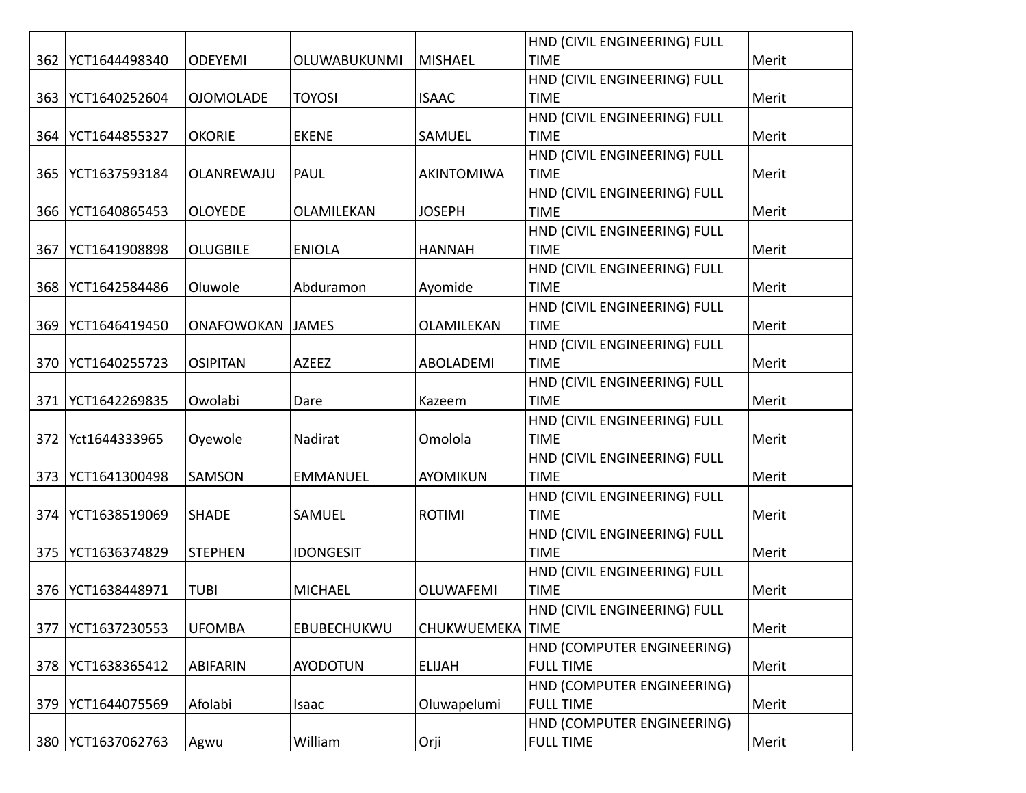|     |               |                         |                     |                    | HND (CIVIL ENGINEERING) FULL |       |
|-----|---------------|-------------------------|---------------------|--------------------|------------------------------|-------|
| 362 | YCT1644498340 | <b>ODEYEMI</b>          | <b>OLUWABUKUNMI</b> | <b>MISHAEL</b>     | <b>TIME</b>                  | Merit |
|     |               |                         |                     |                    | HND (CIVIL ENGINEERING) FULL |       |
| 363 | YCT1640252604 | <b>OJOMOLADE</b>        | <b>TOYOSI</b>       | <b>ISAAC</b>       | <b>TIME</b>                  | Merit |
|     |               |                         |                     |                    | HND (CIVIL ENGINEERING) FULL |       |
| 364 | YCT1644855327 | <b>OKORIE</b>           | <b>EKENE</b>        | SAMUEL             | <b>TIME</b>                  | Merit |
|     |               |                         |                     |                    | HND (CIVIL ENGINEERING) FULL |       |
| 365 | YCT1637593184 | OLANREWAJU              | PAUL                | AKINTOMIWA         | <b>TIME</b>                  | Merit |
|     |               |                         |                     |                    | HND (CIVIL ENGINEERING) FULL |       |
| 366 | YCT1640865453 | <b>OLOYEDE</b>          | OLAMILEKAN          | <b>JOSEPH</b>      | <b>TIME</b>                  | Merit |
|     |               |                         |                     |                    | HND (CIVIL ENGINEERING) FULL |       |
| 367 | YCT1641908898 | <b>OLUGBILE</b>         | <b>ENIOLA</b>       | <b>HANNAH</b>      | <b>TIME</b>                  | Merit |
|     |               |                         |                     |                    | HND (CIVIL ENGINEERING) FULL |       |
| 368 | YCT1642584486 | Oluwole                 | Abduramon           | Ayomide            | <b>TIME</b>                  | Merit |
|     |               |                         |                     |                    | HND (CIVIL ENGINEERING) FULL |       |
| 369 | YCT1646419450 | <b>ONAFOWOKAN JAMES</b> |                     | OLAMILEKAN         | <b>TIME</b>                  | Merit |
|     |               |                         |                     |                    | HND (CIVIL ENGINEERING) FULL |       |
| 370 | YCT1640255723 | <b>OSIPITAN</b>         | <b>AZEEZ</b>        | ABOLADEMI          | <b>TIME</b>                  | Merit |
|     |               |                         |                     |                    | HND (CIVIL ENGINEERING) FULL |       |
| 371 | YCT1642269835 | Owolabi                 | Dare                | Kazeem             | <b>TIME</b>                  | Merit |
|     |               |                         |                     |                    | HND (CIVIL ENGINEERING) FULL |       |
| 372 | Yct1644333965 | Oyewole                 | Nadirat             | Omolola            | <b>TIME</b>                  | Merit |
|     |               |                         |                     |                    | HND (CIVIL ENGINEERING) FULL |       |
| 373 | YCT1641300498 | SAMSON                  | <b>EMMANUEL</b>     | <b>AYOMIKUN</b>    | <b>TIME</b>                  | Merit |
|     |               |                         |                     |                    | HND (CIVIL ENGINEERING) FULL |       |
| 374 | YCT1638519069 | <b>SHADE</b>            | SAMUEL              | <b>ROTIMI</b>      | <b>TIME</b>                  | Merit |
|     |               |                         |                     |                    | HND (CIVIL ENGINEERING) FULL |       |
| 375 | YCT1636374829 | <b>STEPHEN</b>          | <b>IDONGESIT</b>    |                    | <b>TIME</b>                  | Merit |
|     |               |                         |                     |                    | HND (CIVIL ENGINEERING) FULL |       |
| 376 | YCT1638448971 | <b>TUBI</b>             | <b>MICHAEL</b>      | <b>OLUWAFEMI</b>   | <b>TIME</b>                  | Merit |
|     |               |                         |                     |                    | HND (CIVIL ENGINEERING) FULL |       |
| 377 | YCT1637230553 | <b>UFOMBA</b>           | EBUBECHUKWU         | CHUKWUEMEKA   TIME |                              | Merit |
|     |               |                         |                     |                    | HND (COMPUTER ENGINEERING)   |       |
| 378 | YCT1638365412 | <b>ABIFARIN</b>         | <b>AYODOTUN</b>     | <b>ELIJAH</b>      | <b>FULL TIME</b>             | Merit |
|     |               |                         |                     |                    | HND (COMPUTER ENGINEERING)   |       |
| 379 | YCT1644075569 | Afolabi                 | Isaac               | Oluwapelumi        | <b>FULL TIME</b>             | Merit |
|     |               |                         |                     |                    | HND (COMPUTER ENGINEERING)   |       |
| 380 | YCT1637062763 | Agwu                    | William             | Orji               | <b>FULL TIME</b>             | Merit |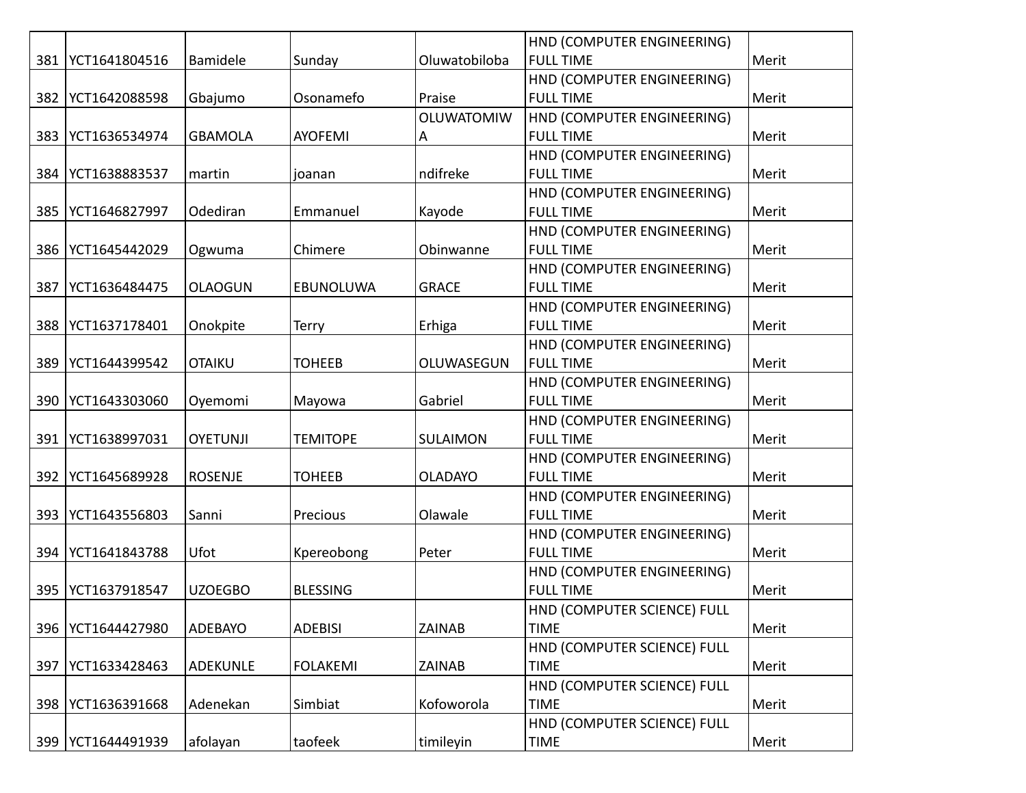|     |                     |                 |                 |                   | HND (COMPUTER ENGINEERING)  |       |
|-----|---------------------|-----------------|-----------------|-------------------|-----------------------------|-------|
| 381 | YCT1641804516       | Bamidele        | Sunday          | Oluwatobiloba     | <b>FULL TIME</b>            | Merit |
|     |                     |                 |                 |                   | HND (COMPUTER ENGINEERING)  |       |
| 382 | YCT1642088598       | Gbajumo         | Osonamefo       | Praise            | <b>FULL TIME</b>            | Merit |
|     |                     |                 |                 | <b>OLUWATOMIW</b> | HND (COMPUTER ENGINEERING)  |       |
| 383 | YCT1636534974       | <b>GBAMOLA</b>  | <b>AYOFEMI</b>  | A                 | <b>FULL TIME</b>            | Merit |
|     |                     |                 |                 |                   | HND (COMPUTER ENGINEERING)  |       |
| 384 | YCT1638883537       | martin          | joanan          | ndifreke          | <b>FULL TIME</b>            | Merit |
|     |                     |                 |                 |                   | HND (COMPUTER ENGINEERING)  |       |
| 385 | YCT1646827997       | Odediran        | Emmanuel        | Kayode            | <b>FULL TIME</b>            | Merit |
|     |                     |                 |                 |                   | HND (COMPUTER ENGINEERING)  |       |
| 386 | YCT1645442029       | Ogwuma          | Chimere         | Obinwanne         | <b>FULL TIME</b>            | Merit |
|     |                     |                 |                 |                   | HND (COMPUTER ENGINEERING)  |       |
| 387 | YCT1636484475       | <b>OLAOGUN</b>  | EBUNOLUWA       | <b>GRACE</b>      | <b>FULL TIME</b>            | Merit |
|     |                     |                 |                 |                   | HND (COMPUTER ENGINEERING)  |       |
| 388 | YCT1637178401       | Onokpite        | Terry           | Erhiga            | <b>FULL TIME</b>            | Merit |
|     |                     |                 |                 |                   | HND (COMPUTER ENGINEERING)  |       |
| 389 | YCT1644399542       | <b>OTAIKU</b>   | <b>TOHEEB</b>   | OLUWASEGUN        | <b>FULL TIME</b>            | Merit |
|     |                     |                 |                 |                   | HND (COMPUTER ENGINEERING)  |       |
| 390 | YCT1643303060       | Oyemomi         | Mayowa          | Gabriel           | <b>FULL TIME</b>            | Merit |
|     |                     |                 |                 |                   | HND (COMPUTER ENGINEERING)  |       |
| 391 | YCT1638997031       | <b>OYETUNJI</b> | <b>TEMITOPE</b> | <b>SULAIMON</b>   | <b>FULL TIME</b>            | Merit |
|     |                     |                 |                 |                   | HND (COMPUTER ENGINEERING)  |       |
| 392 | YCT1645689928       | <b>ROSENJE</b>  | <b>TOHEEB</b>   | <b>OLADAYO</b>    | <b>FULL TIME</b>            | Merit |
|     |                     |                 |                 |                   | HND (COMPUTER ENGINEERING)  |       |
| 393 | YCT1643556803       | Sanni           | Precious        | Olawale           | <b>FULL TIME</b>            | Merit |
|     |                     |                 |                 |                   | HND (COMPUTER ENGINEERING)  |       |
|     | 394   YCT1641843788 | Ufot            | Kpereobong      | Peter             | <b>FULL TIME</b>            | Merit |
|     |                     |                 |                 |                   | HND (COMPUTER ENGINEERING)  |       |
| 395 | YCT1637918547       | <b>UZOEGBO</b>  | <b>BLESSING</b> |                   | <b>FULL TIME</b>            | Merit |
|     |                     |                 |                 |                   | HND (COMPUTER SCIENCE) FULL |       |
| 396 | YCT1644427980       | ADEBAYO         | <b>ADEBISI</b>  | <b>ZAINAB</b>     | <b>TIME</b>                 | Merit |
|     |                     |                 |                 |                   | HND (COMPUTER SCIENCE) FULL |       |
| 397 | YCT1633428463       | <b>ADEKUNLE</b> | <b>FOLAKEMI</b> | ZAINAB            | <b>TIME</b>                 | Merit |
|     |                     |                 |                 |                   | HND (COMPUTER SCIENCE) FULL |       |
| 398 | YCT1636391668       | Adenekan        | Simbiat         | Kofoworola        | <b>TIME</b>                 | Merit |
|     |                     |                 |                 |                   | HND (COMPUTER SCIENCE) FULL |       |
| 399 | YCT1644491939       | afolayan        | taofeek         | timileyin         | <b>TIME</b>                 | Merit |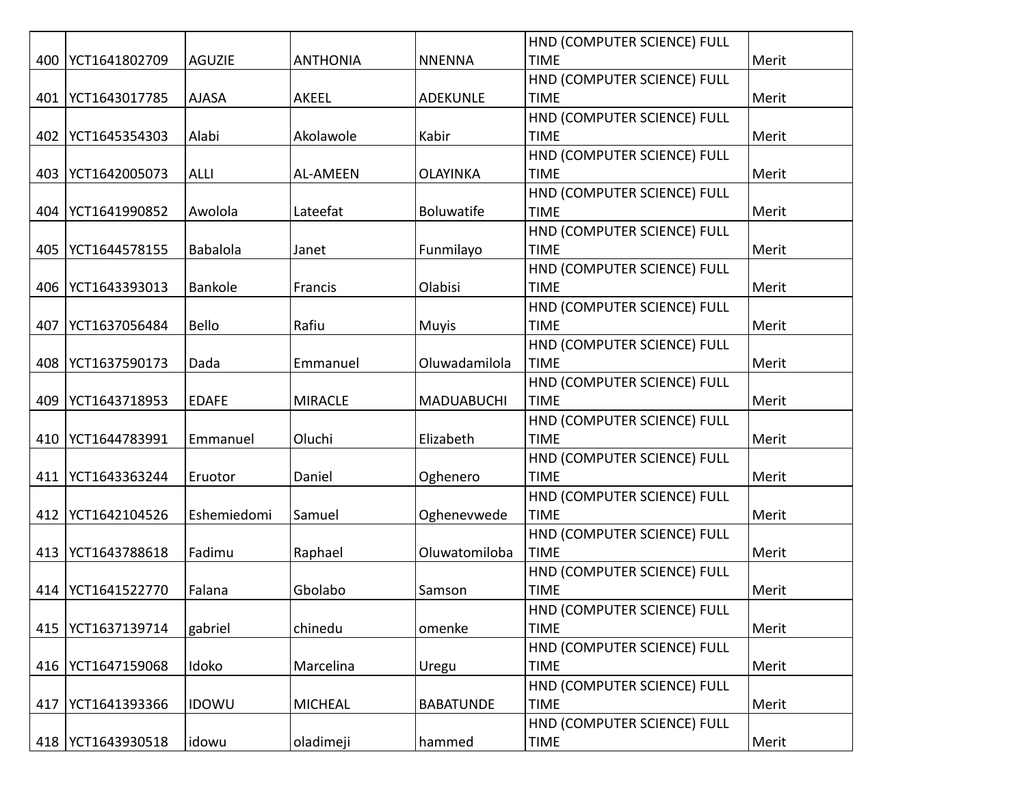|     |                     |               |                 |                   | HND (COMPUTER SCIENCE) FULL |       |
|-----|---------------------|---------------|-----------------|-------------------|-----------------------------|-------|
| 400 | YCT1641802709       | <b>AGUZIE</b> | <b>ANTHONIA</b> | <b>NNENNA</b>     | <b>TIME</b>                 | Merit |
|     |                     |               |                 |                   | HND (COMPUTER SCIENCE) FULL |       |
| 401 | YCT1643017785       | <b>AJASA</b>  | <b>AKEEL</b>    | <b>ADEKUNLE</b>   | <b>TIME</b>                 | Merit |
|     |                     |               |                 |                   | HND (COMPUTER SCIENCE) FULL |       |
| 402 | YCT1645354303       | Alabi         | Akolawole       | Kabir             | <b>TIME</b>                 | Merit |
|     |                     |               |                 |                   | HND (COMPUTER SCIENCE) FULL |       |
| 403 | YCT1642005073       | <b>ALLI</b>   | <b>AL-AMEEN</b> | <b>OLAYINKA</b>   | <b>TIME</b>                 | Merit |
|     |                     |               |                 |                   | HND (COMPUTER SCIENCE) FULL |       |
| 404 | YCT1641990852       | Awolola       | Lateefat        | Boluwatife        | <b>TIME</b>                 | Merit |
|     |                     |               |                 |                   | HND (COMPUTER SCIENCE) FULL |       |
| 405 | YCT1644578155       | Babalola      | Janet           | Funmilayo         | <b>TIME</b>                 | Merit |
|     |                     |               |                 |                   | HND (COMPUTER SCIENCE) FULL |       |
| 406 | YCT1643393013       | Bankole       | Francis         | Olabisi           | <b>TIME</b>                 | Merit |
|     |                     |               |                 |                   | HND (COMPUTER SCIENCE) FULL |       |
| 407 | YCT1637056484       | Bello         | Rafiu           | <b>Muyis</b>      | <b>TIME</b>                 | Merit |
|     |                     |               |                 |                   | HND (COMPUTER SCIENCE) FULL |       |
| 408 | YCT1637590173       | Dada          | Emmanuel        | Oluwadamilola     | <b>TIME</b>                 | Merit |
|     |                     |               |                 |                   | HND (COMPUTER SCIENCE) FULL |       |
| 409 | YCT1643718953       | <b>EDAFE</b>  | <b>MIRACLE</b>  | <b>MADUABUCHI</b> | <b>TIME</b>                 | Merit |
|     |                     |               |                 |                   | HND (COMPUTER SCIENCE) FULL |       |
| 410 | YCT1644783991       | Emmanuel      | Oluchi          | Elizabeth         | <b>TIME</b>                 | Merit |
|     |                     |               |                 |                   | HND (COMPUTER SCIENCE) FULL |       |
| 411 | YCT1643363244       | Eruotor       | Daniel          | Oghenero          | <b>TIME</b>                 | Merit |
|     |                     |               |                 |                   | HND (COMPUTER SCIENCE) FULL |       |
| 412 | YCT1642104526       | Eshemiedomi   | Samuel          | Oghenevwede       | <b>TIME</b>                 | Merit |
|     |                     |               |                 |                   | HND (COMPUTER SCIENCE) FULL |       |
| 413 | YCT1643788618       | Fadimu        | Raphael         | Oluwatomiloba     | <b>TIME</b>                 | Merit |
|     |                     |               |                 |                   | HND (COMPUTER SCIENCE) FULL |       |
| 414 | YCT1641522770       | Falana        | Gbolabo         | Samson            | <b>TIME</b>                 | Merit |
|     |                     |               |                 |                   | HND (COMPUTER SCIENCE) FULL |       |
| 415 | YCT1637139714       | gabriel       | chinedu         | omenke            | <b>TIME</b>                 | Merit |
|     |                     |               |                 |                   | HND (COMPUTER SCIENCE) FULL |       |
| 416 | YCT1647159068       | Idoko         | Marcelina       | Uregu             | <b>TIME</b>                 | Merit |
|     |                     |               |                 |                   | HND (COMPUTER SCIENCE) FULL |       |
| 417 | YCT1641393366       | <b>IDOWU</b>  | <b>MICHEAL</b>  | <b>BABATUNDE</b>  | <b>TIME</b>                 | Merit |
|     |                     |               |                 |                   | HND (COMPUTER SCIENCE) FULL |       |
|     | 418   YCT1643930518 | idowu         | oladimeji       | hammed            | <b>TIME</b>                 | Merit |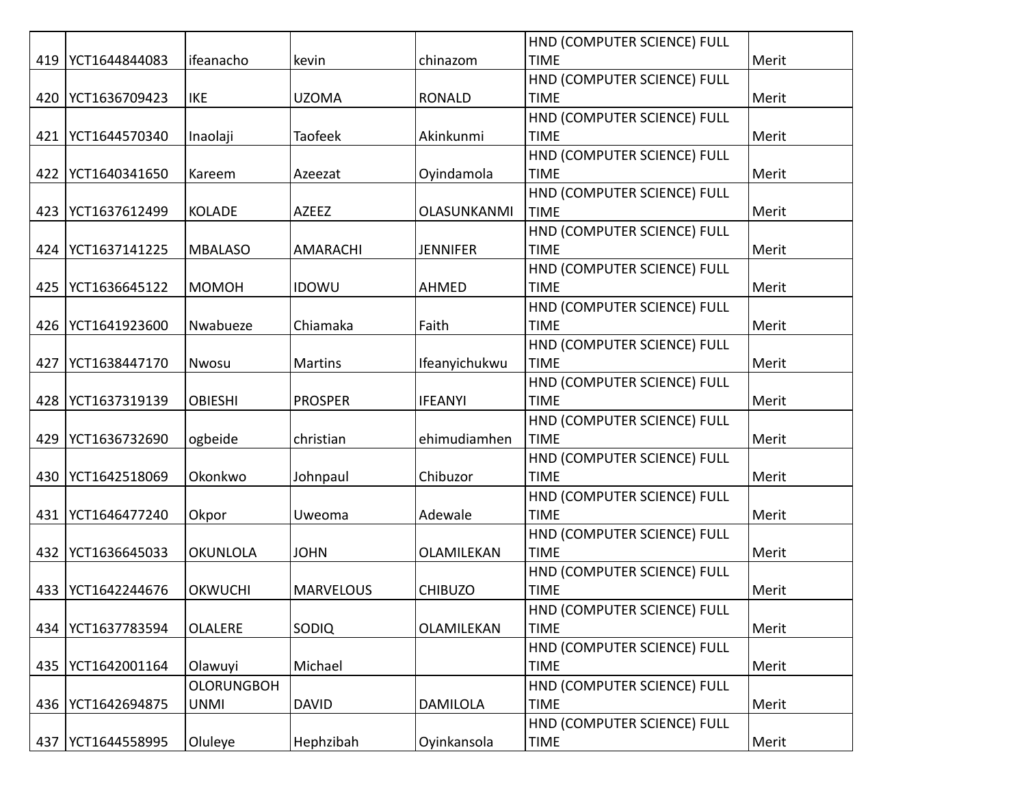|     |               |                   |                  |                    | HND (COMPUTER SCIENCE) FULL |       |
|-----|---------------|-------------------|------------------|--------------------|-----------------------------|-------|
| 419 | YCT1644844083 | ifeanacho         | kevin            | chinazom           | <b>TIME</b>                 | Merit |
|     |               |                   |                  |                    | HND (COMPUTER SCIENCE) FULL |       |
| 420 | YCT1636709423 | <b>IKE</b>        | <b>UZOMA</b>     | <b>RONALD</b>      | <b>TIME</b>                 | Merit |
|     |               |                   |                  |                    | HND (COMPUTER SCIENCE) FULL |       |
| 421 | YCT1644570340 | Inaolaji          | <b>Taofeek</b>   | Akinkunmi          | <b>TIME</b>                 | Merit |
|     |               |                   |                  |                    | HND (COMPUTER SCIENCE) FULL |       |
| 422 | YCT1640341650 | Kareem            | Azeezat          | Oyindamola         | <b>TIME</b>                 | Merit |
|     |               |                   |                  |                    | HND (COMPUTER SCIENCE) FULL |       |
| 423 | YCT1637612499 | <b>KOLADE</b>     | AZEEZ            | <b>OLASUNKANMI</b> | <b>TIME</b>                 | Merit |
|     |               |                   |                  |                    | HND (COMPUTER SCIENCE) FULL |       |
| 424 | YCT1637141225 | <b>MBALASO</b>    | AMARACHI         | <b>JENNIFER</b>    | <b>TIME</b>                 | Merit |
|     |               |                   |                  |                    | HND (COMPUTER SCIENCE) FULL |       |
| 425 | YCT1636645122 | MOMOH             | <b>IDOWU</b>     | <b>AHMED</b>       | <b>TIME</b>                 | Merit |
|     |               |                   |                  |                    | HND (COMPUTER SCIENCE) FULL |       |
| 426 | YCT1641923600 | Nwabueze          | Chiamaka         | Faith              | <b>TIME</b>                 | Merit |
|     |               |                   |                  |                    | HND (COMPUTER SCIENCE) FULL |       |
| 427 | YCT1638447170 | Nwosu             | <b>Martins</b>   | Ifeanyichukwu      | <b>TIME</b>                 | Merit |
|     |               |                   |                  |                    | HND (COMPUTER SCIENCE) FULL |       |
| 428 | YCT1637319139 | <b>OBIESHI</b>    | <b>PROSPER</b>   | <b>IFEANYI</b>     | <b>TIME</b>                 | Merit |
|     |               |                   |                  |                    | HND (COMPUTER SCIENCE) FULL |       |
| 429 | YCT1636732690 | ogbeide           | christian        | ehimudiamhen       | <b>TIME</b>                 | Merit |
|     |               |                   |                  |                    | HND (COMPUTER SCIENCE) FULL |       |
| 430 | YCT1642518069 | Okonkwo           | Johnpaul         | Chibuzor           | <b>TIME</b>                 | Merit |
|     |               |                   |                  |                    | HND (COMPUTER SCIENCE) FULL |       |
| 431 | YCT1646477240 | Okpor             | Uweoma           | Adewale            | <b>TIME</b>                 | Merit |
|     |               |                   |                  |                    | HND (COMPUTER SCIENCE) FULL |       |
| 432 | YCT1636645033 | <b>OKUNLOLA</b>   | <b>JOHN</b>      | OLAMILEKAN         | <b>TIME</b>                 | Merit |
|     |               |                   |                  |                    | HND (COMPUTER SCIENCE) FULL |       |
| 433 | YCT1642244676 | <b>OKWUCHI</b>    | <b>MARVELOUS</b> | <b>CHIBUZO</b>     | <b>TIME</b>                 | Merit |
|     |               |                   |                  |                    | HND (COMPUTER SCIENCE) FULL |       |
| 434 | YCT1637783594 | <b>OLALERE</b>    | SODIQ            | OLAMILEKAN         | <b>TIME</b>                 | Merit |
|     |               |                   |                  |                    | HND (COMPUTER SCIENCE) FULL |       |
| 435 | YCT1642001164 | Olawuyi           | Michael          |                    | <b>TIME</b>                 | Merit |
|     |               | <b>OLORUNGBOH</b> |                  |                    | HND (COMPUTER SCIENCE) FULL |       |
| 436 | YCT1642694875 | <b>UNMI</b>       | <b>DAVID</b>     | <b>DAMILOLA</b>    | <b>TIME</b>                 | Merit |
|     |               |                   |                  |                    | HND (COMPUTER SCIENCE) FULL |       |
| 437 | YCT1644558995 | Oluleye           | Hephzibah        | Oyinkansola        | <b>TIME</b>                 | Merit |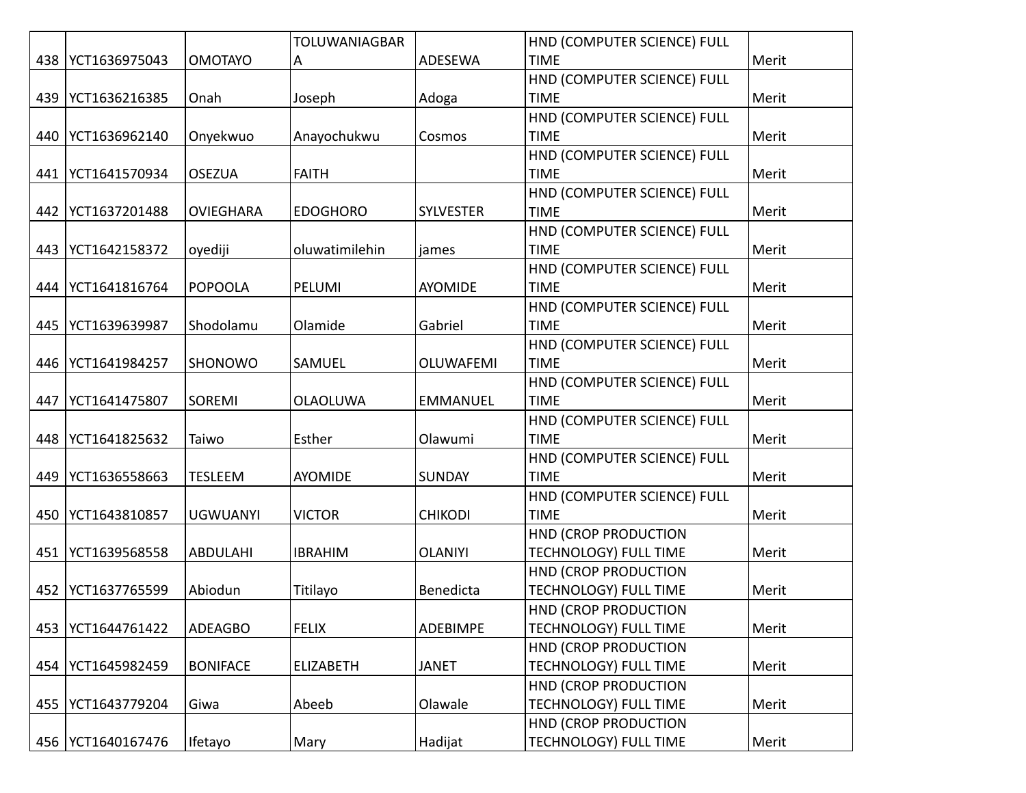|     |               |                  | <b>TOLUWANIAGBAR</b> |                  | HND (COMPUTER SCIENCE) FULL  |       |
|-----|---------------|------------------|----------------------|------------------|------------------------------|-------|
| 438 | YCT1636975043 | <b>OMOTAYO</b>   | Α                    | ADESEWA          | <b>TIME</b>                  | Merit |
|     |               |                  |                      |                  | HND (COMPUTER SCIENCE) FULL  |       |
| 439 | YCT1636216385 | Onah             | Joseph               | Adoga            | <b>TIME</b>                  | Merit |
|     |               |                  |                      |                  | HND (COMPUTER SCIENCE) FULL  |       |
| 440 | YCT1636962140 | Onyekwuo         | Anayochukwu          | Cosmos           | <b>TIME</b>                  | Merit |
|     |               |                  |                      |                  | HND (COMPUTER SCIENCE) FULL  |       |
| 441 | YCT1641570934 | <b>OSEZUA</b>    | <b>FAITH</b>         |                  | <b>TIME</b>                  | Merit |
|     |               |                  |                      |                  | HND (COMPUTER SCIENCE) FULL  |       |
| 442 | YCT1637201488 | <b>OVIEGHARA</b> | <b>EDOGHORO</b>      | <b>SYLVESTER</b> | <b>TIME</b>                  | Merit |
|     |               |                  |                      |                  | HND (COMPUTER SCIENCE) FULL  |       |
| 443 | YCT1642158372 | oyediji          | oluwatimilehin       | james            | <b>TIME</b>                  | Merit |
|     |               |                  |                      |                  | HND (COMPUTER SCIENCE) FULL  |       |
| 444 | YCT1641816764 | <b>POPOOLA</b>   | PELUMI               | <b>AYOMIDE</b>   | <b>TIME</b>                  | Merit |
|     |               |                  |                      |                  | HND (COMPUTER SCIENCE) FULL  |       |
| 445 | YCT1639639987 | Shodolamu        | Olamide              | Gabriel          | <b>TIME</b>                  | Merit |
|     |               |                  |                      |                  | HND (COMPUTER SCIENCE) FULL  |       |
| 446 | YCT1641984257 | SHONOWO          | SAMUEL               | <b>OLUWAFEMI</b> | <b>TIME</b>                  | Merit |
|     |               |                  |                      |                  | HND (COMPUTER SCIENCE) FULL  |       |
| 447 | YCT1641475807 | SOREMI           | <b>OLAOLUWA</b>      | <b>EMMANUEL</b>  | <b>TIME</b>                  | Merit |
|     |               |                  |                      |                  | HND (COMPUTER SCIENCE) FULL  |       |
| 448 | YCT1641825632 | Taiwo            | Esther               | Olawumi          | <b>TIME</b>                  | Merit |
|     |               |                  |                      |                  | HND (COMPUTER SCIENCE) FULL  |       |
| 449 | YCT1636558663 | <b>TESLEEM</b>   | <b>AYOMIDE</b>       | <b>SUNDAY</b>    | <b>TIME</b>                  | Merit |
|     |               |                  |                      |                  | HND (COMPUTER SCIENCE) FULL  |       |
| 450 | YCT1643810857 | <b>UGWUANYI</b>  | <b>VICTOR</b>        | <b>CHIKODI</b>   | <b>TIME</b>                  | Merit |
|     |               |                  |                      |                  | HND (CROP PRODUCTION         |       |
| 451 | YCT1639568558 | <b>ABDULAHI</b>  | <b>IBRAHIM</b>       | <b>OLANIYI</b>   | <b>TECHNOLOGY) FULL TIME</b> | Merit |
|     |               |                  |                      |                  | <b>HND (CROP PRODUCTION</b>  |       |
| 452 | YCT1637765599 | Abiodun          | Titilayo             | Benedicta        | <b>TECHNOLOGY) FULL TIME</b> | Merit |
|     |               |                  |                      |                  | HND (CROP PRODUCTION         |       |
| 453 | YCT1644761422 | <b>ADEAGBO</b>   | <b>FELIX</b>         | <b>ADEBIMPE</b>  | <b>TECHNOLOGY) FULL TIME</b> | Merit |
|     |               |                  |                      |                  | HND (CROP PRODUCTION         |       |
| 454 | YCT1645982459 | <b>BONIFACE</b>  | <b>ELIZABETH</b>     | <b>JANET</b>     | <b>TECHNOLOGY) FULL TIME</b> | Merit |
|     |               |                  |                      |                  | HND (CROP PRODUCTION         |       |
| 455 | YCT1643779204 | Giwa             | Abeeb                | Olawale          | <b>TECHNOLOGY) FULL TIME</b> | Merit |
|     |               |                  |                      |                  | HND (CROP PRODUCTION         |       |
| 456 | YCT1640167476 | Ifetayo          | Mary                 | Hadijat          | TECHNOLOGY) FULL TIME        | Merit |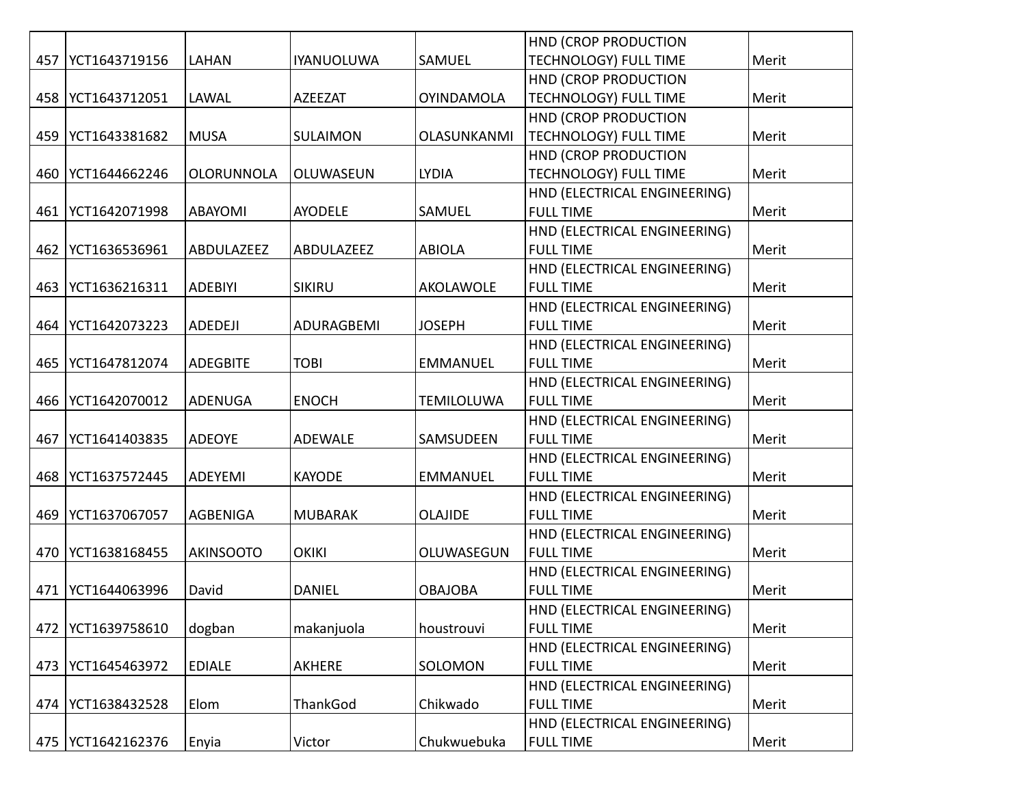|     |               |                  |                   |                   | HND (CROP PRODUCTION         |       |
|-----|---------------|------------------|-------------------|-------------------|------------------------------|-------|
| 457 | YCT1643719156 | <b>LAHAN</b>     | <b>IYANUOLUWA</b> | SAMUEL            | TECHNOLOGY) FULL TIME        | Merit |
|     |               |                  |                   |                   | HND (CROP PRODUCTION         |       |
| 458 | YCT1643712051 | LAWAL            | <b>AZEEZAT</b>    | <b>OYINDAMOLA</b> | TECHNOLOGY) FULL TIME        | Merit |
|     |               |                  |                   |                   | HND (CROP PRODUCTION         |       |
| 459 | YCT1643381682 | <b>MUSA</b>      | SULAIMON          | OLASUNKANMI       | TECHNOLOGY) FULL TIME        | Merit |
|     |               |                  |                   |                   | HND (CROP PRODUCTION         |       |
| 460 | YCT1644662246 | OLORUNNOLA       | OLUWASEUN         | <b>LYDIA</b>      | TECHNOLOGY) FULL TIME        | Merit |
|     |               |                  |                   |                   | HND (ELECTRICAL ENGINEERING) |       |
| 461 | YCT1642071998 | <b>ABAYOMI</b>   | <b>AYODELE</b>    | SAMUEL            | <b>FULL TIME</b>             | Merit |
|     |               |                  |                   |                   | HND (ELECTRICAL ENGINEERING) |       |
| 462 | YCT1636536961 | ABDULAZEEZ       | ABDULAZEEZ        | <b>ABIOLA</b>     | <b>FULL TIME</b>             | Merit |
|     |               |                  |                   |                   | HND (ELECTRICAL ENGINEERING) |       |
| 463 | YCT1636216311 | <b>ADEBIYI</b>   | <b>SIKIRU</b>     | AKOLAWOLE         | <b>FULL TIME</b>             | Merit |
|     |               |                  |                   |                   | HND (ELECTRICAL ENGINEERING) |       |
| 464 | YCT1642073223 | <b>ADEDEJI</b>   | ADURAGBEMI        | <b>JOSEPH</b>     | <b>FULL TIME</b>             | Merit |
|     |               |                  |                   |                   | HND (ELECTRICAL ENGINEERING) |       |
| 465 | YCT1647812074 | <b>ADEGBITE</b>  | <b>TOBI</b>       | <b>EMMANUEL</b>   | <b>FULL TIME</b>             | Merit |
|     |               |                  |                   |                   | HND (ELECTRICAL ENGINEERING) |       |
| 466 | YCT1642070012 | <b>ADENUGA</b>   | <b>ENOCH</b>      | <b>TEMILOLUWA</b> | <b>FULL TIME</b>             | Merit |
|     |               |                  |                   |                   | HND (ELECTRICAL ENGINEERING) |       |
| 467 | YCT1641403835 | <b>ADEOYE</b>    | ADEWALE           | SAMSUDEEN         | <b>FULL TIME</b>             | Merit |
|     |               |                  |                   |                   | HND (ELECTRICAL ENGINEERING) |       |
| 468 | YCT1637572445 | ADEYEMI          | <b>KAYODE</b>     | <b>EMMANUEL</b>   | <b>FULL TIME</b>             | Merit |
|     |               |                  |                   |                   | HND (ELECTRICAL ENGINEERING) |       |
| 469 | YCT1637067057 | AGBENIGA         | <b>MUBARAK</b>    | <b>OLAJIDE</b>    | <b>FULL TIME</b>             | Merit |
|     |               |                  |                   |                   | HND (ELECTRICAL ENGINEERING) |       |
| 470 | YCT1638168455 | <b>AKINSOOTO</b> | <b>OKIKI</b>      | OLUWASEGUN        | <b>FULL TIME</b>             | Merit |
|     |               |                  |                   |                   | HND (ELECTRICAL ENGINEERING) |       |
| 471 | YCT1644063996 | David            | <b>DANIEL</b>     | <b>OBAJOBA</b>    | <b>FULL TIME</b>             | Merit |
|     |               |                  |                   |                   | HND (ELECTRICAL ENGINEERING) |       |
| 472 | YCT1639758610 | dogban           | makanjuola        | houstrouvi        | <b>FULL TIME</b>             | Merit |
|     |               |                  |                   |                   | HND (ELECTRICAL ENGINEERING) |       |
| 473 | YCT1645463972 | <b>EDIALE</b>    | AKHERE            | SOLOMON           | <b>FULL TIME</b>             | Merit |
|     |               |                  |                   |                   | HND (ELECTRICAL ENGINEERING) |       |
| 474 | YCT1638432528 | Elom             | ThankGod          | Chikwado          | <b>FULL TIME</b>             | Merit |
|     |               |                  |                   |                   | HND (ELECTRICAL ENGINEERING) |       |
| 475 | YCT1642162376 | Enyia            | Victor            | Chukwuebuka       | <b>FULL TIME</b>             | Merit |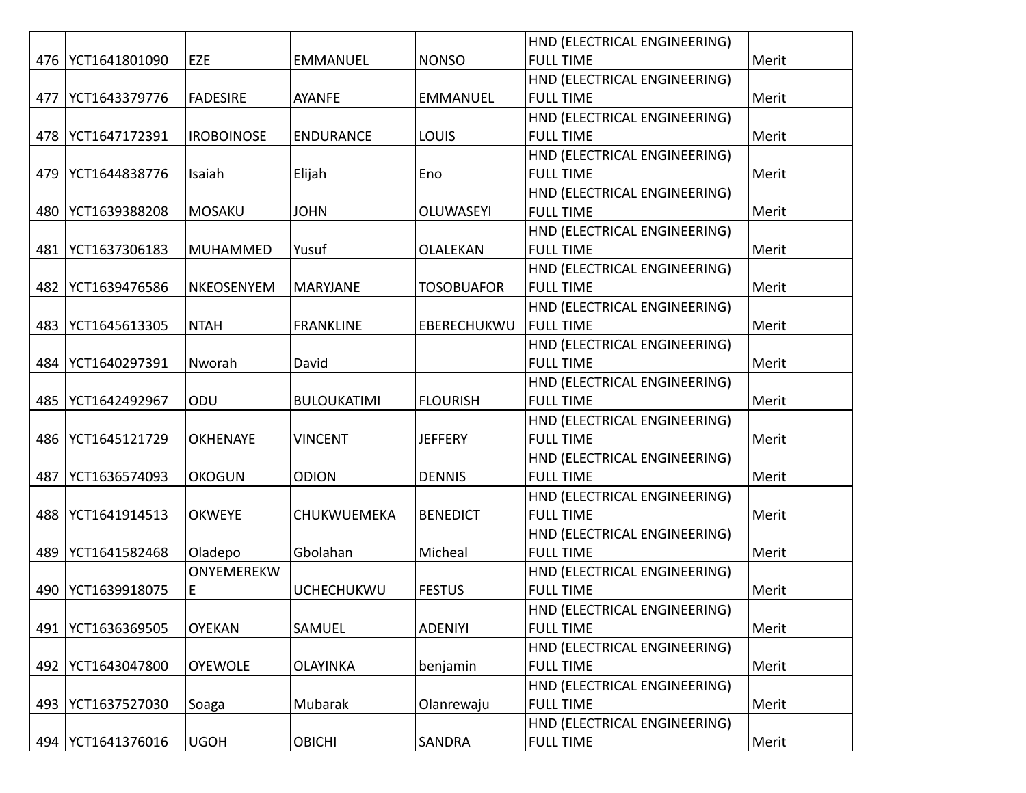|     |                     |                   |                    |                   | HND (ELECTRICAL ENGINEERING) |       |
|-----|---------------------|-------------------|--------------------|-------------------|------------------------------|-------|
| 476 | YCT1641801090       | EZE               | <b>EMMANUEL</b>    | <b>NONSO</b>      | <b>FULL TIME</b>             | Merit |
|     |                     |                   |                    |                   | HND (ELECTRICAL ENGINEERING) |       |
| 477 | YCT1643379776       | <b>FADESIRE</b>   | <b>AYANFE</b>      | <b>EMMANUEL</b>   | <b>FULL TIME</b>             | Merit |
|     |                     |                   |                    |                   | HND (ELECTRICAL ENGINEERING) |       |
|     | 478   YCT1647172391 | <b>IROBOINOSE</b> | <b>ENDURANCE</b>   | <b>LOUIS</b>      | <b>FULL TIME</b>             | Merit |
|     |                     |                   |                    |                   | HND (ELECTRICAL ENGINEERING) |       |
| 479 | YCT1644838776       | Isaiah            | Elijah             | Eno               | <b>FULL TIME</b>             | Merit |
|     |                     |                   |                    |                   | HND (ELECTRICAL ENGINEERING) |       |
| 480 | YCT1639388208       | <b>MOSAKU</b>     | <b>JOHN</b>        | <b>OLUWASEYI</b>  | <b>FULL TIME</b>             | Merit |
|     |                     |                   |                    |                   | HND (ELECTRICAL ENGINEERING) |       |
| 481 | YCT1637306183       | <b>MUHAMMED</b>   | Yusuf              | <b>OLALEKAN</b>   | <b>FULL TIME</b>             | Merit |
|     |                     |                   |                    |                   | HND (ELECTRICAL ENGINEERING) |       |
| 482 | YCT1639476586       | <b>NKEOSENYEM</b> | <b>MARYJANE</b>    | <b>TOSOBUAFOR</b> | <b>FULL TIME</b>             | Merit |
|     |                     |                   |                    |                   | HND (ELECTRICAL ENGINEERING) |       |
| 483 | YCT1645613305       | <b>NTAH</b>       | <b>FRANKLINE</b>   | EBERECHUKWU       | <b>FULL TIME</b>             | Merit |
|     |                     |                   |                    |                   | HND (ELECTRICAL ENGINEERING) |       |
| 484 | YCT1640297391       | Nworah            | David              |                   | <b>FULL TIME</b>             | Merit |
|     |                     |                   |                    |                   | HND (ELECTRICAL ENGINEERING) |       |
| 485 | YCT1642492967       | ODU               | <b>BULOUKATIMI</b> | <b>FLOURISH</b>   | <b>FULL TIME</b>             | Merit |
|     |                     |                   |                    |                   | HND (ELECTRICAL ENGINEERING) |       |
| 486 | YCT1645121729       | <b>OKHENAYE</b>   | <b>VINCENT</b>     | <b>JEFFERY</b>    | <b>FULL TIME</b>             | Merit |
|     |                     |                   |                    |                   | HND (ELECTRICAL ENGINEERING) |       |
| 487 | YCT1636574093       | <b>OKOGUN</b>     | <b>ODION</b>       | <b>DENNIS</b>     | <b>FULL TIME</b>             | Merit |
|     |                     |                   |                    |                   | HND (ELECTRICAL ENGINEERING) |       |
| 488 | YCT1641914513       | <b>OKWEYE</b>     | CHUKWUEMEKA        | <b>BENEDICT</b>   | <b>FULL TIME</b>             | Merit |
|     |                     |                   |                    |                   | HND (ELECTRICAL ENGINEERING) |       |
| 489 | YCT1641582468       | Oladepo           | Gbolahan           | Micheal           | <b>FULL TIME</b>             | Merit |
|     |                     | ONYEMEREKW        |                    |                   | HND (ELECTRICAL ENGINEERING) |       |
| 490 | YCT1639918075       | Е                 | <b>UCHECHUKWU</b>  | <b>FESTUS</b>     | <b>FULL TIME</b>             | Merit |
|     |                     |                   |                    |                   | HND (ELECTRICAL ENGINEERING) |       |
| 491 | YCT1636369505       | <b>OYEKAN</b>     | SAMUEL             | <b>ADENIYI</b>    | <b>FULL TIME</b>             | Merit |
|     |                     |                   |                    |                   | HND (ELECTRICAL ENGINEERING) |       |
| 492 | YCT1643047800       | <b>OYEWOLE</b>    | <b>OLAYINKA</b>    | benjamin          | <b>FULL TIME</b>             | Merit |
|     |                     |                   |                    |                   | HND (ELECTRICAL ENGINEERING) |       |
| 493 | YCT1637527030       | Soaga             | Mubarak            | Olanrewaju        | <b>FULL TIME</b>             | Merit |
|     |                     |                   |                    |                   | HND (ELECTRICAL ENGINEERING) |       |
|     | 494   YCT1641376016 | <b>UGOH</b>       | <b>OBICHI</b>      | SANDRA            | <b>FULL TIME</b>             | Merit |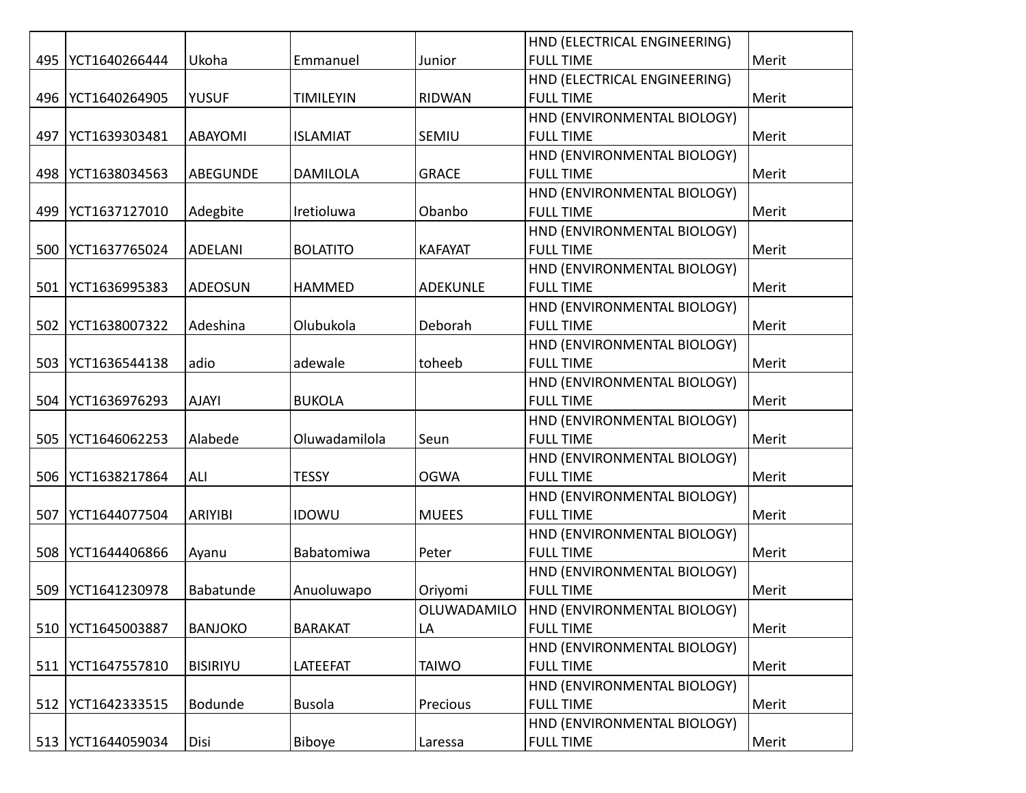|     |               |                 |                  |                 | HND (ELECTRICAL ENGINEERING) |       |
|-----|---------------|-----------------|------------------|-----------------|------------------------------|-------|
| 495 | YCT1640266444 | Ukoha           | Emmanuel         | Junior          | <b>FULL TIME</b>             | Merit |
|     |               |                 |                  |                 | HND (ELECTRICAL ENGINEERING) |       |
| 496 | YCT1640264905 | <b>YUSUF</b>    | <b>TIMILEYIN</b> | <b>RIDWAN</b>   | <b>FULL TIME</b>             | Merit |
|     |               |                 |                  |                 | HND (ENVIRONMENTAL BIOLOGY)  |       |
| 497 | YCT1639303481 | <b>ABAYOMI</b>  | <b>ISLAMIAT</b>  | SEMIU           | <b>FULL TIME</b>             | Merit |
|     |               |                 |                  |                 | HND (ENVIRONMENTAL BIOLOGY)  |       |
| 498 | YCT1638034563 | <b>ABEGUNDE</b> | <b>DAMILOLA</b>  | <b>GRACE</b>    | <b>FULL TIME</b>             | Merit |
|     |               |                 |                  |                 | HND (ENVIRONMENTAL BIOLOGY)  |       |
| 499 | YCT1637127010 | Adegbite        | Iretioluwa       | Obanbo          | <b>FULL TIME</b>             | Merit |
|     |               |                 |                  |                 | HND (ENVIRONMENTAL BIOLOGY)  |       |
| 500 | YCT1637765024 | <b>ADELANI</b>  | <b>BOLATITO</b>  | <b>KAFAYAT</b>  | <b>FULL TIME</b>             | Merit |
|     |               |                 |                  |                 | HND (ENVIRONMENTAL BIOLOGY)  |       |
| 501 | YCT1636995383 | ADEOSUN         | <b>HAMMED</b>    | <b>ADEKUNLE</b> | <b>FULL TIME</b>             | Merit |
|     |               |                 |                  |                 | HND (ENVIRONMENTAL BIOLOGY)  |       |
| 502 | YCT1638007322 | Adeshina        | Olubukola        | Deborah         | <b>FULL TIME</b>             | Merit |
|     |               |                 |                  |                 | HND (ENVIRONMENTAL BIOLOGY)  |       |
| 503 | YCT1636544138 | adio            | adewale          | toheeb          | <b>FULL TIME</b>             | Merit |
|     |               |                 |                  |                 | HND (ENVIRONMENTAL BIOLOGY)  |       |
| 504 | YCT1636976293 | <b>AJAYI</b>    | <b>BUKOLA</b>    |                 | <b>FULL TIME</b>             | Merit |
|     |               |                 |                  |                 | HND (ENVIRONMENTAL BIOLOGY)  |       |
| 505 | YCT1646062253 | Alabede         | Oluwadamilola    | Seun            | <b>FULL TIME</b>             | Merit |
|     |               |                 |                  |                 | HND (ENVIRONMENTAL BIOLOGY)  |       |
| 506 | YCT1638217864 | ALI             | <b>TESSY</b>     | <b>OGWA</b>     | <b>FULL TIME</b>             | Merit |
|     |               |                 |                  |                 | HND (ENVIRONMENTAL BIOLOGY)  |       |
| 507 | YCT1644077504 | <b>ARIYIBI</b>  | <b>IDOWU</b>     | <b>MUEES</b>    | <b>FULL TIME</b>             | Merit |
|     |               |                 |                  |                 | HND (ENVIRONMENTAL BIOLOGY)  |       |
| 508 | YCT1644406866 | Ayanu           | Babatomiwa       | Peter           | <b>FULL TIME</b>             | Merit |
|     |               |                 |                  |                 | HND (ENVIRONMENTAL BIOLOGY)  |       |
| 509 | YCT1641230978 | Babatunde       | Anuoluwapo       | Oriyomi         | <b>FULL TIME</b>             | Merit |
|     |               |                 |                  | OLUWADAMILO     | HND (ENVIRONMENTAL BIOLOGY)  |       |
| 510 | YCT1645003887 | <b>BANJOKO</b>  | <b>BARAKAT</b>   | LA              | <b>FULL TIME</b>             | Merit |
|     |               |                 |                  |                 | HND (ENVIRONMENTAL BIOLOGY)  |       |
| 511 | YCT1647557810 | <b>BISIRIYU</b> | LATEEFAT         | <b>TAIWO</b>    | <b>FULL TIME</b>             | Merit |
|     |               |                 |                  |                 | HND (ENVIRONMENTAL BIOLOGY)  |       |
| 512 | YCT1642333515 | Bodunde         | <b>Busola</b>    | Precious        | <b>FULL TIME</b>             | Merit |
|     |               |                 |                  |                 | HND (ENVIRONMENTAL BIOLOGY)  |       |
| 513 | YCT1644059034 | Disi            | Biboye           | Laressa         | <b>FULL TIME</b>             | Merit |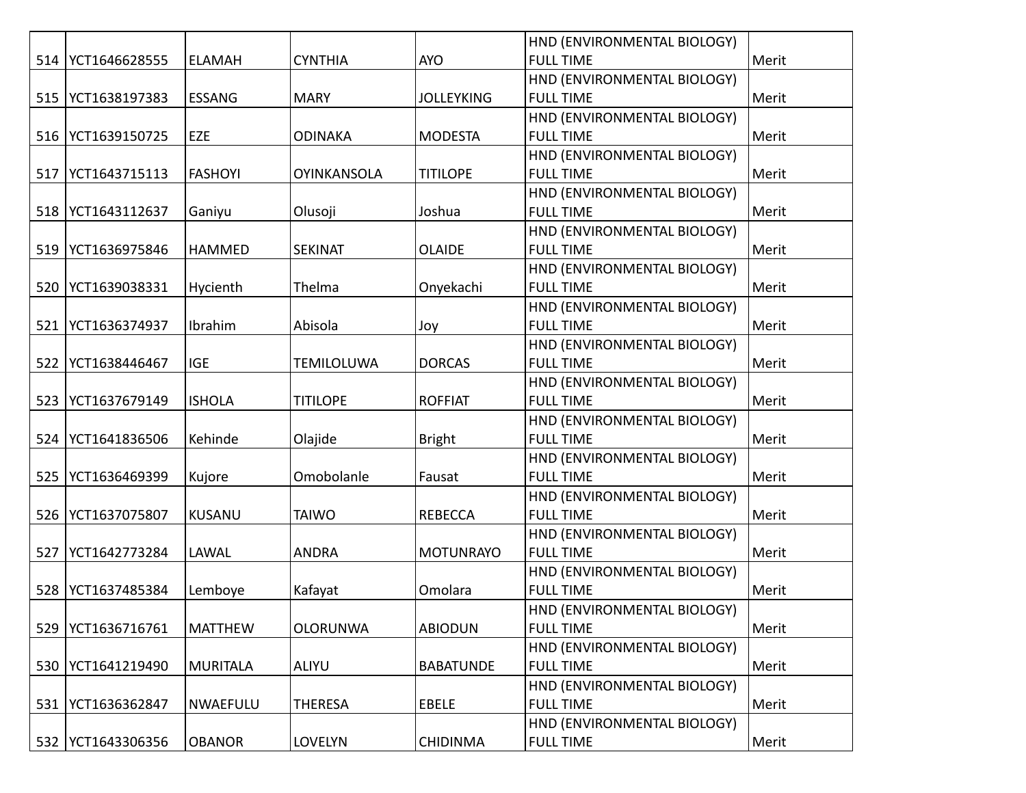|     |                     |                 |                    |                   | HND (ENVIRONMENTAL BIOLOGY) |       |
|-----|---------------------|-----------------|--------------------|-------------------|-----------------------------|-------|
| 514 | YCT1646628555       | <b>ELAMAH</b>   | <b>CYNTHIA</b>     | <b>AYO</b>        | <b>FULL TIME</b>            | Merit |
|     |                     |                 |                    |                   | HND (ENVIRONMENTAL BIOLOGY) |       |
| 515 | YCT1638197383       | <b>ESSANG</b>   | <b>MARY</b>        | <b>JOLLEYKING</b> | <b>FULL TIME</b>            | Merit |
|     |                     |                 |                    |                   | HND (ENVIRONMENTAL BIOLOGY) |       |
| 516 | YCT1639150725       | EZE             | <b>ODINAKA</b>     | <b>MODESTA</b>    | <b>FULL TIME</b>            | Merit |
|     |                     |                 |                    |                   | HND (ENVIRONMENTAL BIOLOGY) |       |
| 517 | YCT1643715113       | <b>FASHOYI</b>  | <b>OYINKANSOLA</b> | <b>TITILOPE</b>   | <b>FULL TIME</b>            | Merit |
|     |                     |                 |                    |                   | HND (ENVIRONMENTAL BIOLOGY) |       |
| 518 | YCT1643112637       | Ganiyu          | Olusoji            | Joshua            | <b>FULL TIME</b>            | Merit |
|     |                     |                 |                    |                   | HND (ENVIRONMENTAL BIOLOGY) |       |
| 519 | YCT1636975846       | <b>HAMMED</b>   | <b>SEKINAT</b>     | <b>OLAIDE</b>     | <b>FULL TIME</b>            | Merit |
|     |                     |                 |                    |                   | HND (ENVIRONMENTAL BIOLOGY) |       |
| 520 | YCT1639038331       | Hycienth        | Thelma             | Onyekachi         | <b>FULL TIME</b>            | Merit |
|     |                     |                 |                    |                   | HND (ENVIRONMENTAL BIOLOGY) |       |
| 521 | YCT1636374937       | Ibrahim         | Abisola            | Joy               | <b>FULL TIME</b>            | Merit |
|     |                     |                 |                    |                   | HND (ENVIRONMENTAL BIOLOGY) |       |
| 522 | YCT1638446467       | <b>IGE</b>      | <b>TEMILOLUWA</b>  | <b>DORCAS</b>     | <b>FULL TIME</b>            | Merit |
|     |                     |                 |                    |                   | HND (ENVIRONMENTAL BIOLOGY) |       |
| 523 | YCT1637679149       | <b>ISHOLA</b>   | <b>TITILOPE</b>    | <b>ROFFIAT</b>    | <b>FULL TIME</b>            | Merit |
|     |                     |                 |                    |                   | HND (ENVIRONMENTAL BIOLOGY) |       |
| 524 | YCT1641836506       | Kehinde         | Olajide            | <b>Bright</b>     | <b>FULL TIME</b>            | Merit |
|     |                     |                 |                    |                   | HND (ENVIRONMENTAL BIOLOGY) |       |
| 525 | YCT1636469399       | Kujore          | Omobolanle         | Fausat            | <b>FULL TIME</b>            | Merit |
|     |                     |                 |                    |                   | HND (ENVIRONMENTAL BIOLOGY) |       |
| 526 | YCT1637075807       | KUSANU          | <b>TAIWO</b>       | <b>REBECCA</b>    | <b>FULL TIME</b>            | Merit |
|     |                     |                 |                    |                   | HND (ENVIRONMENTAL BIOLOGY) |       |
| 527 | YCT1642773284       | LAWAL           | <b>ANDRA</b>       | <b>MOTUNRAYO</b>  | <b>FULL TIME</b>            | Merit |
|     |                     |                 |                    |                   | HND (ENVIRONMENTAL BIOLOGY) |       |
| 528 | YCT1637485384       | Lemboye         | Kafayat            | Omolara           | <b>FULL TIME</b>            | Merit |
|     |                     |                 |                    |                   | HND (ENVIRONMENTAL BIOLOGY) |       |
| 529 | YCT1636716761       | <b>MATTHEW</b>  | <b>OLORUNWA</b>    | <b>ABIODUN</b>    | <b>FULL TIME</b>            | Merit |
|     |                     |                 |                    |                   | HND (ENVIRONMENTAL BIOLOGY) |       |
| 530 | YCT1641219490       | MURITALA        | <b>ALIYU</b>       | <b>BABATUNDE</b>  | <b>FULL TIME</b>            | Merit |
|     |                     |                 |                    |                   | HND (ENVIRONMENTAL BIOLOGY) |       |
| 531 | YCT1636362847       | <b>NWAEFULU</b> | <b>THERESA</b>     | <b>EBELE</b>      | <b>FULL TIME</b>            | Merit |
|     |                     |                 |                    |                   | HND (ENVIRONMENTAL BIOLOGY) |       |
|     | 532   YCT1643306356 | <b>OBANOR</b>   | <b>LOVELYN</b>     | <b>CHIDINMA</b>   | <b>FULL TIME</b>            | Merit |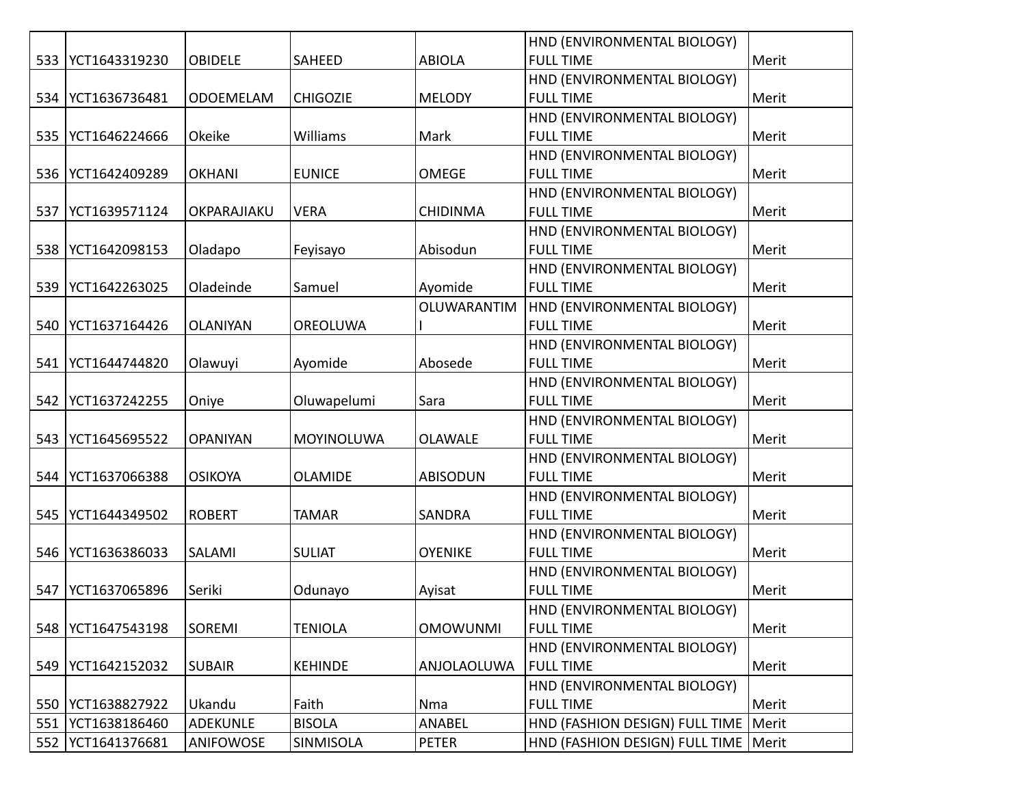|     |               |                  |                   |                 | HND (ENVIRONMENTAL BIOLOGY)            |       |
|-----|---------------|------------------|-------------------|-----------------|----------------------------------------|-------|
| 533 | YCT1643319230 | <b>OBIDELE</b>   | SAHEED            | <b>ABIOLA</b>   | <b>FULL TIME</b>                       | Merit |
|     |               |                  |                   |                 | HND (ENVIRONMENTAL BIOLOGY)            |       |
| 534 | YCT1636736481 | <b>ODOEMELAM</b> | <b>CHIGOZIE</b>   | <b>MELODY</b>   | <b>FULL TIME</b>                       | Merit |
|     |               |                  |                   |                 | HND (ENVIRONMENTAL BIOLOGY)            |       |
| 535 | YCT1646224666 | Okeike           | Williams          | Mark            | <b>FULL TIME</b>                       | Merit |
|     |               |                  |                   |                 | HND (ENVIRONMENTAL BIOLOGY)            |       |
| 536 | YCT1642409289 | <b>OKHANI</b>    | <b>EUNICE</b>     | <b>OMEGE</b>    | <b>FULL TIME</b>                       | Merit |
|     |               |                  |                   |                 | HND (ENVIRONMENTAL BIOLOGY)            |       |
| 537 | YCT1639571124 | OKPARAJIAKU      | <b>VERA</b>       | <b>CHIDINMA</b> | <b>FULL TIME</b>                       | Merit |
|     |               |                  |                   |                 | HND (ENVIRONMENTAL BIOLOGY)            |       |
| 538 | YCT1642098153 | Oladapo          | Feyisayo          | Abisodun        | <b>FULL TIME</b>                       | Merit |
|     |               |                  |                   |                 | HND (ENVIRONMENTAL BIOLOGY)            |       |
| 539 | YCT1642263025 | Oladeinde        | Samuel            | Ayomide         | <b>FULL TIME</b>                       | Merit |
|     |               |                  |                   | OLUWARANTIM     | HND (ENVIRONMENTAL BIOLOGY)            |       |
| 540 | YCT1637164426 | <b>OLANIYAN</b>  | <b>OREOLUWA</b>   |                 | <b>FULL TIME</b>                       | Merit |
|     |               |                  |                   |                 | HND (ENVIRONMENTAL BIOLOGY)            |       |
| 541 | YCT1644744820 | Olawuyi          | Ayomide           | Abosede         | <b>FULL TIME</b>                       | Merit |
|     |               |                  |                   |                 | HND (ENVIRONMENTAL BIOLOGY)            |       |
| 542 | YCT1637242255 | Oniye            | Oluwapelumi       | Sara            | <b>FULL TIME</b>                       | Merit |
|     |               |                  |                   |                 | HND (ENVIRONMENTAL BIOLOGY)            |       |
| 543 | YCT1645695522 | <b>OPANIYAN</b>  | <b>MOYINOLUWA</b> | <b>OLAWALE</b>  | <b>FULL TIME</b>                       | Merit |
|     |               |                  |                   |                 | HND (ENVIRONMENTAL BIOLOGY)            |       |
| 544 | YCT1637066388 | <b>OSIKOYA</b>   | <b>OLAMIDE</b>    | <b>ABISODUN</b> | <b>FULL TIME</b>                       | Merit |
|     |               |                  |                   |                 | HND (ENVIRONMENTAL BIOLOGY)            |       |
| 545 | YCT1644349502 | <b>ROBERT</b>    | <b>TAMAR</b>      | SANDRA          | <b>FULL TIME</b>                       | Merit |
|     |               |                  |                   |                 | HND (ENVIRONMENTAL BIOLOGY)            |       |
| 546 | YCT1636386033 | SALAMI           | <b>SULIAT</b>     | <b>OYENIKE</b>  | <b>FULL TIME</b>                       | Merit |
|     |               |                  |                   |                 | HND (ENVIRONMENTAL BIOLOGY)            |       |
| 547 | YCT1637065896 | Seriki           | Odunayo           | Ayisat          | <b>FULL TIME</b>                       | Merit |
|     |               |                  |                   |                 | HND (ENVIRONMENTAL BIOLOGY)            |       |
| 548 | YCT1647543198 | SOREMI           | <b>TENIOLA</b>    | <b>OMOWUNMI</b> | <b>FULL TIME</b>                       | Merit |
|     |               |                  |                   |                 | HND (ENVIRONMENTAL BIOLOGY)            |       |
| 549 | YCT1642152032 | <b>SUBAIR</b>    | <b>KEHINDE</b>    | ANJOLAOLUWA     | <b>FULL TIME</b>                       | Merit |
|     |               |                  |                   |                 | HND (ENVIRONMENTAL BIOLOGY)            |       |
| 550 | YCT1638827922 | Ukandu           | Faith             | Nma             | <b>FULL TIME</b>                       | Merit |
| 551 | YCT1638186460 | <b>ADEKUNLE</b>  | <b>BISOLA</b>     | ANABEL          | HND (FASHION DESIGN) FULL TIME         | Merit |
| 552 | YCT1641376681 | ANIFOWOSE        | SINMISOLA         | PETER           | HND (FASHION DESIGN) FULL TIME   Merit |       |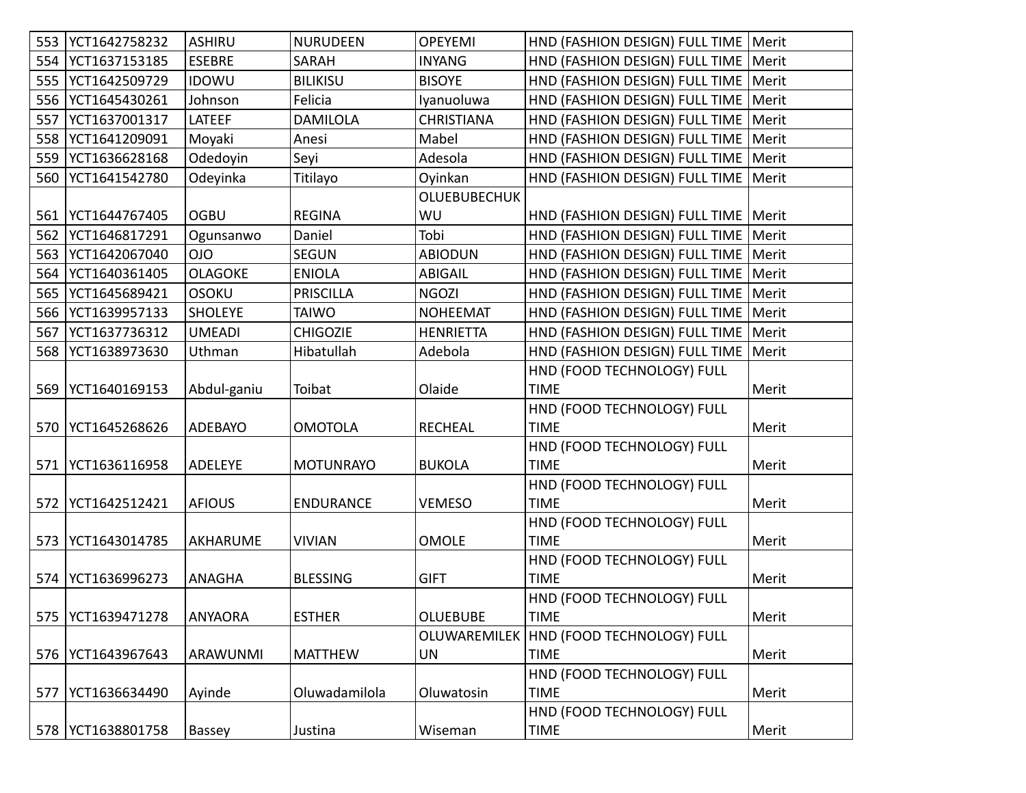| 553 | YCT1642758232       | <b>ASHIRU</b>  | <b>NURUDEEN</b>  | <b>OPEYEMI</b>      | HND (FASHION DESIGN) FULL TIME   Merit    |       |
|-----|---------------------|----------------|------------------|---------------------|-------------------------------------------|-------|
| 554 | YCT1637153185       | <b>ESEBRE</b>  | SARAH            | <b>INYANG</b>       | HND (FASHION DESIGN) FULL TIME            | Merit |
| 555 | YCT1642509729       | <b>IDOWU</b>   | <b>BILIKISU</b>  | <b>BISOYE</b>       | HND (FASHION DESIGN) FULL TIME   Merit    |       |
| 556 | YCT1645430261       | Johnson        | Felicia          | Iyanuoluwa          | HND (FASHION DESIGN) FULL TIME   Merit    |       |
| 557 | YCT1637001317       | LATEEF         | <b>DAMILOLA</b>  | <b>CHRISTIANA</b>   | HND (FASHION DESIGN) FULL TIME            | Merit |
| 558 | YCT1641209091       | Moyaki         | Anesi            | Mabel               | HND (FASHION DESIGN) FULL TIME            | Merit |
| 559 | YCT1636628168       | Odedoyin       | Seyi             | Adesola             | HND (FASHION DESIGN) FULL TIME            | Merit |
| 560 | YCT1641542780       | Odeyinka       | Titilayo         | Oyinkan             | HND (FASHION DESIGN) FULL TIME            | Merit |
|     |                     |                |                  | <b>OLUEBUBECHUK</b> |                                           |       |
| 561 | YCT1644767405       | <b>OGBU</b>    | <b>REGINA</b>    | WU                  | HND (FASHION DESIGN) FULL TIME   Merit    |       |
| 562 | YCT1646817291       | Ogunsanwo      | Daniel           | Tobi                | HND (FASHION DESIGN) FULL TIME            | Merit |
| 563 | YCT1642067040       | <b>OIO</b>     | <b>SEGUN</b>     | <b>ABIODUN</b>      | HND (FASHION DESIGN) FULL TIME            | Merit |
| 564 | YCT1640361405       | <b>OLAGOKE</b> | <b>ENIOLA</b>    | <b>ABIGAIL</b>      | HND (FASHION DESIGN) FULL TIME            | Merit |
| 565 | YCT1645689421       | <b>OSOKU</b>   | <b>PRISCILLA</b> | <b>NGOZI</b>        | HND (FASHION DESIGN) FULL TIME            | Merit |
| 566 | YCT1639957133       | <b>SHOLEYE</b> | <b>TAIWO</b>     | <b>NOHEEMAT</b>     | HND (FASHION DESIGN) FULL TIME            | Merit |
| 567 | YCT1637736312       | <b>UMEADI</b>  | <b>CHIGOZIE</b>  | <b>HENRIETTA</b>    | HND (FASHION DESIGN) FULL TIME            | Merit |
| 568 | YCT1638973630       | Uthman         | Hibatullah       | Adebola             | HND (FASHION DESIGN) FULL TIME            | Merit |
|     |                     |                |                  |                     | HND (FOOD TECHNOLOGY) FULL                |       |
| 569 | YCT1640169153       | Abdul-ganiu    | Toibat           | Olaide              | <b>TIME</b>                               | Merit |
|     |                     |                |                  |                     | HND (FOOD TECHNOLOGY) FULL                |       |
| 570 | YCT1645268626       | ADEBAYO        | <b>OMOTOLA</b>   | <b>RECHEAL</b>      | <b>TIME</b>                               | Merit |
|     |                     |                |                  |                     | HND (FOOD TECHNOLOGY) FULL                |       |
| 571 | YCT1636116958       | ADELEYE        | <b>MOTUNRAYO</b> | <b>BUKOLA</b>       | <b>TIME</b>                               | Merit |
|     |                     |                |                  |                     | HND (FOOD TECHNOLOGY) FULL                |       |
| 572 | YCT1642512421       | <b>AFIOUS</b>  | <b>ENDURANCE</b> | <b>VEMESO</b>       | <b>TIME</b>                               | Merit |
|     |                     |                |                  |                     | HND (FOOD TECHNOLOGY) FULL                |       |
| 573 | YCT1643014785       | AKHARUME       | <b>VIVIAN</b>    | <b>OMOLE</b>        | <b>TIME</b>                               | Merit |
|     |                     |                |                  |                     | HND (FOOD TECHNOLOGY) FULL                |       |
| 574 | YCT1636996273       | <b>ANAGHA</b>  | <b>BLESSING</b>  | <b>GIFT</b>         | <b>TIME</b>                               | Merit |
|     |                     |                |                  |                     | HND (FOOD TECHNOLOGY) FULL                |       |
|     | 575   YCT1639471278 | <b>ANYAORA</b> | <b>ESTHER</b>    | <b>OLUEBUBE</b>     | <b>TIME</b>                               | Merit |
|     |                     |                |                  |                     | OLUWAREMILEK   HND (FOOD TECHNOLOGY) FULL |       |
| 576 | YCT1643967643       | ARAWUNMI       | <b>MATTHEW</b>   | UN                  | <b>TIME</b>                               | Merit |
|     |                     |                |                  |                     | HND (FOOD TECHNOLOGY) FULL                |       |
| 577 | YCT1636634490       | Ayinde         | Oluwadamilola    | Oluwatosin          | <b>TIME</b>                               | Merit |
|     |                     |                |                  |                     | HND (FOOD TECHNOLOGY) FULL                |       |
|     | 578   YCT1638801758 | Bassey         | Justina          | Wiseman             | <b>TIME</b>                               | Merit |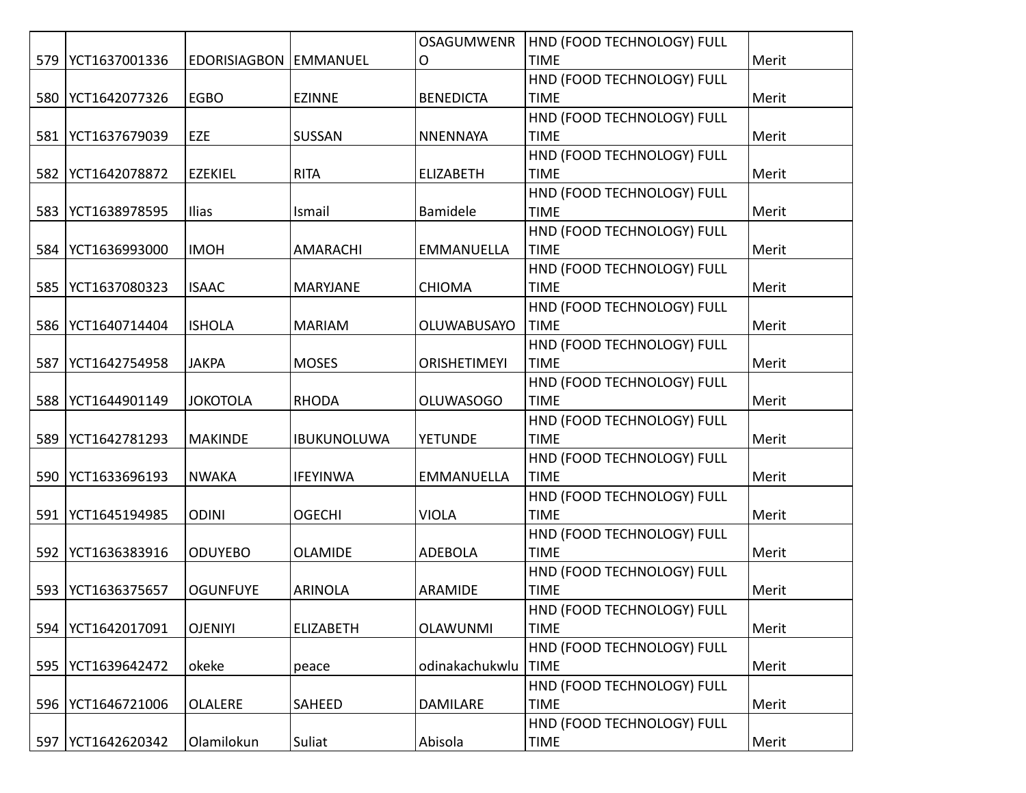|     |               |                         |                    | <b>OSAGUMWENR</b>   | HND (FOOD TECHNOLOGY) FULL |       |
|-----|---------------|-------------------------|--------------------|---------------------|----------------------------|-------|
| 579 | YCT1637001336 | EDORISIAGBON   EMMANUEL |                    | O                   | <b>TIME</b>                | Merit |
|     |               |                         |                    |                     | HND (FOOD TECHNOLOGY) FULL |       |
| 580 | YCT1642077326 | <b>EGBO</b>             | <b>EZINNE</b>      | <b>BENEDICTA</b>    | <b>TIME</b>                | Merit |
|     |               |                         |                    |                     | HND (FOOD TECHNOLOGY) FULL |       |
| 581 | YCT1637679039 | <b>EZE</b>              | <b>SUSSAN</b>      | <b>NNENNAYA</b>     | <b>TIME</b>                | Merit |
|     |               |                         |                    |                     | HND (FOOD TECHNOLOGY) FULL |       |
| 582 | YCT1642078872 | <b>EZEKIEL</b>          | <b>RITA</b>        | <b>ELIZABETH</b>    | <b>TIME</b>                | Merit |
|     |               |                         |                    |                     | HND (FOOD TECHNOLOGY) FULL |       |
| 583 | YCT1638978595 | Ilias                   | Ismail             | <b>Bamidele</b>     | <b>TIME</b>                | Merit |
|     |               |                         |                    |                     | HND (FOOD TECHNOLOGY) FULL |       |
| 584 | YCT1636993000 | <b>IMOH</b>             | <b>AMARACHI</b>    | <b>EMMANUELLA</b>   | <b>TIME</b>                | Merit |
|     |               |                         |                    |                     | HND (FOOD TECHNOLOGY) FULL |       |
| 585 | YCT1637080323 | <b>ISAAC</b>            | <b>MARYJANE</b>    | <b>CHIOMA</b>       | <b>TIME</b>                | Merit |
|     |               |                         |                    |                     | HND (FOOD TECHNOLOGY) FULL |       |
| 586 | YCT1640714404 | <b>ISHOLA</b>           | <b>MARIAM</b>      | <b>OLUWABUSAYO</b>  | <b>TIME</b>                | Merit |
|     |               |                         |                    |                     | HND (FOOD TECHNOLOGY) FULL |       |
| 587 | YCT1642754958 | <b>JAKPA</b>            | <b>MOSES</b>       | <b>ORISHETIMEYI</b> | <b>TIME</b>                | Merit |
|     |               |                         |                    |                     | HND (FOOD TECHNOLOGY) FULL |       |
| 588 | YCT1644901149 | <b>JOKOTOLA</b>         | <b>RHODA</b>       | <b>OLUWASOGO</b>    | <b>TIME</b>                | Merit |
|     |               |                         |                    |                     | HND (FOOD TECHNOLOGY) FULL |       |
| 589 | YCT1642781293 | <b>MAKINDE</b>          | <b>IBUKUNOLUWA</b> | <b>YETUNDE</b>      | <b>TIME</b>                | Merit |
|     |               |                         |                    |                     | HND (FOOD TECHNOLOGY) FULL |       |
| 590 | YCT1633696193 | <b>NWAKA</b>            | <b>IFEYINWA</b>    | <b>EMMANUELLA</b>   | <b>TIME</b>                | Merit |
|     |               |                         |                    |                     | HND (FOOD TECHNOLOGY) FULL |       |
| 591 | YCT1645194985 | <b>ODINI</b>            | <b>OGECHI</b>      | <b>VIOLA</b>        | <b>TIME</b>                | Merit |
|     |               |                         |                    |                     | HND (FOOD TECHNOLOGY) FULL |       |
| 592 | YCT1636383916 | <b>ODUYEBO</b>          | <b>OLAMIDE</b>     | <b>ADEBOLA</b>      | <b>TIME</b>                | Merit |
|     |               |                         |                    |                     | HND (FOOD TECHNOLOGY) FULL |       |
| 593 | YCT1636375657 | <b>OGUNFUYE</b>         | <b>ARINOLA</b>     | ARAMIDE             | <b>TIME</b>                | Merit |
|     |               |                         |                    |                     | HND (FOOD TECHNOLOGY) FULL |       |
| 594 | YCT1642017091 | <b>OJENIYI</b>          | <b>ELIZABETH</b>   | <b>OLAWUNMI</b>     | <b>TIME</b>                | Merit |
|     |               |                         |                    |                     | HND (FOOD TECHNOLOGY) FULL |       |
| 595 | YCT1639642472 | okeke                   | peace              | odinakachukwlu      | <b>TIME</b>                | Merit |
|     |               |                         |                    |                     | HND (FOOD TECHNOLOGY) FULL |       |
| 596 | YCT1646721006 | <b>OLALERE</b>          | SAHEED             | DAMILARE            | <b>TIME</b>                | Merit |
|     |               |                         |                    |                     | HND (FOOD TECHNOLOGY) FULL |       |
| 597 | YCT1642620342 | Olamilokun              | Suliat             | Abisola             | <b>TIME</b>                | Merit |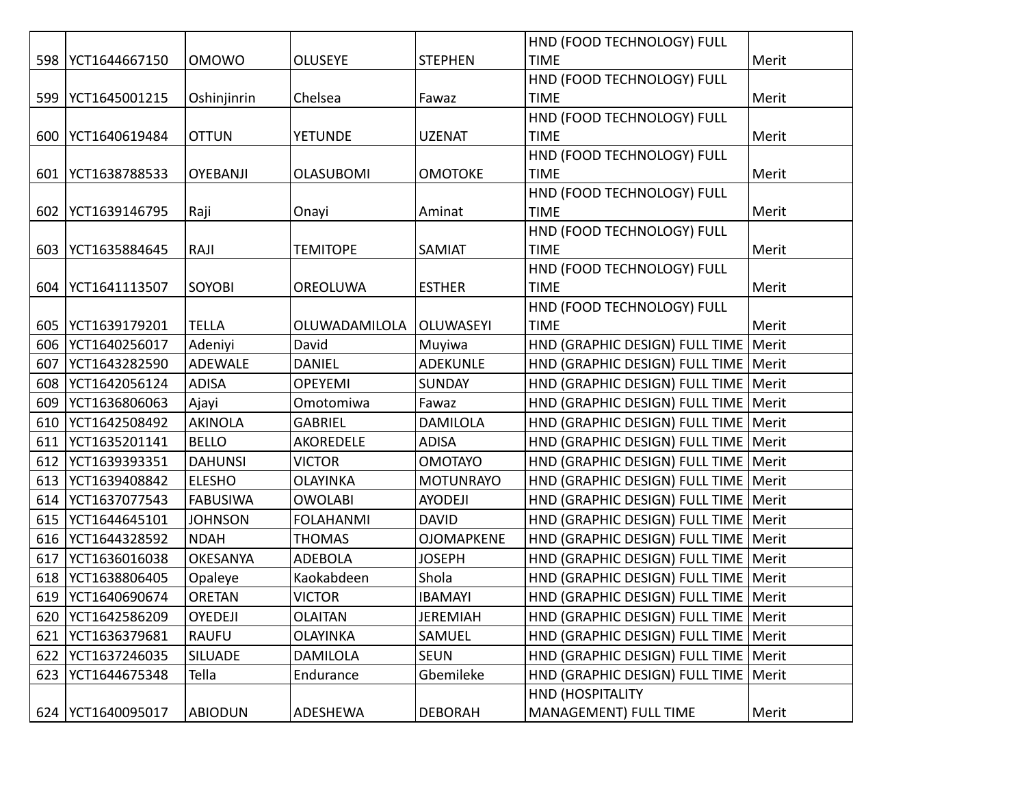|     |                     |                 |                  |                   | HND (FOOD TECHNOLOGY) FULL             |       |
|-----|---------------------|-----------------|------------------|-------------------|----------------------------------------|-------|
|     | 598   YCT1644667150 | <b>OMOWO</b>    | <b>OLUSEYE</b>   | <b>STEPHEN</b>    | <b>TIME</b>                            | Merit |
|     |                     |                 |                  |                   | HND (FOOD TECHNOLOGY) FULL             |       |
| 599 | YCT1645001215       | Oshinjinrin     | Chelsea          | Fawaz             | <b>TIME</b>                            | Merit |
|     |                     |                 |                  |                   | HND (FOOD TECHNOLOGY) FULL             |       |
| 600 | YCT1640619484       | <b>OTTUN</b>    | <b>YETUNDE</b>   | <b>UZENAT</b>     | <b>TIME</b>                            | Merit |
|     |                     |                 |                  |                   | HND (FOOD TECHNOLOGY) FULL             |       |
| 601 | YCT1638788533       | <b>OYEBANJI</b> | <b>OLASUBOMI</b> | <b>OMOTOKE</b>    | <b>TIME</b>                            | Merit |
|     |                     |                 |                  |                   | HND (FOOD TECHNOLOGY) FULL             |       |
|     | 602   YCT1639146795 | Raji            | Onayi            | Aminat            | <b>TIME</b>                            | Merit |
|     |                     |                 |                  |                   | HND (FOOD TECHNOLOGY) FULL             |       |
| 603 | YCT1635884645       | RAJI            | <b>TEMITOPE</b>  | SAMIAT            | <b>TIME</b>                            | Merit |
|     |                     |                 |                  |                   | HND (FOOD TECHNOLOGY) FULL             |       |
| 604 | YCT1641113507       | SOYOBI          | OREOLUWA         | <b>ESTHER</b>     | <b>TIME</b>                            | Merit |
|     |                     |                 |                  |                   | HND (FOOD TECHNOLOGY) FULL             |       |
| 605 | YCT1639179201       | <b>TELLA</b>    | OLUWADAMILOLA    | OLUWASEYI         | <b>TIME</b>                            | Merit |
| 606 | YCT1640256017       | Adeniyi         | David            | Muyiwa            | HND (GRAPHIC DESIGN) FULL TIME         | Merit |
| 607 | YCT1643282590       | <b>ADEWALE</b>  | <b>DANIEL</b>    | <b>ADEKUNLE</b>   | HND (GRAPHIC DESIGN) FULL TIME   Merit |       |
| 608 | YCT1642056124       | <b>ADISA</b>    | <b>OPEYEMI</b>   | <b>SUNDAY</b>     | HND (GRAPHIC DESIGN) FULL TIME         | Merit |
| 609 | YCT1636806063       | Ajayi           | Omotomiwa        | Fawaz             | HND (GRAPHIC DESIGN) FULL TIME         | Merit |
| 610 | YCT1642508492       | <b>AKINOLA</b>  | <b>GABRIEL</b>   | <b>DAMILOLA</b>   | HND (GRAPHIC DESIGN) FULL TIME         | Merit |
| 611 | YCT1635201141       | <b>BELLO</b>    | AKOREDELE        | <b>ADISA</b>      | HND (GRAPHIC DESIGN) FULL TIME         | Merit |
| 612 | YCT1639393351       | <b>DAHUNSI</b>  | <b>VICTOR</b>    | <b>OMOTAYO</b>    | HND (GRAPHIC DESIGN) FULL TIME         | Merit |
| 613 | YCT1639408842       | <b>ELESHO</b>   | <b>OLAYINKA</b>  | <b>MOTUNRAYO</b>  | HND (GRAPHIC DESIGN) FULL TIME         | Merit |
| 614 | YCT1637077543       | <b>FABUSIWA</b> | <b>OWOLABI</b>   | <b>AYODEJI</b>    | HND (GRAPHIC DESIGN) FULL TIME         | Merit |
| 615 | YCT1644645101       | <b>JOHNSON</b>  | <b>FOLAHANMI</b> | <b>DAVID</b>      | HND (GRAPHIC DESIGN) FULL TIME         | Merit |
| 616 | YCT1644328592       | <b>NDAH</b>     | <b>THOMAS</b>    | <b>OJOMAPKENE</b> | HND (GRAPHIC DESIGN) FULL TIME         | Merit |
| 617 | YCT1636016038       | <b>OKESANYA</b> | <b>ADEBOLA</b>   | <b>JOSEPH</b>     | HND (GRAPHIC DESIGN) FULL TIME         | Merit |
| 618 | YCT1638806405       | Opaleye         | Kaokabdeen       | Shola             | HND (GRAPHIC DESIGN) FULL TIME         | Merit |
| 619 | YCT1640690674       | <b>ORETAN</b>   | <b>VICTOR</b>    | <b>IBAMAYI</b>    | HND (GRAPHIC DESIGN) FULL TIME   Merit |       |
| 620 | YCT1642586209       | OYEDEJI         | <b>OLAITAN</b>   | JEREMIAH          | HND (GRAPHIC DESIGN) FULL TIME   Merit |       |
| 621 | YCT1636379681       | <b>RAUFU</b>    | <b>OLAYINKA</b>  | SAMUEL            | HND (GRAPHIC DESIGN) FULL TIME         | Merit |
| 622 | YCT1637246035       | <b>SILUADE</b>  | <b>DAMILOLA</b>  | <b>SEUN</b>       | HND (GRAPHIC DESIGN) FULL TIME         | Merit |
| 623 | YCT1644675348       | Tella           | Endurance        | Gbemileke         | HND (GRAPHIC DESIGN) FULL TIME         | Merit |
|     |                     |                 |                  |                   | <b>HND (HOSPITALITY</b>                |       |
|     | 624   YCT1640095017 | <b>ABIODUN</b>  | ADESHEWA         | <b>DEBORAH</b>    | MANAGEMENT) FULL TIME                  | Merit |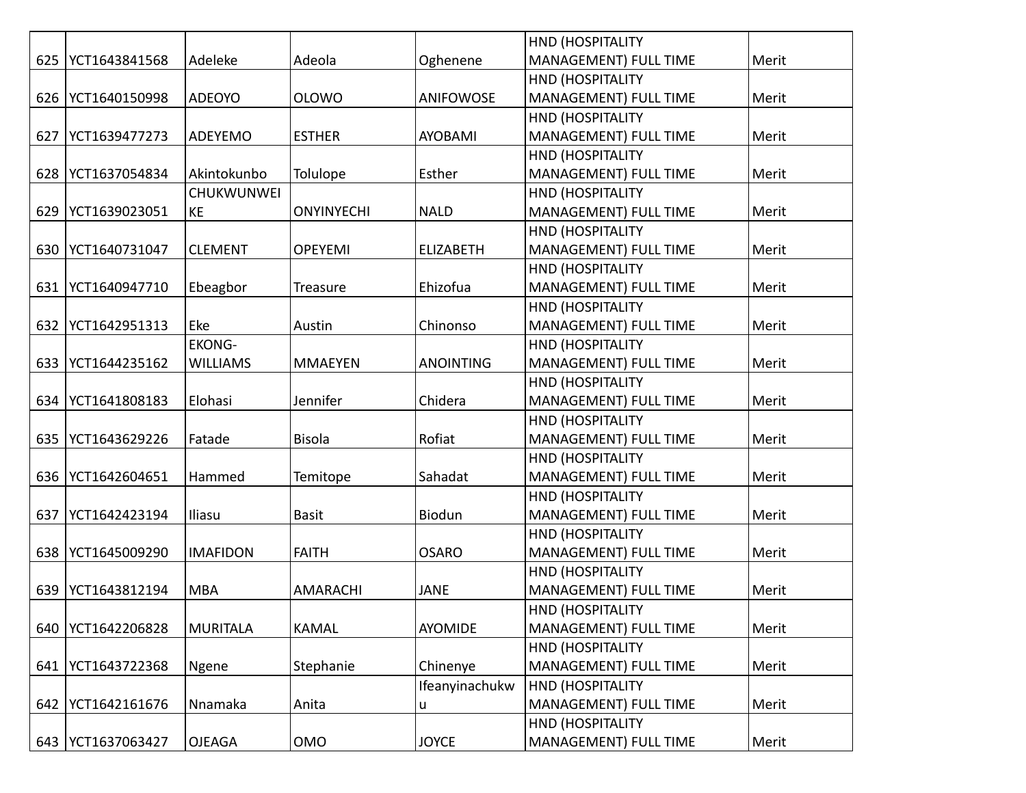|     |               |                   |                   |                  | <b>HND (HOSPITALITY</b>      |       |
|-----|---------------|-------------------|-------------------|------------------|------------------------------|-------|
| 625 | YCT1643841568 | Adeleke           | Adeola            | Oghenene         | MANAGEMENT) FULL TIME        | Merit |
|     |               |                   |                   |                  | <b>HND (HOSPITALITY</b>      |       |
| 626 | YCT1640150998 | <b>ADEOYO</b>     | <b>OLOWO</b>      | <b>ANIFOWOSE</b> | MANAGEMENT) FULL TIME        | Merit |
|     |               |                   |                   |                  | HND (HOSPITALITY             |       |
| 627 | YCT1639477273 | <b>ADEYEMO</b>    | <b>ESTHER</b>     | <b>AYOBAMI</b>   | <b>MANAGEMENT) FULL TIME</b> | Merit |
|     |               |                   |                   |                  | <b>HND (HOSPITALITY</b>      |       |
| 628 | YCT1637054834 | Akintokunbo       | Tolulope          | Esther           | MANAGEMENT) FULL TIME        | Merit |
|     |               | <b>CHUKWUNWEI</b> |                   |                  | <b>HND (HOSPITALITY</b>      |       |
| 629 | YCT1639023051 | KE                | <b>ONYINYECHI</b> | <b>NALD</b>      | MANAGEMENT) FULL TIME        | Merit |
|     |               |                   |                   |                  | <b>HND (HOSPITALITY</b>      |       |
| 630 | YCT1640731047 | <b>CLEMENT</b>    | <b>OPEYEMI</b>    | <b>ELIZABETH</b> | MANAGEMENT) FULL TIME        | Merit |
|     |               |                   |                   |                  | HND (HOSPITALITY             |       |
| 631 | YCT1640947710 | Ebeagbor          | Treasure          | Ehizofua         | MANAGEMENT) FULL TIME        | Merit |
|     |               |                   |                   |                  | HND (HOSPITALITY             |       |
| 632 | YCT1642951313 | Eke               | Austin            | Chinonso         | <b>MANAGEMENT) FULL TIME</b> | Merit |
|     |               | <b>EKONG-</b>     |                   |                  | <b>HND (HOSPITALITY</b>      |       |
| 633 | YCT1644235162 | <b>WILLIAMS</b>   | <b>MMAEYEN</b>    | <b>ANOINTING</b> | MANAGEMENT) FULL TIME        | Merit |
|     |               |                   |                   |                  | <b>HND (HOSPITALITY</b>      |       |
| 634 | YCT1641808183 | Elohasi           | Jennifer          | Chidera          | MANAGEMENT) FULL TIME        | Merit |
|     |               |                   |                   |                  | HND (HOSPITALITY             |       |
| 635 | YCT1643629226 | Fatade            | <b>Bisola</b>     | Rofiat           | MANAGEMENT) FULL TIME        | Merit |
|     |               |                   |                   |                  | <b>HND (HOSPITALITY</b>      |       |
| 636 | YCT1642604651 | Hammed            | Temitope          | Sahadat          | MANAGEMENT) FULL TIME        | Merit |
|     |               |                   |                   |                  | <b>HND (HOSPITALITY</b>      |       |
| 637 | YCT1642423194 | <b>Iliasu</b>     | <b>Basit</b>      | Biodun           | MANAGEMENT) FULL TIME        | Merit |
|     |               |                   |                   |                  | <b>HND (HOSPITALITY</b>      |       |
| 638 | YCT1645009290 | <b>IMAFIDON</b>   | <b>FAITH</b>      | <b>OSARO</b>     | MANAGEMENT) FULL TIME        | Merit |
|     |               |                   |                   |                  | HND (HOSPITALITY             |       |
| 639 | YCT1643812194 | <b>MBA</b>        | <b>AMARACHI</b>   | <b>JANE</b>      | MANAGEMENT) FULL TIME        | Merit |
|     |               |                   |                   |                  | HND (HOSPITALITY             |       |
| 640 | YCT1642206828 | MURITALA          | <b>KAMAL</b>      | AYOMIDE          | <b>MANAGEMENT) FULL TIME</b> | Merit |
|     |               |                   |                   |                  | <b>HND (HOSPITALITY</b>      |       |
| 641 | YCT1643722368 | Ngene             | Stephanie         | Chinenye         | <b>MANAGEMENT) FULL TIME</b> | Merit |
|     |               |                   |                   | Ifeanyinachukw   | <b>HND (HOSPITALITY</b>      |       |
| 642 | YCT1642161676 | Nnamaka           | Anita             | u                | MANAGEMENT) FULL TIME        | Merit |
|     |               |                   |                   |                  | HND (HOSPITALITY             |       |
| 643 | YCT1637063427 | <b>OJEAGA</b>     | <b>OMO</b>        | <b>JOYCE</b>     | MANAGEMENT) FULL TIME        | Merit |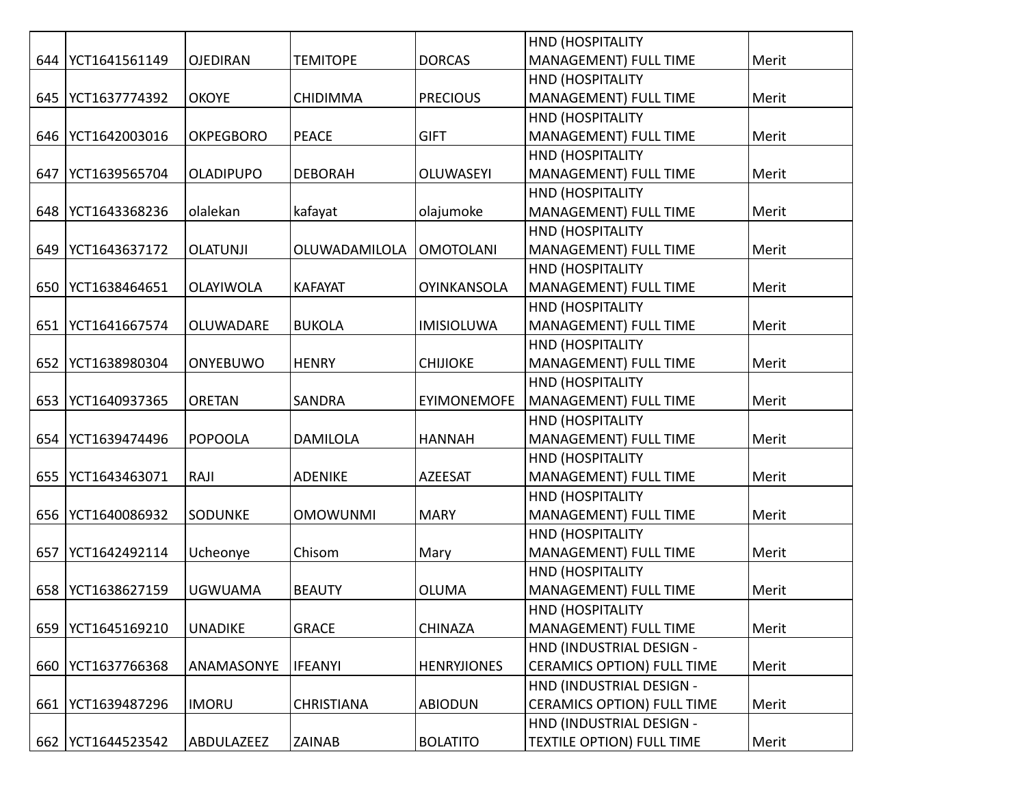|     |                     |                  |                   |                    | HND (HOSPITALITY                  |       |
|-----|---------------------|------------------|-------------------|--------------------|-----------------------------------|-------|
| 644 | YCT1641561149       | <b>OJEDIRAN</b>  | <b>TEMITOPE</b>   | <b>DORCAS</b>      | MANAGEMENT) FULL TIME             | Merit |
|     |                     |                  |                   |                    | <b>HND (HOSPITALITY</b>           |       |
| 645 | YCT1637774392       | <b>OKOYE</b>     | <b>CHIDIMMA</b>   | <b>PRECIOUS</b>    | MANAGEMENT) FULL TIME             | Merit |
|     |                     |                  |                   |                    | <b>HND (HOSPITALITY</b>           |       |
| 646 | YCT1642003016       | <b>OKPEGBORO</b> | <b>PEACE</b>      | <b>GIFT</b>        | MANAGEMENT) FULL TIME             | Merit |
|     |                     |                  |                   |                    | <b>HND (HOSPITALITY</b>           |       |
| 647 | YCT1639565704       | <b>OLADIPUPO</b> | <b>DEBORAH</b>    | <b>OLUWASEYI</b>   | <b>MANAGEMENT) FULL TIME</b>      | Merit |
|     |                     |                  |                   |                    | <b>HND (HOSPITALITY</b>           |       |
| 648 | YCT1643368236       | olalekan         | kafayat           | olajumoke          | MANAGEMENT) FULL TIME             | Merit |
|     |                     |                  |                   |                    | HND (HOSPITALITY                  |       |
| 649 | YCT1643637172       | <b>OLATUNJI</b>  | OLUWADAMILOLA     | <b>OMOTOLANI</b>   | MANAGEMENT) FULL TIME             | Merit |
|     |                     |                  |                   |                    | HND (HOSPITALITY                  |       |
| 650 | YCT1638464651       | OLAYIWOLA        | <b>KAFAYAT</b>    | <b>OYINKANSOLA</b> | <b>MANAGEMENT) FULL TIME</b>      | Merit |
|     |                     |                  |                   |                    | HND (HOSPITALITY                  |       |
| 651 | YCT1641667574       | <b>OLUWADARE</b> | <b>BUKOLA</b>     | <b>IMISIOLUWA</b>  | MANAGEMENT) FULL TIME             | Merit |
|     |                     |                  |                   |                    | HND (HOSPITALITY                  |       |
| 652 | YCT1638980304       | <b>ONYEBUWO</b>  | <b>HENRY</b>      | <b>CHIJIOKE</b>    | <b>MANAGEMENT) FULL TIME</b>      | Merit |
|     |                     |                  |                   |                    | <b>HND (HOSPITALITY</b>           |       |
| 653 | YCT1640937365       | <b>ORETAN</b>    | <b>SANDRA</b>     | <b>EYIMONEMOFE</b> | MANAGEMENT) FULL TIME             | Merit |
|     |                     |                  |                   |                    | HND (HOSPITALITY                  |       |
| 654 | YCT1639474496       | POPOOLA          | <b>DAMILOLA</b>   | <b>HANNAH</b>      | MANAGEMENT) FULL TIME             | Merit |
|     |                     |                  |                   |                    | <b>HND (HOSPITALITY</b>           |       |
| 655 | YCT1643463071       | RAJI             | <b>ADENIKE</b>    | <b>AZEESAT</b>     | MANAGEMENT) FULL TIME             | Merit |
|     |                     |                  |                   |                    | <b>HND (HOSPITALITY</b>           |       |
| 656 | YCT1640086932       | <b>SODUNKE</b>   | <b>OMOWUNMI</b>   | <b>MARY</b>        | MANAGEMENT) FULL TIME             | Merit |
|     |                     |                  |                   |                    | HND (HOSPITALITY                  |       |
| 657 | YCT1642492114       | Ucheonye         | Chisom            | Mary               | MANAGEMENT) FULL TIME             | Merit |
|     |                     |                  |                   |                    | HND (HOSPITALITY                  |       |
| 658 | YCT1638627159       | <b>UGWUAMA</b>   | <b>BEAUTY</b>     | <b>OLUMA</b>       | MANAGEMENT) FULL TIME             | Merit |
|     |                     |                  |                   |                    | HND (HOSPITALITY                  |       |
| 659 | YCT1645169210       | <b>UNADIKE</b>   | <b>GRACE</b>      | <b>CHINAZA</b>     | MANAGEMENT) FULL TIME             | Merit |
|     |                     |                  |                   |                    | HND (INDUSTRIAL DESIGN -          |       |
| 660 | YCT1637766368       | ANAMASONYE       | <b>IFEANYI</b>    | <b>HENRYJIONES</b> | <b>CERAMICS OPTION) FULL TIME</b> | Merit |
|     |                     |                  |                   |                    | HND (INDUSTRIAL DESIGN -          |       |
| 661 | YCT1639487296       | <b>IMORU</b>     | <b>CHRISTIANA</b> | <b>ABIODUN</b>     | <b>CERAMICS OPTION) FULL TIME</b> | Merit |
|     |                     |                  |                   |                    | HND (INDUSTRIAL DESIGN -          |       |
|     | 662   YCT1644523542 | ABDULAZEEZ       | ZAINAB            | <b>BOLATITO</b>    | <b>TEXTILE OPTION) FULL TIME</b>  | Merit |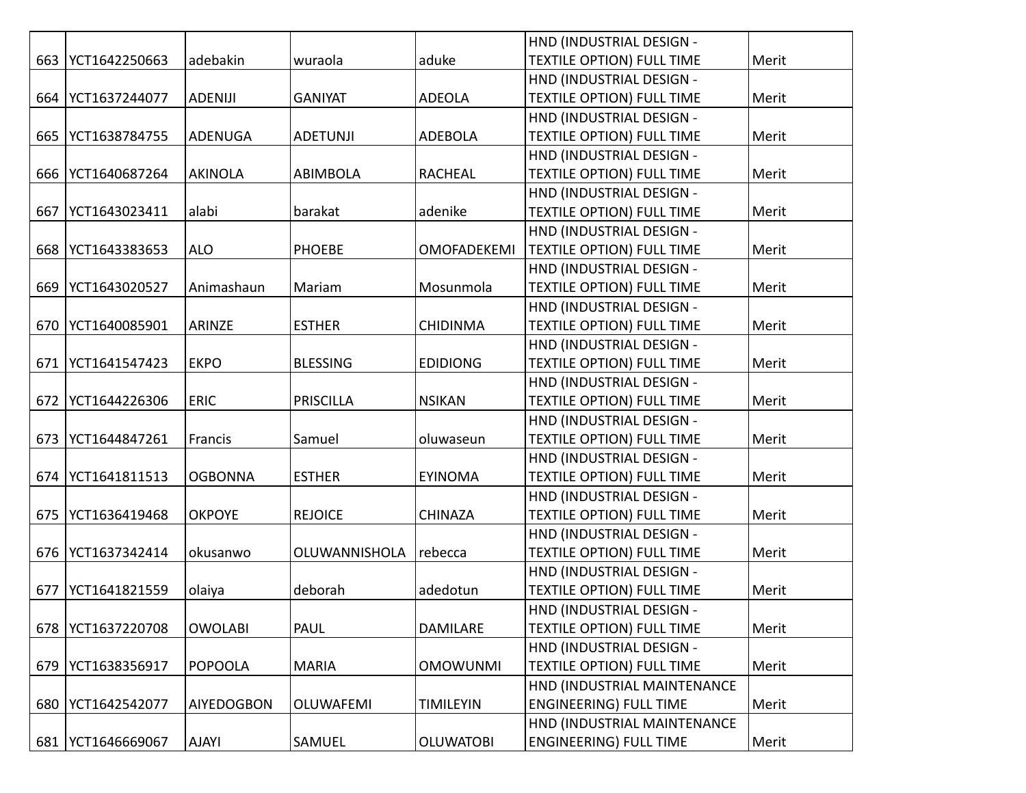|     |               |                   |                  |                    | HND (INDUSTRIAL DESIGN -         |       |
|-----|---------------|-------------------|------------------|--------------------|----------------------------------|-------|
| 663 | YCT1642250663 | adebakin          | wuraola          | aduke              | <b>TEXTILE OPTION) FULL TIME</b> | Merit |
|     |               |                   |                  |                    | HND (INDUSTRIAL DESIGN -         |       |
| 664 | YCT1637244077 | <b>ADENIJI</b>    | <b>GANIYAT</b>   | <b>ADEOLA</b>      | <b>TEXTILE OPTION) FULL TIME</b> | Merit |
|     |               |                   |                  |                    | HND (INDUSTRIAL DESIGN -         |       |
| 665 | YCT1638784755 | ADENUGA           | <b>ADETUNJI</b>  | <b>ADEBOLA</b>     | TEXTILE OPTION) FULL TIME        | Merit |
|     |               |                   |                  |                    | HND (INDUSTRIAL DESIGN -         |       |
| 666 | YCT1640687264 | <b>AKINOLA</b>    | <b>ABIMBOLA</b>  | <b>RACHEAL</b>     | <b>TEXTILE OPTION) FULL TIME</b> | Merit |
|     |               |                   |                  |                    | HND (INDUSTRIAL DESIGN -         |       |
| 667 | YCT1643023411 | alabi             | barakat          | adenike            | <b>TEXTILE OPTION) FULL TIME</b> | Merit |
|     |               |                   |                  |                    | HND (INDUSTRIAL DESIGN -         |       |
| 668 | YCT1643383653 | <b>ALO</b>        | <b>PHOEBE</b>    | <b>OMOFADEKEMI</b> | <b>TEXTILE OPTION) FULL TIME</b> | Merit |
|     |               |                   |                  |                    | HND (INDUSTRIAL DESIGN -         |       |
| 669 | YCT1643020527 | Animashaun        | Mariam           | Mosunmola          | <b>TEXTILE OPTION) FULL TIME</b> | Merit |
|     |               |                   |                  |                    | HND (INDUSTRIAL DESIGN -         |       |
| 670 | YCT1640085901 | ARINZE            | <b>ESTHER</b>    | <b>CHIDINMA</b>    | <b>TEXTILE OPTION) FULL TIME</b> | Merit |
|     |               |                   |                  |                    | HND (INDUSTRIAL DESIGN -         |       |
| 671 | YCT1641547423 | <b>EKPO</b>       | <b>BLESSING</b>  | <b>EDIDIONG</b>    | <b>TEXTILE OPTION) FULL TIME</b> | Merit |
|     |               |                   |                  |                    | HND (INDUSTRIAL DESIGN -         |       |
| 672 | YCT1644226306 | <b>ERIC</b>       | <b>PRISCILLA</b> | <b>NSIKAN</b>      | <b>TEXTILE OPTION) FULL TIME</b> | Merit |
|     |               |                   |                  |                    | HND (INDUSTRIAL DESIGN -         |       |
| 673 | YCT1644847261 | Francis           | Samuel           | oluwaseun          | <b>TEXTILE OPTION) FULL TIME</b> | Merit |
|     |               |                   |                  |                    | HND (INDUSTRIAL DESIGN -         |       |
| 674 | YCT1641811513 | <b>OGBONNA</b>    | <b>ESTHER</b>    | <b>EYINOMA</b>     | <b>TEXTILE OPTION) FULL TIME</b> | Merit |
|     |               |                   |                  |                    | HND (INDUSTRIAL DESIGN -         |       |
| 675 | YCT1636419468 | <b>OKPOYE</b>     | <b>REJOICE</b>   | <b>CHINAZA</b>     | <b>TEXTILE OPTION) FULL TIME</b> | Merit |
|     |               |                   |                  |                    | HND (INDUSTRIAL DESIGN -         |       |
| 676 | YCT1637342414 | okusanwo          | OLUWANNISHOLA    | rebecca            | <b>TEXTILE OPTION) FULL TIME</b> | Merit |
|     |               |                   |                  |                    | HND (INDUSTRIAL DESIGN -         |       |
| 677 | YCT1641821559 | olaiya            | deborah          | adedotun           | TEXTILE OPTION) FULL TIME        | Merit |
|     |               |                   |                  |                    | HND (INDUSTRIAL DESIGN -         |       |
| 678 | YCT1637220708 | <b>OWOLABI</b>    | PAUL             | <b>DAMILARE</b>    | <b>TEXTILE OPTION) FULL TIME</b> | Merit |
|     |               |                   |                  |                    | HND (INDUSTRIAL DESIGN -         |       |
| 679 | YCT1638356917 | <b>POPOOLA</b>    | <b>MARIA</b>     | <b>OMOWUNMI</b>    | <b>TEXTILE OPTION) FULL TIME</b> | Merit |
|     |               |                   |                  |                    | HND (INDUSTRIAL MAINTENANCE      |       |
| 680 | YCT1642542077 | <b>AIYEDOGBON</b> | <b>OLUWAFEMI</b> | <b>TIMILEYIN</b>   | <b>ENGINEERING) FULL TIME</b>    | Merit |
|     |               |                   |                  |                    | HND (INDUSTRIAL MAINTENANCE      |       |
| 681 | YCT1646669067 | <b>AJAYI</b>      | SAMUEL           | <b>OLUWATOBI</b>   | <b>ENGINEERING) FULL TIME</b>    | Merit |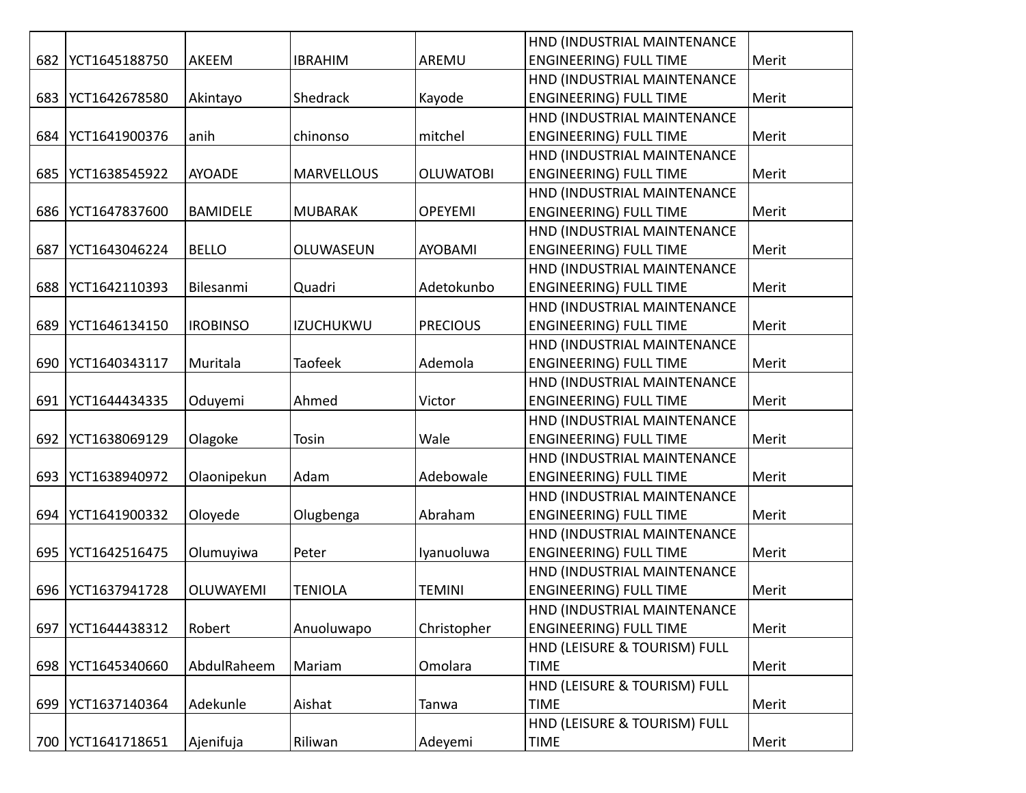|     |               |                  |                   |                  | HND (INDUSTRIAL MAINTENANCE   |       |
|-----|---------------|------------------|-------------------|------------------|-------------------------------|-------|
| 682 | YCT1645188750 | AKEEM            | <b>IBRAHIM</b>    | AREMU            | <b>ENGINEERING) FULL TIME</b> | Merit |
|     |               |                  |                   |                  | HND (INDUSTRIAL MAINTENANCE   |       |
| 683 | YCT1642678580 | Akintayo         | Shedrack          | Kayode           | <b>ENGINEERING) FULL TIME</b> | Merit |
|     |               |                  |                   |                  | HND (INDUSTRIAL MAINTENANCE   |       |
| 684 | YCT1641900376 | anih             | chinonso          | mitchel          | <b>ENGINEERING) FULL TIME</b> | Merit |
|     |               |                  |                   |                  | HND (INDUSTRIAL MAINTENANCE   |       |
| 685 | YCT1638545922 | <b>AYOADE</b>    | <b>MARVELLOUS</b> | <b>OLUWATOBI</b> | <b>ENGINEERING) FULL TIME</b> | Merit |
|     |               |                  |                   |                  | HND (INDUSTRIAL MAINTENANCE   |       |
| 686 | YCT1647837600 | <b>BAMIDELE</b>  | <b>MUBARAK</b>    | <b>OPEYEMI</b>   | <b>ENGINEERING) FULL TIME</b> | Merit |
|     |               |                  |                   |                  | HND (INDUSTRIAL MAINTENANCE   |       |
| 687 | YCT1643046224 | <b>BELLO</b>     | OLUWASEUN         | <b>AYOBAMI</b>   | <b>ENGINEERING) FULL TIME</b> | Merit |
|     |               |                  |                   |                  | HND (INDUSTRIAL MAINTENANCE   |       |
| 688 | YCT1642110393 | Bilesanmi        | Quadri            | Adetokunbo       | <b>ENGINEERING) FULL TIME</b> | Merit |
|     |               |                  |                   |                  | HND (INDUSTRIAL MAINTENANCE   |       |
| 689 | YCT1646134150 | <b>IROBINSO</b>  | <b>IZUCHUKWU</b>  | <b>PRECIOUS</b>  | <b>ENGINEERING) FULL TIME</b> | Merit |
|     |               |                  |                   |                  | HND (INDUSTRIAL MAINTENANCE   |       |
| 690 | YCT1640343117 | Muritala         | <b>Taofeek</b>    | Ademola          | <b>ENGINEERING) FULL TIME</b> | Merit |
|     |               |                  |                   |                  | HND (INDUSTRIAL MAINTENANCE   |       |
| 691 | YCT1644434335 | Oduyemi          | Ahmed             | Victor           | <b>ENGINEERING) FULL TIME</b> | Merit |
|     |               |                  |                   |                  | HND (INDUSTRIAL MAINTENANCE   |       |
| 692 | YCT1638069129 | Olagoke          | Tosin             | Wale             | <b>ENGINEERING) FULL TIME</b> | Merit |
|     |               |                  |                   |                  | HND (INDUSTRIAL MAINTENANCE   |       |
| 693 | YCT1638940972 | Olaonipekun      | Adam              | Adebowale        | <b>ENGINEERING) FULL TIME</b> | Merit |
|     |               |                  |                   |                  | HND (INDUSTRIAL MAINTENANCE   |       |
| 694 | YCT1641900332 | Oloyede          | Olugbenga         | Abraham          | <b>ENGINEERING) FULL TIME</b> | Merit |
|     |               |                  |                   |                  | HND (INDUSTRIAL MAINTENANCE   |       |
| 695 | YCT1642516475 | Olumuyiwa        | Peter             | Iyanuoluwa       | <b>ENGINEERING) FULL TIME</b> | Merit |
|     |               |                  |                   |                  | HND (INDUSTRIAL MAINTENANCE   |       |
| 696 | YCT1637941728 | <b>OLUWAYEMI</b> | <b>TENIOLA</b>    | <b>TEMINI</b>    | <b>ENGINEERING) FULL TIME</b> | Merit |
|     |               |                  |                   |                  | HND (INDUSTRIAL MAINTENANCE   |       |
| 697 | YCT1644438312 | Robert           | Anuoluwapo        | Christopher      | <b>ENGINEERING) FULL TIME</b> | Merit |
|     |               |                  |                   |                  | HND (LEISURE & TOURISM) FULL  |       |
| 698 | YCT1645340660 | AbdulRaheem      | Mariam            | Omolara          | <b>TIME</b>                   | Merit |
|     |               |                  |                   |                  | HND (LEISURE & TOURISM) FULL  |       |
| 699 | YCT1637140364 | Adekunle         | Aishat            | Tanwa            | <b>TIME</b>                   | Merit |
|     |               |                  |                   |                  | HND (LEISURE & TOURISM) FULL  |       |
| 700 | YCT1641718651 | Ajenifuja        | Riliwan           | Adeyemi          | <b>TIME</b>                   | Merit |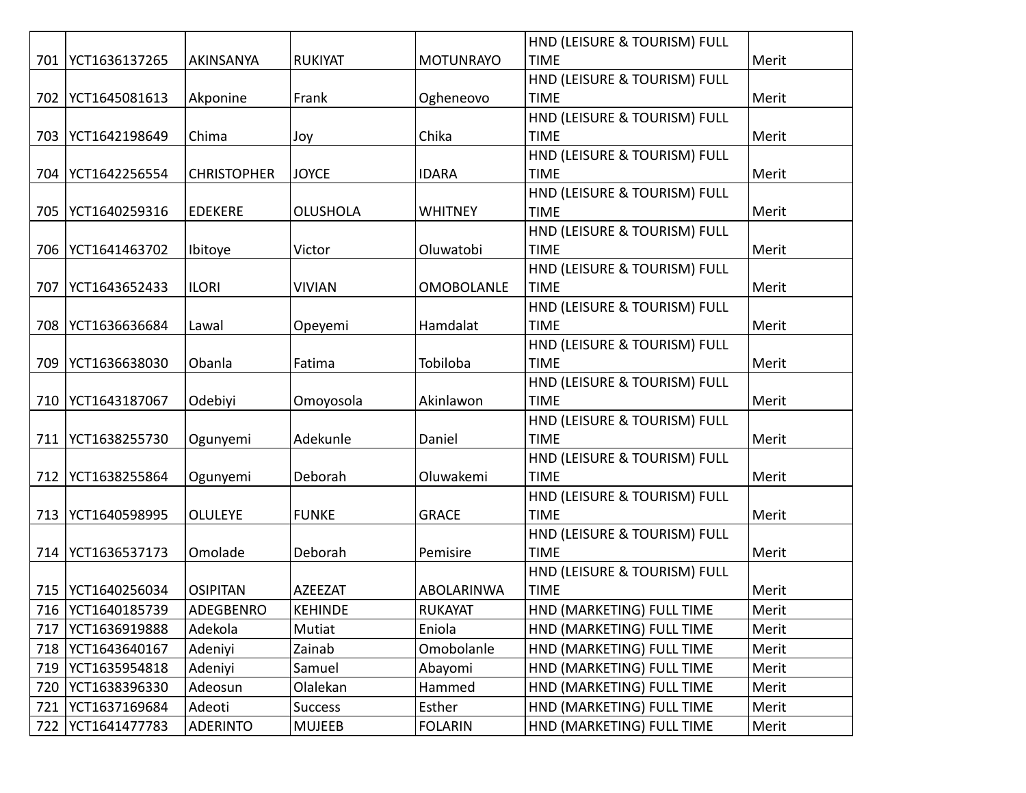|     |                     |                    |                 |                   | HND (LEISURE & TOURISM) FULL |       |
|-----|---------------------|--------------------|-----------------|-------------------|------------------------------|-------|
|     | 701   YCT1636137265 | AKINSANYA          | <b>RUKIYAT</b>  | <b>MOTUNRAYO</b>  | <b>TIME</b>                  | Merit |
|     |                     |                    |                 |                   | HND (LEISURE & TOURISM) FULL |       |
|     | 702   YCT1645081613 | Akponine           | Frank           | Ogheneovo         | <b>TIME</b>                  | Merit |
|     |                     |                    |                 |                   | HND (LEISURE & TOURISM) FULL |       |
|     | 703   YCT1642198649 | Chima              | Joy             | Chika             | <b>TIME</b>                  | Merit |
|     |                     |                    |                 |                   | HND (LEISURE & TOURISM) FULL |       |
| 704 | YCT1642256554       | <b>CHRISTOPHER</b> | <b>JOYCE</b>    | <b>IDARA</b>      | <b>TIME</b>                  | Merit |
|     |                     |                    |                 |                   | HND (LEISURE & TOURISM) FULL |       |
| 705 | YCT1640259316       | <b>EDEKERE</b>     | <b>OLUSHOLA</b> | <b>WHITNEY</b>    | <b>TIME</b>                  | Merit |
|     |                     |                    |                 |                   | HND (LEISURE & TOURISM) FULL |       |
| 706 | YCT1641463702       | Ibitoye            | Victor          | Oluwatobi         | <b>TIME</b>                  | Merit |
|     |                     |                    |                 |                   | HND (LEISURE & TOURISM) FULL |       |
| 707 | YCT1643652433       | <b>ILORI</b>       | <b>VIVIAN</b>   | <b>OMOBOLANLE</b> | <b>TIME</b>                  | Merit |
|     |                     |                    |                 |                   | HND (LEISURE & TOURISM) FULL |       |
| 708 | YCT1636636684       | Lawal              | Opeyemi         | Hamdalat          | <b>TIME</b>                  | Merit |
|     |                     |                    |                 |                   | HND (LEISURE & TOURISM) FULL |       |
| 709 | YCT1636638030       | Obanla             | Fatima          | Tobiloba          | <b>TIME</b>                  | Merit |
|     |                     |                    |                 |                   | HND (LEISURE & TOURISM) FULL |       |
|     | 710   YCT1643187067 | Odebiyi            | Omoyosola       | Akinlawon         | <b>TIME</b>                  | Merit |
|     |                     |                    |                 |                   | HND (LEISURE & TOURISM) FULL |       |
|     | 711   YCT1638255730 | Ogunyemi           | Adekunle        | Daniel            | <b>TIME</b>                  | Merit |
|     |                     |                    |                 |                   | HND (LEISURE & TOURISM) FULL |       |
| 712 | YCT1638255864       | Ogunyemi           | Deborah         | Oluwakemi         | <b>TIME</b>                  | Merit |
|     |                     |                    |                 |                   | HND (LEISURE & TOURISM) FULL |       |
| 713 | YCT1640598995       | <b>OLULEYE</b>     | <b>FUNKE</b>    | <b>GRACE</b>      | <b>TIME</b>                  | Merit |
|     |                     |                    |                 |                   | HND (LEISURE & TOURISM) FULL |       |
|     | 714   YCT1636537173 | Omolade            | Deborah         | Pemisire          | <b>TIME</b>                  | Merit |
|     |                     |                    |                 |                   | HND (LEISURE & TOURISM) FULL |       |
|     | 715   YCT1640256034 | <b>OSIPITAN</b>    | <b>AZEEZAT</b>  | ABOLARINWA        | <b>TIME</b>                  | Merit |
|     | 716   YCT1640185739 | ADEGBENRO          | <b>KEHINDE</b>  | <b>RUKAYAT</b>    | HND (MARKETING) FULL TIME    | Merit |
|     | 717   YCT1636919888 | Adekola            | Mutiat          | Eniola            | HND (MARKETING) FULL TIME    | Merit |
|     | 718   YCT1643640167 | Adeniyi            | Zainab          | Omobolanle        | HND (MARKETING) FULL TIME    | Merit |
|     | 719   YCT1635954818 | Adeniyi            | Samuel          | Abayomi           | HND (MARKETING) FULL TIME    | Merit |
|     | 720   YCT1638396330 | Adeosun            | Olalekan        | Hammed            | HND (MARKETING) FULL TIME    | Merit |
|     | 721   YCT1637169684 | Adeoti             | <b>Success</b>  | Esther            | HND (MARKETING) FULL TIME    | Merit |
|     | 722   YCT1641477783 | <b>ADERINTO</b>    | <b>MUJEEB</b>   | <b>FOLARIN</b>    | HND (MARKETING) FULL TIME    | Merit |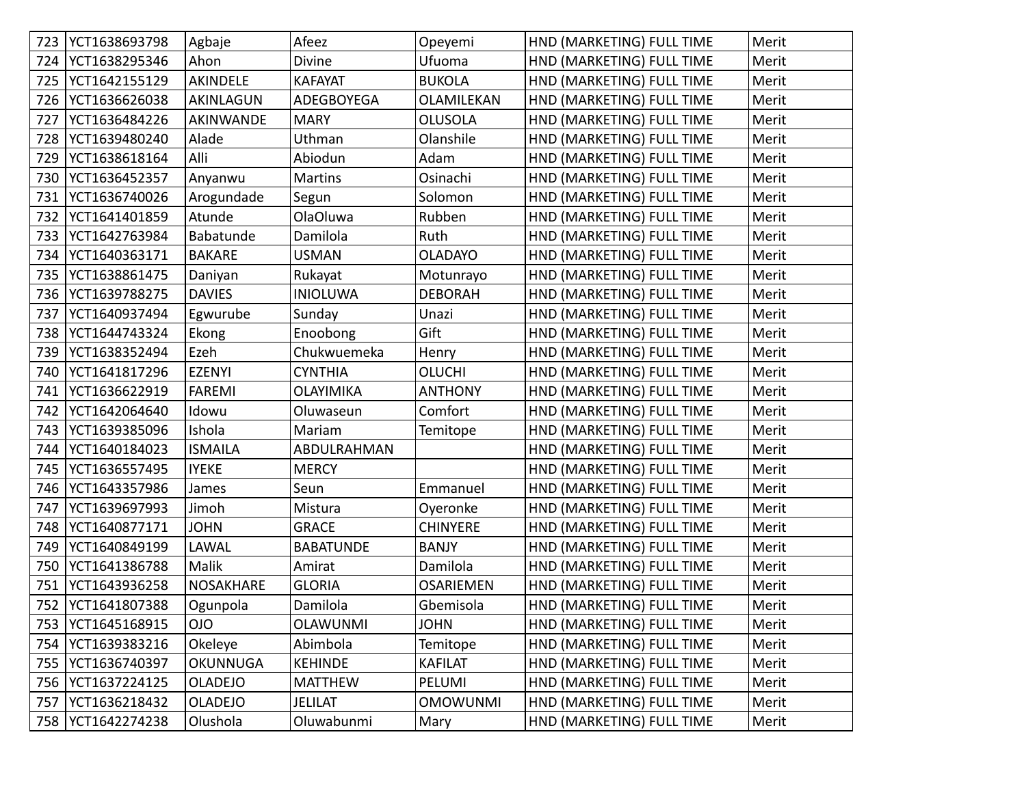|     | 723   YCT1638693798 | Agbaje           | Afeez            | Opeyemi          | HND (MARKETING) FULL TIME | Merit |
|-----|---------------------|------------------|------------------|------------------|---------------------------|-------|
| 724 | YCT1638295346       | Ahon             | Divine           | Ufuoma           | HND (MARKETING) FULL TIME | Merit |
| 725 | YCT1642155129       | AKINDELE         | <b>KAFAYAT</b>   | <b>BUKOLA</b>    | HND (MARKETING) FULL TIME | Merit |
| 726 | YCT1636626038       | AKINLAGUN        | ADEGBOYEGA       | OLAMILEKAN       | HND (MARKETING) FULL TIME | Merit |
| 727 | YCT1636484226       | AKINWANDE        | <b>MARY</b>      | <b>OLUSOLA</b>   | HND (MARKETING) FULL TIME | Merit |
| 728 | YCT1639480240       | Alade            | Uthman           | Olanshile        | HND (MARKETING) FULL TIME | Merit |
| 729 | YCT1638618164       | Alli             | Abiodun          | Adam             | HND (MARKETING) FULL TIME | Merit |
| 730 | YCT1636452357       | Anyanwu          | <b>Martins</b>   | Osinachi         | HND (MARKETING) FULL TIME | Merit |
| 731 | YCT1636740026       | Arogundade       | Segun            | Solomon          | HND (MARKETING) FULL TIME | Merit |
| 732 | YCT1641401859       | Atunde           | OlaOluwa         | Rubben           | HND (MARKETING) FULL TIME | Merit |
| 733 | YCT1642763984       | Babatunde        | Damilola         | Ruth             | HND (MARKETING) FULL TIME | Merit |
| 734 | YCT1640363171       | <b>BAKARE</b>    | <b>USMAN</b>     | <b>OLADAYO</b>   | HND (MARKETING) FULL TIME | Merit |
| 735 | YCT1638861475       | Daniyan          | Rukayat          | Motunrayo        | HND (MARKETING) FULL TIME | Merit |
| 736 | YCT1639788275       | <b>DAVIES</b>    | <b>INIOLUWA</b>  | <b>DEBORAH</b>   | HND (MARKETING) FULL TIME | Merit |
| 737 | YCT1640937494       | Egwurube         | Sunday           | Unazi            | HND (MARKETING) FULL TIME | Merit |
| 738 | YCT1644743324       | Ekong            | Enoobong         | Gift             | HND (MARKETING) FULL TIME | Merit |
| 739 | YCT1638352494       | Ezeh             | Chukwuemeka      | Henry            | HND (MARKETING) FULL TIME | Merit |
| 740 | YCT1641817296       | <b>EZENYI</b>    | <b>CYNTHIA</b>   | <b>OLUCHI</b>    | HND (MARKETING) FULL TIME | Merit |
| 741 | YCT1636622919       | <b>FAREMI</b>    | <b>OLAYIMIKA</b> | <b>ANTHONY</b>   | HND (MARKETING) FULL TIME | Merit |
| 742 | YCT1642064640       | Idowu            | Oluwaseun        | Comfort          | HND (MARKETING) FULL TIME | Merit |
| 743 | YCT1639385096       | Ishola           | Mariam           | Temitope         | HND (MARKETING) FULL TIME | Merit |
| 744 | YCT1640184023       | <b>ISMAILA</b>   | ABDULRAHMAN      |                  | HND (MARKETING) FULL TIME | Merit |
| 745 | YCT1636557495       | <b>IYEKE</b>     | <b>MERCY</b>     |                  | HND (MARKETING) FULL TIME | Merit |
| 746 | YCT1643357986       | James            | Seun             | Emmanuel         | HND (MARKETING) FULL TIME | Merit |
| 747 | YCT1639697993       | Jimoh            | Mistura          | Oyeronke         | HND (MARKETING) FULL TIME | Merit |
| 748 | YCT1640877171       | <b>JOHN</b>      | <b>GRACE</b>     | <b>CHINYERE</b>  | HND (MARKETING) FULL TIME | Merit |
| 749 | YCT1640849199       | LAWAL            | <b>BABATUNDE</b> | <b>BANJY</b>     | HND (MARKETING) FULL TIME | Merit |
| 750 | YCT1641386788       | Malik            | Amirat           | Damilola         | HND (MARKETING) FULL TIME | Merit |
| 751 | YCT1643936258       | <b>NOSAKHARE</b> | <b>GLORIA</b>    | <b>OSARIEMEN</b> | HND (MARKETING) FULL TIME | Merit |
|     | 752   YCT1641807388 | Ogunpola         | Damilola         | Gbemisola        | HND (MARKETING) FULL TIME | Merit |
|     | 753   YCT1645168915 | <b>OIO</b>       | <b>OLAWUNMI</b>  | <b>JOHN</b>      | HND (MARKETING) FULL TIME | Merit |
| 754 | YCT1639383216       | Okeleye          | Abimbola         | Temitope         | HND (MARKETING) FULL TIME | Merit |
| 755 | YCT1636740397       | OKUNNUGA         | <b>KEHINDE</b>   | <b>KAFILAT</b>   | HND (MARKETING) FULL TIME | Merit |
| 756 | YCT1637224125       | <b>OLADEJO</b>   | <b>MATTHEW</b>   | PELUMI           | HND (MARKETING) FULL TIME | Merit |
| 757 | YCT1636218432       | <b>OLADEJO</b>   | <b>JELILAT</b>   | <b>OMOWUNMI</b>  | HND (MARKETING) FULL TIME | Merit |
|     | 758   YCT1642274238 | Olushola         | Oluwabunmi       | Mary             | HND (MARKETING) FULL TIME | Merit |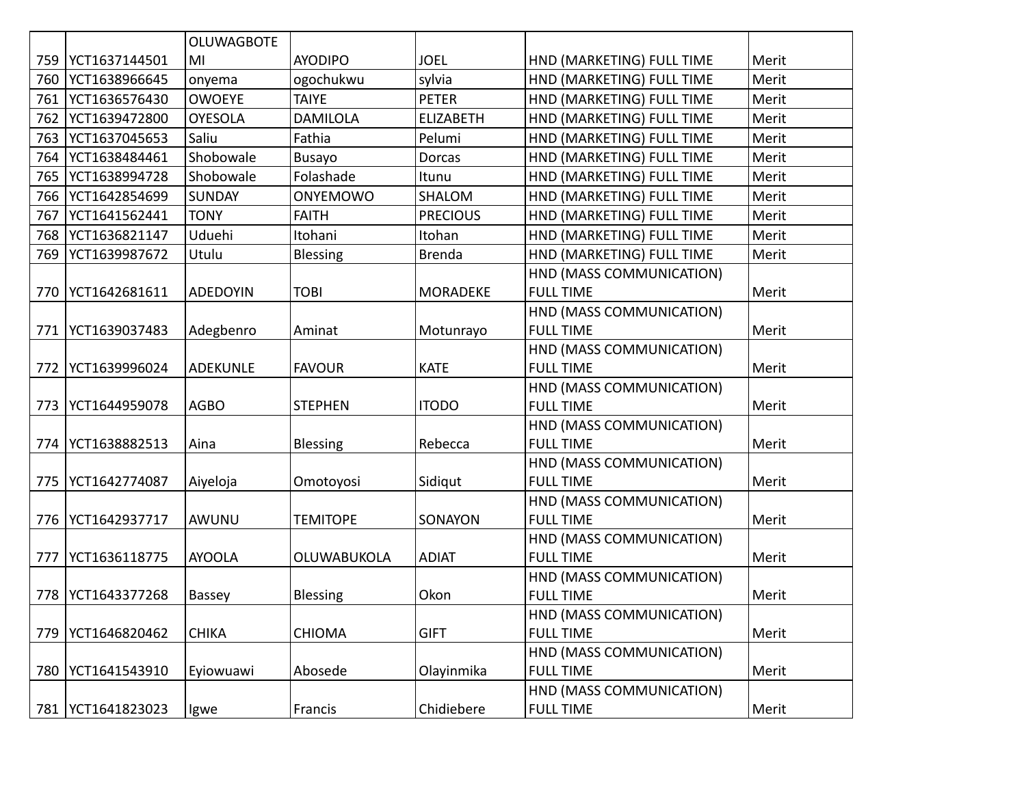|     |                     | <b>OLUWAGBOTE</b> |                    |                  |                           |       |
|-----|---------------------|-------------------|--------------------|------------------|---------------------------|-------|
| 759 | YCT1637144501       | MI                | <b>AYODIPO</b>     | <b>JOEL</b>      | HND (MARKETING) FULL TIME | Merit |
| 760 | YCT1638966645       | onyema            | ogochukwu          | sylvia           | HND (MARKETING) FULL TIME | Merit |
| 761 | YCT1636576430       | <b>OWOEYE</b>     | <b>TAIYE</b>       | <b>PETER</b>     | HND (MARKETING) FULL TIME | Merit |
| 762 | YCT1639472800       | <b>OYESOLA</b>    | <b>DAMILOLA</b>    | <b>ELIZABETH</b> | HND (MARKETING) FULL TIME | Merit |
| 763 | YCT1637045653       | Saliu             | Fathia             | Pelumi           | HND (MARKETING) FULL TIME | Merit |
| 764 | YCT1638484461       | Shobowale         | Busayo             | Dorcas           | HND (MARKETING) FULL TIME | Merit |
| 765 | YCT1638994728       | Shobowale         | Folashade          | Itunu            | HND (MARKETING) FULL TIME | Merit |
| 766 | YCT1642854699       | <b>SUNDAY</b>     | <b>ONYEMOWO</b>    | <b>SHALOM</b>    | HND (MARKETING) FULL TIME | Merit |
| 767 | YCT1641562441       | <b>TONY</b>       | <b>FAITH</b>       | <b>PRECIOUS</b>  | HND (MARKETING) FULL TIME | Merit |
| 768 | YCT1636821147       | Uduehi            | Itohani            | Itohan           | HND (MARKETING) FULL TIME | Merit |
| 769 | YCT1639987672       | Utulu             | Blessing           | <b>Brenda</b>    | HND (MARKETING) FULL TIME | Merit |
|     |                     |                   |                    |                  | HND (MASS COMMUNICATION)  |       |
| 770 | YCT1642681611       | <b>ADEDOYIN</b>   | <b>TOBI</b>        | <b>MORADEKE</b>  | <b>FULL TIME</b>          | Merit |
|     |                     |                   |                    |                  | HND (MASS COMMUNICATION)  |       |
| 771 | YCT1639037483       | Adegbenro         | Aminat             | Motunrayo        | <b>FULL TIME</b>          | Merit |
|     |                     |                   |                    |                  | HND (MASS COMMUNICATION)  |       |
|     | 772   YCT1639996024 | <b>ADEKUNLE</b>   | <b>FAVOUR</b>      | <b>KATE</b>      | <b>FULL TIME</b>          | Merit |
|     |                     |                   |                    |                  | HND (MASS COMMUNICATION)  |       |
| 773 | YCT1644959078       | <b>AGBO</b>       | <b>STEPHEN</b>     | <b>ITODO</b>     | <b>FULL TIME</b>          | Merit |
|     |                     |                   |                    |                  | HND (MASS COMMUNICATION)  |       |
|     | 774   YCT1638882513 | Aina              | <b>Blessing</b>    | Rebecca          | <b>FULL TIME</b>          | Merit |
|     |                     |                   |                    |                  | HND (MASS COMMUNICATION)  |       |
| 775 | YCT1642774087       | Aiyeloja          | Omotoyosi          | Sidiqut          | <b>FULL TIME</b>          | Merit |
|     |                     |                   |                    |                  | HND (MASS COMMUNICATION)  |       |
| 776 | YCT1642937717       | AWUNU             | <b>TEMITOPE</b>    | SONAYON          | <b>FULL TIME</b>          | Merit |
|     |                     |                   |                    |                  | HND (MASS COMMUNICATION)  |       |
| 777 | YCT1636118775       | <b>AYOOLA</b>     | <b>OLUWABUKOLA</b> | <b>ADIAT</b>     | <b>FULL TIME</b>          | Merit |
|     |                     |                   |                    |                  | HND (MASS COMMUNICATION)  |       |
| 778 | YCT1643377268       | Bassey            | Blessing           | Okon             | <b>FULL TIME</b>          | Merit |
|     |                     |                   |                    |                  | HND (MASS COMMUNICATION)  |       |
| 779 | YCT1646820462       | <b>CHIKA</b>      | <b>CHIOMA</b>      | <b>GIFT</b>      | <b>FULL TIME</b>          | Merit |
|     |                     |                   |                    |                  | HND (MASS COMMUNICATION)  |       |
| 780 | YCT1641543910       | Eyiowuawi         | Abosede            | Olayinmika       | <b>FULL TIME</b>          | Merit |
|     |                     |                   |                    |                  | HND (MASS COMMUNICATION)  |       |
| 781 | YCT1641823023       | Igwe              | Francis            | Chidiebere       | <b>FULL TIME</b>          | Merit |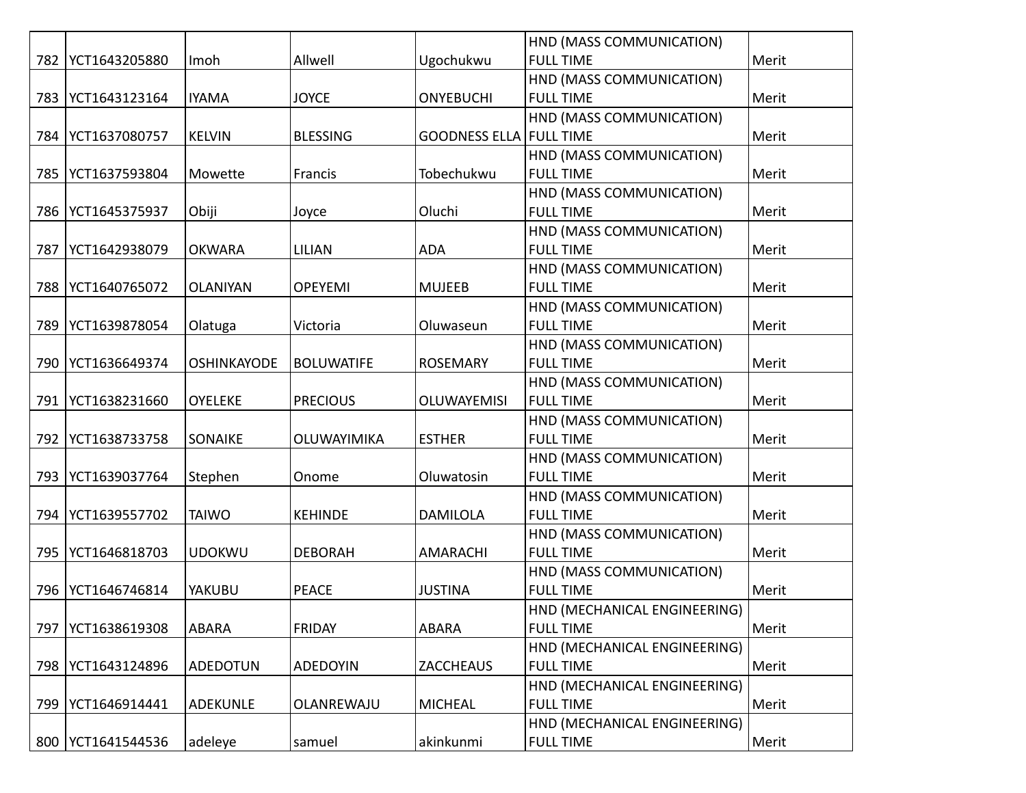|     |               |                    |                   |                                | HND (MASS COMMUNICATION)     |       |
|-----|---------------|--------------------|-------------------|--------------------------------|------------------------------|-------|
| 782 | YCT1643205880 | Imoh               | Allwell           | Ugochukwu                      | <b>FULL TIME</b>             | Merit |
|     |               |                    |                   |                                | HND (MASS COMMUNICATION)     |       |
| 783 | YCT1643123164 | <b>IYAMA</b>       | <b>JOYCE</b>      | <b>ONYEBUCHI</b>               | <b>FULL TIME</b>             | Merit |
|     |               |                    |                   |                                | HND (MASS COMMUNICATION)     |       |
| 784 | YCT1637080757 | <b>KELVIN</b>      | <b>BLESSING</b>   | <b>GOODNESS ELLA FULL TIME</b> |                              | Merit |
|     |               |                    |                   |                                | HND (MASS COMMUNICATION)     |       |
| 785 | YCT1637593804 | Mowette            | Francis           | Tobechukwu                     | <b>FULL TIME</b>             | Merit |
|     |               |                    |                   |                                | HND (MASS COMMUNICATION)     |       |
| 786 | YCT1645375937 | Obiji              | Joyce             | Oluchi                         | <b>FULL TIME</b>             | Merit |
|     |               |                    |                   |                                | HND (MASS COMMUNICATION)     |       |
| 787 | YCT1642938079 | <b>OKWARA</b>      | <b>LILIAN</b>     | <b>ADA</b>                     | <b>FULL TIME</b>             | Merit |
|     |               |                    |                   |                                | HND (MASS COMMUNICATION)     |       |
| 788 | YCT1640765072 | <b>OLANIYAN</b>    | <b>OPEYEMI</b>    | <b>MUJEEB</b>                  | <b>FULL TIME</b>             | Merit |
|     |               |                    |                   |                                | HND (MASS COMMUNICATION)     |       |
| 789 | YCT1639878054 | Olatuga            | Victoria          | Oluwaseun                      | <b>FULL TIME</b>             | Merit |
|     |               |                    |                   |                                | HND (MASS COMMUNICATION)     |       |
| 790 | YCT1636649374 | <b>OSHINKAYODE</b> | <b>BOLUWATIFE</b> | <b>ROSEMARY</b>                | <b>FULL TIME</b>             | Merit |
|     |               |                    |                   |                                | HND (MASS COMMUNICATION)     |       |
| 791 | YCT1638231660 | <b>OYELEKE</b>     | <b>PRECIOUS</b>   | <b>OLUWAYEMISI</b>             | <b>FULL TIME</b>             | Merit |
|     |               |                    |                   |                                | HND (MASS COMMUNICATION)     |       |
| 792 | YCT1638733758 | <b>SONAIKE</b>     | OLUWAYIMIKA       | <b>ESTHER</b>                  | <b>FULL TIME</b>             | Merit |
|     |               |                    |                   |                                | HND (MASS COMMUNICATION)     |       |
| 793 | YCT1639037764 | Stephen            | Onome             | Oluwatosin                     | <b>FULL TIME</b>             | Merit |
|     |               |                    |                   |                                | HND (MASS COMMUNICATION)     |       |
| 794 | YCT1639557702 | <b>TAIWO</b>       | <b>KEHINDE</b>    | <b>DAMILOLA</b>                | <b>FULL TIME</b>             | Merit |
|     |               |                    |                   |                                | HND (MASS COMMUNICATION)     |       |
| 795 | YCT1646818703 | <b>UDOKWU</b>      | <b>DEBORAH</b>    | <b>AMARACHI</b>                | <b>FULL TIME</b>             | Merit |
|     |               |                    |                   |                                | HND (MASS COMMUNICATION)     |       |
| 796 | YCT1646746814 | YAKUBU             | <b>PEACE</b>      | <b>JUSTINA</b>                 | <b>FULL TIME</b>             | Merit |
|     |               |                    |                   |                                | HND (MECHANICAL ENGINEERING) |       |
| 797 | YCT1638619308 | ABARA              | <b>FRIDAY</b>     | <b>ABARA</b>                   | <b>FULL TIME</b>             | Merit |
|     |               |                    |                   |                                | HND (MECHANICAL ENGINEERING) |       |
| 798 | YCT1643124896 | <b>ADEDOTUN</b>    | <b>ADEDOYIN</b>   | <b>ZACCHEAUS</b>               | <b>FULL TIME</b>             | Merit |
|     |               |                    |                   |                                | HND (MECHANICAL ENGINEERING) |       |
| 799 | YCT1646914441 | <b>ADEKUNLE</b>    | OLANREWAJU        | <b>MICHEAL</b>                 | <b>FULL TIME</b>             | Merit |
|     |               |                    |                   |                                | HND (MECHANICAL ENGINEERING) |       |
| 800 | YCT1641544536 | adeleye            | samuel            | akinkunmi                      | <b>FULL TIME</b>             | Merit |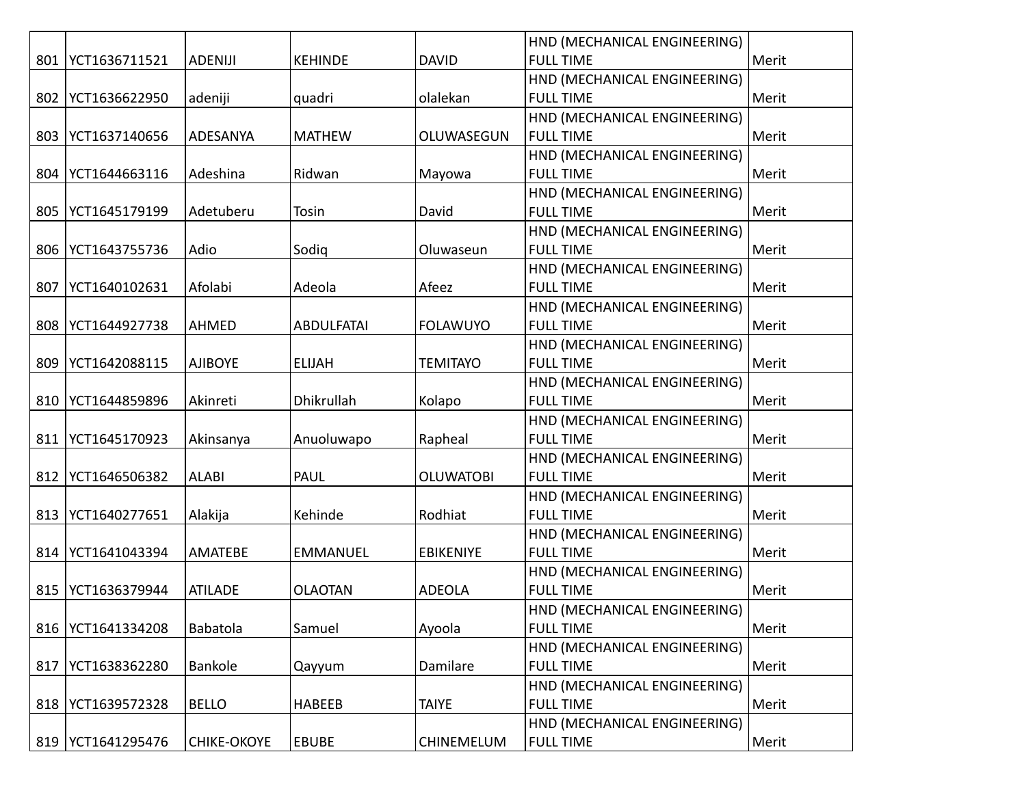|     |                     |                    |                   |                   | HND (MECHANICAL ENGINEERING) |       |
|-----|---------------------|--------------------|-------------------|-------------------|------------------------------|-------|
| 801 | YCT1636711521       | <b>ADENIJI</b>     | <b>KEHINDE</b>    | <b>DAVID</b>      | <b>FULL TIME</b>             | Merit |
|     |                     |                    |                   |                   | HND (MECHANICAL ENGINEERING) |       |
| 802 | YCT1636622950       | adeniji            | quadri            | olalekan          | <b>FULL TIME</b>             | Merit |
|     |                     |                    |                   |                   | HND (MECHANICAL ENGINEERING) |       |
| 803 | YCT1637140656       | ADESANYA           | <b>MATHEW</b>     | OLUWASEGUN        | <b>FULL TIME</b>             | Merit |
|     |                     |                    |                   |                   | HND (MECHANICAL ENGINEERING) |       |
| 804 | YCT1644663116       | Adeshina           | Ridwan            | Mayowa            | <b>FULL TIME</b>             | Merit |
|     |                     |                    |                   |                   | HND (MECHANICAL ENGINEERING) |       |
| 805 | YCT1645179199       | Adetuberu          | Tosin             | David             | <b>FULL TIME</b>             | Merit |
|     |                     |                    |                   |                   | HND (MECHANICAL ENGINEERING) |       |
| 806 | YCT1643755736       | Adio               | Sodiq             | Oluwaseun         | <b>FULL TIME</b>             | Merit |
|     |                     |                    |                   |                   | HND (MECHANICAL ENGINEERING) |       |
| 807 | YCT1640102631       | Afolabi            | Adeola            | Afeez             | <b>FULL TIME</b>             | Merit |
|     |                     |                    |                   |                   | HND (MECHANICAL ENGINEERING) |       |
| 808 | YCT1644927738       | <b>AHMED</b>       | <b>ABDULFATAI</b> | <b>FOLAWUYO</b>   | <b>FULL TIME</b>             | Merit |
|     |                     |                    |                   |                   | HND (MECHANICAL ENGINEERING) |       |
| 809 | YCT1642088115       | <b>AJIBOYE</b>     | <b>ELIJAH</b>     | <b>TEMITAYO</b>   | <b>FULL TIME</b>             | Merit |
|     |                     |                    |                   |                   | HND (MECHANICAL ENGINEERING) |       |
| 810 | YCT1644859896       | Akinreti           | Dhikrullah        | Kolapo            | <b>FULL TIME</b>             | Merit |
|     |                     |                    |                   |                   | HND (MECHANICAL ENGINEERING) |       |
| 811 | YCT1645170923       | Akinsanya          | Anuoluwapo        | Rapheal           | <b>FULL TIME</b>             | Merit |
|     |                     |                    |                   |                   | HND (MECHANICAL ENGINEERING) |       |
|     | 812   YCT1646506382 | <b>ALABI</b>       | <b>PAUL</b>       | <b>OLUWATOBI</b>  | <b>FULL TIME</b>             | Merit |
|     |                     |                    |                   |                   | HND (MECHANICAL ENGINEERING) |       |
| 813 | YCT1640277651       | Alakija            | Kehinde           | Rodhiat           | <b>FULL TIME</b>             | Merit |
|     |                     |                    |                   |                   | HND (MECHANICAL ENGINEERING) |       |
|     | 814   YCT1641043394 | <b>AMATEBE</b>     | <b>EMMANUEL</b>   | <b>EBIKENIYE</b>  | <b>FULL TIME</b>             | Merit |
|     |                     |                    |                   |                   | HND (MECHANICAL ENGINEERING) |       |
| 815 | YCT1636379944       | <b>ATILADE</b>     | <b>OLAOTAN</b>    | <b>ADEOLA</b>     | <b>FULL TIME</b>             | Merit |
|     |                     |                    |                   |                   | HND (MECHANICAL ENGINEERING) |       |
| 816 | YCT1641334208       | Babatola           | Samuel            | Ayoola            | <b>FULL TIME</b>             | Merit |
|     |                     |                    |                   |                   | HND (MECHANICAL ENGINEERING) |       |
| 817 | YCT1638362280       | Bankole            | Qayyum            | Damilare          | <b>FULL TIME</b>             | Merit |
|     |                     |                    |                   |                   | HND (MECHANICAL ENGINEERING) |       |
| 818 | YCT1639572328       | <b>BELLO</b>       | <b>HABEEB</b>     | <b>TAIYE</b>      | <b>FULL TIME</b>             | Merit |
|     |                     |                    |                   |                   | HND (MECHANICAL ENGINEERING) |       |
| 819 | YCT1641295476       | <b>CHIKE-OKOYE</b> | <b>EBUBE</b>      | <b>CHINEMELUM</b> | <b>FULL TIME</b>             | Merit |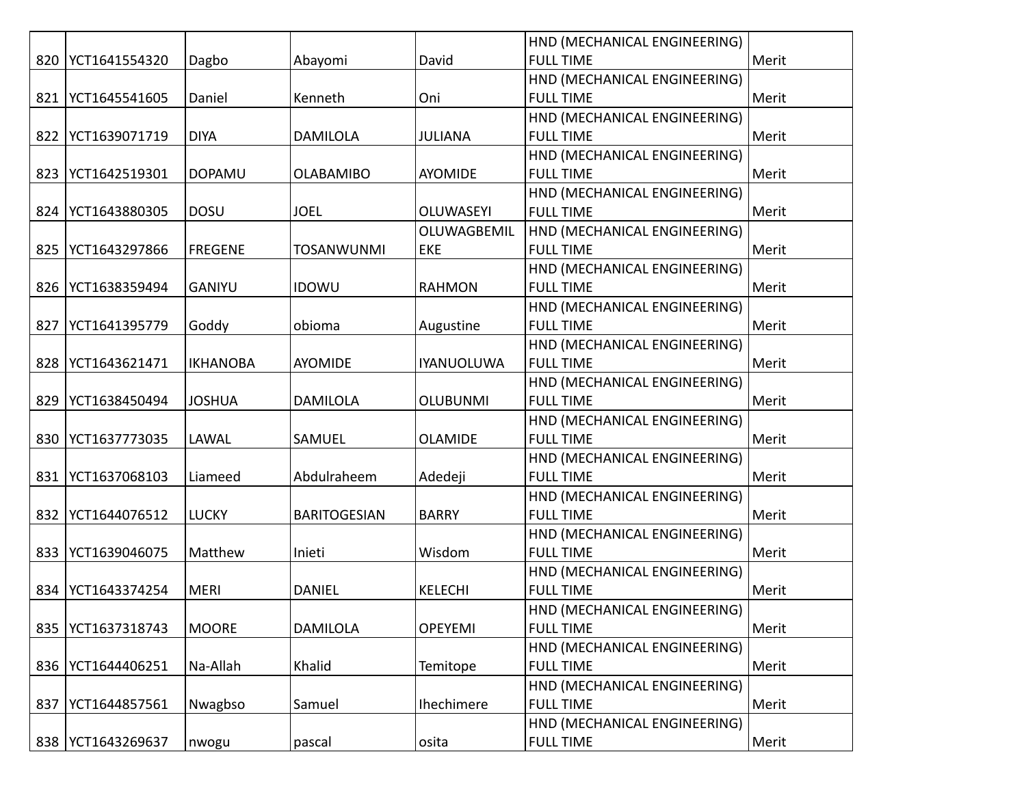|     |                     |                 |                     |                   | HND (MECHANICAL ENGINEERING) |       |
|-----|---------------------|-----------------|---------------------|-------------------|------------------------------|-------|
| 820 | YCT1641554320       | Dagbo           | Abayomi             | David             | <b>FULL TIME</b>             | Merit |
|     |                     |                 |                     |                   | HND (MECHANICAL ENGINEERING) |       |
| 821 | YCT1645541605       | Daniel          | Kenneth             | Oni               | <b>FULL TIME</b>             | Merit |
|     |                     |                 |                     |                   | HND (MECHANICAL ENGINEERING) |       |
| 822 | YCT1639071719       | <b>DIYA</b>     | <b>DAMILOLA</b>     | JULIANA           | <b>FULL TIME</b>             | Merit |
|     |                     |                 |                     |                   | HND (MECHANICAL ENGINEERING) |       |
| 823 | YCT1642519301       | <b>DOPAMU</b>   | <b>OLABAMIBO</b>    | <b>AYOMIDE</b>    | <b>FULL TIME</b>             | Merit |
|     |                     |                 |                     |                   | HND (MECHANICAL ENGINEERING) |       |
|     | 824   YCT1643880305 | <b>DOSU</b>     | <b>JOEL</b>         | <b>OLUWASEYI</b>  | <b>FULL TIME</b>             | Merit |
|     |                     |                 |                     | OLUWAGBEMIL       | HND (MECHANICAL ENGINEERING) |       |
| 825 | YCT1643297866       | <b>FREGENE</b>  | <b>TOSANWUNMI</b>   | EKE               | <b>FULL TIME</b>             | Merit |
|     |                     |                 |                     |                   | HND (MECHANICAL ENGINEERING) |       |
| 826 | YCT1638359494       | <b>GANIYU</b>   | <b>IDOWU</b>        | <b>RAHMON</b>     | <b>FULL TIME</b>             | Merit |
|     |                     |                 |                     |                   | HND (MECHANICAL ENGINEERING) |       |
| 827 | YCT1641395779       | Goddy           | obioma              | Augustine         | <b>FULL TIME</b>             | Merit |
|     |                     |                 |                     |                   | HND (MECHANICAL ENGINEERING) |       |
| 828 | YCT1643621471       | <b>IKHANOBA</b> | <b>AYOMIDE</b>      | <b>IYANUOLUWA</b> | <b>FULL TIME</b>             | Merit |
|     |                     |                 |                     |                   | HND (MECHANICAL ENGINEERING) |       |
| 829 | YCT1638450494       | <b>JOSHUA</b>   | <b>DAMILOLA</b>     | <b>OLUBUNMI</b>   | <b>FULL TIME</b>             | Merit |
|     |                     |                 |                     |                   | HND (MECHANICAL ENGINEERING) |       |
| 830 | YCT1637773035       | LAWAL           | SAMUEL              | <b>OLAMIDE</b>    | <b>FULL TIME</b>             | Merit |
|     |                     |                 |                     |                   | HND (MECHANICAL ENGINEERING) |       |
| 831 | YCT1637068103       | Liameed         | Abdulraheem         | Adedeji           | <b>FULL TIME</b>             | Merit |
|     |                     |                 |                     |                   | HND (MECHANICAL ENGINEERING) |       |
| 832 | YCT1644076512       | <b>LUCKY</b>    | <b>BARITOGESIAN</b> | <b>BARRY</b>      | <b>FULL TIME</b>             | Merit |
|     |                     |                 |                     |                   | HND (MECHANICAL ENGINEERING) |       |
| 833 | YCT1639046075       | Matthew         | Inieti              | Wisdom            | <b>FULL TIME</b>             | Merit |
|     |                     |                 |                     |                   | HND (MECHANICAL ENGINEERING) |       |
| 834 | YCT1643374254       | <b>MERI</b>     | <b>DANIEL</b>       | <b>KELECHI</b>    | <b>FULL TIME</b>             | Merit |
|     |                     |                 |                     |                   | HND (MECHANICAL ENGINEERING) |       |
| 835 | YCT1637318743       | <b>MOORE</b>    | <b>DAMILOLA</b>     | <b>OPEYEMI</b>    | <b>FULL TIME</b>             | Merit |
|     |                     |                 |                     |                   | HND (MECHANICAL ENGINEERING) |       |
| 836 | YCT1644406251       | Na-Allah        | Khalid              | Temitope          | <b>FULL TIME</b>             | Merit |
|     |                     |                 |                     |                   | HND (MECHANICAL ENGINEERING) |       |
| 837 | YCT1644857561       | Nwagbso         | Samuel              | Ihechimere        | <b>FULL TIME</b>             | Merit |
|     |                     |                 |                     |                   | HND (MECHANICAL ENGINEERING) |       |
| 838 | YCT1643269637       | nwogu           | pascal              | osita             | <b>FULL TIME</b>             | Merit |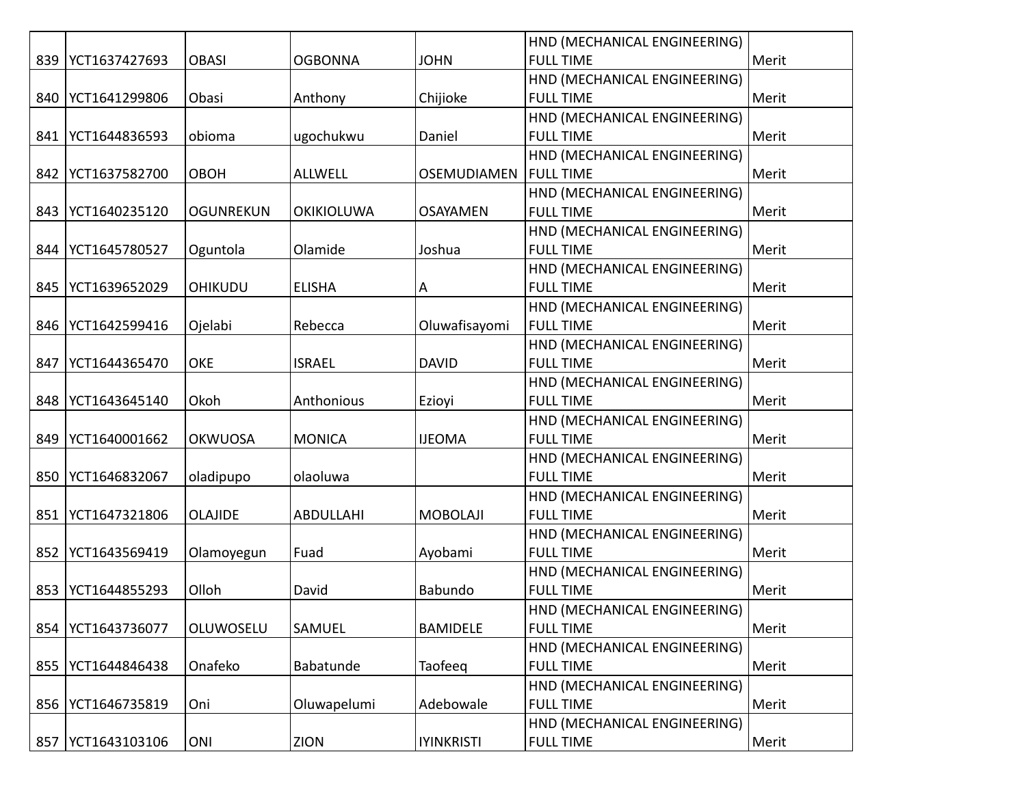|     |               |                  |                   |                    | HND (MECHANICAL ENGINEERING) |       |
|-----|---------------|------------------|-------------------|--------------------|------------------------------|-------|
| 839 | YCT1637427693 | <b>OBASI</b>     | <b>OGBONNA</b>    | <b>JOHN</b>        | <b>FULL TIME</b>             | Merit |
|     |               |                  |                   |                    | HND (MECHANICAL ENGINEERING) |       |
| 840 | YCT1641299806 | Obasi            | Anthony           | Chijioke           | <b>FULL TIME</b>             | Merit |
|     |               |                  |                   |                    | HND (MECHANICAL ENGINEERING) |       |
| 841 | YCT1644836593 | obioma           | ugochukwu         | Daniel             | <b>FULL TIME</b>             | Merit |
|     |               |                  |                   |                    | HND (MECHANICAL ENGINEERING) |       |
| 842 | YCT1637582700 | <b>OBOH</b>      | <b>ALLWELL</b>    | <b>OSEMUDIAMEN</b> | <b>FULL TIME</b>             | Merit |
|     |               |                  |                   |                    | HND (MECHANICAL ENGINEERING) |       |
| 843 | YCT1640235120 | <b>OGUNREKUN</b> | <b>OKIKIOLUWA</b> | <b>OSAYAMEN</b>    | <b>FULL TIME</b>             | Merit |
|     |               |                  |                   |                    | HND (MECHANICAL ENGINEERING) |       |
| 844 | YCT1645780527 | Oguntola         | Olamide           | Joshua             | <b>FULL TIME</b>             | Merit |
|     |               |                  |                   |                    | HND (MECHANICAL ENGINEERING) |       |
| 845 | YCT1639652029 | <b>OHIKUDU</b>   | <b>ELISHA</b>     | Α                  | <b>FULL TIME</b>             | Merit |
|     |               |                  |                   |                    | HND (MECHANICAL ENGINEERING) |       |
| 846 | YCT1642599416 | Ojelabi          | Rebecca           | Oluwafisayomi      | <b>FULL TIME</b>             | Merit |
|     |               |                  |                   |                    | HND (MECHANICAL ENGINEERING) |       |
| 847 | YCT1644365470 | <b>OKE</b>       | <b>ISRAEL</b>     | <b>DAVID</b>       | <b>FULL TIME</b>             | Merit |
|     |               |                  |                   |                    | HND (MECHANICAL ENGINEERING) |       |
| 848 | YCT1643645140 | Okoh             | Anthonious        | Ezioyi             | <b>FULL TIME</b>             | Merit |
|     |               |                  |                   |                    | HND (MECHANICAL ENGINEERING) |       |
| 849 | YCT1640001662 | <b>OKWUOSA</b>   | <b>MONICA</b>     | <b>IJEOMA</b>      | <b>FULL TIME</b>             | Merit |
|     |               |                  |                   |                    | HND (MECHANICAL ENGINEERING) |       |
| 850 | YCT1646832067 | oladipupo        | olaoluwa          |                    | <b>FULL TIME</b>             | Merit |
|     |               |                  |                   |                    | HND (MECHANICAL ENGINEERING) |       |
| 851 | YCT1647321806 | <b>OLAJIDE</b>   | <b>ABDULLAHI</b>  | <b>MOBOLAJI</b>    | <b>FULL TIME</b>             | Merit |
|     |               |                  |                   |                    | HND (MECHANICAL ENGINEERING) |       |
| 852 | YCT1643569419 | Olamoyegun       | Fuad              | Ayobami            | <b>FULL TIME</b>             | Merit |
|     |               |                  |                   |                    | HND (MECHANICAL ENGINEERING) |       |
| 853 | YCT1644855293 | Olloh            | David             | Babundo            | <b>FULL TIME</b>             | Merit |
|     |               |                  |                   |                    | HND (MECHANICAL ENGINEERING) |       |
| 854 | YCT1643736077 | OLUWOSELU        | SAMUEL            | <b>BAMIDELE</b>    | <b>FULL TIME</b>             | Merit |
|     |               |                  |                   |                    | HND (MECHANICAL ENGINEERING) |       |
| 855 | YCT1644846438 | Onafeko          | Babatunde         | Taofeeq            | <b>FULL TIME</b>             | Merit |
|     |               |                  |                   |                    | HND (MECHANICAL ENGINEERING) |       |
| 856 | YCT1646735819 | Oni              | Oluwapelumi       | Adebowale          | <b>FULL TIME</b>             | Merit |
|     |               |                  |                   |                    | HND (MECHANICAL ENGINEERING) |       |
| 857 | YCT1643103106 | ONI              | ZION              | <b>IYINKRISTI</b>  | <b>FULL TIME</b>             | Merit |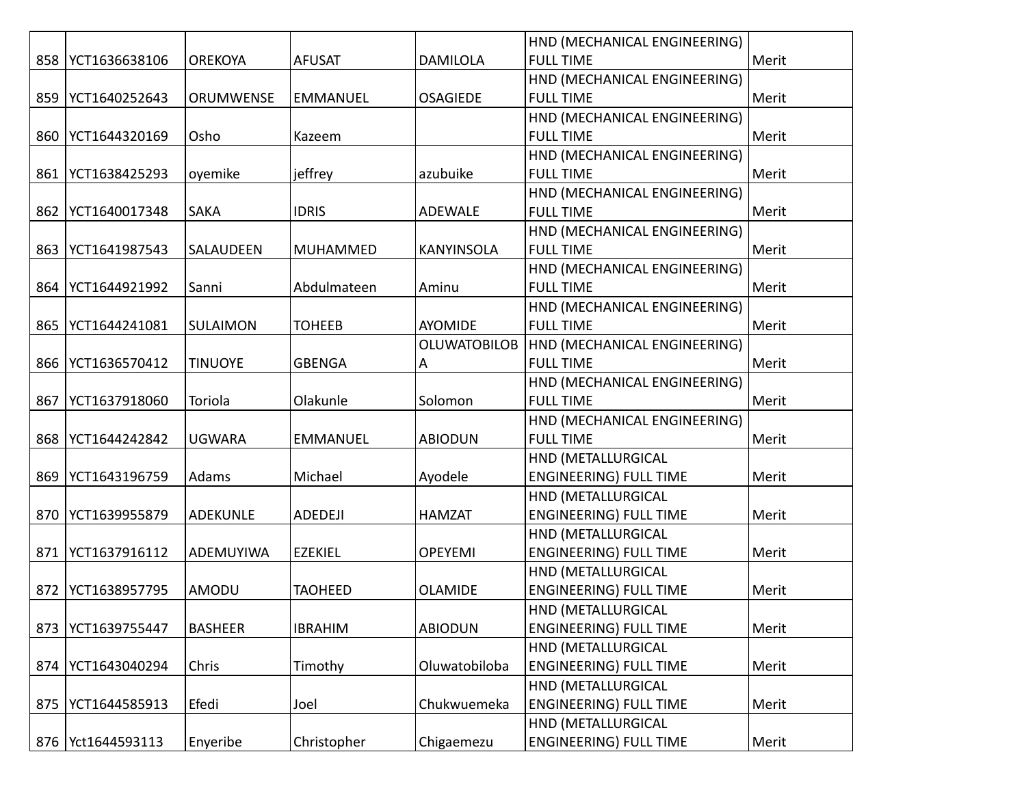|     |                     |                 |                 |                     | HND (MECHANICAL ENGINEERING)  |       |
|-----|---------------------|-----------------|-----------------|---------------------|-------------------------------|-------|
| 858 | YCT1636638106       | <b>OREKOYA</b>  | <b>AFUSAT</b>   | <b>DAMILOLA</b>     | <b>FULL TIME</b>              | Merit |
|     |                     |                 |                 |                     | HND (MECHANICAL ENGINEERING)  |       |
| 859 | YCT1640252643       | ORUMWENSE       | <b>EMMANUEL</b> | <b>OSAGIEDE</b>     | <b>FULL TIME</b>              | Merit |
|     |                     |                 |                 |                     | HND (MECHANICAL ENGINEERING)  |       |
| 860 | YCT1644320169       | Osho            | Kazeem          |                     | <b>FULL TIME</b>              | Merit |
|     |                     |                 |                 |                     | HND (MECHANICAL ENGINEERING)  |       |
| 861 | YCT1638425293       | oyemike         | jeffrey         | azubuike            | <b>FULL TIME</b>              | Merit |
|     |                     |                 |                 |                     | HND (MECHANICAL ENGINEERING)  |       |
| 862 | YCT1640017348       | <b>SAKA</b>     | <b>IDRIS</b>    | ADEWALE             | <b>FULL TIME</b>              | Merit |
|     |                     |                 |                 |                     | HND (MECHANICAL ENGINEERING)  |       |
| 863 | YCT1641987543       | SALAUDEEN       | <b>MUHAMMED</b> | KANYINSOLA          | <b>FULL TIME</b>              | Merit |
|     |                     |                 |                 |                     | HND (MECHANICAL ENGINEERING)  |       |
| 864 | YCT1644921992       | Sanni           | Abdulmateen     | Aminu               | <b>FULL TIME</b>              | Merit |
|     |                     |                 |                 |                     | HND (MECHANICAL ENGINEERING)  |       |
| 865 | YCT1644241081       | SULAIMON        | <b>TOHEEB</b>   | <b>AYOMIDE</b>      | <b>FULL TIME</b>              | Merit |
|     |                     |                 |                 | <b>OLUWATOBILOB</b> | HND (MECHANICAL ENGINEERING)  |       |
| 866 | YCT1636570412       | <b>TINUOYE</b>  | <b>GBENGA</b>   | Α                   | <b>FULL TIME</b>              | Merit |
|     |                     |                 |                 |                     | HND (MECHANICAL ENGINEERING)  |       |
| 867 | YCT1637918060       | Toriola         | Olakunle        | Solomon             | <b>FULL TIME</b>              | Merit |
|     |                     |                 |                 |                     | HND (MECHANICAL ENGINEERING)  |       |
| 868 | YCT1644242842       | <b>UGWARA</b>   | <b>EMMANUEL</b> | <b>ABIODUN</b>      | <b>FULL TIME</b>              | Merit |
|     |                     |                 |                 |                     | HND (METALLURGICAL            |       |
| 869 | YCT1643196759       | Adams           | Michael         | Ayodele             | <b>ENGINEERING) FULL TIME</b> | Merit |
|     |                     |                 |                 |                     | HND (METALLURGICAL            |       |
| 870 | YCT1639955879       | <b>ADEKUNLE</b> | ADEDEJI         | <b>HAMZAT</b>       | <b>ENGINEERING) FULL TIME</b> | Merit |
|     |                     |                 |                 |                     | HND (METALLURGICAL            |       |
| 871 | YCT1637916112       | ADEMUYIWA       | <b>EZEKIEL</b>  | <b>OPEYEMI</b>      | <b>ENGINEERING) FULL TIME</b> | Merit |
|     |                     |                 |                 |                     | HND (METALLURGICAL            |       |
| 872 | YCT1638957795       | AMODU           | <b>TAOHEED</b>  | <b>OLAMIDE</b>      | <b>ENGINEERING) FULL TIME</b> | Merit |
|     |                     |                 |                 |                     | HND (METALLURGICAL            |       |
| 873 | YCT1639755447       | <b>BASHEER</b>  | <b>IBRAHIM</b>  | <b>ABIODUN</b>      | <b>ENGINEERING) FULL TIME</b> | Merit |
|     |                     |                 |                 |                     | HND (METALLURGICAL            |       |
| 874 | YCT1643040294       | Chris           | Timothy         | Oluwatobiloba       | <b>ENGINEERING) FULL TIME</b> | Merit |
|     |                     |                 |                 |                     | HND (METALLURGICAL            |       |
| 875 | YCT1644585913       | Efedi           | Joel            | Chukwuemeka         | <b>ENGINEERING) FULL TIME</b> | Merit |
|     |                     |                 |                 |                     | HND (METALLURGICAL            |       |
|     | 876   Yct1644593113 | Enyeribe        | Christopher     | Chigaemezu          | <b>ENGINEERING) FULL TIME</b> | Merit |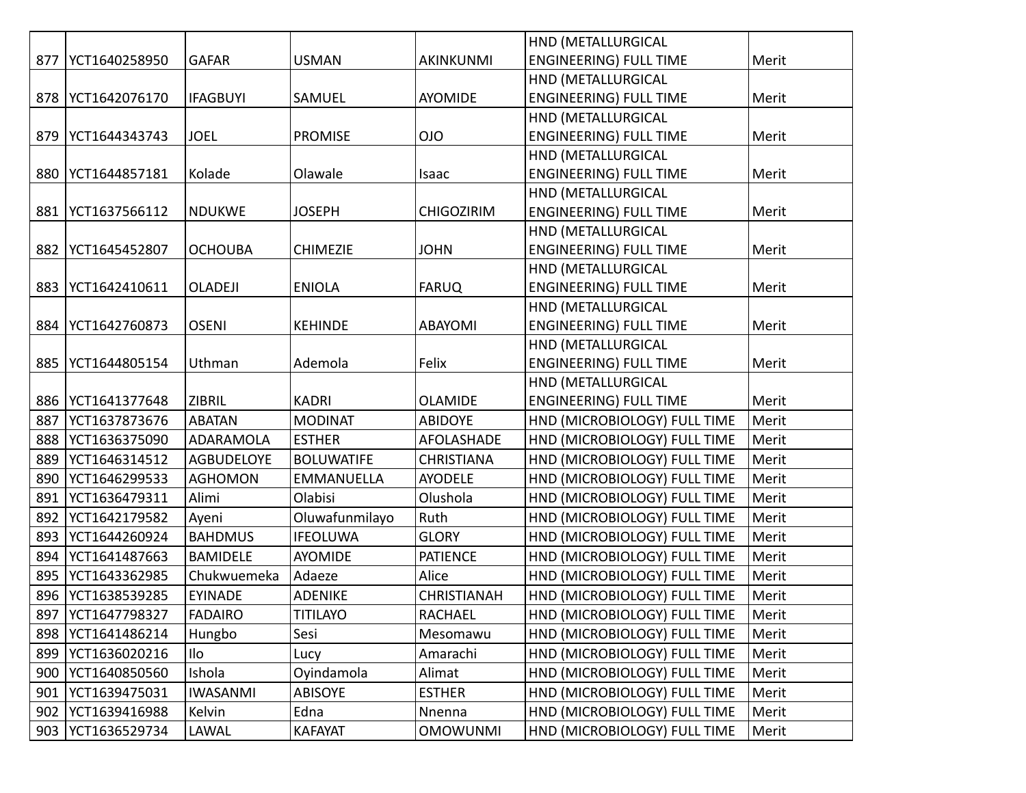|     |               |                   |                   |                    | HND (METALLURGICAL            |       |
|-----|---------------|-------------------|-------------------|--------------------|-------------------------------|-------|
| 877 | YCT1640258950 | <b>GAFAR</b>      | <b>USMAN</b>      | <b>AKINKUNMI</b>   | <b>ENGINEERING) FULL TIME</b> | Merit |
|     |               |                   |                   |                    | HND (METALLURGICAL            |       |
| 878 | YCT1642076170 | <b>IFAGBUYI</b>   | SAMUEL            | AYOMIDE            | <b>ENGINEERING) FULL TIME</b> | Merit |
|     |               |                   |                   |                    | HND (METALLURGICAL            |       |
| 879 | YCT1644343743 | <b>JOEL</b>       | <b>PROMISE</b>    | OJO                | <b>ENGINEERING) FULL TIME</b> | Merit |
|     |               |                   |                   |                    | HND (METALLURGICAL            |       |
| 880 | YCT1644857181 | Kolade            | Olawale           | Isaac              | <b>ENGINEERING) FULL TIME</b> | Merit |
|     |               |                   |                   |                    | HND (METALLURGICAL            |       |
| 881 | YCT1637566112 | <b>NDUKWE</b>     | <b>JOSEPH</b>     | <b>CHIGOZIRIM</b>  | <b>ENGINEERING) FULL TIME</b> | Merit |
|     |               |                   |                   |                    | HND (METALLURGICAL            |       |
| 882 | YCT1645452807 | <b>OCHOUBA</b>    | <b>CHIMEZIE</b>   | <b>JOHN</b>        | <b>ENGINEERING) FULL TIME</b> | Merit |
|     |               |                   |                   |                    | HND (METALLURGICAL            |       |
| 883 | YCT1642410611 | <b>OLADEJI</b>    | <b>ENIOLA</b>     | <b>FARUQ</b>       | <b>ENGINEERING) FULL TIME</b> | Merit |
|     |               |                   |                   |                    | HND (METALLURGICAL            |       |
| 884 | YCT1642760873 | <b>OSENI</b>      | <b>KEHINDE</b>    | ABAYOMI            | <b>ENGINEERING) FULL TIME</b> | Merit |
|     |               |                   |                   |                    | HND (METALLURGICAL            |       |
| 885 | YCT1644805154 | Uthman            | Ademola           | Felix              | <b>ENGINEERING) FULL TIME</b> | Merit |
|     |               |                   |                   |                    | HND (METALLURGICAL            |       |
| 886 | YCT1641377648 | <b>ZIBRIL</b>     | <b>KADRI</b>      | <b>OLAMIDE</b>     | <b>ENGINEERING) FULL TIME</b> | Merit |
| 887 | YCT1637873676 | <b>ABATAN</b>     | <b>MODINAT</b>    | <b>ABIDOYE</b>     | HND (MICROBIOLOGY) FULL TIME  | Merit |
| 888 | YCT1636375090 | ADARAMOLA         | <b>ESTHER</b>     | AFOLASHADE         | HND (MICROBIOLOGY) FULL TIME  | Merit |
| 889 | YCT1646314512 | <b>AGBUDELOYE</b> | <b>BOLUWATIFE</b> | <b>CHRISTIANA</b>  | HND (MICROBIOLOGY) FULL TIME  | Merit |
| 890 | YCT1646299533 | <b>AGHOMON</b>    | EMMANUELLA        | <b>AYODELE</b>     | HND (MICROBIOLOGY) FULL TIME  | Merit |
| 891 | YCT1636479311 | Alimi             | Olabisi           | Olushola           | HND (MICROBIOLOGY) FULL TIME  | Merit |
| 892 | YCT1642179582 | Ayeni             | Oluwafunmilayo    | Ruth               | HND (MICROBIOLOGY) FULL TIME  | Merit |
| 893 | YCT1644260924 | <b>BAHDMUS</b>    | <b>IFEOLUWA</b>   | <b>GLORY</b>       | HND (MICROBIOLOGY) FULL TIME  | Merit |
| 894 | YCT1641487663 | <b>BAMIDELE</b>   | AYOMIDE           | <b>PATIENCE</b>    | HND (MICROBIOLOGY) FULL TIME  | Merit |
| 895 | YCT1643362985 | Chukwuemeka       | Adaeze            | Alice              | HND (MICROBIOLOGY) FULL TIME  | Merit |
| 896 | YCT1638539285 | <b>EYINADE</b>    | <b>ADENIKE</b>    | <b>CHRISTIANAH</b> | HND (MICROBIOLOGY) FULL TIME  | Merit |
| 897 | YCT1647798327 | <b>FADAIRO</b>    | <b>TITILAYO</b>   | RACHAEL            | HND (MICROBIOLOGY) FULL TIME  | Merit |
| 898 | YCT1641486214 | Hungbo            | Sesi              | Mesomawu           | HND (MICROBIOLOGY) FULL TIME  | Merit |
| 899 | YCT1636020216 | Ilo               | Lucy              | Amarachi           | HND (MICROBIOLOGY) FULL TIME  | Merit |
| 900 | YCT1640850560 | Ishola            | Oyindamola        | Alimat             | HND (MICROBIOLOGY) FULL TIME  | Merit |
| 901 | YCT1639475031 | <b>IWASANMI</b>   | ABISOYE           | <b>ESTHER</b>      | HND (MICROBIOLOGY) FULL TIME  | Merit |
| 902 | YCT1639416988 | Kelvin            | Edna              | Nnenna             | HND (MICROBIOLOGY) FULL TIME  | Merit |
| 903 | YCT1636529734 | LAWAL             | <b>KAFAYAT</b>    | <b>OMOWUNMI</b>    | HND (MICROBIOLOGY) FULL TIME  | Merit |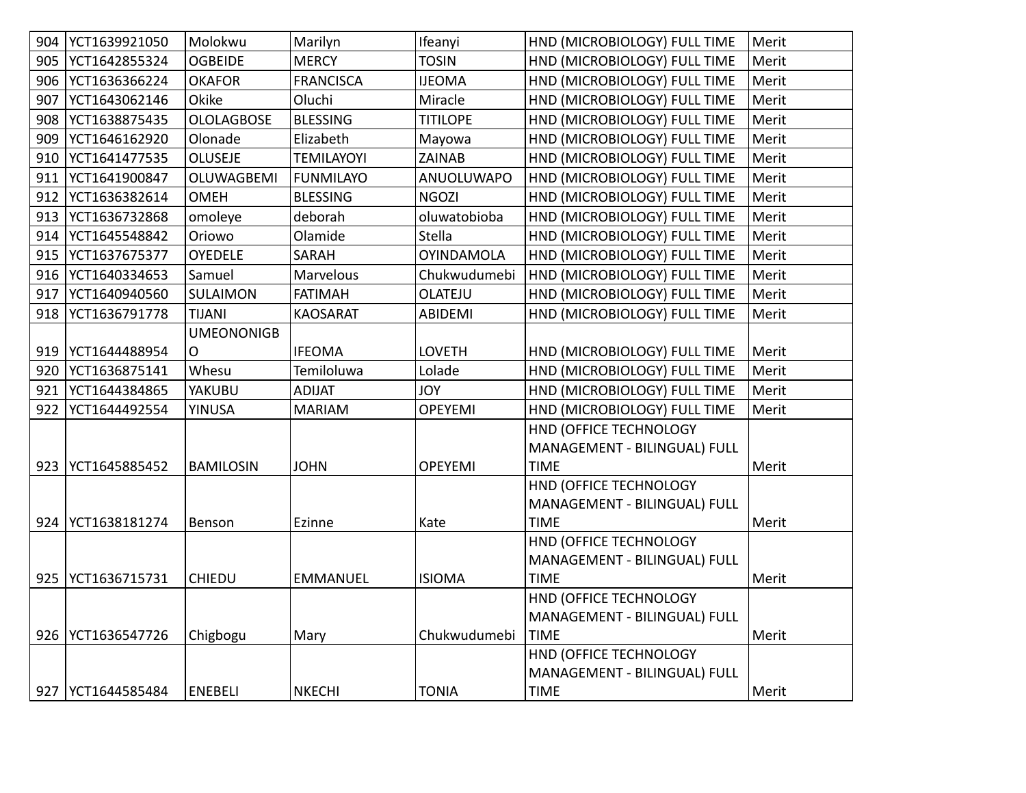| 904 | YCT1639921050       | Molokwu           | Marilyn           | Ifeanyi           | HND (MICROBIOLOGY) FULL TIME | Merit |
|-----|---------------------|-------------------|-------------------|-------------------|------------------------------|-------|
| 905 | YCT1642855324       | <b>OGBEIDE</b>    | <b>MERCY</b>      | <b>TOSIN</b>      | HND (MICROBIOLOGY) FULL TIME | Merit |
| 906 | YCT1636366224       | <b>OKAFOR</b>     | <b>FRANCISCA</b>  | <b>IJEOMA</b>     | HND (MICROBIOLOGY) FULL TIME | Merit |
| 907 | YCT1643062146       | Okike             | Oluchi            | Miracle           | HND (MICROBIOLOGY) FULL TIME | Merit |
| 908 | YCT1638875435       | <b>OLOLAGBOSE</b> | <b>BLESSING</b>   | <b>TITILOPE</b>   | HND (MICROBIOLOGY) FULL TIME | Merit |
| 909 | YCT1646162920       | Olonade           | Elizabeth         | Mayowa            | HND (MICROBIOLOGY) FULL TIME | Merit |
| 910 | YCT1641477535       | <b>OLUSEJE</b>    | <b>TEMILAYOYI</b> | ZAINAB            | HND (MICROBIOLOGY) FULL TIME | Merit |
| 911 | YCT1641900847       | OLUWAGBEMI        | <b>FUNMILAYO</b>  | ANUOLUWAPO        | HND (MICROBIOLOGY) FULL TIME | Merit |
| 912 | YCT1636382614       | <b>OMEH</b>       | <b>BLESSING</b>   | <b>NGOZI</b>      | HND (MICROBIOLOGY) FULL TIME | Merit |
| 913 | YCT1636732868       | omoleye           | deborah           | oluwatobioba      | HND (MICROBIOLOGY) FULL TIME | Merit |
| 914 | YCT1645548842       | Oriowo            | Olamide           | Stella            | HND (MICROBIOLOGY) FULL TIME | Merit |
| 915 | YCT1637675377       | <b>OYEDELE</b>    | <b>SARAH</b>      | <b>OYINDAMOLA</b> | HND (MICROBIOLOGY) FULL TIME | Merit |
| 916 | YCT1640334653       | Samuel            | Marvelous         | Chukwudumebi      | HND (MICROBIOLOGY) FULL TIME | Merit |
| 917 | YCT1640940560       | SULAIMON          | <b>FATIMAH</b>    | <b>OLATEJU</b>    | HND (MICROBIOLOGY) FULL TIME | Merit |
| 918 | YCT1636791778       | <b>TIJANI</b>     | <b>KAOSARAT</b>   | ABIDEMI           | HND (MICROBIOLOGY) FULL TIME | Merit |
|     |                     | <b>UMEONONIGB</b> |                   |                   |                              |       |
| 919 | YCT1644488954       | O                 | <b>IFEOMA</b>     | <b>LOVETH</b>     | HND (MICROBIOLOGY) FULL TIME | Merit |
| 920 | YCT1636875141       | Whesu             | Temiloluwa        | Lolade            | HND (MICROBIOLOGY) FULL TIME | Merit |
| 921 | YCT1644384865       | YAKUBU            | <b>ADIJAT</b>     | <b>JOY</b>        | HND (MICROBIOLOGY) FULL TIME | Merit |
| 922 | YCT1644492554       | <b>YINUSA</b>     | <b>MARIAM</b>     | <b>OPEYEMI</b>    | HND (MICROBIOLOGY) FULL TIME | Merit |
|     |                     |                   |                   |                   | HND (OFFICE TECHNOLOGY       |       |
|     |                     |                   |                   |                   | MANAGEMENT - BILINGUAL) FULL |       |
| 923 | YCT1645885452       | <b>BAMILOSIN</b>  | <b>JOHN</b>       | <b>OPEYEMI</b>    | <b>TIME</b>                  | Merit |
|     |                     |                   |                   |                   | HND (OFFICE TECHNOLOGY       |       |
|     |                     |                   |                   |                   | MANAGEMENT - BILINGUAL) FULL |       |
| 924 | YCT1638181274       | Benson            | Ezinne            | Kate              | <b>TIME</b>                  | Merit |
|     |                     |                   |                   |                   | HND (OFFICE TECHNOLOGY       |       |
|     |                     |                   |                   |                   | MANAGEMENT - BILINGUAL) FULL |       |
| 925 | YCT1636715731       | <b>CHIEDU</b>     | <b>EMMANUEL</b>   | <b>ISIOMA</b>     | <b>TIME</b>                  | Merit |
|     |                     |                   |                   |                   | HND (OFFICE TECHNOLOGY       |       |
|     |                     |                   |                   |                   | MANAGEMENT - BILINGUAL) FULL |       |
|     | 926   YCT1636547726 | Chigbogu          | Mary              | Chukwudumebi      | <b>TIME</b>                  | Merit |
|     |                     |                   |                   |                   | HND (OFFICE TECHNOLOGY       |       |
|     |                     |                   |                   |                   | MANAGEMENT - BILINGUAL) FULL |       |
|     | 927   YCT1644585484 | <b>ENEBELI</b>    | <b>NKECHI</b>     | <b>TONIA</b>      | <b>TIME</b>                  | Merit |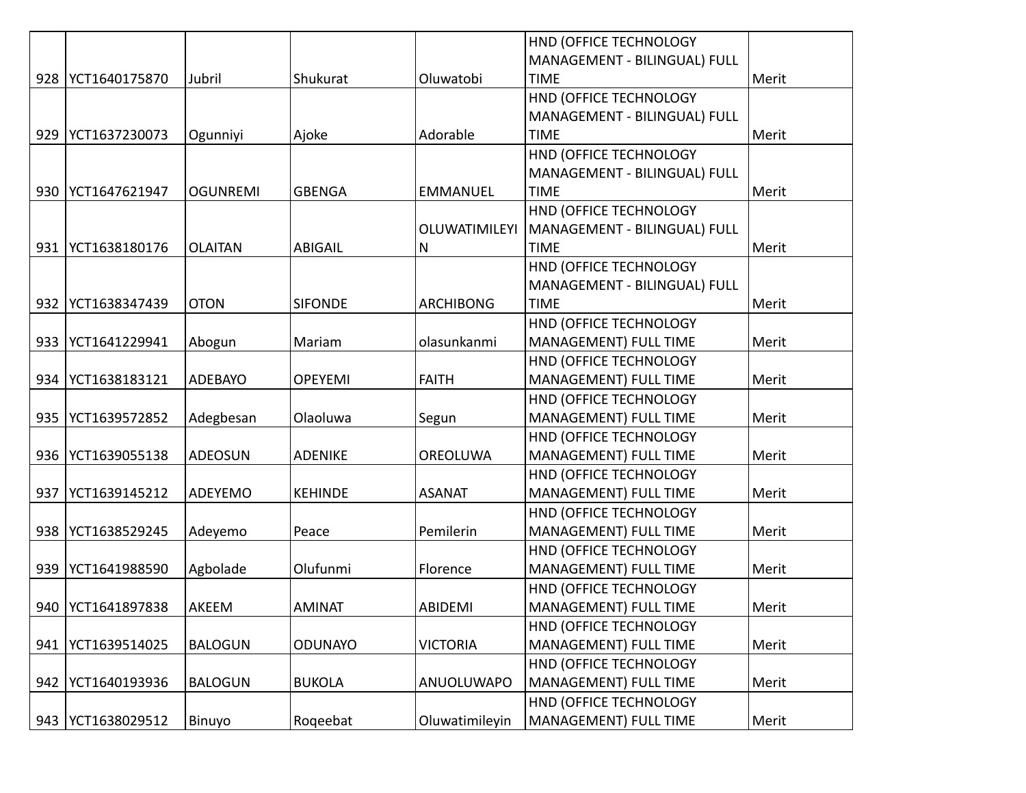|     |                     |                 |                |                  | HND (OFFICE TECHNOLOGY       |       |
|-----|---------------------|-----------------|----------------|------------------|------------------------------|-------|
|     |                     |                 |                |                  | MANAGEMENT - BILINGUAL) FULL |       |
| 928 | YCT1640175870       | Jubril          | Shukurat       | Oluwatobi        | <b>TIME</b>                  | Merit |
|     |                     |                 |                |                  | HND (OFFICE TECHNOLOGY       |       |
|     |                     |                 |                |                  | MANAGEMENT - BILINGUAL) FULL |       |
| 929 | YCT1637230073       | Ogunniyi        | Ajoke          | Adorable         | <b>TIME</b>                  | Merit |
|     |                     |                 |                |                  | HND (OFFICE TECHNOLOGY       |       |
|     |                     |                 |                |                  | MANAGEMENT - BILINGUAL) FULL |       |
| 930 | YCT1647621947       | <b>OGUNREMI</b> | <b>GBENGA</b>  | <b>EMMANUEL</b>  | <b>TIME</b>                  | Merit |
|     |                     |                 |                |                  | HND (OFFICE TECHNOLOGY       |       |
|     |                     |                 |                | OLUWATIMILEYI    | MANAGEMENT - BILINGUAL) FULL |       |
| 931 | YCT1638180176       | <b>OLAITAN</b>  | ABIGAIL        | $\mathsf{N}$     | <b>TIME</b>                  | Merit |
|     |                     |                 |                |                  | HND (OFFICE TECHNOLOGY       |       |
|     |                     |                 |                |                  | MANAGEMENT - BILINGUAL) FULL |       |
| 932 | YCT1638347439       | <b>OTON</b>     | <b>SIFONDE</b> | <b>ARCHIBONG</b> | <b>TIME</b>                  | Merit |
|     |                     |                 |                |                  | HND (OFFICE TECHNOLOGY       |       |
| 933 | YCT1641229941       | Abogun          | Mariam         | olasunkanmi      | <b>MANAGEMENT) FULL TIME</b> | Merit |
|     |                     |                 |                |                  | HND (OFFICE TECHNOLOGY       |       |
| 934 | YCT1638183121       | ADEBAYO         | <b>OPEYEMI</b> | <b>FAITH</b>     | <b>MANAGEMENT) FULL TIME</b> | Merit |
|     |                     |                 |                |                  | HND (OFFICE TECHNOLOGY       |       |
| 935 | YCT1639572852       | Adegbesan       | Olaoluwa       | Segun            | MANAGEMENT) FULL TIME        | Merit |
|     |                     |                 |                |                  | HND (OFFICE TECHNOLOGY       |       |
| 936 | YCT1639055138       | <b>ADEOSUN</b>  | <b>ADENIKE</b> | OREOLUWA         | MANAGEMENT) FULL TIME        | Merit |
|     |                     |                 |                |                  | HND (OFFICE TECHNOLOGY       |       |
| 937 | YCT1639145212       | ADEYEMO         | <b>KEHINDE</b> | <b>ASANAT</b>    | MANAGEMENT) FULL TIME        | Merit |
|     |                     |                 |                |                  | HND (OFFICE TECHNOLOGY       |       |
| 938 | YCT1638529245       | Adeyemo         | Peace          | Pemilerin        | MANAGEMENT) FULL TIME        | Merit |
|     |                     |                 |                |                  | HND (OFFICE TECHNOLOGY       |       |
| 939 | YCT1641988590       | Agbolade        | Olufunmi       | Florence         | MANAGEMENT) FULL TIME        | Merit |
|     |                     |                 |                |                  | HND (OFFICE TECHNOLOGY       |       |
|     | 940   YCT1641897838 | AKEEM           | <b>AMINAT</b>  | ABIDEMI          | MANAGEMENT) FULL TIME        | Merit |
|     |                     |                 |                |                  | HND (OFFICE TECHNOLOGY       |       |
| 941 | YCT1639514025       | <b>BALOGUN</b>  | <b>ODUNAYO</b> | <b>VICTORIA</b>  | MANAGEMENT) FULL TIME        | Merit |
|     |                     |                 |                |                  | HND (OFFICE TECHNOLOGY       |       |
| 942 | YCT1640193936       | <b>BALOGUN</b>  | <b>BUKOLA</b>  | ANUOLUWAPO       | MANAGEMENT) FULL TIME        | Merit |
|     |                     |                 |                |                  | HND (OFFICE TECHNOLOGY       |       |
| 943 | YCT1638029512       | Binuyo          | Rogeebat       | Oluwatimileyin   | MANAGEMENT) FULL TIME        | Merit |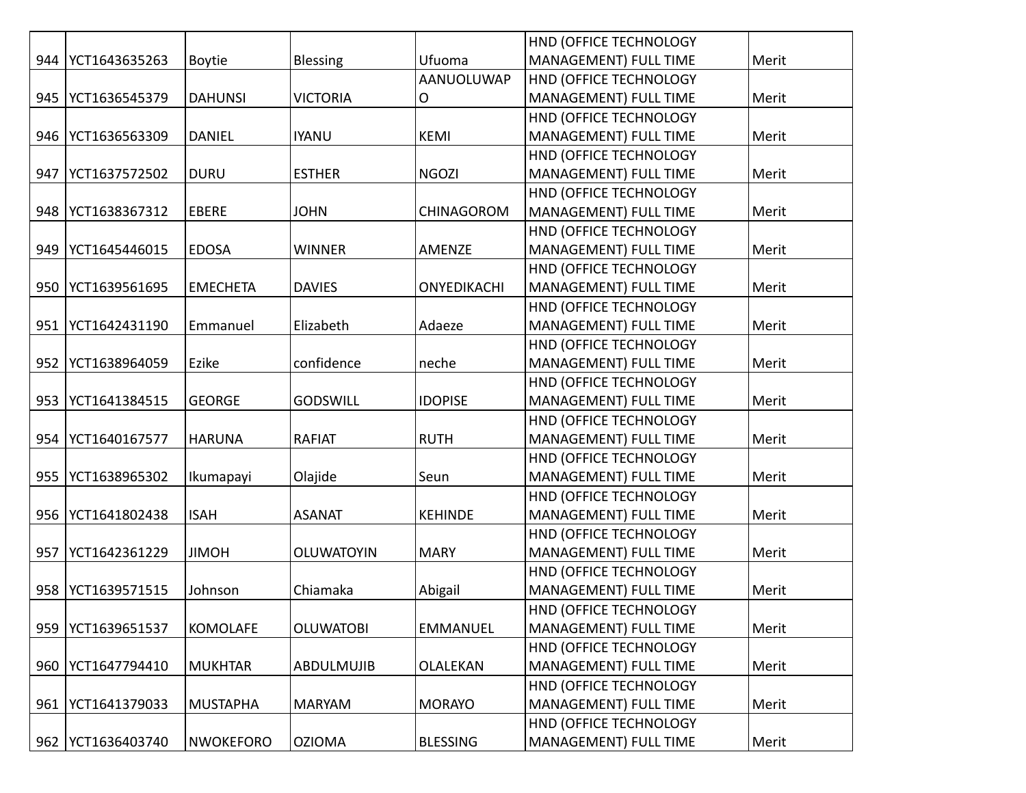|     |               |                  |                   |                 | HND (OFFICE TECHNOLOGY       |       |
|-----|---------------|------------------|-------------------|-----------------|------------------------------|-------|
| 944 | YCT1643635263 | <b>Boytie</b>    | <b>Blessing</b>   | Ufuoma          | MANAGEMENT) FULL TIME        | Merit |
|     |               |                  |                   | AANUOLUWAP      | HND (OFFICE TECHNOLOGY       |       |
| 945 | YCT1636545379 | <b>DAHUNSI</b>   | <b>VICTORIA</b>   | O               | <b>MANAGEMENT) FULL TIME</b> | Merit |
|     |               |                  |                   |                 | HND (OFFICE TECHNOLOGY       |       |
| 946 | YCT1636563309 | <b>DANIEL</b>    | <b>IYANU</b>      | KEMI            | MANAGEMENT) FULL TIME        | Merit |
|     |               |                  |                   |                 | HND (OFFICE TECHNOLOGY       |       |
| 947 | YCT1637572502 | <b>DURU</b>      | <b>ESTHER</b>     | <b>NGOZI</b>    | MANAGEMENT) FULL TIME        | Merit |
|     |               |                  |                   |                 | HND (OFFICE TECHNOLOGY       |       |
| 948 | YCT1638367312 | <b>EBERE</b>     | <b>JOHN</b>       | CHINAGOROM      | MANAGEMENT) FULL TIME        | Merit |
|     |               |                  |                   |                 | HND (OFFICE TECHNOLOGY       |       |
| 949 | YCT1645446015 | <b>EDOSA</b>     | WINNER            | AMENZE          | MANAGEMENT) FULL TIME        | Merit |
|     |               |                  |                   |                 | HND (OFFICE TECHNOLOGY       |       |
| 950 | YCT1639561695 | <b>EMECHETA</b>  | <b>DAVIES</b>     | ONYEDIKACHI     | MANAGEMENT) FULL TIME        | Merit |
|     |               |                  |                   |                 | HND (OFFICE TECHNOLOGY       |       |
| 951 | YCT1642431190 | Emmanuel         | Elizabeth         | Adaeze          | MANAGEMENT) FULL TIME        | Merit |
|     |               |                  |                   |                 | HND (OFFICE TECHNOLOGY       |       |
| 952 | YCT1638964059 | Ezike            | confidence        | neche           | MANAGEMENT) FULL TIME        | Merit |
|     |               |                  |                   |                 | HND (OFFICE TECHNOLOGY       |       |
| 953 | YCT1641384515 | <b>GEORGE</b>    | <b>GODSWILL</b>   | <b>IDOPISE</b>  | MANAGEMENT) FULL TIME        | Merit |
|     |               |                  |                   |                 | HND (OFFICE TECHNOLOGY       |       |
| 954 | YCT1640167577 | <b>HARUNA</b>    | <b>RAFIAT</b>     | <b>RUTH</b>     | MANAGEMENT) FULL TIME        | Merit |
|     |               |                  |                   |                 | HND (OFFICE TECHNOLOGY       |       |
| 955 | YCT1638965302 | Ikumapayi        | Olajide           | Seun            | MANAGEMENT) FULL TIME        | Merit |
|     |               |                  |                   |                 | HND (OFFICE TECHNOLOGY       |       |
| 956 | YCT1641802438 | <b>ISAH</b>      | <b>ASANAT</b>     | <b>KEHINDE</b>  | MANAGEMENT) FULL TIME        | Merit |
|     |               |                  |                   |                 | HND (OFFICE TECHNOLOGY       |       |
| 957 | YCT1642361229 | <b>JIMOH</b>     | <b>OLUWATOYIN</b> | <b>MARY</b>     | MANAGEMENT) FULL TIME        | Merit |
|     |               |                  |                   |                 | HND (OFFICE TECHNOLOGY       |       |
| 958 | YCT1639571515 | Johnson          | Chiamaka          | Abigail         | MANAGEMENT) FULL TIME        | Merit |
|     |               |                  |                   |                 | HND (OFFICE TECHNOLOGY       |       |
| 959 | YCT1639651537 | <b>KOMOLAFE</b>  | <b>OLUWATOBI</b>  | <b>EMMANUEL</b> | MANAGEMENT) FULL TIME        | Merit |
|     |               |                  |                   |                 | HND (OFFICE TECHNOLOGY       |       |
| 960 | YCT1647794410 | <b>MUKHTAR</b>   | <b>ABDULMUJIB</b> | OLALEKAN        | <b>MANAGEMENT) FULL TIME</b> | Merit |
|     |               |                  |                   |                 | HND (OFFICE TECHNOLOGY       |       |
| 961 | YCT1641379033 | <b>MUSTAPHA</b>  | <b>MARYAM</b>     | <b>MORAYO</b>   | MANAGEMENT) FULL TIME        | Merit |
|     |               |                  |                   |                 | HND (OFFICE TECHNOLOGY       |       |
| 962 | YCT1636403740 | <b>NWOKEFORO</b> | <b>OZIOMA</b>     | <b>BLESSING</b> | <b>MANAGEMENT) FULL TIME</b> | Merit |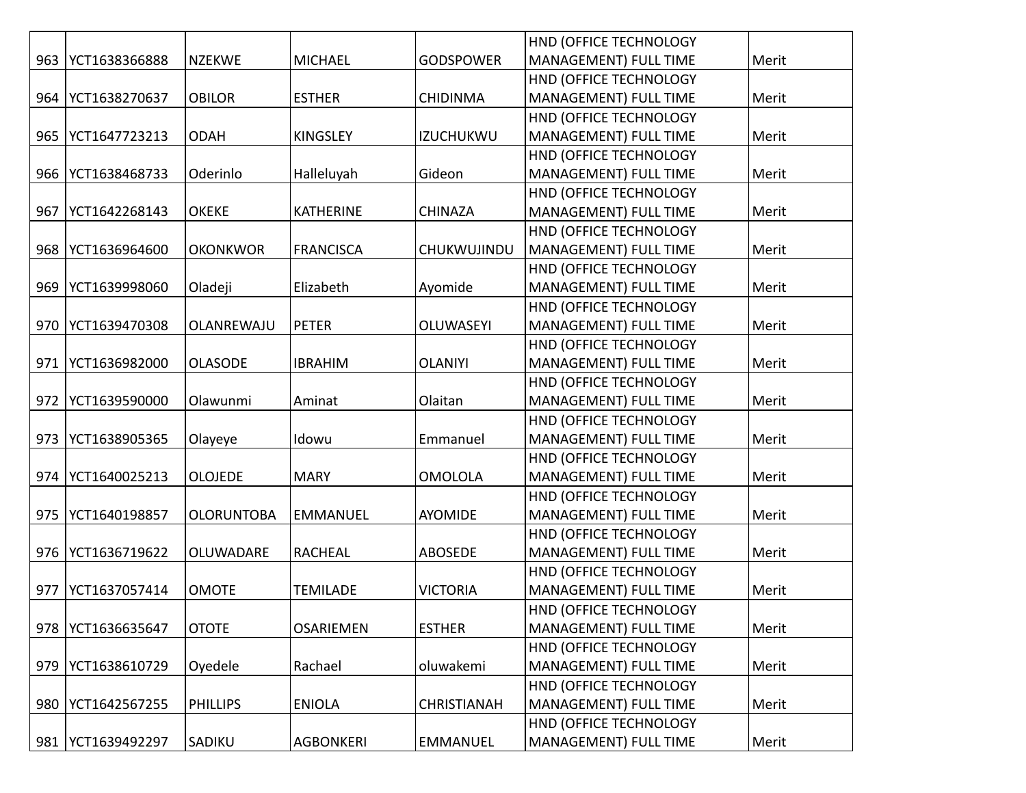|     |               |                   |                  |                    | HND (OFFICE TECHNOLOGY       |       |
|-----|---------------|-------------------|------------------|--------------------|------------------------------|-------|
| 963 | YCT1638366888 | <b>NZEKWE</b>     | <b>MICHAEL</b>   | <b>GODSPOWER</b>   | MANAGEMENT) FULL TIME        | Merit |
|     |               |                   |                  |                    | HND (OFFICE TECHNOLOGY       |       |
| 964 | YCT1638270637 | <b>OBILOR</b>     | <b>ESTHER</b>    | <b>CHIDINMA</b>    | <b>MANAGEMENT) FULL TIME</b> | Merit |
|     |               |                   |                  |                    | HND (OFFICE TECHNOLOGY       |       |
| 965 | YCT1647723213 | <b>ODAH</b>       | <b>KINGSLEY</b>  | <b>IZUCHUKWU</b>   | <b>MANAGEMENT) FULL TIME</b> | Merit |
|     |               |                   |                  |                    | HND (OFFICE TECHNOLOGY       |       |
| 966 | YCT1638468733 | Oderinlo          | Halleluyah       | Gideon             | MANAGEMENT) FULL TIME        | Merit |
|     |               |                   |                  |                    | HND (OFFICE TECHNOLOGY       |       |
| 967 | YCT1642268143 | <b>OKEKE</b>      | <b>KATHERINE</b> | <b>CHINAZA</b>     | MANAGEMENT) FULL TIME        | Merit |
|     |               |                   |                  |                    | HND (OFFICE TECHNOLOGY       |       |
| 968 | YCT1636964600 | <b>OKONKWOR</b>   | <b>FRANCISCA</b> | CHUKWUJINDU        | MANAGEMENT) FULL TIME        | Merit |
|     |               |                   |                  |                    | HND (OFFICE TECHNOLOGY       |       |
| 969 | YCT1639998060 | Oladeji           | Elizabeth        | Ayomide            | <b>MANAGEMENT) FULL TIME</b> | Merit |
|     |               |                   |                  |                    | HND (OFFICE TECHNOLOGY       |       |
| 970 | YCT1639470308 | OLANREWAJU        | <b>PETER</b>     | <b>OLUWASEYI</b>   | <b>MANAGEMENT) FULL TIME</b> | Merit |
|     |               |                   |                  |                    | HND (OFFICE TECHNOLOGY       |       |
| 971 | YCT1636982000 | <b>OLASODE</b>    | <b>IBRAHIM</b>   | <b>OLANIYI</b>     | MANAGEMENT) FULL TIME        | Merit |
|     |               |                   |                  |                    | HND (OFFICE TECHNOLOGY       |       |
| 972 | YCT1639590000 | Olawunmi          | Aminat           | Olaitan            | MANAGEMENT) FULL TIME        | Merit |
|     |               |                   |                  |                    | HND (OFFICE TECHNOLOGY       |       |
| 973 | YCT1638905365 | Olayeye           | Idowu            | Emmanuel           | <b>MANAGEMENT) FULL TIME</b> | Merit |
|     |               |                   |                  |                    | HND (OFFICE TECHNOLOGY       |       |
| 974 | YCT1640025213 | <b>OLOJEDE</b>    | <b>MARY</b>      | <b>OMOLOLA</b>     | MANAGEMENT) FULL TIME        | Merit |
|     |               |                   |                  |                    | HND (OFFICE TECHNOLOGY       |       |
| 975 | YCT1640198857 | <b>OLORUNTOBA</b> | <b>EMMANUEL</b>  | <b>AYOMIDE</b>     | MANAGEMENT) FULL TIME        | Merit |
|     |               |                   |                  |                    | HND (OFFICE TECHNOLOGY       |       |
| 976 | YCT1636719622 | OLUWADARE         | <b>RACHEAL</b>   | <b>ABOSEDE</b>     | MANAGEMENT) FULL TIME        | Merit |
|     |               |                   |                  |                    | HND (OFFICE TECHNOLOGY       |       |
| 977 | YCT1637057414 | <b>OMOTE</b>      | <b>TEMILADE</b>  | <b>VICTORIA</b>    | MANAGEMENT) FULL TIME        | Merit |
|     |               |                   |                  |                    | HND (OFFICE TECHNOLOGY       |       |
| 978 | YCT1636635647 | <b>OTOTE</b>      | <b>OSARIEMEN</b> | <b>ESTHER</b>      | MANAGEMENT) FULL TIME        | Merit |
|     |               |                   |                  |                    | HND (OFFICE TECHNOLOGY       |       |
| 979 | YCT1638610729 | Oyedele           | Rachael          | oluwakemi          | MANAGEMENT) FULL TIME        | Merit |
|     |               |                   |                  |                    | HND (OFFICE TECHNOLOGY       |       |
| 980 | YCT1642567255 | <b>PHILLIPS</b>   | <b>ENIOLA</b>    | <b>CHRISTIANAH</b> | <b>MANAGEMENT) FULL TIME</b> | Merit |
|     |               |                   |                  |                    | HND (OFFICE TECHNOLOGY       |       |
| 981 | YCT1639492297 | SADIKU            | <b>AGBONKERI</b> | <b>EMMANUEL</b>    | <b>MANAGEMENT) FULL TIME</b> | Merit |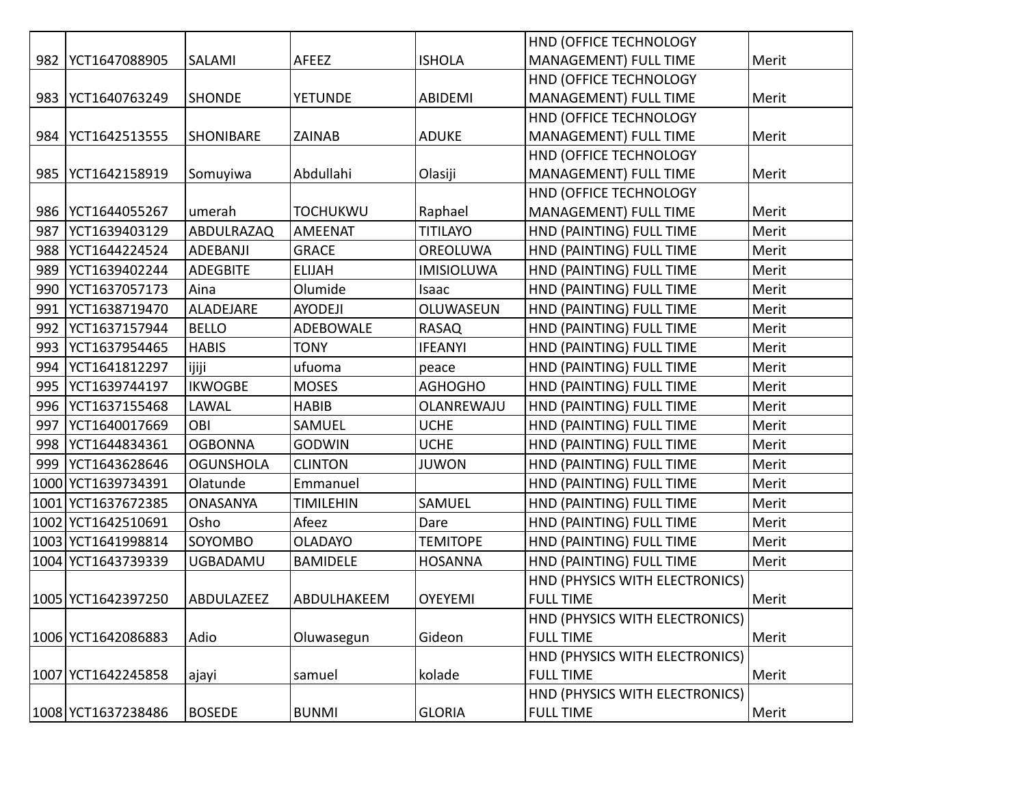|      |                    |                  |                  |                   | HND (OFFICE TECHNOLOGY         |       |
|------|--------------------|------------------|------------------|-------------------|--------------------------------|-------|
| 982  | YCT1647088905      | SALAMI           | AFEEZ            | <b>ISHOLA</b>     | MANAGEMENT) FULL TIME          | Merit |
|      |                    |                  |                  |                   | HND (OFFICE TECHNOLOGY         |       |
| 983  | YCT1640763249      | <b>SHONDE</b>    | <b>YETUNDE</b>   | <b>ABIDEMI</b>    | MANAGEMENT) FULL TIME          | Merit |
|      |                    |                  |                  |                   | HND (OFFICE TECHNOLOGY         |       |
| 984  | YCT1642513555      | SHONIBARE        | <b>ZAINAB</b>    | <b>ADUKE</b>      | MANAGEMENT) FULL TIME          | Merit |
|      |                    |                  |                  |                   | HND (OFFICE TECHNOLOGY         |       |
| 985  | YCT1642158919      | Somuyiwa         | Abdullahi        | Olasiji           | MANAGEMENT) FULL TIME          | Merit |
|      |                    |                  |                  |                   | HND (OFFICE TECHNOLOGY         |       |
| 986  | YCT1644055267      | umerah           | <b>TOCHUKWU</b>  | Raphael           | MANAGEMENT) FULL TIME          | Merit |
| 987  | YCT1639403129      | ABDULRAZAQ       | AMEENAT          | <b>TITILAYO</b>   | HND (PAINTING) FULL TIME       | Merit |
| 988  | YCT1644224524      | ADEBANJI         | <b>GRACE</b>     | OREOLUWA          | HND (PAINTING) FULL TIME       | Merit |
| 989  | YCT1639402244      | <b>ADEGBITE</b>  | <b>ELIJAH</b>    | <b>IMISIOLUWA</b> | HND (PAINTING) FULL TIME       | Merit |
| 990  | YCT1637057173      | Aina             | Olumide          | Isaac             | HND (PAINTING) FULL TIME       | Merit |
| 991  | YCT1638719470      | ALADEJARE        | <b>AYODEJI</b>   | OLUWASEUN         | HND (PAINTING) FULL TIME       | Merit |
| 992  | YCT1637157944      | <b>BELLO</b>     | ADEBOWALE        | <b>RASAQ</b>      | HND (PAINTING) FULL TIME       | Merit |
| 993  | YCT1637954465      | <b>HABIS</b>     | <b>TONY</b>      | <b>IFEANYI</b>    | HND (PAINTING) FULL TIME       | Merit |
| 994  | YCT1641812297      | ijiji            | ufuoma           | peace             | HND (PAINTING) FULL TIME       | Merit |
| 995  | YCT1639744197      | <b>IKWOGBE</b>   | <b>MOSES</b>     | <b>AGHOGHO</b>    | HND (PAINTING) FULL TIME       | Merit |
| 996  | YCT1637155468      | LAWAL            | <b>HABIB</b>     | OLANREWAJU        | HND (PAINTING) FULL TIME       | Merit |
| 997  | YCT1640017669      | OBI              | SAMUEL           | <b>UCHE</b>       | HND (PAINTING) FULL TIME       | Merit |
| 998  | YCT1644834361      | <b>OGBONNA</b>   | <b>GODWIN</b>    | <b>UCHE</b>       | HND (PAINTING) FULL TIME       | Merit |
| 999  | YCT1643628646      | <b>OGUNSHOLA</b> | <b>CLINTON</b>   | <b>JUWON</b>      | HND (PAINTING) FULL TIME       | Merit |
| 1000 | YCT1639734391      | Olatunde         | Emmanuel         |                   | HND (PAINTING) FULL TIME       | Merit |
| 1001 | YCT1637672385      | <b>ONASANYA</b>  | <b>TIMILEHIN</b> | SAMUEL            | HND (PAINTING) FULL TIME       | Merit |
|      | 1002 YCT1642510691 | Osho             | Afeez            | Dare              | HND (PAINTING) FULL TIME       | Merit |
|      | 1003 YCT1641998814 | SOYOMBO          | <b>OLADAYO</b>   | <b>TEMITOPE</b>   | HND (PAINTING) FULL TIME       | Merit |
|      | 1004 YCT1643739339 | UGBADAMU         | <b>BAMIDELE</b>  | <b>HOSANNA</b>    | HND (PAINTING) FULL TIME       | Merit |
|      |                    |                  |                  |                   | HND (PHYSICS WITH ELECTRONICS) |       |
|      | 1005 YCT1642397250 | ABDULAZEEZ       | ABDULHAKEEM      | <b>OYEYEMI</b>    | <b>FULL TIME</b>               | Merit |
|      |                    |                  |                  |                   | HND (PHYSICS WITH ELECTRONICS) |       |
|      | 1006 YCT1642086883 | Adio             | Oluwasegun       | Gideon            | <b>FULL TIME</b>               | Merit |
|      |                    |                  |                  |                   | HND (PHYSICS WITH ELECTRONICS) |       |
|      | 1007 YCT1642245858 | ajayi            | samuel           | kolade            | <b>FULL TIME</b>               | Merit |
|      |                    |                  |                  |                   | HND (PHYSICS WITH ELECTRONICS) |       |
|      | 1008 YCT1637238486 | <b>BOSEDE</b>    | <b>BUNMI</b>     | <b>GLORIA</b>     | <b>FULL TIME</b>               | Merit |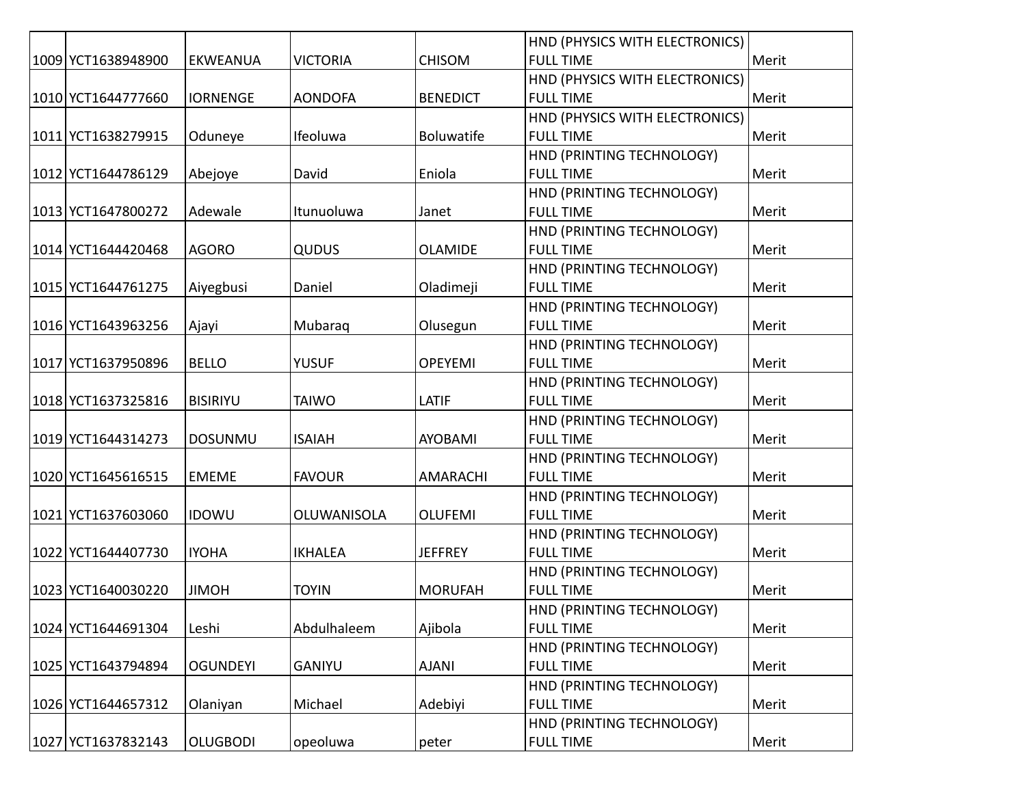|                    |                 |                 |                   | HND (PHYSICS WITH ELECTRONICS) |       |
|--------------------|-----------------|-----------------|-------------------|--------------------------------|-------|
| 1009 YCT1638948900 | <b>EKWEANUA</b> | <b>VICTORIA</b> | <b>CHISOM</b>     | <b>FULL TIME</b>               | Merit |
|                    |                 |                 |                   | HND (PHYSICS WITH ELECTRONICS) |       |
| 1010 YCT1644777660 | <b>IORNENGE</b> | <b>AONDOFA</b>  | <b>BENEDICT</b>   | <b>FULL TIME</b>               | Merit |
|                    |                 |                 |                   | HND (PHYSICS WITH ELECTRONICS) |       |
| 1011 YCT1638279915 | Oduneye         | Ifeoluwa        | <b>Boluwatife</b> | <b>FULL TIME</b>               | Merit |
|                    |                 |                 |                   | HND (PRINTING TECHNOLOGY)      |       |
| 1012 YCT1644786129 | Abejoye         | David           | Eniola            | <b>FULL TIME</b>               | Merit |
|                    |                 |                 |                   | HND (PRINTING TECHNOLOGY)      |       |
| 1013 YCT1647800272 | Adewale         | Itunuoluwa      | Janet             | <b>FULL TIME</b>               | Merit |
|                    |                 |                 |                   | HND (PRINTING TECHNOLOGY)      |       |
| 1014 YCT1644420468 | <b>AGORO</b>    | <b>QUDUS</b>    | <b>OLAMIDE</b>    | <b>FULL TIME</b>               | Merit |
|                    |                 |                 |                   | HND (PRINTING TECHNOLOGY)      |       |
| 1015 YCT1644761275 | Aiyegbusi       | Daniel          | Oladimeji         | <b>FULL TIME</b>               | Merit |
|                    |                 |                 |                   | HND (PRINTING TECHNOLOGY)      |       |
| 1016 YCT1643963256 | Ajayi           | Mubaraq         | Olusegun          | <b>FULL TIME</b>               | Merit |
|                    |                 |                 |                   | HND (PRINTING TECHNOLOGY)      |       |
| 1017 YCT1637950896 | <b>BELLO</b>    | <b>YUSUF</b>    | <b>OPEYEMI</b>    | <b>FULL TIME</b>               | Merit |
|                    |                 |                 |                   | HND (PRINTING TECHNOLOGY)      |       |
| 1018 YCT1637325816 | <b>BISIRIYU</b> | <b>TAIWO</b>    | LATIF             | <b>FULL TIME</b>               | Merit |
|                    |                 |                 |                   | HND (PRINTING TECHNOLOGY)      |       |
| 1019 YCT1644314273 | <b>DOSUNMU</b>  | <b>ISAIAH</b>   | <b>AYOBAMI</b>    | <b>FULL TIME</b>               | Merit |
|                    |                 |                 |                   | HND (PRINTING TECHNOLOGY)      |       |
| 1020 YCT1645616515 | <b>EMEME</b>    | <b>FAVOUR</b>   | <b>AMARACHI</b>   | <b>FULL TIME</b>               | Merit |
|                    |                 |                 |                   | HND (PRINTING TECHNOLOGY)      |       |
| 1021 YCT1637603060 | <b>IDOWU</b>    | OLUWANISOLA     | <b>OLUFEMI</b>    | <b>FULL TIME</b>               | Merit |
|                    |                 |                 |                   | HND (PRINTING TECHNOLOGY)      |       |
| 1022 YCT1644407730 | <b>IYOHA</b>    | <b>IKHALEA</b>  | <b>JEFFREY</b>    | <b>FULL TIME</b>               | Merit |
|                    |                 |                 |                   | HND (PRINTING TECHNOLOGY)      |       |
| 1023 YCT1640030220 | <b>JIMOH</b>    | <b>TOYIN</b>    | <b>MORUFAH</b>    | <b>FULL TIME</b>               | Merit |
|                    |                 |                 |                   | HND (PRINTING TECHNOLOGY)      |       |
| 1024 YCT1644691304 | Leshi           | Abdulhaleem     | Ajibola           | <b>FULL TIME</b>               | Merit |
|                    |                 |                 |                   | HND (PRINTING TECHNOLOGY)      |       |
| 1025 YCT1643794894 | <b>OGUNDEYI</b> | GANIYU          | <b>AJANI</b>      | <b>FULL TIME</b>               | Merit |
|                    |                 |                 |                   | HND (PRINTING TECHNOLOGY)      |       |
| 1026 YCT1644657312 | Olaniyan        | Michael         | Adebiyi           | <b>FULL TIME</b>               | Merit |
|                    |                 |                 |                   | HND (PRINTING TECHNOLOGY)      |       |
| 1027 YCT1637832143 | <b>OLUGBODI</b> | opeoluwa        | peter             | <b>FULL TIME</b>               | Merit |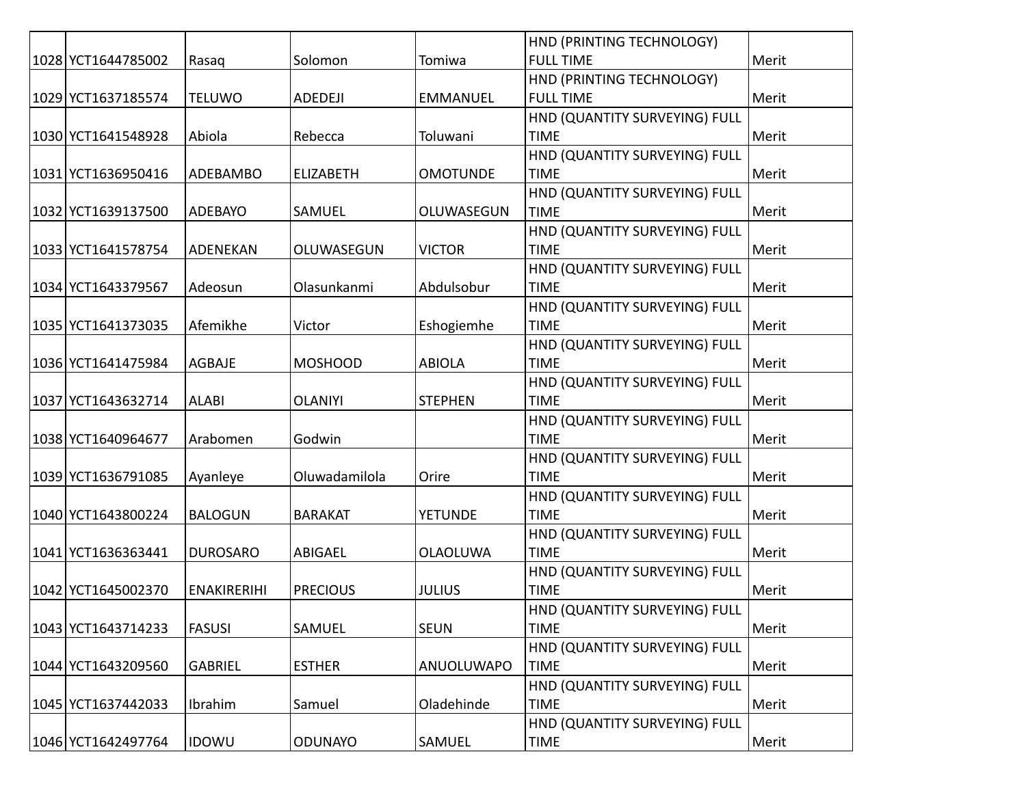|                    |                    |                  |                 | HND (PRINTING TECHNOLOGY)     |       |
|--------------------|--------------------|------------------|-----------------|-------------------------------|-------|
| 1028 YCT1644785002 | Rasaq              | Solomon          | Tomiwa          | <b>FULL TIME</b>              | Merit |
|                    |                    |                  |                 | HND (PRINTING TECHNOLOGY)     |       |
| 1029 YCT1637185574 | <b>TELUWO</b>      | ADEDEJI          | <b>EMMANUEL</b> | <b>FULL TIME</b>              | Merit |
|                    |                    |                  |                 | HND (QUANTITY SURVEYING) FULL |       |
| 1030 YCT1641548928 | Abiola             | Rebecca          | Toluwani        | <b>TIME</b>                   | Merit |
|                    |                    |                  |                 | HND (QUANTITY SURVEYING) FULL |       |
| 1031 YCT1636950416 | ADEBAMBO           | <b>ELIZABETH</b> | <b>OMOTUNDE</b> | <b>TIME</b>                   | Merit |
|                    |                    |                  |                 | HND (QUANTITY SURVEYING) FULL |       |
| 1032 YCT1639137500 | ADEBAYO            | SAMUEL           | OLUWASEGUN      | <b>TIME</b>                   | Merit |
|                    |                    |                  |                 | HND (QUANTITY SURVEYING) FULL |       |
| 1033 YCT1641578754 | ADENEKAN           | OLUWASEGUN       | <b>VICTOR</b>   | <b>TIME</b>                   | Merit |
|                    |                    |                  |                 | HND (QUANTITY SURVEYING) FULL |       |
| 1034 YCT1643379567 | Adeosun            | Olasunkanmi      | Abdulsobur      | <b>TIME</b>                   | Merit |
|                    |                    |                  |                 | HND (QUANTITY SURVEYING) FULL |       |
| 1035 YCT1641373035 | Afemikhe           | Victor           | Eshogiemhe      | <b>TIME</b>                   | Merit |
|                    |                    |                  |                 | HND (QUANTITY SURVEYING) FULL |       |
| 1036 YCT1641475984 | <b>AGBAJE</b>      | <b>MOSHOOD</b>   | <b>ABIOLA</b>   | <b>TIME</b>                   | Merit |
|                    |                    |                  |                 | HND (QUANTITY SURVEYING) FULL |       |
| 1037 YCT1643632714 | <b>ALABI</b>       | <b>OLANIYI</b>   | <b>STEPHEN</b>  | <b>TIME</b>                   | Merit |
|                    |                    |                  |                 | HND (QUANTITY SURVEYING) FULL |       |
| 1038 YCT1640964677 | Arabomen           | Godwin           |                 | <b>TIME</b>                   | Merit |
|                    |                    |                  |                 | HND (QUANTITY SURVEYING) FULL |       |
| 1039 YCT1636791085 | Ayanleye           | Oluwadamilola    | Orire           | <b>TIME</b>                   | Merit |
|                    |                    |                  |                 | HND (QUANTITY SURVEYING) FULL |       |
| 1040 YCT1643800224 | <b>BALOGUN</b>     | <b>BARAKAT</b>   | <b>YETUNDE</b>  | <b>TIME</b>                   | Merit |
|                    |                    |                  |                 | HND (QUANTITY SURVEYING) FULL |       |
| 1041 YCT1636363441 | <b>DUROSARO</b>    | <b>ABIGAEL</b>   | <b>OLAOLUWA</b> | <b>TIME</b>                   | Merit |
|                    |                    |                  |                 | HND (QUANTITY SURVEYING) FULL |       |
| 1042 YCT1645002370 | <b>ENAKIRERIHI</b> | <b>PRECIOUS</b>  | <b>JULIUS</b>   | <b>TIME</b>                   | Merit |
|                    |                    |                  |                 | HND (QUANTITY SURVEYING) FULL |       |
| 1043 YCT1643714233 | <b>FASUSI</b>      | SAMUEL           | <b>SEUN</b>     | <b>TIME</b>                   | Merit |
|                    |                    |                  |                 | HND (QUANTITY SURVEYING) FULL |       |
| 1044 YCT1643209560 | <b>GABRIEL</b>     | <b>ESTHER</b>    | ANUOLUWAPO      | <b>TIME</b>                   | Merit |
|                    |                    |                  |                 | HND (QUANTITY SURVEYING) FULL |       |
| 1045 YCT1637442033 | Ibrahim            | Samuel           | Oladehinde      | <b>TIME</b>                   | Merit |
|                    |                    |                  |                 | HND (QUANTITY SURVEYING) FULL |       |
| 1046 YCT1642497764 | <b>IDOWU</b>       | <b>ODUNAYO</b>   | SAMUEL          | <b>TIME</b>                   | Merit |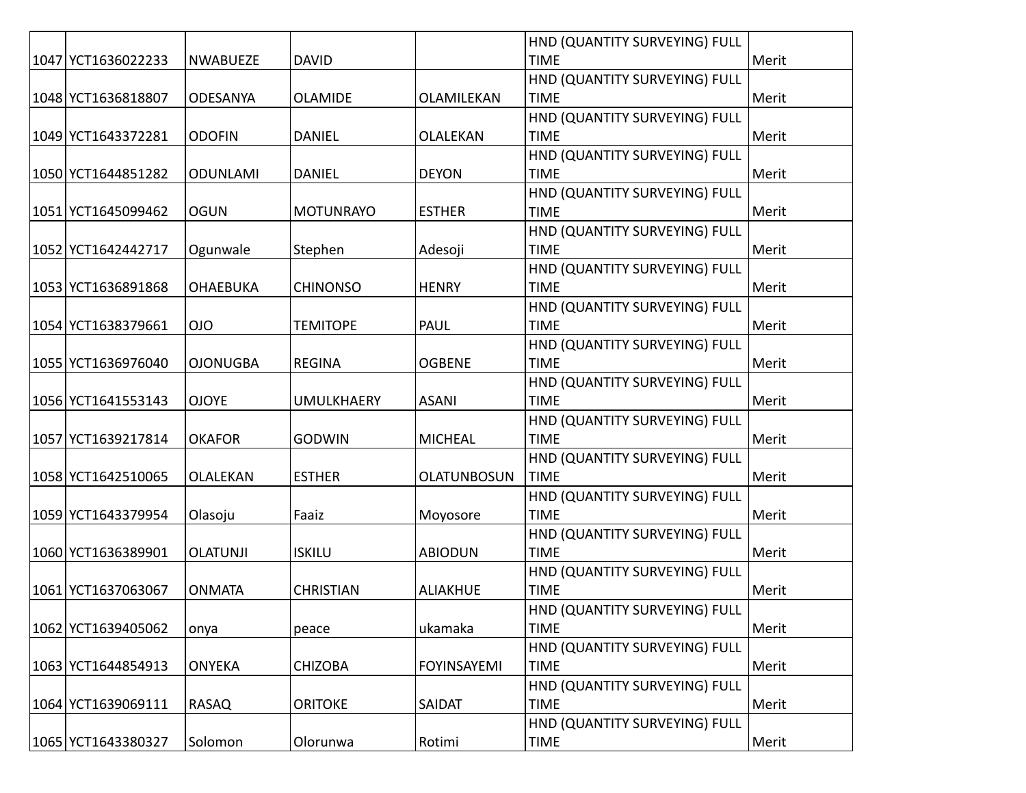|                    |                 |                   |                    | HND (QUANTITY SURVEYING) FULL |       |
|--------------------|-----------------|-------------------|--------------------|-------------------------------|-------|
| 1047 YCT1636022233 | <b>NWABUEZE</b> | <b>DAVID</b>      |                    | <b>TIME</b>                   | Merit |
|                    |                 |                   |                    | HND (QUANTITY SURVEYING) FULL |       |
| 1048 YCT1636818807 | ODESANYA        | <b>OLAMIDE</b>    | OLAMILEKAN         | <b>TIME</b>                   | Merit |
|                    |                 |                   |                    | HND (QUANTITY SURVEYING) FULL |       |
| 1049 YCT1643372281 | <b>ODOFIN</b>   | <b>DANIEL</b>     | OLALEKAN           | <b>TIME</b>                   | Merit |
|                    |                 |                   |                    | HND (QUANTITY SURVEYING) FULL |       |
| 1050 YCT1644851282 | <b>ODUNLAMI</b> | <b>DANIEL</b>     | <b>DEYON</b>       | <b>TIME</b>                   | Merit |
|                    |                 |                   |                    | HND (QUANTITY SURVEYING) FULL |       |
| 1051 YCT1645099462 | <b>OGUN</b>     | <b>MOTUNRAYO</b>  | <b>ESTHER</b>      | <b>TIME</b>                   | Merit |
|                    |                 |                   |                    | HND (QUANTITY SURVEYING) FULL |       |
| 1052 YCT1642442717 | Ogunwale        | Stephen           | Adesoji            | <b>TIME</b>                   | Merit |
|                    |                 |                   |                    | HND (QUANTITY SURVEYING) FULL |       |
| 1053 YCT1636891868 | <b>OHAEBUKA</b> | <b>CHINONSO</b>   | <b>HENRY</b>       | <b>TIME</b>                   | Merit |
|                    |                 |                   |                    | HND (QUANTITY SURVEYING) FULL |       |
| 1054 YCT1638379661 | <b>OIO</b>      | <b>TEMITOPE</b>   | <b>PAUL</b>        | <b>TIME</b>                   | Merit |
|                    |                 |                   |                    | HND (QUANTITY SURVEYING) FULL |       |
| 1055 YCT1636976040 | <b>OJONUGBA</b> | <b>REGINA</b>     | <b>OGBENE</b>      | <b>TIME</b>                   | Merit |
|                    |                 |                   |                    | HND (QUANTITY SURVEYING) FULL |       |
| 1056 YCT1641553143 | <b>OJOYE</b>    | <b>UMULKHAERY</b> | <b>ASANI</b>       | <b>TIME</b>                   | Merit |
|                    |                 |                   |                    | HND (QUANTITY SURVEYING) FULL |       |
| 1057 YCT1639217814 | <b>OKAFOR</b>   | <b>GODWIN</b>     | <b>MICHEAL</b>     | <b>TIME</b>                   | Merit |
|                    |                 |                   |                    | HND (QUANTITY SURVEYING) FULL |       |
| 1058 YCT1642510065 | <b>OLALEKAN</b> | <b>ESTHER</b>     | <b>OLATUNBOSUN</b> | <b>TIME</b>                   | Merit |
|                    |                 |                   |                    | HND (QUANTITY SURVEYING) FULL |       |
| 1059 YCT1643379954 | Olasoju         | Faaiz             | Moyosore           | <b>TIME</b>                   | Merit |
|                    |                 |                   |                    | HND (QUANTITY SURVEYING) FULL |       |
| 1060 YCT1636389901 | <b>OLATUNJI</b> | <b>ISKILU</b>     | <b>ABIODUN</b>     | <b>TIME</b>                   | Merit |
|                    |                 |                   |                    | HND (QUANTITY SURVEYING) FULL |       |
| 1061 YCT1637063067 | <b>ONMATA</b>   | <b>CHRISTIAN</b>  | <b>ALIAKHUE</b>    | <b>TIME</b>                   | Merit |
|                    |                 |                   |                    | HND (QUANTITY SURVEYING) FULL |       |
| 1062 YCT1639405062 | onya            | peace             | ukamaka            | <b>TIME</b>                   | Merit |
|                    |                 |                   |                    | HND (QUANTITY SURVEYING) FULL |       |
| 1063 YCT1644854913 | <b>ONYEKA</b>   | <b>CHIZOBA</b>    | <b>FOYINSAYEMI</b> | <b>TIME</b>                   | Merit |
|                    |                 |                   |                    | HND (QUANTITY SURVEYING) FULL |       |
| 1064 YCT1639069111 | <b>RASAQ</b>    | <b>ORITOKE</b>    | <b>SAIDAT</b>      | <b>TIME</b>                   | Merit |
|                    |                 |                   |                    | HND (QUANTITY SURVEYING) FULL |       |
| 1065 YCT1643380327 | Solomon         | Olorunwa          | Rotimi             | <b>TIME</b>                   | Merit |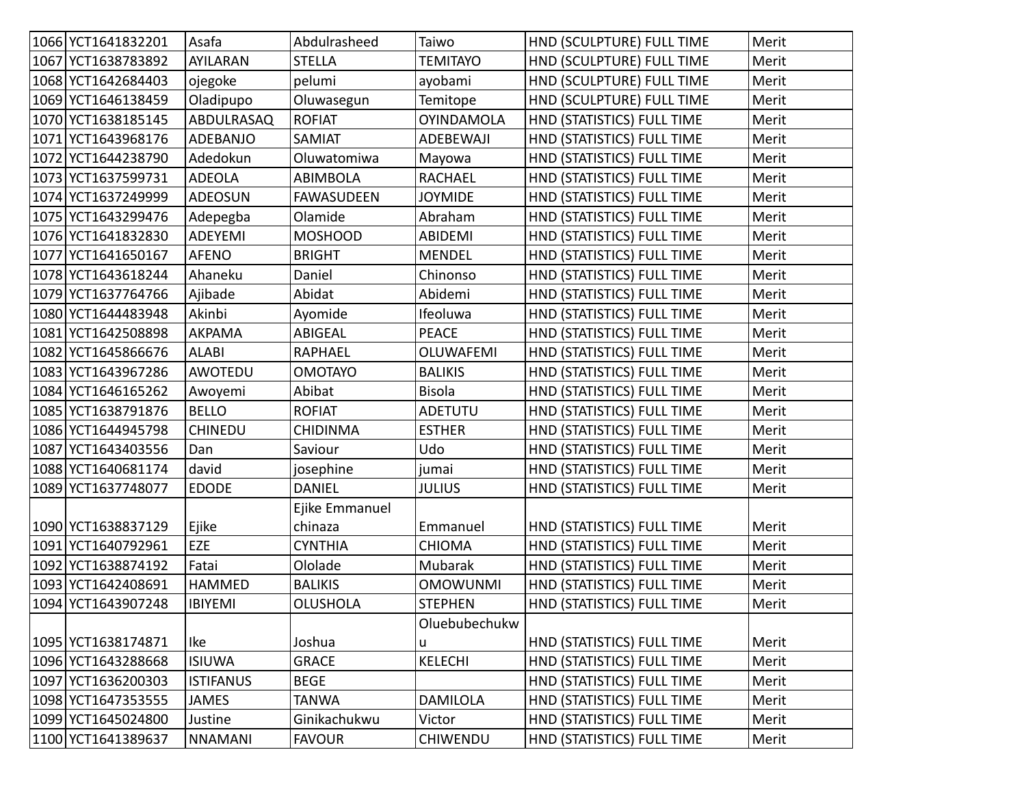| 1066 YCT1641832201 | Asafa            | Abdulrasheed      | Taiwo             | HND (SCULPTURE) FULL TIME  | Merit |
|--------------------|------------------|-------------------|-------------------|----------------------------|-------|
| 1067 YCT1638783892 | AYILARAN         | <b>STELLA</b>     | <b>TEMITAYO</b>   | HND (SCULPTURE) FULL TIME  | Merit |
| 1068 YCT1642684403 | ojegoke          | pelumi            | ayobami           | HND (SCULPTURE) FULL TIME  | Merit |
| 1069 YCT1646138459 | Oladipupo        | Oluwasegun        | Temitope          | HND (SCULPTURE) FULL TIME  | Merit |
| 1070 YCT1638185145 | ABDULRASAQ       | <b>ROFIAT</b>     | <b>OYINDAMOLA</b> | HND (STATISTICS) FULL TIME | Merit |
| 1071 YCT1643968176 | ADEBANJO         | SAMIAT            | ADEBEWAJI         | HND (STATISTICS) FULL TIME | Merit |
| 1072 YCT1644238790 | Adedokun         | Oluwatomiwa       | Mayowa            | HND (STATISTICS) FULL TIME | Merit |
| 1073 YCT1637599731 | <b>ADEOLA</b>    | <b>ABIMBOLA</b>   | <b>RACHAEL</b>    | HND (STATISTICS) FULL TIME | Merit |
| 1074 YCT1637249999 | ADEOSUN          | <b>FAWASUDEEN</b> | <b>JOYMIDE</b>    | HND (STATISTICS) FULL TIME | Merit |
| 1075 YCT1643299476 | Adepegba         | Olamide           | Abraham           | HND (STATISTICS) FULL TIME | Merit |
| 1076 YCT1641832830 | ADEYEMI          | <b>MOSHOOD</b>    | <b>ABIDEMI</b>    | HND (STATISTICS) FULL TIME | Merit |
| 1077 YCT1641650167 | <b>AFENO</b>     | <b>BRIGHT</b>     | <b>MENDEL</b>     | HND (STATISTICS) FULL TIME | Merit |
| 1078 YCT1643618244 | Ahaneku          | Daniel            | Chinonso          | HND (STATISTICS) FULL TIME | Merit |
| 1079 YCT1637764766 | Ajibade          | Abidat            | Abidemi           | HND (STATISTICS) FULL TIME | Merit |
| 1080 YCT1644483948 | Akinbi           | Ayomide           | Ifeoluwa          | HND (STATISTICS) FULL TIME | Merit |
| 1081 YCT1642508898 | <b>AKPAMA</b>    | ABIGEAL           | <b>PEACE</b>      | HND (STATISTICS) FULL TIME | Merit |
| 1082 YCT1645866676 | <b>ALABI</b>     | <b>RAPHAEL</b>    | <b>OLUWAFEMI</b>  | HND (STATISTICS) FULL TIME | Merit |
| 1083 YCT1643967286 | AWOTEDU          | <b>OMOTAYO</b>    | <b>BALIKIS</b>    | HND (STATISTICS) FULL TIME | Merit |
| 1084 YCT1646165262 | Awoyemi          | Abibat            | <b>Bisola</b>     | HND (STATISTICS) FULL TIME | Merit |
| 1085 YCT1638791876 | <b>BELLO</b>     | <b>ROFIAT</b>     | <b>ADETUTU</b>    | HND (STATISTICS) FULL TIME | Merit |
| 1086 YCT1644945798 | <b>CHINEDU</b>   | <b>CHIDINMA</b>   | <b>ESTHER</b>     | HND (STATISTICS) FULL TIME | Merit |
| 1087 YCT1643403556 | Dan              | Saviour           | Udo               | HND (STATISTICS) FULL TIME | Merit |
| 1088 YCT1640681174 | david            | josephine         | jumai             | HND (STATISTICS) FULL TIME | Merit |
| 1089 YCT1637748077 | <b>EDODE</b>     | <b>DANIEL</b>     | <b>JULIUS</b>     | HND (STATISTICS) FULL TIME | Merit |
|                    |                  | Ejike Emmanuel    |                   |                            |       |
| 1090 YCT1638837129 | Ejike            | chinaza           | Emmanuel          | HND (STATISTICS) FULL TIME | Merit |
| 1091 YCT1640792961 | EZE              | <b>CYNTHIA</b>    | <b>CHIOMA</b>     | HND (STATISTICS) FULL TIME | Merit |
| 1092 YCT1638874192 | Fatai            | Ololade           | Mubarak           | HND (STATISTICS) FULL TIME | Merit |
| 1093 YCT1642408691 | HAMMED           | <b>BALIKIS</b>    | <b>OMOWUNMI</b>   | HND (STATISTICS) FULL TIME | Merit |
| 1094 YCT1643907248 | <b>IBIYEMI</b>   | <b>OLUSHOLA</b>   | <b>STEPHEN</b>    | HND (STATISTICS) FULL TIME | Merit |
|                    |                  |                   | Oluebubechukw     |                            |       |
| 1095 YCT1638174871 | Ike              | Joshua            | u                 | HND (STATISTICS) FULL TIME | Merit |
| 1096 YCT1643288668 | <b>ISIUWA</b>    | <b>GRACE</b>      | <b>KELECHI</b>    | HND (STATISTICS) FULL TIME | Merit |
| 1097 YCT1636200303 | <b>ISTIFANUS</b> | <b>BEGE</b>       |                   | HND (STATISTICS) FULL TIME | Merit |
| 1098 YCT1647353555 | <b>JAMES</b>     | <b>TANWA</b>      | <b>DAMILOLA</b>   | HND (STATISTICS) FULL TIME | Merit |
| 1099 YCT1645024800 | Justine          | Ginikachukwu      | Victor            | HND (STATISTICS) FULL TIME | Merit |
| 1100 YCT1641389637 | <b>NNAMANI</b>   | <b>FAVOUR</b>     | <b>CHIWENDU</b>   | HND (STATISTICS) FULL TIME | Merit |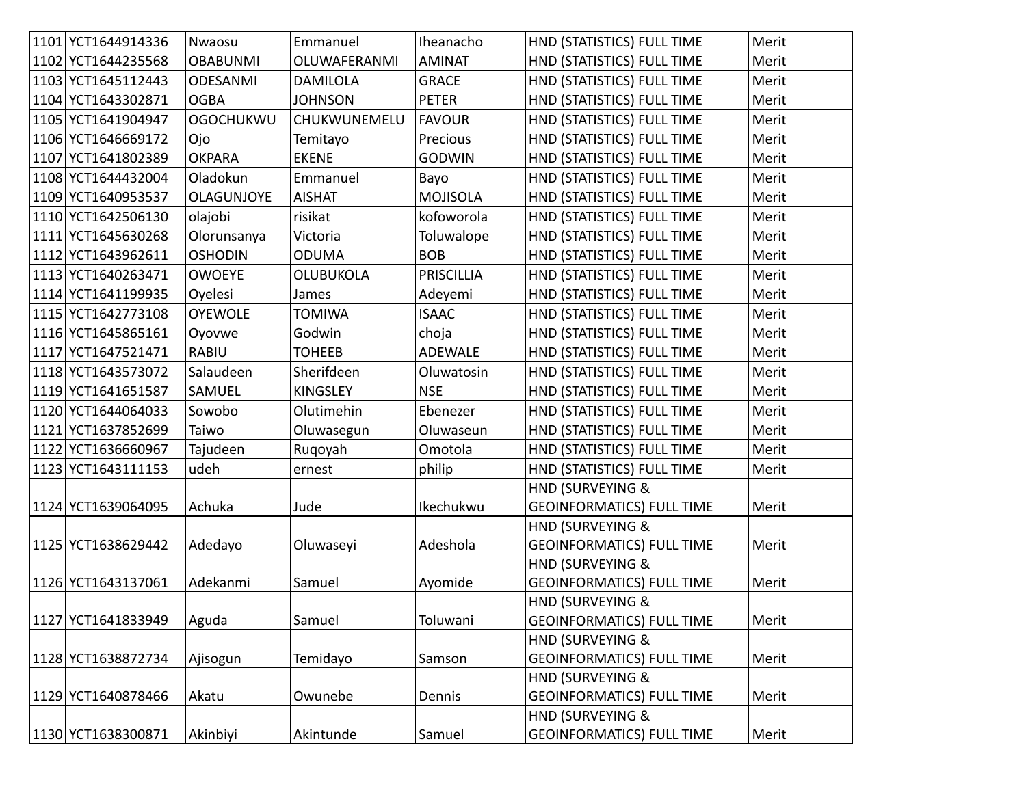| 1101 YCT1644914336 | Nwaosu            | Emmanuel         | Iheanacho         | HND (STATISTICS) FULL TIME       | Merit |
|--------------------|-------------------|------------------|-------------------|----------------------------------|-------|
| 1102 YCT1644235568 | <b>OBABUNMI</b>   | OLUWAFERANMI     | <b>AMINAT</b>     | HND (STATISTICS) FULL TIME       | Merit |
| 1103 YCT1645112443 | <b>ODESANMI</b>   | <b>DAMILOLA</b>  | <b>GRACE</b>      | HND (STATISTICS) FULL TIME       | Merit |
| 1104 YCT1643302871 | <b>OGBA</b>       | <b>JOHNSON</b>   | <b>PETER</b>      | HND (STATISTICS) FULL TIME       | Merit |
| 1105 YCT1641904947 | <b>OGOCHUKWU</b>  | CHUKWUNEMELU     | <b>FAVOUR</b>     | HND (STATISTICS) FULL TIME       | Merit |
| 1106 YCT1646669172 | Ojo               | Temitayo         | Precious          | HND (STATISTICS) FULL TIME       | Merit |
| 1107 YCT1641802389 | <b>OKPARA</b>     | <b>EKENE</b>     | <b>GODWIN</b>     | HND (STATISTICS) FULL TIME       | Merit |
| 1108 YCT1644432004 | Oladokun          | Emmanuel         | Bayo              | HND (STATISTICS) FULL TIME       | Merit |
| 1109 YCT1640953537 | <b>OLAGUNJOYE</b> | <b>AISHAT</b>    | <b>MOJISOLA</b>   | HND (STATISTICS) FULL TIME       | Merit |
| 1110 YCT1642506130 | olajobi           | risikat          | kofoworola        | HND (STATISTICS) FULL TIME       | Merit |
| 1111 YCT1645630268 | Olorunsanya       | Victoria         | Toluwalope        | HND (STATISTICS) FULL TIME       | Merit |
| 1112 YCT1643962611 | <b>OSHODIN</b>    | <b>ODUMA</b>     | <b>BOB</b>        | HND (STATISTICS) FULL TIME       | Merit |
| 1113 YCT1640263471 | <b>OWOEYE</b>     | <b>OLUBUKOLA</b> | <b>PRISCILLIA</b> | HND (STATISTICS) FULL TIME       | Merit |
| 1114 YCT1641199935 | Oyelesi           | James            | Adeyemi           | HND (STATISTICS) FULL TIME       | Merit |
| 1115 YCT1642773108 | <b>OYEWOLE</b>    | <b>TOMIWA</b>    | <b>ISAAC</b>      | HND (STATISTICS) FULL TIME       | Merit |
| 1116 YCT1645865161 | Oyovwe            | Godwin           | choja             | HND (STATISTICS) FULL TIME       | Merit |
| 1117 YCT1647521471 | <b>RABIU</b>      | <b>TOHEEB</b>    | <b>ADEWALE</b>    | HND (STATISTICS) FULL TIME       | Merit |
| 1118 YCT1643573072 | Salaudeen         | Sherifdeen       | Oluwatosin        | HND (STATISTICS) FULL TIME       | Merit |
| 1119 YCT1641651587 | SAMUEL            | <b>KINGSLEY</b>  | <b>NSE</b>        | HND (STATISTICS) FULL TIME       | Merit |
| 1120 YCT1644064033 | Sowobo            | Olutimehin       | Ebenezer          | HND (STATISTICS) FULL TIME       | Merit |
| 1121 YCT1637852699 | Taiwo             | Oluwasegun       | Oluwaseun         | HND (STATISTICS) FULL TIME       | Merit |
| 1122 YCT1636660967 | Tajudeen          | Rugoyah          | Omotola           | HND (STATISTICS) FULL TIME       | Merit |
| 1123 YCT1643111153 | udeh              | ernest           | philip            | HND (STATISTICS) FULL TIME       | Merit |
|                    |                   |                  |                   | HND (SURVEYING &                 |       |
| 1124 YCT1639064095 | Achuka            | Jude             | Ikechukwu         | <b>GEOINFORMATICS) FULL TIME</b> | Merit |
|                    |                   |                  |                   | HND (SURVEYING &                 |       |
| 1125 YCT1638629442 | Adedayo           | Oluwaseyi        | Adeshola          | <b>GEOINFORMATICS) FULL TIME</b> | Merit |
|                    |                   |                  |                   | HND (SURVEYING &                 |       |
| 1126 YCT1643137061 | Adekanmi          | Samuel           | Ayomide           | <b>GEOINFORMATICS) FULL TIME</b> | Merit |
|                    |                   |                  |                   | <b>HND (SURVEYING &amp;</b>      |       |
| 1127 YCT1641833949 | Aguda             | Samuel           | Toluwani          | <b>GEOINFORMATICS) FULL TIME</b> | Merit |
|                    |                   |                  |                   | HND (SURVEYING &                 |       |
| 1128 YCT1638872734 | Ajisogun          | Temidayo         | Samson            | <b>GEOINFORMATICS) FULL TIME</b> | Merit |
|                    |                   |                  |                   | <b>HND (SURVEYING &amp;</b>      |       |
| 1129 YCT1640878466 | Akatu             | Owunebe          | Dennis            | <b>GEOINFORMATICS) FULL TIME</b> | Merit |
|                    |                   |                  |                   | <b>HND (SURVEYING &amp;</b>      |       |
| 1130 YCT1638300871 | Akinbiyi          | Akintunde        | Samuel            | <b>GEOINFORMATICS) FULL TIME</b> | Merit |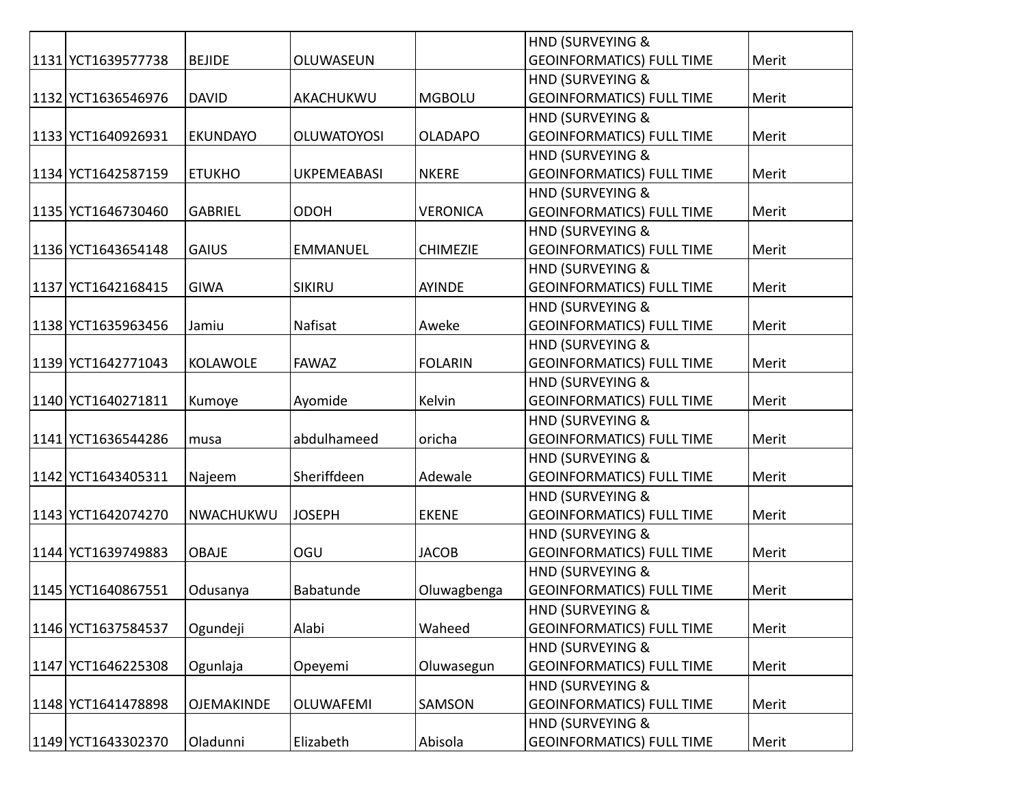|                    |                   |                    |                 | HND (SURVEYING &                 |       |
|--------------------|-------------------|--------------------|-----------------|----------------------------------|-------|
| 1131 YCT1639577738 | <b>BEJIDE</b>     | OLUWASEUN          |                 | <b>GEOINFORMATICS) FULL TIME</b> | Merit |
|                    |                   |                    |                 | HND (SURVEYING &                 |       |
| 1132 YCT1636546976 | <b>DAVID</b>      | AKACHUKWU          | <b>MGBOLU</b>   | <b>GEOINFORMATICS) FULL TIME</b> | Merit |
|                    |                   |                    |                 | <b>HND (SURVEYING &amp;</b>      |       |
| 1133 YCT1640926931 | <b>EKUNDAYO</b>   | <b>OLUWATOYOSI</b> | <b>OLADAPO</b>  | <b>GEOINFORMATICS) FULL TIME</b> | Merit |
|                    |                   |                    |                 | HND (SURVEYING &                 |       |
| 1134 YCT1642587159 | <b>ETUKHO</b>     | <b>UKPEMEABASI</b> | <b>NKERE</b>    | <b>GEOINFORMATICS) FULL TIME</b> | Merit |
|                    |                   |                    |                 | <b>HND (SURVEYING &amp;</b>      |       |
| 1135 YCT1646730460 | <b>GABRIEL</b>    | <b>ODOH</b>        | <b>VERONICA</b> | <b>GEOINFORMATICS) FULL TIME</b> | Merit |
|                    |                   |                    |                 | HND (SURVEYING &                 |       |
| 1136 YCT1643654148 | <b>GAIUS</b>      | <b>EMMANUEL</b>    | <b>CHIMEZIE</b> | <b>GEOINFORMATICS) FULL TIME</b> | Merit |
|                    |                   |                    |                 | HND (SURVEYING &                 |       |
| 1137 YCT1642168415 | <b>GIWA</b>       | <b>SIKIRU</b>      | AYINDE          | <b>GEOINFORMATICS) FULL TIME</b> | Merit |
|                    |                   |                    |                 | HND (SURVEYING &                 |       |
| 1138 YCT1635963456 | Jamiu             | Nafisat            | Aweke           | <b>GEOINFORMATICS) FULL TIME</b> | Merit |
|                    |                   |                    |                 | HND (SURVEYING &                 |       |
| 1139 YCT1642771043 | <b>KOLAWOLE</b>   | <b>FAWAZ</b>       | <b>FOLARIN</b>  | <b>GEOINFORMATICS) FULL TIME</b> | Merit |
|                    |                   |                    |                 | HND (SURVEYING &                 |       |
| 1140 YCT1640271811 | Kumoye            | Ayomide            | Kelvin          | <b>GEOINFORMATICS) FULL TIME</b> | Merit |
|                    |                   |                    |                 | HND (SURVEYING &                 |       |
| 1141 YCT1636544286 | musa              | abdulhameed        | oricha          | <b>GEOINFORMATICS) FULL TIME</b> | Merit |
|                    |                   |                    |                 | <b>HND (SURVEYING &amp;</b>      |       |
| 1142 YCT1643405311 | Najeem            | Sheriffdeen        | Adewale         | <b>GEOINFORMATICS) FULL TIME</b> | Merit |
|                    |                   |                    |                 | HND (SURVEYING &                 |       |
| 1143 YCT1642074270 | NWACHUKWU         | <b>JOSEPH</b>      | <b>EKENE</b>    | <b>GEOINFORMATICS) FULL TIME</b> | Merit |
|                    |                   |                    |                 | HND (SURVEYING &                 |       |
| 1144 YCT1639749883 | <b>OBAJE</b>      | OGU                | <b>JACOB</b>    | <b>GEOINFORMATICS) FULL TIME</b> | Merit |
|                    |                   |                    |                 | HND (SURVEYING &                 |       |
| 1145 YCT1640867551 | Odusanya          | Babatunde          | Oluwagbenga     | <b>GEOINFORMATICS) FULL TIME</b> | Merit |
|                    |                   |                    |                 | <b>HND (SURVEYING &amp;</b>      |       |
| 1146 YCT1637584537 | Ogundeji          | Alabi              | Waheed          | <b>GEOINFORMATICS) FULL TIME</b> | Merit |
|                    |                   |                    |                 | HND (SURVEYING &                 |       |
| 1147 YCT1646225308 | Ogunlaja          | Opeyemi            | Oluwasegun      | <b>GEOINFORMATICS) FULL TIME</b> | Merit |
|                    |                   |                    |                 | HND (SURVEYING &                 |       |
| 1148 YCT1641478898 | <b>OJEMAKINDE</b> | <b>OLUWAFEMI</b>   | SAMSON          | <b>GEOINFORMATICS) FULL TIME</b> | Merit |
|                    |                   |                    |                 | HND (SURVEYING &                 |       |
| 1149 YCT1643302370 | Oladunni          | Elizabeth          | Abisola         | <b>GEOINFORMATICS) FULL TIME</b> | Merit |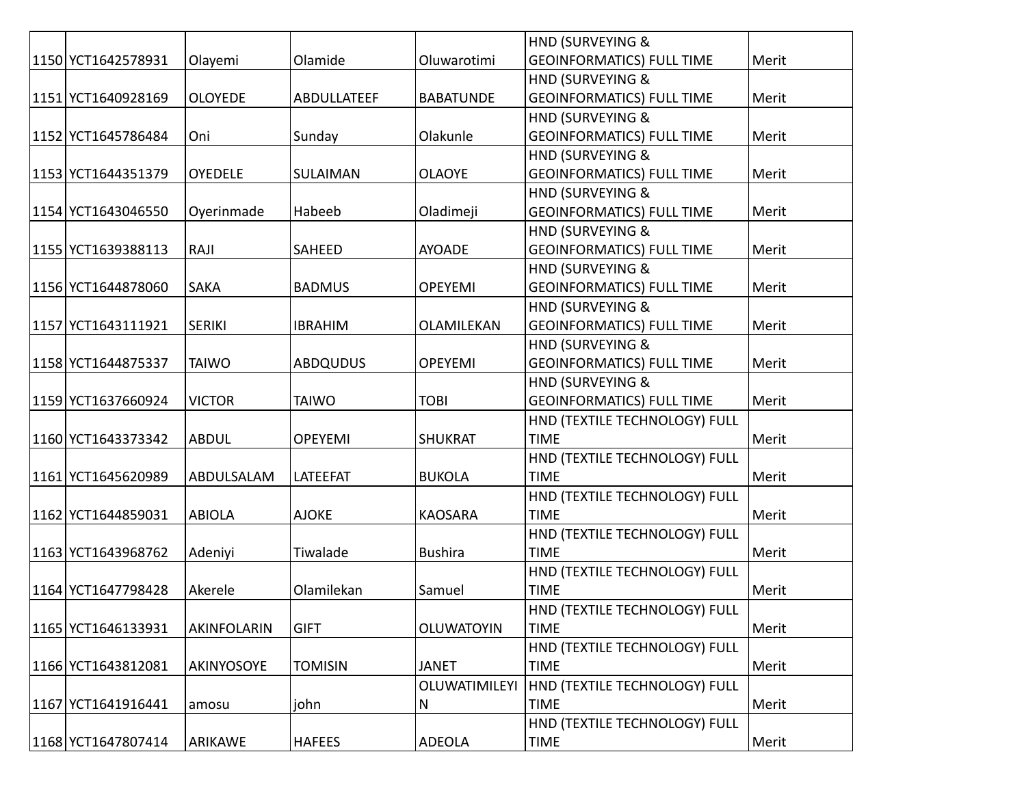|                    |                    |                 |                      | HND (SURVEYING &                 |       |
|--------------------|--------------------|-----------------|----------------------|----------------------------------|-------|
| 1150 YCT1642578931 | Olayemi            | Olamide         | Oluwarotimi          | <b>GEOINFORMATICS) FULL TIME</b> | Merit |
|                    |                    |                 |                      | HND (SURVEYING &                 |       |
| 1151 YCT1640928169 | <b>OLOYEDE</b>     | ABDULLATEEF     | <b>BABATUNDE</b>     | <b>GEOINFORMATICS) FULL TIME</b> | Merit |
|                    |                    |                 |                      | HND (SURVEYING &                 |       |
| 1152 YCT1645786484 | Oni                | Sunday          | Olakunle             | <b>GEOINFORMATICS) FULL TIME</b> | Merit |
|                    |                    |                 |                      | <b>HND (SURVEYING &amp;</b>      |       |
| 1153 YCT1644351379 | <b>OYEDELE</b>     | <b>SULAIMAN</b> | <b>OLAOYE</b>        | <b>GEOINFORMATICS) FULL TIME</b> | Merit |
|                    |                    |                 |                      | HND (SURVEYING &                 |       |
| 1154 YCT1643046550 | Oyerinmade         | Habeeb          | Oladimeji            | <b>GEOINFORMATICS) FULL TIME</b> | Merit |
|                    |                    |                 |                      | HND (SURVEYING &                 |       |
| 1155 YCT1639388113 | RAJI               | SAHEED          | <b>AYOADE</b>        | <b>GEOINFORMATICS) FULL TIME</b> | Merit |
|                    |                    |                 |                      | HND (SURVEYING &                 |       |
| 1156 YCT1644878060 | <b>SAKA</b>        | <b>BADMUS</b>   | <b>OPEYEMI</b>       | <b>GEOINFORMATICS) FULL TIME</b> | Merit |
|                    |                    |                 |                      | HND (SURVEYING &                 |       |
| 1157 YCT1643111921 | <b>SERIKI</b>      | <b>IBRAHIM</b>  | OLAMILEKAN           | <b>GEOINFORMATICS) FULL TIME</b> | Merit |
|                    |                    |                 |                      | HND (SURVEYING &                 |       |
| 1158 YCT1644875337 | <b>TAIWO</b>       | <b>ABDQUDUS</b> | <b>OPEYEMI</b>       | <b>GEOINFORMATICS) FULL TIME</b> | Merit |
|                    |                    |                 |                      | <b>HND (SURVEYING &amp;</b>      |       |
| 1159 YCT1637660924 | <b>VICTOR</b>      | <b>TAIWO</b>    | <b>TOBI</b>          | <b>GEOINFORMATICS) FULL TIME</b> | Merit |
|                    |                    |                 |                      | HND (TEXTILE TECHNOLOGY) FULL    |       |
| 1160 YCT1643373342 | <b>ABDUL</b>       | <b>OPEYEMI</b>  | <b>SHUKRAT</b>       | <b>TIME</b>                      | Merit |
|                    |                    |                 |                      | HND (TEXTILE TECHNOLOGY) FULL    |       |
| 1161 YCT1645620989 | ABDULSALAM         | LATEEFAT        | <b>BUKOLA</b>        | <b>TIME</b>                      | Merit |
|                    |                    |                 |                      | HND (TEXTILE TECHNOLOGY) FULL    |       |
| 1162 YCT1644859031 | <b>ABIOLA</b>      | <b>AJOKE</b>    | <b>KAOSARA</b>       | <b>TIME</b>                      | Merit |
|                    |                    |                 |                      | HND (TEXTILE TECHNOLOGY) FULL    |       |
| 1163 YCT1643968762 | Adeniyi            | Tiwalade        | <b>Bushira</b>       | <b>TIME</b>                      | Merit |
|                    |                    |                 |                      | HND (TEXTILE TECHNOLOGY) FULL    |       |
| 1164 YCT1647798428 | Akerele            | Olamilekan      | Samuel               | <b>TIME</b>                      | Merit |
|                    |                    |                 |                      | HND (TEXTILE TECHNOLOGY) FULL    |       |
| 1165 YCT1646133931 | <b>AKINFOLARIN</b> | <b>GIFT</b>     | <b>OLUWATOYIN</b>    | <b>TIME</b>                      | Merit |
|                    |                    |                 |                      | HND (TEXTILE TECHNOLOGY) FULL    |       |
| 1166 YCT1643812081 | AKINYOSOYE         | <b>TOMISIN</b>  | <b>JANET</b>         | <b>TIME</b>                      | Merit |
|                    |                    |                 | <b>OLUWATIMILEYI</b> | HND (TEXTILE TECHNOLOGY) FULL    |       |
| 1167 YCT1641916441 | amosu              | john            | N                    | <b>TIME</b>                      | Merit |
|                    |                    |                 |                      | HND (TEXTILE TECHNOLOGY) FULL    |       |
| 1168 YCT1647807414 | ARIKAWE            | <b>HAFEES</b>   | <b>ADEOLA</b>        | <b>TIME</b>                      | Merit |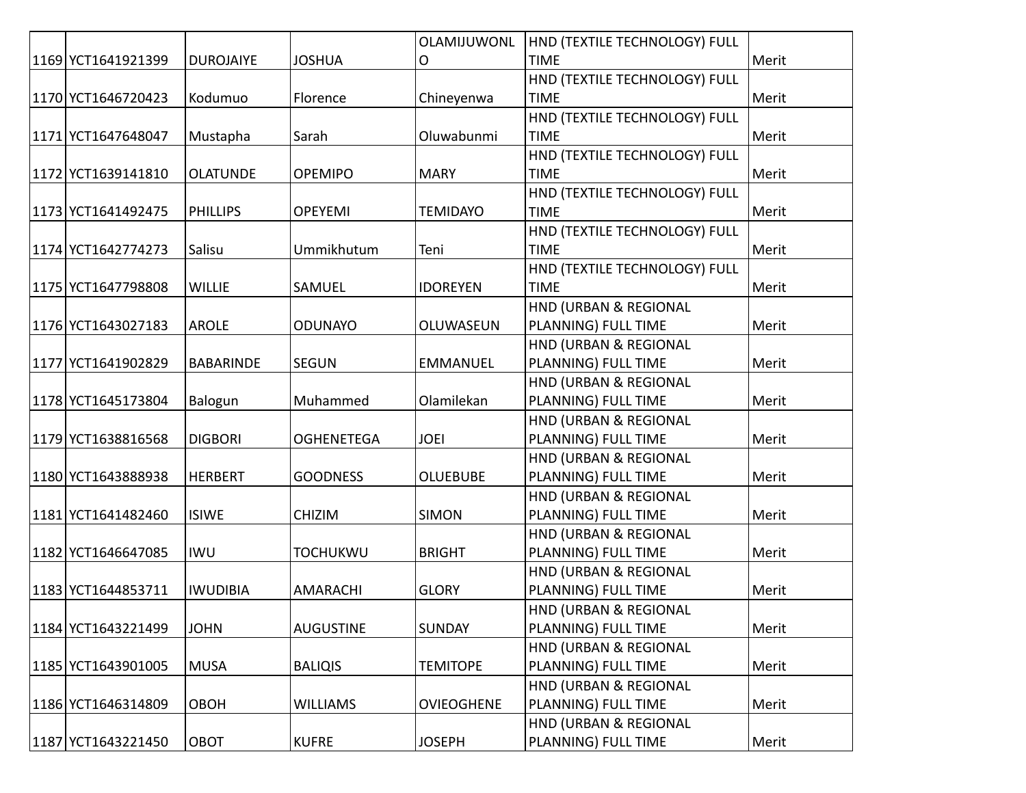|                    |                  |                   | OLAMIJUWONL       | HND (TEXTILE TECHNOLOGY) FULL |       |
|--------------------|------------------|-------------------|-------------------|-------------------------------|-------|
| 1169 YCT1641921399 | <b>DUROJAIYE</b> | <b>JOSHUA</b>     | O                 | <b>TIME</b>                   | Merit |
|                    |                  |                   |                   | HND (TEXTILE TECHNOLOGY) FULL |       |
| 1170 YCT1646720423 | Kodumuo          | Florence          | Chineyenwa        | <b>TIME</b>                   | Merit |
|                    |                  |                   |                   | HND (TEXTILE TECHNOLOGY) FULL |       |
| 1171 YCT1647648047 | Mustapha         | Sarah             | Oluwabunmi        | <b>TIME</b>                   | Merit |
|                    |                  |                   |                   | HND (TEXTILE TECHNOLOGY) FULL |       |
| 1172 YCT1639141810 | <b>OLATUNDE</b>  | <b>OPEMIPO</b>    | <b>MARY</b>       | <b>TIME</b>                   | Merit |
|                    |                  |                   |                   | HND (TEXTILE TECHNOLOGY) FULL |       |
| 1173 YCT1641492475 | <b>PHILLIPS</b>  | <b>OPEYEMI</b>    | <b>TEMIDAYO</b>   | <b>TIME</b>                   | Merit |
|                    |                  |                   |                   | HND (TEXTILE TECHNOLOGY) FULL |       |
| 1174 YCT1642774273 | Salisu           | Ummikhutum        | Teni              | <b>TIME</b>                   | Merit |
|                    |                  |                   |                   | HND (TEXTILE TECHNOLOGY) FULL |       |
| 1175 YCT1647798808 | <b>WILLIE</b>    | SAMUEL            | <b>IDOREYEN</b>   | <b>TIME</b>                   | Merit |
|                    |                  |                   |                   | HND (URBAN & REGIONAL         |       |
| 1176 YCT1643027183 | <b>AROLE</b>     | <b>ODUNAYO</b>    | OLUWASEUN         | PLANNING) FULL TIME           | Merit |
|                    |                  |                   |                   | HND (URBAN & REGIONAL         |       |
| 1177 YCT1641902829 | <b>BABARINDE</b> | <b>SEGUN</b>      | <b>EMMANUEL</b>   | PLANNING) FULL TIME           | Merit |
|                    |                  |                   |                   | HND (URBAN & REGIONAL         |       |
| 1178 YCT1645173804 | Balogun          | Muhammed          | Olamilekan        | PLANNING) FULL TIME           | Merit |
|                    |                  |                   |                   | HND (URBAN & REGIONAL         |       |
| 1179 YCT1638816568 | <b>DIGBORI</b>   | <b>OGHENETEGA</b> | <b>JOEI</b>       | PLANNING) FULL TIME           | Merit |
|                    |                  |                   |                   | HND (URBAN & REGIONAL         |       |
| 1180 YCT1643888938 | <b>HERBERT</b>   | <b>GOODNESS</b>   | <b>OLUEBUBE</b>   | PLANNING) FULL TIME           | Merit |
|                    |                  |                   |                   | HND (URBAN & REGIONAL         |       |
| 1181 YCT1641482460 | <b>ISIWE</b>     | <b>CHIZIM</b>     | <b>SIMON</b>      | PLANNING) FULL TIME           | Merit |
|                    |                  |                   |                   | HND (URBAN & REGIONAL         |       |
| 1182 YCT1646647085 | <b>IWU</b>       | <b>TOCHUKWU</b>   | <b>BRIGHT</b>     | PLANNING) FULL TIME           | Merit |
|                    |                  |                   |                   | HND (URBAN & REGIONAL         |       |
| 1183 YCT1644853711 | <b>IWUDIBIA</b>  | <b>AMARACHI</b>   | <b>GLORY</b>      | PLANNING) FULL TIME           | Merit |
|                    |                  |                   |                   | HND (URBAN & REGIONAL         |       |
| 1184 YCT1643221499 | <b>JOHN</b>      | <b>AUGUSTINE</b>  | <b>SUNDAY</b>     | PLANNING) FULL TIME           | Merit |
|                    |                  |                   |                   | HND (URBAN & REGIONAL         |       |
| 1185 YCT1643901005 | <b>MUSA</b>      | <b>BALIQIS</b>    | <b>TEMITOPE</b>   | PLANNING) FULL TIME           | Merit |
|                    |                  |                   |                   | HND (URBAN & REGIONAL         |       |
| 1186 YCT1646314809 | <b>OBOH</b>      | <b>WILLIAMS</b>   | <b>OVIEOGHENE</b> | PLANNING) FULL TIME           | Merit |
|                    |                  |                   |                   | HND (URBAN & REGIONAL         |       |
| 1187 YCT1643221450 | OBOT             | <b>KUFRE</b>      | <b>JOSEPH</b>     | PLANNING) FULL TIME           | Merit |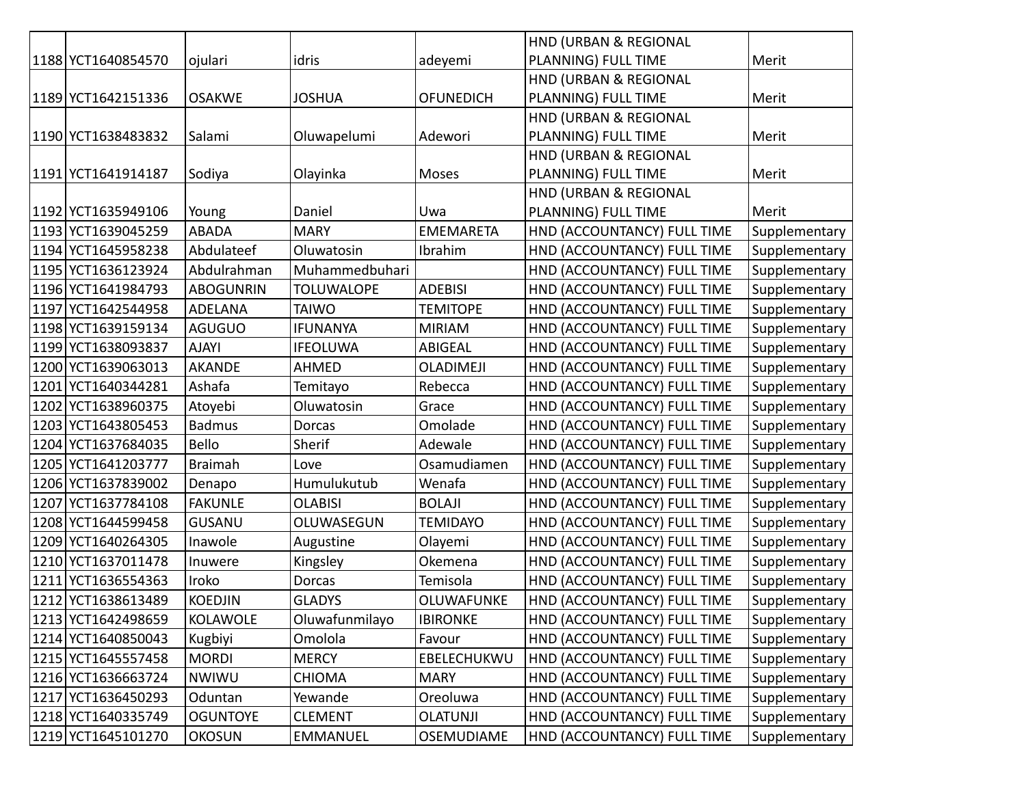|      |                    |                  |                   |                  | HND (URBAN & REGIONAL       |               |
|------|--------------------|------------------|-------------------|------------------|-----------------------------|---------------|
|      | 1188 YCT1640854570 | ojulari          | idris             | adeyemi          | PLANNING) FULL TIME         | Merit         |
|      |                    |                  |                   |                  | HND (URBAN & REGIONAL       |               |
|      | 1189 YCT1642151336 | <b>OSAKWE</b>    | <b>JOSHUA</b>     | <b>OFUNEDICH</b> | PLANNING) FULL TIME         | Merit         |
|      |                    |                  |                   |                  | HND (URBAN & REGIONAL       |               |
|      | 1190 YCT1638483832 | Salami           | Oluwapelumi       | Adewori          | PLANNING) FULL TIME         | Merit         |
|      |                    |                  |                   |                  | HND (URBAN & REGIONAL       |               |
|      | 1191 YCT1641914187 | Sodiya           | Olayinka          | <b>Moses</b>     | PLANNING) FULL TIME         | Merit         |
|      |                    |                  |                   |                  | HND (URBAN & REGIONAL       |               |
|      | 1192 YCT1635949106 | Young            | Daniel            | Uwa              | PLANNING) FULL TIME         | Merit         |
|      | 1193 YCT1639045259 | <b>ABADA</b>     | <b>MARY</b>       | <b>EMEMARETA</b> | HND (ACCOUNTANCY) FULL TIME | Supplementary |
|      | 1194 YCT1645958238 | Abdulateef       | Oluwatosin        | Ibrahim          | HND (ACCOUNTANCY) FULL TIME | Supplementary |
|      | 1195 YCT1636123924 | Abdulrahman      | Muhammedbuhari    |                  | HND (ACCOUNTANCY) FULL TIME | Supplementary |
|      | 1196 YCT1641984793 | <b>ABOGUNRIN</b> | <b>TOLUWALOPE</b> | <b>ADEBISI</b>   | HND (ACCOUNTANCY) FULL TIME | Supplementary |
| 1197 | YCT1642544958      | <b>ADELANA</b>   | <b>TAIWO</b>      | <b>TEMITOPE</b>  | HND (ACCOUNTANCY) FULL TIME | Supplementary |
|      | 1198 YCT1639159134 | <b>AGUGUO</b>    | <b>IFUNANYA</b>   | <b>MIRIAM</b>    | HND (ACCOUNTANCY) FULL TIME | Supplementary |
|      | 1199 YCT1638093837 | <b>AJAYI</b>     | <b>IFEOLUWA</b>   | <b>ABIGEAL</b>   | HND (ACCOUNTANCY) FULL TIME | Supplementary |
| 1200 | YCT1639063013      | <b>AKANDE</b>    | <b>AHMED</b>      | OLADIMEJI        | HND (ACCOUNTANCY) FULL TIME | Supplementary |
| 1201 | YCT1640344281      | Ashafa           | Temitayo          | Rebecca          | HND (ACCOUNTANCY) FULL TIME | Supplementary |
|      | 1202 YCT1638960375 | Atoyebi          | Oluwatosin        | Grace            | HND (ACCOUNTANCY) FULL TIME | Supplementary |
| 1203 | YCT1643805453      | <b>Badmus</b>    | <b>Dorcas</b>     | Omolade          | HND (ACCOUNTANCY) FULL TIME | Supplementary |
|      | 1204 YCT1637684035 | Bello            | Sherif            | Adewale          | HND (ACCOUNTANCY) FULL TIME | Supplementary |
| 1205 | YCT1641203777      | <b>Braimah</b>   | Love              | Osamudiamen      | HND (ACCOUNTANCY) FULL TIME | Supplementary |
|      | 1206 YCT1637839002 | Denapo           | Humulukutub       | Wenafa           | HND (ACCOUNTANCY) FULL TIME | Supplementary |
| 1207 | YCT1637784108      | <b>FAKUNLE</b>   | <b>OLABISI</b>    | <b>BOLAJI</b>    | HND (ACCOUNTANCY) FULL TIME | Supplementary |
| 1208 | YCT1644599458      | <b>GUSANU</b>    | OLUWASEGUN        | <b>TEMIDAYO</b>  | HND (ACCOUNTANCY) FULL TIME | Supplementary |
| 1209 | YCT1640264305      | Inawole          | Augustine         | Olayemi          | HND (ACCOUNTANCY) FULL TIME | Supplementary |
| 1210 | YCT1637011478      | Inuwere          | Kingsley          | Okemena          | HND (ACCOUNTANCY) FULL TIME | Supplementary |
| 1211 | YCT1636554363      | Iroko            | Dorcas            | Temisola         | HND (ACCOUNTANCY) FULL TIME | Supplementary |
|      | 1212 YCT1638613489 | <b>KOEDJIN</b>   | <b>GLADYS</b>     | OLUWAFUNKE       | HND (ACCOUNTANCY) FULL TIME | Supplementary |
|      | 1213 YCT1642498659 | KOLAWOLE         | Oluwafunmilayo    | <b>IBIRONKE</b>  | HND (ACCOUNTANCY) FULL TIME | Supplementary |
|      | 1214 YCT1640850043 | Kugbiyi          | Omolola           | Favour           | HND (ACCOUNTANCY) FULL TIME | Supplementary |
|      | 1215 YCT1645557458 | <b>MORDI</b>     | <b>MERCY</b>      | EBELECHUKWU      | HND (ACCOUNTANCY) FULL TIME | Supplementary |
|      | 1216 YCT1636663724 | NWIWU            | <b>CHIOMA</b>     | <b>MARY</b>      | HND (ACCOUNTANCY) FULL TIME | Supplementary |
|      | 1217 YCT1636450293 | Oduntan          | Yewande           | Oreoluwa         | HND (ACCOUNTANCY) FULL TIME | Supplementary |
|      | 1218 YCT1640335749 | <b>OGUNTOYE</b>  | <b>CLEMENT</b>    | <b>OLATUNJI</b>  | HND (ACCOUNTANCY) FULL TIME | Supplementary |
|      | 1219 YCT1645101270 | <b>OKOSUN</b>    | EMMANUEL          | OSEMUDIAME       | HND (ACCOUNTANCY) FULL TIME | Supplementary |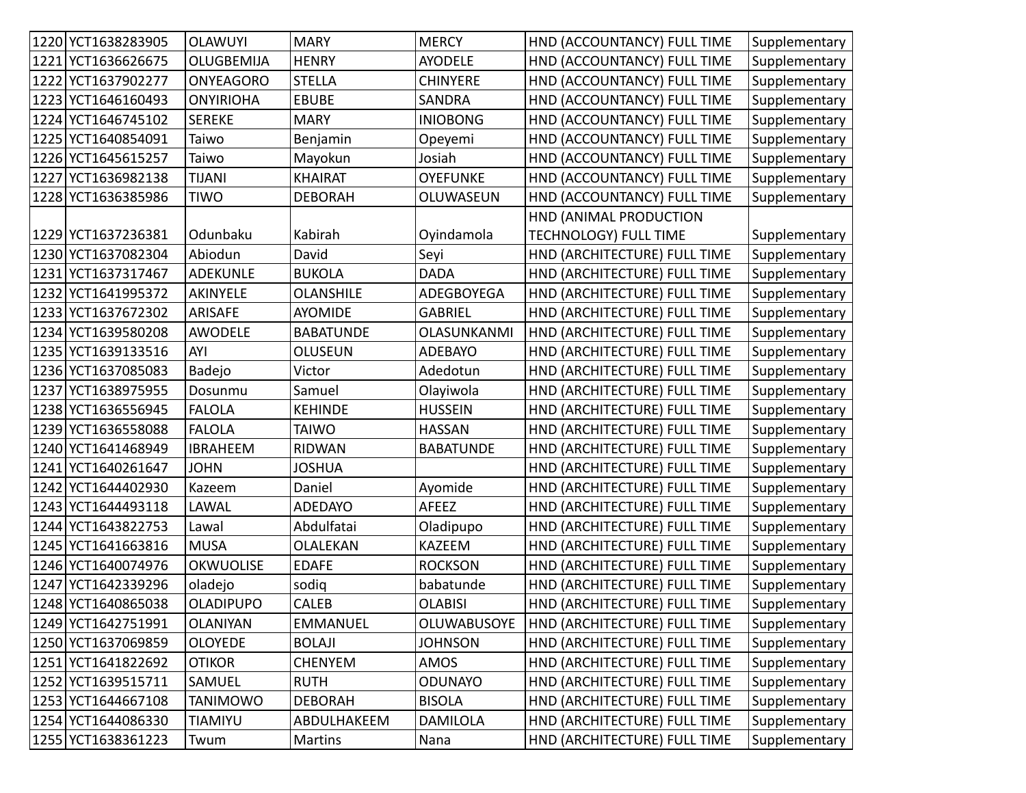| 1220 YCT1638283905 | <b>OLAWUYI</b>   | <b>MARY</b>      | <b>MERCY</b>     | HND (ACCOUNTANCY) FULL TIME  | Supplementary |
|--------------------|------------------|------------------|------------------|------------------------------|---------------|
| 1221 YCT1636626675 | OLUGBEMIJA       | <b>HENRY</b>     | <b>AYODELE</b>   | HND (ACCOUNTANCY) FULL TIME  | Supplementary |
| 1222 YCT1637902277 | <b>ONYEAGORO</b> | <b>STELLA</b>    | <b>CHINYERE</b>  | HND (ACCOUNTANCY) FULL TIME  | Supplementary |
| 1223 YCT1646160493 | <b>ONYIRIOHA</b> | <b>EBUBE</b>     | SANDRA           | HND (ACCOUNTANCY) FULL TIME  | Supplementary |
| 1224 YCT1646745102 | <b>SEREKE</b>    | <b>MARY</b>      | <b>INIOBONG</b>  | HND (ACCOUNTANCY) FULL TIME  | Supplementary |
| 1225 YCT1640854091 | Taiwo            | Benjamin         | Opeyemi          | HND (ACCOUNTANCY) FULL TIME  | Supplementary |
| 1226 YCT1645615257 | Taiwo            | Mayokun          | Josiah           | HND (ACCOUNTANCY) FULL TIME  | Supplementary |
| 1227 YCT1636982138 | <b>TIJANI</b>    | <b>KHAIRAT</b>   | <b>OYEFUNKE</b>  | HND (ACCOUNTANCY) FULL TIME  | Supplementary |
| 1228 YCT1636385986 | <b>TIWO</b>      | <b>DEBORAH</b>   | OLUWASEUN        | HND (ACCOUNTANCY) FULL TIME  | Supplementary |
|                    |                  |                  |                  | HND (ANIMAL PRODUCTION       |               |
| 1229 YCT1637236381 | Odunbaku         | Kabirah          | Oyindamola       | <b>TECHNOLOGY) FULL TIME</b> | Supplementary |
| 1230 YCT1637082304 | Abiodun          | David            | Seyi             | HND (ARCHITECTURE) FULL TIME | Supplementary |
| 1231 YCT1637317467 | <b>ADEKUNLE</b>  | <b>BUKOLA</b>    | <b>DADA</b>      | HND (ARCHITECTURE) FULL TIME | Supplementary |
| 1232 YCT1641995372 | <b>AKINYELE</b>  | <b>OLANSHILE</b> | ADEGBOYEGA       | HND (ARCHITECTURE) FULL TIME | Supplementary |
| 1233 YCT1637672302 | ARISAFE          | <b>AYOMIDE</b>   | <b>GABRIEL</b>   | HND (ARCHITECTURE) FULL TIME | Supplementary |
| 1234 YCT1639580208 | <b>AWODELE</b>   | <b>BABATUNDE</b> | OLASUNKANMI      | HND (ARCHITECTURE) FULL TIME | Supplementary |
| 1235 YCT1639133516 | AYI              | <b>OLUSEUN</b>   | <b>ADEBAYO</b>   | HND (ARCHITECTURE) FULL TIME | Supplementary |
| 1236 YCT1637085083 | Badejo           | Victor           | Adedotun         | HND (ARCHITECTURE) FULL TIME | Supplementary |
| 1237 YCT1638975955 | Dosunmu          | Samuel           | Olayiwola        | HND (ARCHITECTURE) FULL TIME | Supplementary |
| 1238 YCT1636556945 | <b>FALOLA</b>    | <b>KEHINDE</b>   | <b>HUSSEIN</b>   | HND (ARCHITECTURE) FULL TIME | Supplementary |
| 1239 YCT1636558088 | <b>FALOLA</b>    | <b>TAIWO</b>     | <b>HASSAN</b>    | HND (ARCHITECTURE) FULL TIME | Supplementary |
| 1240 YCT1641468949 | <b>IBRAHEEM</b>  | <b>RIDWAN</b>    | <b>BABATUNDE</b> | HND (ARCHITECTURE) FULL TIME | Supplementary |
| 1241 YCT1640261647 | <b>JOHN</b>      | <b>JOSHUA</b>    |                  | HND (ARCHITECTURE) FULL TIME | Supplementary |
| 1242 YCT1644402930 | Kazeem           | Daniel           | Ayomide          | HND (ARCHITECTURE) FULL TIME | Supplementary |
| 1243 YCT1644493118 | LAWAL            | <b>ADEDAYO</b>   | <b>AFEEZ</b>     | HND (ARCHITECTURE) FULL TIME | Supplementary |
| 1244 YCT1643822753 | Lawal            | Abdulfatai       | Oladipupo        | HND (ARCHITECTURE) FULL TIME | Supplementary |
| 1245 YCT1641663816 | <b>MUSA</b>      | OLALEKAN         | <b>KAZEEM</b>    | HND (ARCHITECTURE) FULL TIME | Supplementary |
| 1246 YCT1640074976 | <b>OKWUOLISE</b> | <b>EDAFE</b>     | <b>ROCKSON</b>   | HND (ARCHITECTURE) FULL TIME | Supplementary |
| 1247 YCT1642339296 | oladejo          | sodig            | babatunde        | HND (ARCHITECTURE) FULL TIME | Supplementary |
| 1248 YCT1640865038 | <b>OLADIPUPO</b> | <b>CALEB</b>     | <b>OLABISI</b>   | HND (ARCHITECTURE) FULL TIME | Supplementary |
| 1249 YCT1642751991 | <b>OLANIYAN</b>  | <b>EMMANUEL</b>  | OLUWABUSOYE      | HND (ARCHITECTURE) FULL TIME | Supplementary |
| 1250 YCT1637069859 | <b>OLOYEDE</b>   | <b>BOLAJI</b>    | <b>JOHNSON</b>   | HND (ARCHITECTURE) FULL TIME | Supplementary |
| 1251 YCT1641822692 | <b>OTIKOR</b>    | <b>CHENYEM</b>   | AMOS             | HND (ARCHITECTURE) FULL TIME | Supplementary |
| 1252 YCT1639515711 | SAMUEL           | <b>RUTH</b>      | <b>ODUNAYO</b>   | HND (ARCHITECTURE) FULL TIME | Supplementary |
| 1253 YCT1644667108 | <b>TANIMOWO</b>  | <b>DEBORAH</b>   | <b>BISOLA</b>    | HND (ARCHITECTURE) FULL TIME | Supplementary |
| 1254 YCT1644086330 | TIAMIYU          | ABDULHAKEEM      | DAMILOLA         | HND (ARCHITECTURE) FULL TIME | Supplementary |
| 1255 YCT1638361223 | Twum             | Martins          | Nana             | HND (ARCHITECTURE) FULL TIME | Supplementary |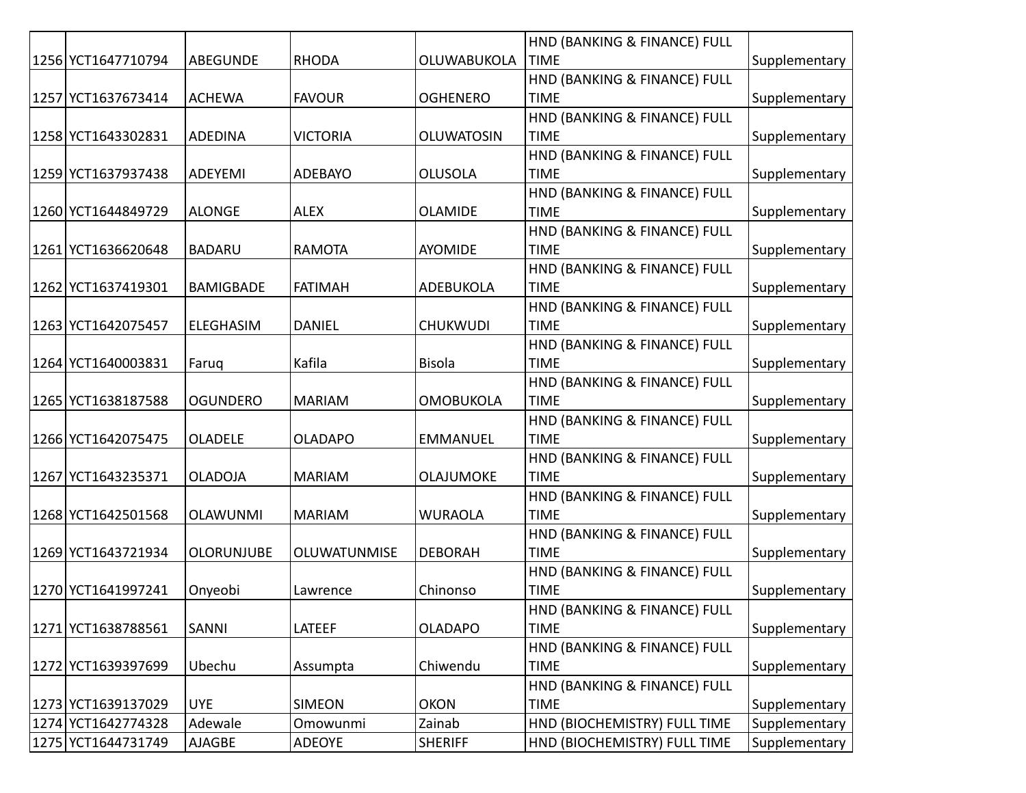|                    |                   |                     |                   | HND (BANKING & FINANCE) FULL |               |
|--------------------|-------------------|---------------------|-------------------|------------------------------|---------------|
| 1256 YCT1647710794 | ABEGUNDE          | <b>RHODA</b>        | OLUWABUKOLA       | <b>TIME</b>                  | Supplementary |
|                    |                   |                     |                   | HND (BANKING & FINANCE) FULL |               |
| 1257 YCT1637673414 | <b>ACHEWA</b>     | <b>FAVOUR</b>       | <b>OGHENERO</b>   | <b>TIME</b>                  | Supplementary |
|                    |                   |                     |                   | HND (BANKING & FINANCE) FULL |               |
| 1258 YCT1643302831 | <b>ADEDINA</b>    | <b>VICTORIA</b>     | <b>OLUWATOSIN</b> | <b>TIME</b>                  | Supplementary |
|                    |                   |                     |                   | HND (BANKING & FINANCE) FULL |               |
| 1259 YCT1637937438 | ADEYEMI           | <b>ADEBAYO</b>      | <b>OLUSOLA</b>    | <b>TIME</b>                  | Supplementary |
|                    |                   |                     |                   | HND (BANKING & FINANCE) FULL |               |
| 1260 YCT1644849729 | <b>ALONGE</b>     | <b>ALEX</b>         | <b>OLAMIDE</b>    | <b>TIME</b>                  | Supplementary |
|                    |                   |                     |                   | HND (BANKING & FINANCE) FULL |               |
| 1261 YCT1636620648 | <b>BADARU</b>     | <b>RAMOTA</b>       | AYOMIDE           | <b>TIME</b>                  | Supplementary |
|                    |                   |                     |                   | HND (BANKING & FINANCE) FULL |               |
| 1262 YCT1637419301 | <b>BAMIGBADE</b>  | <b>FATIMAH</b>      | ADEBUKOLA         | <b>TIME</b>                  | Supplementary |
|                    |                   |                     |                   | HND (BANKING & FINANCE) FULL |               |
| 1263 YCT1642075457 | <b>ELEGHASIM</b>  | <b>DANIEL</b>       | <b>CHUKWUDI</b>   | <b>TIME</b>                  | Supplementary |
|                    |                   |                     |                   | HND (BANKING & FINANCE) FULL |               |
| 1264 YCT1640003831 | Faruq             | Kafila              | <b>Bisola</b>     | <b>TIME</b>                  | Supplementary |
|                    |                   |                     |                   | HND (BANKING & FINANCE) FULL |               |
| 1265 YCT1638187588 | <b>OGUNDERO</b>   | <b>MARIAM</b>       | <b>OMOBUKOLA</b>  | <b>TIME</b>                  | Supplementary |
|                    |                   |                     |                   | HND (BANKING & FINANCE) FULL |               |
| 1266 YCT1642075475 | <b>OLADELE</b>    | <b>OLADAPO</b>      | <b>EMMANUEL</b>   | <b>TIME</b>                  | Supplementary |
|                    |                   |                     |                   | HND (BANKING & FINANCE) FULL |               |
| 1267 YCT1643235371 | <b>OLADOJA</b>    | <b>MARIAM</b>       | OLAJUMOKE         | <b>TIME</b>                  | Supplementary |
|                    |                   |                     |                   | HND (BANKING & FINANCE) FULL |               |
| 1268 YCT1642501568 | <b>OLAWUNMI</b>   | <b>MARIAM</b>       | <b>WURAOLA</b>    | <b>TIME</b>                  | Supplementary |
|                    |                   |                     |                   | HND (BANKING & FINANCE) FULL |               |
| 1269 YCT1643721934 | <b>OLORUNJUBE</b> | <b>OLUWATUNMISE</b> | <b>DEBORAH</b>    | <b>TIME</b>                  | Supplementary |
|                    |                   |                     |                   | HND (BANKING & FINANCE) FULL |               |
| 1270 YCT1641997241 | Onyeobi           | Lawrence            | Chinonso          | <b>TIME</b>                  | Supplementary |
|                    |                   |                     |                   | HND (BANKING & FINANCE) FULL |               |
| 1271 YCT1638788561 | SANNI             | LATEEF              | <b>OLADAPO</b>    | <b>TIME</b>                  | Supplementary |
|                    |                   |                     |                   | HND (BANKING & FINANCE) FULL |               |
| 1272 YCT1639397699 | Ubechu            | Assumpta            | Chiwendu          | <b>TIME</b>                  | Supplementary |
|                    |                   |                     |                   | HND (BANKING & FINANCE) FULL |               |
| 1273 YCT1639137029 | <b>UYE</b>        | <b>SIMEON</b>       | <b>OKON</b>       | <b>TIME</b>                  | Supplementary |
| 1274 YCT1642774328 | Adewale           | Omowunmi            | Zainab            | HND (BIOCHEMISTRY) FULL TIME | Supplementary |
| 1275 YCT1644731749 | AJAGBE            | ADEOYE              | <b>SHERIFF</b>    | HND (BIOCHEMISTRY) FULL TIME | Supplementary |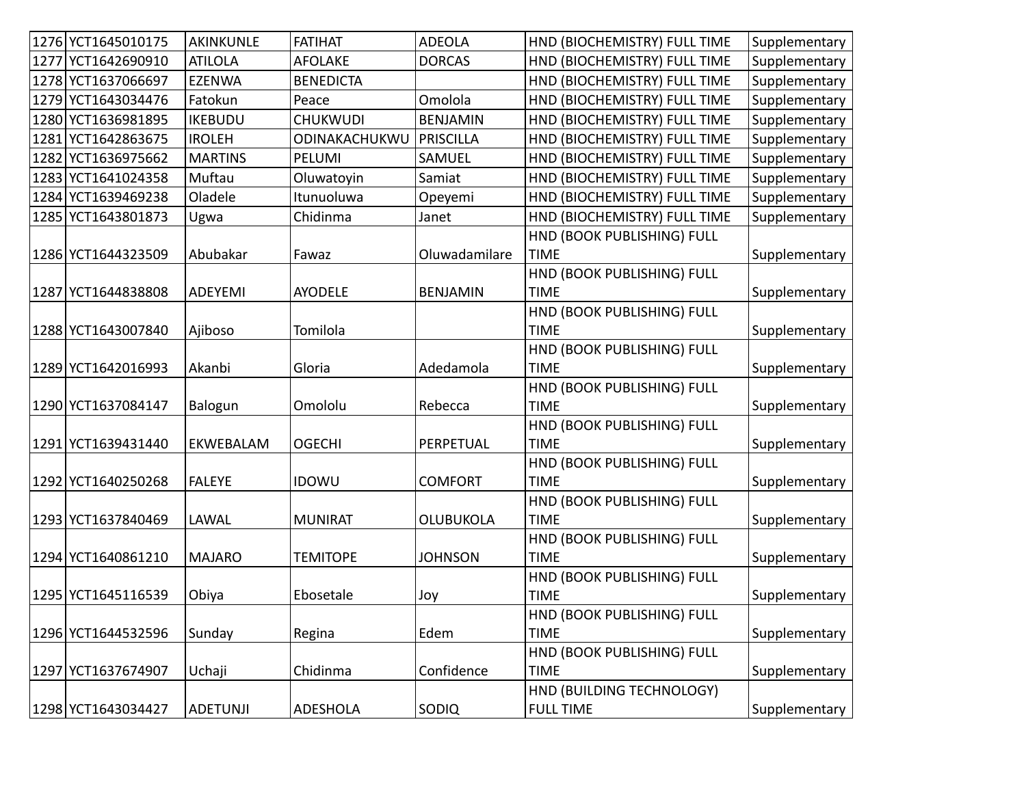| 1276 YCT1645010175 | AKINKUNLE       | <b>FATIHAT</b>   | <b>ADEOLA</b>    | HND (BIOCHEMISTRY) FULL TIME | Supplementary |
|--------------------|-----------------|------------------|------------------|------------------------------|---------------|
| 1277 YCT1642690910 | <b>ATILOLA</b>  | <b>AFOLAKE</b>   | <b>DORCAS</b>    | HND (BIOCHEMISTRY) FULL TIME | Supplementary |
| 1278 YCT1637066697 | <b>EZENWA</b>   | <b>BENEDICTA</b> |                  | HND (BIOCHEMISTRY) FULL TIME | Supplementary |
| 1279 YCT1643034476 | Fatokun         | Peace            | Omolola          | HND (BIOCHEMISTRY) FULL TIME | Supplementary |
| 1280 YCT1636981895 | <b>IKEBUDU</b>  | <b>CHUKWUDI</b>  | <b>BENJAMIN</b>  | HND (BIOCHEMISTRY) FULL TIME | Supplementary |
| 1281 YCT1642863675 | <b>IROLEH</b>   | ODINAKACHUKWU    | PRISCILLA        | HND (BIOCHEMISTRY) FULL TIME | Supplementary |
| 1282 YCT1636975662 | <b>MARTINS</b>  | PELUMI           | <b>SAMUEL</b>    | HND (BIOCHEMISTRY) FULL TIME | Supplementary |
| 1283 YCT1641024358 | Muftau          | Oluwatoyin       | Samiat           | HND (BIOCHEMISTRY) FULL TIME | Supplementary |
| 1284 YCT1639469238 | Oladele         | Itunuoluwa       | Opeyemi          | HND (BIOCHEMISTRY) FULL TIME | Supplementary |
| 1285 YCT1643801873 | Ugwa            | Chidinma         | Janet            | HND (BIOCHEMISTRY) FULL TIME | Supplementary |
|                    |                 |                  |                  | HND (BOOK PUBLISHING) FULL   |               |
| 1286 YCT1644323509 | Abubakar        | Fawaz            | Oluwadamilare    | <b>TIME</b>                  | Supplementary |
|                    |                 |                  |                  | HND (BOOK PUBLISHING) FULL   |               |
| 1287 YCT1644838808 | ADEYEMI         | <b>AYODELE</b>   | <b>BENJAMIN</b>  | <b>TIME</b>                  | Supplementary |
|                    |                 |                  |                  | HND (BOOK PUBLISHING) FULL   |               |
| 1288 YCT1643007840 | Ajiboso         | Tomilola         |                  | <b>TIME</b>                  | Supplementary |
|                    |                 |                  |                  | HND (BOOK PUBLISHING) FULL   |               |
| 1289 YCT1642016993 | Akanbi          | Gloria           | Adedamola        | <b>TIME</b>                  | Supplementary |
|                    |                 |                  |                  | HND (BOOK PUBLISHING) FULL   |               |
| 1290 YCT1637084147 | Balogun         | Omololu          | Rebecca          | <b>TIME</b>                  | Supplementary |
|                    |                 |                  |                  | HND (BOOK PUBLISHING) FULL   |               |
| 1291 YCT1639431440 | EKWEBALAM       | <b>OGECHI</b>    | PERPETUAL        | <b>TIME</b>                  | Supplementary |
|                    |                 |                  |                  | HND (BOOK PUBLISHING) FULL   |               |
| 1292 YCT1640250268 | <b>FALEYE</b>   | <b>IDOWU</b>     | <b>COMFORT</b>   | <b>TIME</b>                  | Supplementary |
|                    |                 |                  |                  | HND (BOOK PUBLISHING) FULL   |               |
| 1293 YCT1637840469 | LAWAL           | <b>MUNIRAT</b>   | <b>OLUBUKOLA</b> | <b>TIME</b>                  | Supplementary |
|                    |                 |                  |                  | HND (BOOK PUBLISHING) FULL   |               |
| 1294 YCT1640861210 | <b>MAJARO</b>   | <b>TEMITOPE</b>  | <b>JOHNSON</b>   | <b>TIME</b>                  | Supplementary |
|                    |                 |                  |                  | HND (BOOK PUBLISHING) FULL   |               |
| 1295 YCT1645116539 | Obiya           | Ebosetale        | Joy              | <b>TIME</b>                  | Supplementary |
|                    |                 |                  |                  | HND (BOOK PUBLISHING) FULL   |               |
| 1296 YCT1644532596 | Sunday          | Regina           | Edem             | <b>TIME</b>                  | Supplementary |
|                    |                 |                  |                  | HND (BOOK PUBLISHING) FULL   |               |
| 1297 YCT1637674907 | Uchaji          | Chidinma         | Confidence       | <b>TIME</b>                  | Supplementary |
|                    |                 |                  |                  | HND (BUILDING TECHNOLOGY)    |               |
| 1298 YCT1643034427 | <b>ADETUNJI</b> | <b>ADESHOLA</b>  | <b>SODIQ</b>     | <b>FULL TIME</b>             | Supplementary |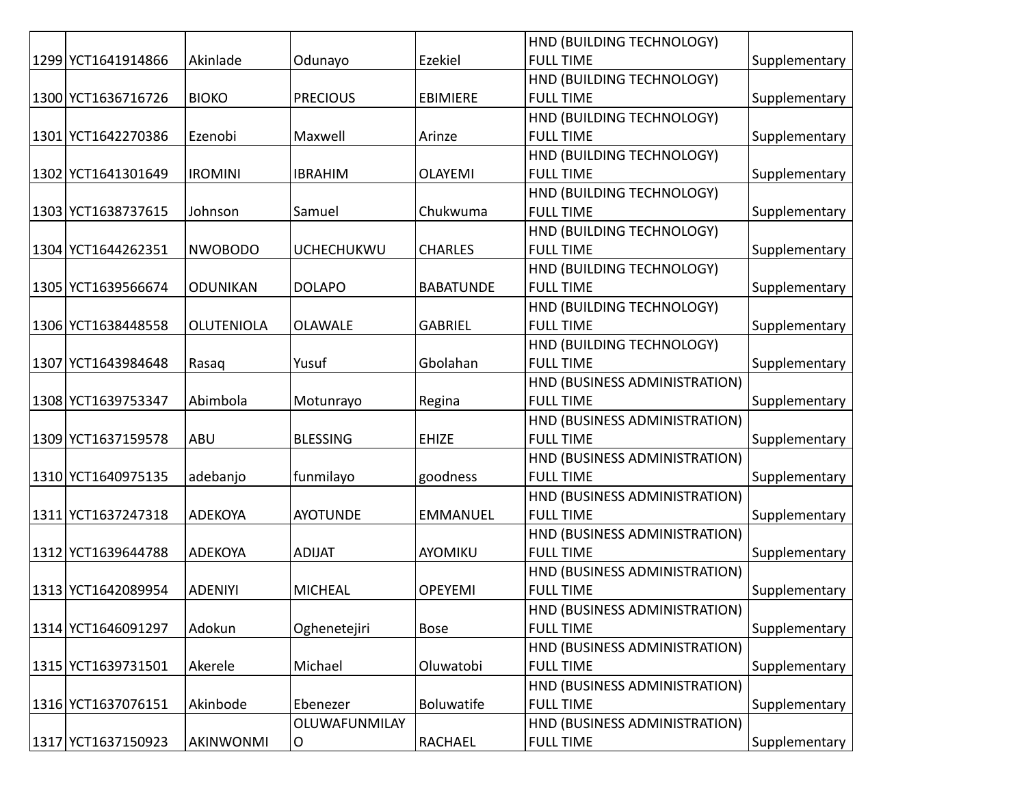|                    |                   |                   |                  | HND (BUILDING TECHNOLOGY)     |               |
|--------------------|-------------------|-------------------|------------------|-------------------------------|---------------|
| 1299 YCT1641914866 | Akinlade          | Odunayo           | Ezekiel          | <b>FULL TIME</b>              | Supplementary |
|                    |                   |                   |                  | HND (BUILDING TECHNOLOGY)     |               |
| 1300 YCT1636716726 | <b>BIOKO</b>      | <b>PRECIOUS</b>   | <b>EBIMIERE</b>  | <b>FULL TIME</b>              | Supplementary |
|                    |                   |                   |                  | HND (BUILDING TECHNOLOGY)     |               |
| 1301 YCT1642270386 | Ezenobi           | Maxwell           | Arinze           | <b>FULL TIME</b>              | Supplementary |
|                    |                   |                   |                  | HND (BUILDING TECHNOLOGY)     |               |
| 1302 YCT1641301649 | <b>IROMINI</b>    | <b>IBRAHIM</b>    | <b>OLAYEMI</b>   | <b>FULL TIME</b>              | Supplementary |
|                    |                   |                   |                  | HND (BUILDING TECHNOLOGY)     |               |
| 1303 YCT1638737615 | Johnson           | Samuel            | Chukwuma         | <b>FULL TIME</b>              | Supplementary |
|                    |                   |                   |                  | HND (BUILDING TECHNOLOGY)     |               |
| 1304 YCT1644262351 | <b>NWOBODO</b>    | <b>UCHECHUKWU</b> | <b>CHARLES</b>   | <b>FULL TIME</b>              | Supplementary |
|                    |                   |                   |                  | HND (BUILDING TECHNOLOGY)     |               |
| 1305 YCT1639566674 | <b>ODUNIKAN</b>   | <b>DOLAPO</b>     | <b>BABATUNDE</b> | <b>FULL TIME</b>              | Supplementary |
|                    |                   |                   |                  | HND (BUILDING TECHNOLOGY)     |               |
| 1306 YCT1638448558 | <b>OLUTENIOLA</b> | <b>OLAWALE</b>    | <b>GABRIEL</b>   | <b>FULL TIME</b>              | Supplementary |
|                    |                   |                   |                  | HND (BUILDING TECHNOLOGY)     |               |
| 1307 YCT1643984648 | Rasaq             | Yusuf             | Gbolahan         | <b>FULL TIME</b>              | Supplementary |
|                    |                   |                   |                  | HND (BUSINESS ADMINISTRATION) |               |
| 1308 YCT1639753347 | Abimbola          | Motunrayo         | Regina           | <b>FULL TIME</b>              | Supplementary |
|                    |                   |                   |                  | HND (BUSINESS ADMINISTRATION) |               |
| 1309 YCT1637159578 | ABU               | <b>BLESSING</b>   | <b>EHIZE</b>     | <b>FULL TIME</b>              | Supplementary |
|                    |                   |                   |                  | HND (BUSINESS ADMINISTRATION) |               |
| 1310 YCT1640975135 | adebanjo          | funmilayo         | goodness         | <b>FULL TIME</b>              | Supplementary |
|                    |                   |                   |                  | HND (BUSINESS ADMINISTRATION) |               |
| 1311 YCT1637247318 | <b>ADEKOYA</b>    | <b>AYOTUNDE</b>   | <b>EMMANUEL</b>  | <b>FULL TIME</b>              | Supplementary |
|                    |                   |                   |                  | HND (BUSINESS ADMINISTRATION) |               |
| 1312 YCT1639644788 | ADEKOYA           | <b>ADIJAT</b>     | AYOMIKU          | <b>FULL TIME</b>              | Supplementary |
|                    |                   |                   |                  | HND (BUSINESS ADMINISTRATION) |               |
| 1313 YCT1642089954 | <b>ADENIYI</b>    | <b>MICHEAL</b>    | <b>OPEYEMI</b>   | <b>FULL TIME</b>              | Supplementary |
|                    |                   |                   |                  | HND (BUSINESS ADMINISTRATION) |               |
| 1314 YCT1646091297 | Adokun            | Oghenetejiri      | <b>Bose</b>      | <b>FULL TIME</b>              | Supplementary |
|                    |                   |                   |                  | HND (BUSINESS ADMINISTRATION) |               |
| 1315 YCT1639731501 | Akerele           | Michael           | Oluwatobi        | <b>FULL TIME</b>              | Supplementary |
|                    |                   |                   |                  | HND (BUSINESS ADMINISTRATION) |               |
| 1316 YCT1637076151 | Akinbode          | Ebenezer          | Boluwatife       | <b>FULL TIME</b>              | Supplementary |
|                    |                   | OLUWAFUNMILAY     |                  | HND (BUSINESS ADMINISTRATION) |               |
| 1317 YCT1637150923 | AKINWONMI         | O                 | RACHAEL          | <b>FULL TIME</b>              | Supplementary |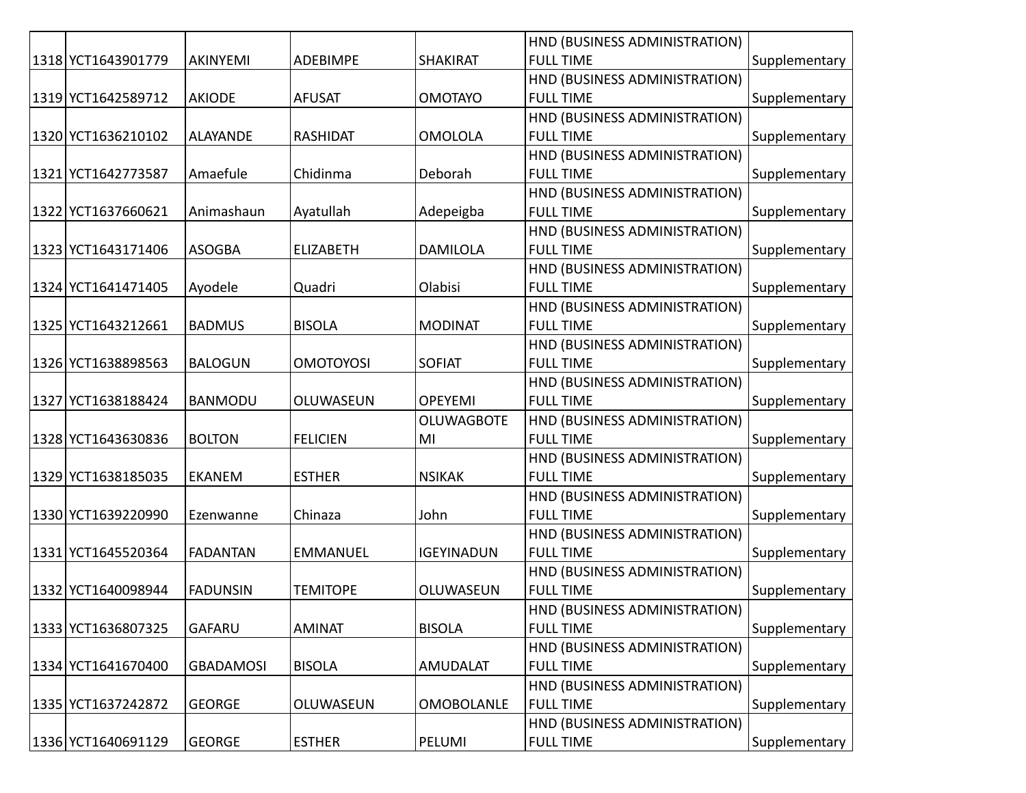|                    |                  |                  |                   | HND (BUSINESS ADMINISTRATION) |               |
|--------------------|------------------|------------------|-------------------|-------------------------------|---------------|
| 1318 YCT1643901779 | AKINYEMI         | <b>ADEBIMPE</b>  | <b>SHAKIRAT</b>   | <b>FULL TIME</b>              | Supplementary |
|                    |                  |                  |                   | HND (BUSINESS ADMINISTRATION) |               |
| 1319 YCT1642589712 | <b>AKIODE</b>    | <b>AFUSAT</b>    | <b>OMOTAYO</b>    | <b>FULL TIME</b>              | Supplementary |
|                    |                  |                  |                   | HND (BUSINESS ADMINISTRATION) |               |
| 1320 YCT1636210102 | <b>ALAYANDE</b>  | <b>RASHIDAT</b>  | <b>OMOLOLA</b>    | <b>FULL TIME</b>              | Supplementary |
|                    |                  |                  |                   | HND (BUSINESS ADMINISTRATION) |               |
| 1321 YCT1642773587 | Amaefule         | Chidinma         | Deborah           | <b>FULL TIME</b>              | Supplementary |
|                    |                  |                  |                   | HND (BUSINESS ADMINISTRATION) |               |
| 1322 YCT1637660621 | Animashaun       | Ayatullah        | Adepeigba         | <b>FULL TIME</b>              | Supplementary |
|                    |                  |                  |                   | HND (BUSINESS ADMINISTRATION) |               |
| 1323 YCT1643171406 | <b>ASOGBA</b>    | <b>ELIZABETH</b> | <b>DAMILOLA</b>   | <b>FULL TIME</b>              | Supplementary |
|                    |                  |                  |                   | HND (BUSINESS ADMINISTRATION) |               |
| 1324 YCT1641471405 | Ayodele          | Quadri           | Olabisi           | <b>FULL TIME</b>              | Supplementary |
|                    |                  |                  |                   | HND (BUSINESS ADMINISTRATION) |               |
| 1325 YCT1643212661 | <b>BADMUS</b>    | <b>BISOLA</b>    | <b>MODINAT</b>    | <b>FULL TIME</b>              | Supplementary |
|                    |                  |                  |                   | HND (BUSINESS ADMINISTRATION) |               |
| 1326 YCT1638898563 | <b>BALOGUN</b>   | <b>OMOTOYOSI</b> | <b>SOFIAT</b>     | <b>FULL TIME</b>              | Supplementary |
|                    |                  |                  |                   | HND (BUSINESS ADMINISTRATION) |               |
| 1327 YCT1638188424 | <b>BANMODU</b>   | OLUWASEUN        | <b>OPEYEMI</b>    | <b>FULL TIME</b>              | Supplementary |
|                    |                  |                  | <b>OLUWAGBOTE</b> | HND (BUSINESS ADMINISTRATION) |               |
| 1328 YCT1643630836 | <b>BOLTON</b>    | <b>FELICIEN</b>  | MI                | <b>FULL TIME</b>              | Supplementary |
|                    |                  |                  |                   | HND (BUSINESS ADMINISTRATION) |               |
| 1329 YCT1638185035 | <b>EKANEM</b>    | <b>ESTHER</b>    | <b>NSIKAK</b>     | <b>FULL TIME</b>              | Supplementary |
|                    |                  |                  |                   | HND (BUSINESS ADMINISTRATION) |               |
| 1330 YCT1639220990 | Ezenwanne        | Chinaza          | John              | <b>FULL TIME</b>              | Supplementary |
|                    |                  |                  |                   | HND (BUSINESS ADMINISTRATION) |               |
| 1331 YCT1645520364 | <b>FADANTAN</b>  | <b>EMMANUEL</b>  | <b>IGEYINADUN</b> | <b>FULL TIME</b>              | Supplementary |
|                    |                  |                  |                   | HND (BUSINESS ADMINISTRATION) |               |
| 1332 YCT1640098944 | <b>FADUNSIN</b>  | <b>TEMITOPE</b>  | OLUWASEUN         | <b>FULL TIME</b>              | Supplementary |
|                    |                  |                  |                   | HND (BUSINESS ADMINISTRATION) |               |
| 1333 YCT1636807325 | <b>GAFARU</b>    | <b>AMINAT</b>    | <b>BISOLA</b>     | <b>FULL TIME</b>              | Supplementary |
|                    |                  |                  |                   | HND (BUSINESS ADMINISTRATION) |               |
| 1334 YCT1641670400 | <b>GBADAMOSI</b> | <b>BISOLA</b>    | AMUDALAT          | <b>FULL TIME</b>              | Supplementary |
|                    |                  |                  |                   | HND (BUSINESS ADMINISTRATION) |               |
| 1335 YCT1637242872 | <b>GEORGE</b>    | OLUWASEUN        | <b>OMOBOLANLE</b> | <b>FULL TIME</b>              | Supplementary |
|                    |                  |                  |                   | HND (BUSINESS ADMINISTRATION) |               |
| 1336 YCT1640691129 | <b>GEORGE</b>    | <b>ESTHER</b>    | PELUMI            | <b>FULL TIME</b>              | Supplementary |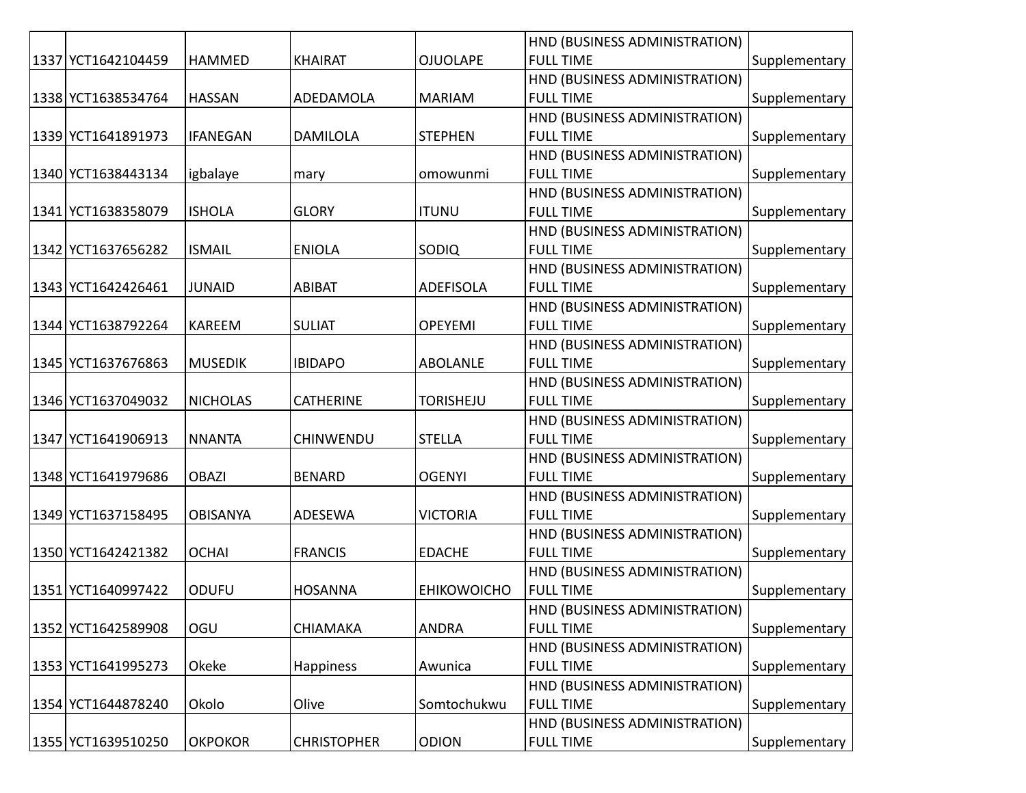|                    |                 |                    |                    | HND (BUSINESS ADMINISTRATION) |               |
|--------------------|-----------------|--------------------|--------------------|-------------------------------|---------------|
| 1337 YCT1642104459 | <b>HAMMED</b>   | <b>KHAIRAT</b>     | <b>OJUOLAPE</b>    | <b>FULL TIME</b>              | Supplementary |
|                    |                 |                    |                    | HND (BUSINESS ADMINISTRATION) |               |
| 1338 YCT1638534764 | <b>HASSAN</b>   | ADEDAMOLA          | <b>MARIAM</b>      | <b>FULL TIME</b>              | Supplementary |
|                    |                 |                    |                    | HND (BUSINESS ADMINISTRATION) |               |
| 1339 YCT1641891973 | <b>IFANEGAN</b> | <b>DAMILOLA</b>    | <b>STEPHEN</b>     | <b>FULL TIME</b>              | Supplementary |
|                    |                 |                    |                    | HND (BUSINESS ADMINISTRATION) |               |
| 1340 YCT1638443134 | igbalaye        | mary               | omowunmi           | <b>FULL TIME</b>              | Supplementary |
|                    |                 |                    |                    | HND (BUSINESS ADMINISTRATION) |               |
| 1341 YCT1638358079 | <b>ISHOLA</b>   | <b>GLORY</b>       | <b>ITUNU</b>       | <b>FULL TIME</b>              | Supplementary |
|                    |                 |                    |                    | HND (BUSINESS ADMINISTRATION) |               |
| 1342 YCT1637656282 | <b>ISMAIL</b>   | <b>ENIOLA</b>      | <b>SODIQ</b>       | <b>FULL TIME</b>              | Supplementary |
|                    |                 |                    |                    | HND (BUSINESS ADMINISTRATION) |               |
| 1343 YCT1642426461 | <b>JUNAID</b>   | <b>ABIBAT</b>      | <b>ADEFISOLA</b>   | <b>FULL TIME</b>              | Supplementary |
|                    |                 |                    |                    | HND (BUSINESS ADMINISTRATION) |               |
| 1344 YCT1638792264 | <b>KAREEM</b>   | <b>SULIAT</b>      | <b>OPEYEMI</b>     | <b>FULL TIME</b>              | Supplementary |
|                    |                 |                    |                    | HND (BUSINESS ADMINISTRATION) |               |
| 1345 YCT1637676863 | <b>MUSEDIK</b>  | <b>IBIDAPO</b>     | <b>ABOLANLE</b>    | <b>FULL TIME</b>              | Supplementary |
|                    |                 |                    |                    | HND (BUSINESS ADMINISTRATION) |               |
| 1346 YCT1637049032 | <b>NICHOLAS</b> | <b>CATHERINE</b>   | <b>TORISHEJU</b>   | <b>FULL TIME</b>              | Supplementary |
|                    |                 |                    |                    | HND (BUSINESS ADMINISTRATION) |               |
| 1347 YCT1641906913 | <b>NNANTA</b>   | <b>CHINWENDU</b>   | <b>STELLA</b>      | <b>FULL TIME</b>              | Supplementary |
|                    |                 |                    |                    | HND (BUSINESS ADMINISTRATION) |               |
| 1348 YCT1641979686 | <b>OBAZI</b>    | <b>BENARD</b>      | <b>OGENYI</b>      | <b>FULL TIME</b>              | Supplementary |
|                    |                 |                    |                    | HND (BUSINESS ADMINISTRATION) |               |
| 1349 YCT1637158495 | <b>OBISANYA</b> | ADESEWA            | <b>VICTORIA</b>    | <b>FULL TIME</b>              | Supplementary |
|                    |                 |                    |                    | HND (BUSINESS ADMINISTRATION) |               |
| 1350 YCT1642421382 | <b>OCHAI</b>    | <b>FRANCIS</b>     | <b>EDACHE</b>      | <b>FULL TIME</b>              | Supplementary |
|                    |                 |                    |                    | HND (BUSINESS ADMINISTRATION) |               |
| 1351 YCT1640997422 | <b>ODUFU</b>    | <b>HOSANNA</b>     | <b>EHIKOWOICHO</b> | <b>FULL TIME</b>              | Supplementary |
|                    |                 |                    |                    | HND (BUSINESS ADMINISTRATION) |               |
| 1352 YCT1642589908 | OGU             | CHIAMAKA           | <b>ANDRA</b>       | <b>FULL TIME</b>              | Supplementary |
|                    |                 |                    |                    | HND (BUSINESS ADMINISTRATION) |               |
| 1353 YCT1641995273 | Okeke           | Happiness          | Awunica            | <b>FULL TIME</b>              | Supplementary |
|                    |                 |                    |                    | HND (BUSINESS ADMINISTRATION) |               |
| 1354 YCT1644878240 | Okolo           | Olive              | Somtochukwu        | <b>FULL TIME</b>              | Supplementary |
|                    |                 |                    |                    | HND (BUSINESS ADMINISTRATION) |               |
| 1355 YCT1639510250 | <b>OKPOKOR</b>  | <b>CHRISTOPHER</b> | <b>ODION</b>       | <b>FULL TIME</b>              | Supplementary |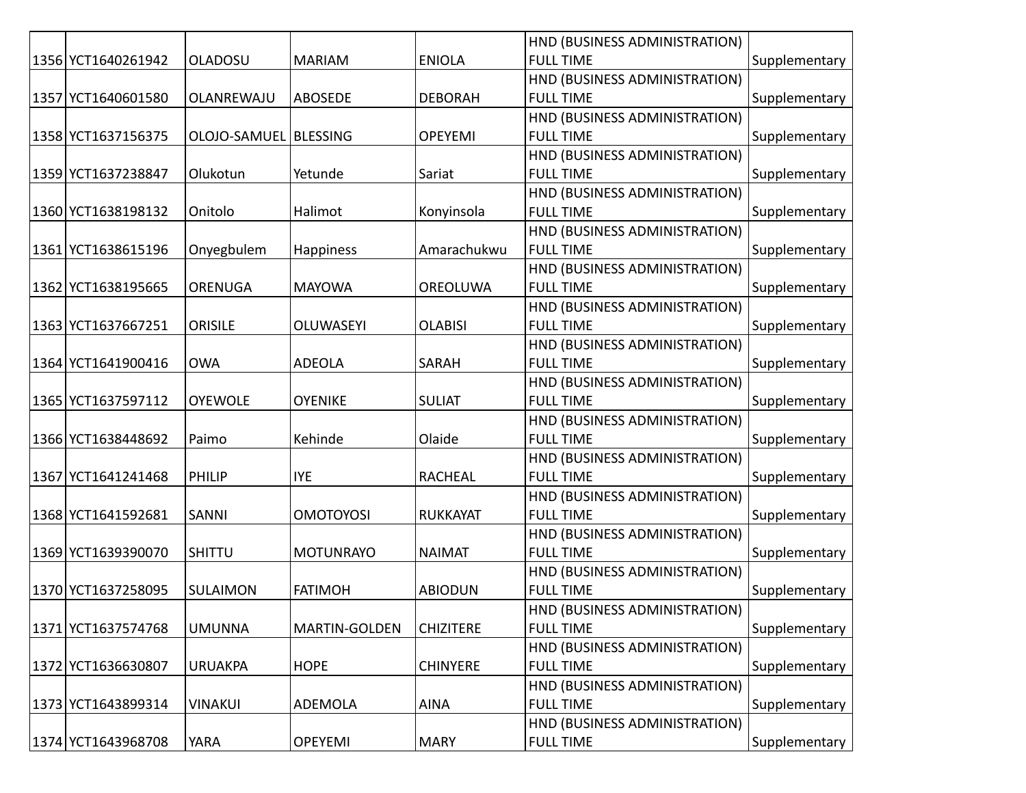|                    |                         |                  |                  | HND (BUSINESS ADMINISTRATION) |               |
|--------------------|-------------------------|------------------|------------------|-------------------------------|---------------|
| 1356 YCT1640261942 | OLADOSU                 | <b>MARIAM</b>    | <b>ENIOLA</b>    | <b>FULL TIME</b>              | Supplementary |
|                    |                         |                  |                  | HND (BUSINESS ADMINISTRATION) |               |
| 1357 YCT1640601580 | OLANREWAJU              | <b>ABOSEDE</b>   | <b>DEBORAH</b>   | <b>FULL TIME</b>              | Supplementary |
|                    |                         |                  |                  | HND (BUSINESS ADMINISTRATION) |               |
| 1358 YCT1637156375 | OLOJO-SAMUEL   BLESSING |                  | <b>OPEYEMI</b>   | <b>FULL TIME</b>              | Supplementary |
|                    |                         |                  |                  | HND (BUSINESS ADMINISTRATION) |               |
| 1359 YCT1637238847 | Olukotun                | Yetunde          | Sariat           | <b>FULL TIME</b>              | Supplementary |
|                    |                         |                  |                  | HND (BUSINESS ADMINISTRATION) |               |
| 1360 YCT1638198132 | Onitolo                 | Halimot          | Konyinsola       | <b>FULL TIME</b>              | Supplementary |
|                    |                         |                  |                  | HND (BUSINESS ADMINISTRATION) |               |
| 1361 YCT1638615196 | Onyegbulem              | Happiness        | Amarachukwu      | <b>FULL TIME</b>              | Supplementary |
|                    |                         |                  |                  | HND (BUSINESS ADMINISTRATION) |               |
| 1362 YCT1638195665 | <b>ORENUGA</b>          | <b>MAYOWA</b>    | OREOLUWA         | <b>FULL TIME</b>              | Supplementary |
|                    |                         |                  |                  | HND (BUSINESS ADMINISTRATION) |               |
| 1363 YCT1637667251 | <b>ORISILE</b>          | <b>OLUWASEYI</b> | <b>OLABISI</b>   | <b>FULL TIME</b>              | Supplementary |
|                    |                         |                  |                  | HND (BUSINESS ADMINISTRATION) |               |
| 1364 YCT1641900416 | <b>OWA</b>              | <b>ADEOLA</b>    | SARAH            | <b>FULL TIME</b>              | Supplementary |
|                    |                         |                  |                  | HND (BUSINESS ADMINISTRATION) |               |
| 1365 YCT1637597112 | <b>OYEWOLE</b>          | <b>OYENIKE</b>   | <b>SULIAT</b>    | <b>FULL TIME</b>              | Supplementary |
|                    |                         |                  |                  | HND (BUSINESS ADMINISTRATION) |               |
| 1366 YCT1638448692 | Paimo                   | Kehinde          | Olaide           | <b>FULL TIME</b>              | Supplementary |
|                    |                         |                  |                  | HND (BUSINESS ADMINISTRATION) |               |
| 1367 YCT1641241468 | <b>PHILIP</b>           | <b>IYE</b>       | <b>RACHEAL</b>   | <b>FULL TIME</b>              | Supplementary |
|                    |                         |                  |                  | HND (BUSINESS ADMINISTRATION) |               |
| 1368 YCT1641592681 | <b>SANNI</b>            | <b>OMOTOYOSI</b> | <b>RUKKAYAT</b>  | <b>FULL TIME</b>              | Supplementary |
|                    |                         |                  |                  | HND (BUSINESS ADMINISTRATION) |               |
| 1369 YCT1639390070 | <b>SHITTU</b>           | <b>MOTUNRAYO</b> | <b>NAIMAT</b>    | <b>FULL TIME</b>              | Supplementary |
|                    |                         |                  |                  | HND (BUSINESS ADMINISTRATION) |               |
| 1370 YCT1637258095 | SULAIMON                | <b>FATIMOH</b>   | <b>ABIODUN</b>   | <b>FULL TIME</b>              | Supplementary |
|                    |                         |                  |                  | HND (BUSINESS ADMINISTRATION) |               |
| 1371 YCT1637574768 | <b>UMUNNA</b>           | MARTIN-GOLDEN    | <b>CHIZITERE</b> | <b>FULL TIME</b>              | Supplementary |
|                    |                         |                  |                  | HND (BUSINESS ADMINISTRATION) |               |
| 1372 YCT1636630807 | <b>URUAKPA</b>          | <b>HOPE</b>      | <b>CHINYERE</b>  | <b>FULL TIME</b>              | Supplementary |
|                    |                         |                  |                  | HND (BUSINESS ADMINISTRATION) |               |
| 1373 YCT1643899314 | <b>VINAKUI</b>          | ADEMOLA          | <b>AINA</b>      | <b>FULL TIME</b>              | Supplementary |
|                    |                         |                  |                  | HND (BUSINESS ADMINISTRATION) |               |
| 1374 YCT1643968708 | YARA                    | <b>OPEYEMI</b>   | <b>MARY</b>      | <b>FULL TIME</b>              | Supplementary |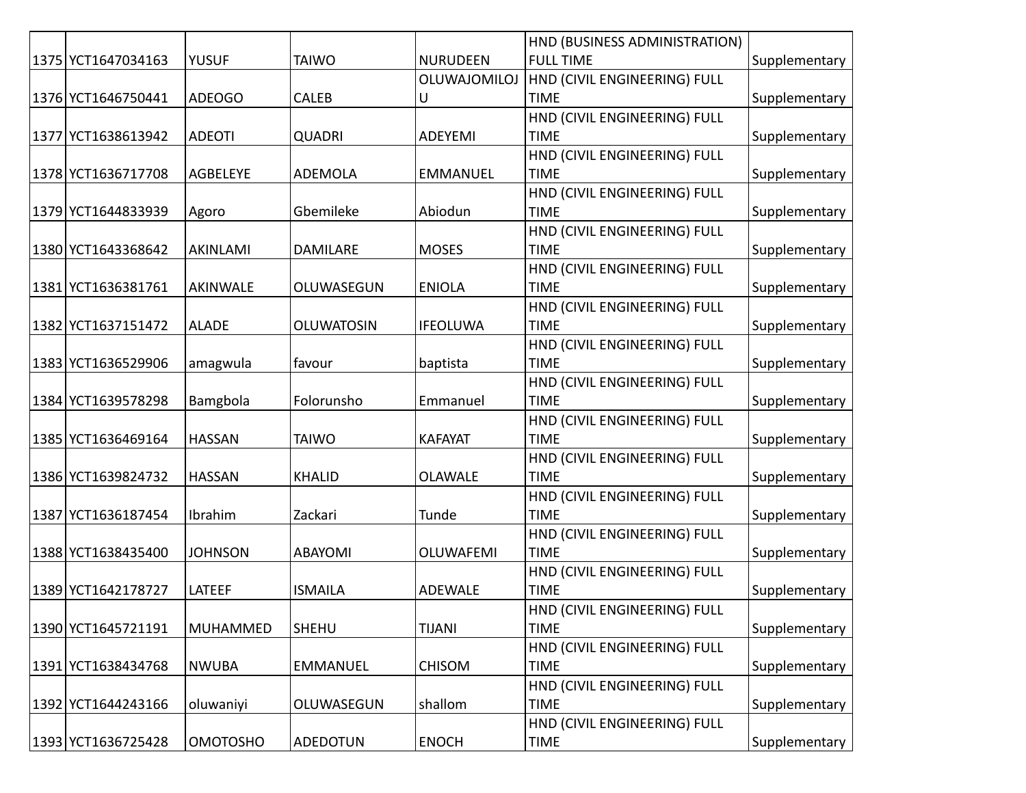|                    |                 |                   |                  | HND (BUSINESS ADMINISTRATION) |               |
|--------------------|-----------------|-------------------|------------------|-------------------------------|---------------|
| 1375 YCT1647034163 | <b>YUSUF</b>    | <b>TAIWO</b>      | <b>NURUDEEN</b>  | <b>FULL TIME</b>              | Supplementary |
|                    |                 |                   | OLUWAJOMILOJ     | HND (CIVIL ENGINEERING) FULL  |               |
| 1376 YCT1646750441 | <b>ADEOGO</b>   | <b>CALEB</b>      | U                | <b>TIME</b>                   | Supplementary |
|                    |                 |                   |                  | HND (CIVIL ENGINEERING) FULL  |               |
| 1377 YCT1638613942 | <b>ADEOTI</b>   | <b>QUADRI</b>     | ADEYEMI          | <b>TIME</b>                   | Supplementary |
|                    |                 |                   |                  | HND (CIVIL ENGINEERING) FULL  |               |
| 1378 YCT1636717708 | AGBELEYE        | ADEMOLA           | <b>EMMANUEL</b>  | <b>TIME</b>                   | Supplementary |
|                    |                 |                   |                  | HND (CIVIL ENGINEERING) FULL  |               |
| 1379 YCT1644833939 | Agoro           | Gbemileke         | Abiodun          | <b>TIME</b>                   | Supplementary |
|                    |                 |                   |                  | HND (CIVIL ENGINEERING) FULL  |               |
| 1380 YCT1643368642 | AKINLAMI        | <b>DAMILARE</b>   | <b>MOSES</b>     | <b>TIME</b>                   | Supplementary |
|                    |                 |                   |                  | HND (CIVIL ENGINEERING) FULL  |               |
| 1381 YCT1636381761 | <b>AKINWALE</b> | OLUWASEGUN        | <b>ENIOLA</b>    | <b>TIME</b>                   | Supplementary |
|                    |                 |                   |                  | HND (CIVIL ENGINEERING) FULL  |               |
| 1382 YCT1637151472 | <b>ALADE</b>    | <b>OLUWATOSIN</b> | <b>IFEOLUWA</b>  | <b>TIME</b>                   | Supplementary |
|                    |                 |                   |                  | HND (CIVIL ENGINEERING) FULL  |               |
| 1383 YCT1636529906 | amagwula        | favour            | baptista         | <b>TIME</b>                   | Supplementary |
|                    |                 |                   |                  | HND (CIVIL ENGINEERING) FULL  |               |
| 1384 YCT1639578298 | Bamgbola        | Folorunsho        | Emmanuel         | <b>TIME</b>                   | Supplementary |
|                    |                 |                   |                  | HND (CIVIL ENGINEERING) FULL  |               |
| 1385 YCT1636469164 | <b>HASSAN</b>   | <b>TAIWO</b>      | <b>KAFAYAT</b>   | <b>TIME</b>                   | Supplementary |
|                    |                 |                   |                  | HND (CIVIL ENGINEERING) FULL  |               |
| 1386 YCT1639824732 | <b>HASSAN</b>   | <b>KHALID</b>     | <b>OLAWALE</b>   | <b>TIME</b>                   | Supplementary |
|                    |                 |                   |                  | HND (CIVIL ENGINEERING) FULL  |               |
| 1387 YCT1636187454 | Ibrahim         | Zackari           | Tunde            | <b>TIME</b>                   | Supplementary |
|                    |                 |                   |                  | HND (CIVIL ENGINEERING) FULL  |               |
| 1388 YCT1638435400 | <b>JOHNSON</b>  | <b>ABAYOMI</b>    | <b>OLUWAFEMI</b> | <b>TIME</b>                   | Supplementary |
|                    |                 |                   |                  | HND (CIVIL ENGINEERING) FULL  |               |
| 1389 YCT1642178727 | <b>LATEEF</b>   | <b>ISMAILA</b>    | <b>ADEWALE</b>   | <b>TIME</b>                   | Supplementary |
|                    |                 |                   |                  | HND (CIVIL ENGINEERING) FULL  |               |
| 1390 YCT1645721191 | <b>MUHAMMED</b> | <b>SHEHU</b>      | <b>TIJANI</b>    | <b>TIME</b>                   | Supplementary |
|                    |                 |                   |                  | HND (CIVIL ENGINEERING) FULL  |               |
| 1391 YCT1638434768 | <b>NWUBA</b>    | <b>EMMANUEL</b>   | <b>CHISOM</b>    | <b>TIME</b>                   | Supplementary |
|                    |                 |                   |                  | HND (CIVIL ENGINEERING) FULL  |               |
| 1392 YCT1644243166 | oluwaniyi       | OLUWASEGUN        | shallom          | <b>TIME</b>                   | Supplementary |
|                    |                 |                   |                  | HND (CIVIL ENGINEERING) FULL  |               |
| 1393 YCT1636725428 | <b>OMOTOSHO</b> | ADEDOTUN          | <b>ENOCH</b>     | <b>TIME</b>                   | Supplementary |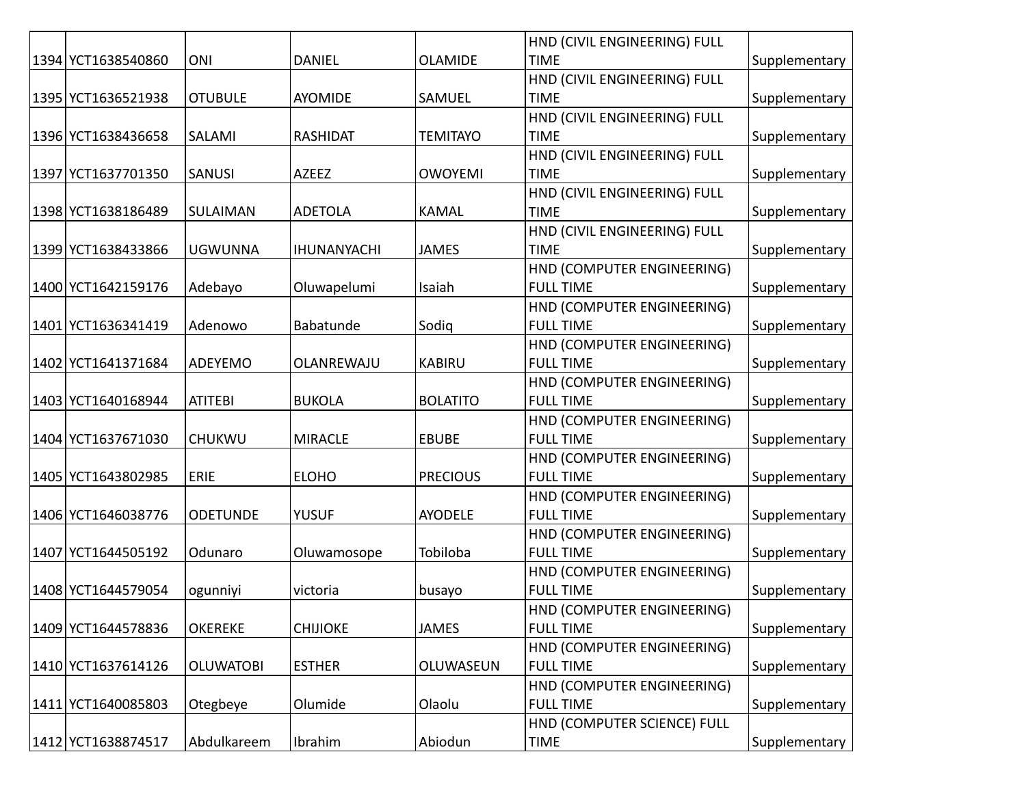|                    |                  |                    |                 | HND (CIVIL ENGINEERING) FULL |               |
|--------------------|------------------|--------------------|-----------------|------------------------------|---------------|
| 1394 YCT1638540860 | ONI              | <b>DANIEL</b>      | <b>OLAMIDE</b>  | <b>TIME</b>                  | Supplementary |
|                    |                  |                    |                 | HND (CIVIL ENGINEERING) FULL |               |
| 1395 YCT1636521938 | <b>OTUBULE</b>   | <b>AYOMIDE</b>     | SAMUEL          | <b>TIME</b>                  | Supplementary |
|                    |                  |                    |                 | HND (CIVIL ENGINEERING) FULL |               |
| 1396 YCT1638436658 | SALAMI           | <b>RASHIDAT</b>    | <b>TEMITAYO</b> | <b>TIME</b>                  | Supplementary |
|                    |                  |                    |                 | HND (CIVIL ENGINEERING) FULL |               |
| 1397 YCT1637701350 | <b>SANUSI</b>    | AZEEZ              | <b>OWOYEMI</b>  | <b>TIME</b>                  | Supplementary |
|                    |                  |                    |                 | HND (CIVIL ENGINEERING) FULL |               |
| 1398 YCT1638186489 | <b>SULAIMAN</b>  | <b>ADETOLA</b>     | <b>KAMAL</b>    | <b>TIME</b>                  | Supplementary |
|                    |                  |                    |                 | HND (CIVIL ENGINEERING) FULL |               |
| 1399 YCT1638433866 | <b>UGWUNNA</b>   | <b>IHUNANYACHI</b> | <b>JAMES</b>    | <b>TIME</b>                  | Supplementary |
|                    |                  |                    |                 | HND (COMPUTER ENGINEERING)   |               |
| 1400 YCT1642159176 | Adebayo          | Oluwapelumi        | Isaiah          | <b>FULL TIME</b>             | Supplementary |
|                    |                  |                    |                 | HND (COMPUTER ENGINEERING)   |               |
| 1401 YCT1636341419 | Adenowo          | Babatunde          | Sodig           | <b>FULL TIME</b>             | Supplementary |
|                    |                  |                    |                 | HND (COMPUTER ENGINEERING)   |               |
| 1402 YCT1641371684 | ADEYEMO          | OLANREWAJU         | <b>KABIRU</b>   | <b>FULL TIME</b>             | Supplementary |
|                    |                  |                    |                 | HND (COMPUTER ENGINEERING)   |               |
| 1403 YCT1640168944 | <b>ATITEBI</b>   | <b>BUKOLA</b>      | <b>BOLATITO</b> | <b>FULL TIME</b>             | Supplementary |
|                    |                  |                    |                 | HND (COMPUTER ENGINEERING)   |               |
| 1404 YCT1637671030 | <b>CHUKWU</b>    | <b>MIRACLE</b>     | <b>EBUBE</b>    | <b>FULL TIME</b>             | Supplementary |
|                    |                  |                    |                 | HND (COMPUTER ENGINEERING)   |               |
| 1405 YCT1643802985 | <b>ERIE</b>      | <b>ELOHO</b>       | <b>PRECIOUS</b> | <b>FULL TIME</b>             | Supplementary |
|                    |                  |                    |                 | HND (COMPUTER ENGINEERING)   |               |
| 1406 YCT1646038776 | <b>ODETUNDE</b>  | <b>YUSUF</b>       | <b>AYODELE</b>  | <b>FULL TIME</b>             | Supplementary |
|                    |                  |                    |                 | HND (COMPUTER ENGINEERING)   |               |
| 1407 YCT1644505192 | Odunaro          | Oluwamosope        | Tobiloba        | <b>FULL TIME</b>             | Supplementary |
|                    |                  |                    |                 | HND (COMPUTER ENGINEERING)   |               |
| 1408 YCT1644579054 | ogunniyi         | victoria           | busayo          | <b>FULL TIME</b>             | Supplementary |
|                    |                  |                    |                 | HND (COMPUTER ENGINEERING)   |               |
| 1409 YCT1644578836 | <b>OKEREKE</b>   | <b>CHIJIOKE</b>    | <b>JAMES</b>    | <b>FULL TIME</b>             | Supplementary |
|                    |                  |                    |                 | HND (COMPUTER ENGINEERING)   |               |
| 1410 YCT1637614126 | <b>OLUWATOBI</b> | <b>ESTHER</b>      | OLUWASEUN       | <b>FULL TIME</b>             | Supplementary |
|                    |                  |                    |                 | HND (COMPUTER ENGINEERING)   |               |
| 1411 YCT1640085803 | Otegbeye         | Olumide            | Olaolu          | <b>FULL TIME</b>             | Supplementary |
|                    |                  |                    |                 | HND (COMPUTER SCIENCE) FULL  |               |
| 1412 YCT1638874517 | Abdulkareem      | Ibrahim            | Abiodun         | <b>TIME</b>                  | Supplementary |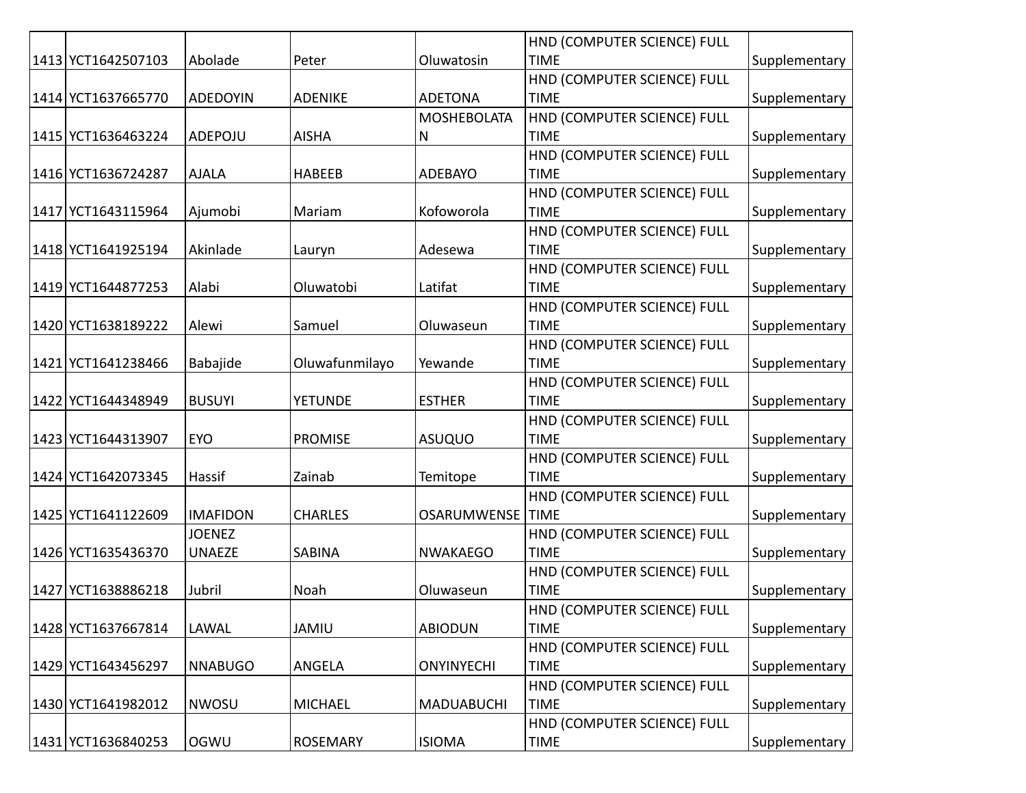|                    |                 |                 |                    | HND (COMPUTER SCIENCE) FULL |               |
|--------------------|-----------------|-----------------|--------------------|-----------------------------|---------------|
| 1413 YCT1642507103 | Abolade         | Peter           | Oluwatosin         | <b>TIME</b>                 | Supplementary |
|                    |                 |                 |                    | HND (COMPUTER SCIENCE) FULL |               |
| 1414 YCT1637665770 | <b>ADEDOYIN</b> | <b>ADENIKE</b>  | <b>ADETONA</b>     | <b>TIME</b>                 | Supplementary |
|                    |                 |                 | <b>MOSHEBOLATA</b> | HND (COMPUTER SCIENCE) FULL |               |
| 1415 YCT1636463224 | ADEPOJU         | <b>AISHA</b>    | N                  | <b>TIME</b>                 | Supplementary |
|                    |                 |                 |                    | HND (COMPUTER SCIENCE) FULL |               |
| 1416 YCT1636724287 | <b>AJALA</b>    | <b>HABEEB</b>   | ADEBAYO            | <b>TIME</b>                 | Supplementary |
|                    |                 |                 |                    | HND (COMPUTER SCIENCE) FULL |               |
| 1417 YCT1643115964 | Ajumobi         | Mariam          | Kofoworola         | <b>TIME</b>                 | Supplementary |
|                    |                 |                 |                    | HND (COMPUTER SCIENCE) FULL |               |
| 1418 YCT1641925194 | Akinlade        | Lauryn          | Adesewa            | <b>TIME</b>                 | Supplementary |
|                    |                 |                 |                    | HND (COMPUTER SCIENCE) FULL |               |
| 1419 YCT1644877253 | Alabi           | Oluwatobi       | Latifat            | <b>TIME</b>                 | Supplementary |
|                    |                 |                 |                    | HND (COMPUTER SCIENCE) FULL |               |
| 1420 YCT1638189222 | Alewi           | Samuel          | Oluwaseun          | <b>TIME</b>                 | Supplementary |
|                    |                 |                 |                    | HND (COMPUTER SCIENCE) FULL |               |
| 1421 YCT1641238466 | Babajide        | Oluwafunmilayo  | Yewande            | <b>TIME</b>                 | Supplementary |
|                    |                 |                 |                    | HND (COMPUTER SCIENCE) FULL |               |
| 1422 YCT1644348949 | <b>BUSUYI</b>   | <b>YETUNDE</b>  | <b>ESTHER</b>      | <b>TIME</b>                 | Supplementary |
|                    |                 |                 |                    | HND (COMPUTER SCIENCE) FULL |               |
| 1423 YCT1644313907 | <b>EYO</b>      | <b>PROMISE</b>  | <b>ASUQUO</b>      | <b>TIME</b>                 | Supplementary |
|                    |                 |                 |                    | HND (COMPUTER SCIENCE) FULL |               |
| 1424 YCT1642073345 | Hassif          | Zainab          | Temitope           | <b>TIME</b>                 | Supplementary |
|                    |                 |                 |                    | HND (COMPUTER SCIENCE) FULL |               |
| 1425 YCT1641122609 | <b>IMAFIDON</b> | <b>CHARLES</b>  | OSARUMWENSE        | <b>TIME</b>                 | Supplementary |
|                    | <b>JOENEZ</b>   |                 |                    | HND (COMPUTER SCIENCE) FULL |               |
| 1426 YCT1635436370 | <b>UNAEZE</b>   | SABINA          | <b>NWAKAEGO</b>    | <b>TIME</b>                 | Supplementary |
|                    |                 |                 |                    | HND (COMPUTER SCIENCE) FULL |               |
| 1427 YCT1638886218 | Jubril          | Noah            | Oluwaseun          | <b>TIME</b>                 | Supplementary |
|                    |                 |                 |                    | HND (COMPUTER SCIENCE) FULL |               |
| 1428 YCT1637667814 | LAWAL           | <b>JAMIU</b>    | <b>ABIODUN</b>     | <b>TIME</b>                 | Supplementary |
|                    |                 |                 |                    | HND (COMPUTER SCIENCE) FULL |               |
| 1429 YCT1643456297 | <b>NNABUGO</b>  | <b>ANGELA</b>   | <b>ONYINYECHI</b>  | <b>TIME</b>                 | Supplementary |
|                    |                 |                 |                    | HND (COMPUTER SCIENCE) FULL |               |
| 1430 YCT1641982012 | <b>NWOSU</b>    | <b>MICHAEL</b>  | <b>MADUABUCHI</b>  | <b>TIME</b>                 | Supplementary |
|                    |                 |                 |                    | HND (COMPUTER SCIENCE) FULL |               |
| 1431 YCT1636840253 | OGWU            | <b>ROSEMARY</b> | <b>ISIOMA</b>      | <b>TIME</b>                 | Supplementary |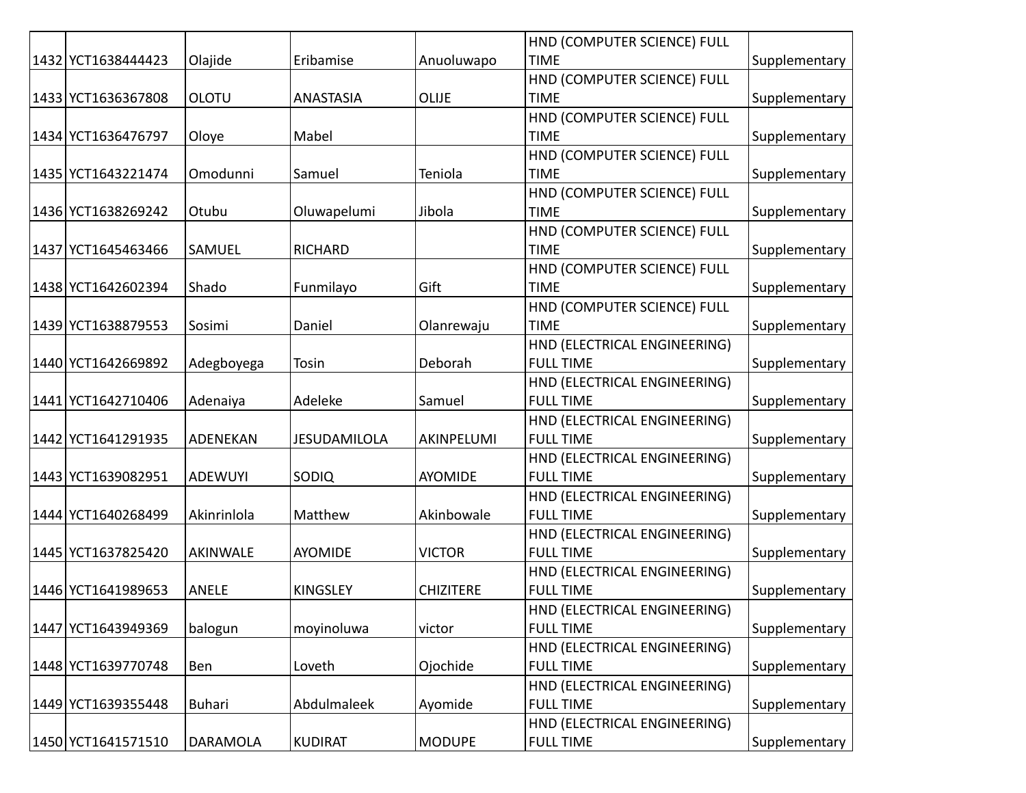|                    |                 |                 |                  | HND (COMPUTER SCIENCE) FULL  |               |
|--------------------|-----------------|-----------------|------------------|------------------------------|---------------|
| 1432 YCT1638444423 | Olajide         | Eribamise       | Anuoluwapo       | <b>TIME</b>                  | Supplementary |
|                    |                 |                 |                  | HND (COMPUTER SCIENCE) FULL  |               |
| 1433 YCT1636367808 | <b>OLOTU</b>    | ANASTASIA       | <b>OLIJE</b>     | <b>TIME</b>                  | Supplementary |
|                    |                 |                 |                  | HND (COMPUTER SCIENCE) FULL  |               |
| 1434 YCT1636476797 | Oloye           | Mabel           |                  | <b>TIME</b>                  | Supplementary |
|                    |                 |                 |                  | HND (COMPUTER SCIENCE) FULL  |               |
| 1435 YCT1643221474 | Omodunni        | Samuel          | Teniola          | <b>TIME</b>                  | Supplementary |
|                    |                 |                 |                  | HND (COMPUTER SCIENCE) FULL  |               |
| 1436 YCT1638269242 | Otubu           | Oluwapelumi     | Jibola           | <b>TIME</b>                  | Supplementary |
|                    |                 |                 |                  | HND (COMPUTER SCIENCE) FULL  |               |
| 1437 YCT1645463466 | SAMUEL          | <b>RICHARD</b>  |                  | <b>TIME</b>                  | Supplementary |
|                    |                 |                 |                  | HND (COMPUTER SCIENCE) FULL  |               |
| 1438 YCT1642602394 | Shado           | Funmilayo       | Gift             | <b>TIME</b>                  | Supplementary |
|                    |                 |                 |                  | HND (COMPUTER SCIENCE) FULL  |               |
| 1439 YCT1638879553 | Sosimi          | Daniel          | Olanrewaju       | <b>TIME</b>                  | Supplementary |
|                    |                 |                 |                  | HND (ELECTRICAL ENGINEERING) |               |
| 1440 YCT1642669892 | Adegboyega      | Tosin           | Deborah          | <b>FULL TIME</b>             | Supplementary |
|                    |                 |                 |                  | HND (ELECTRICAL ENGINEERING) |               |
| 1441 YCT1642710406 | Adenaiya        | Adeleke         | Samuel           | <b>FULL TIME</b>             | Supplementary |
|                    |                 |                 |                  | HND (ELECTRICAL ENGINEERING) |               |
| 1442 YCT1641291935 | ADENEKAN        | JESUDAMILOLA    | AKINPELUMI       | <b>FULL TIME</b>             | Supplementary |
|                    |                 |                 |                  | HND (ELECTRICAL ENGINEERING) |               |
| 1443 YCT1639082951 | <b>ADEWUYI</b>  | <b>SODIQ</b>    | AYOMIDE          | <b>FULL TIME</b>             | Supplementary |
|                    |                 |                 |                  | HND (ELECTRICAL ENGINEERING) |               |
| 1444 YCT1640268499 | Akinrinlola     | Matthew         | Akinbowale       | <b>FULL TIME</b>             | Supplementary |
|                    |                 |                 |                  | HND (ELECTRICAL ENGINEERING) |               |
| 1445 YCT1637825420 | <b>AKINWALE</b> | <b>AYOMIDE</b>  | <b>VICTOR</b>    | <b>FULL TIME</b>             | Supplementary |
|                    |                 |                 |                  | HND (ELECTRICAL ENGINEERING) |               |
| 1446 YCT1641989653 | <b>ANELE</b>    | <b>KINGSLEY</b> | <b>CHIZITERE</b> | <b>FULL TIME</b>             | Supplementary |
|                    |                 |                 |                  | HND (ELECTRICAL ENGINEERING) |               |
| 1447 YCT1643949369 | balogun         | moyinoluwa      | victor           | <b>FULL TIME</b>             | Supplementary |
|                    |                 |                 |                  | HND (ELECTRICAL ENGINEERING) |               |
| 1448 YCT1639770748 | Ben             | Loveth          | Ojochide         | <b>FULL TIME</b>             | Supplementary |
|                    |                 |                 |                  | HND (ELECTRICAL ENGINEERING) |               |
| 1449 YCT1639355448 | <b>Buhari</b>   | Abdulmaleek     | Ayomide          | <b>FULL TIME</b>             | Supplementary |
|                    |                 |                 |                  | HND (ELECTRICAL ENGINEERING) |               |
| 1450 YCT1641571510 | <b>DARAMOLA</b> | <b>KUDIRAT</b>  | <b>MODUPE</b>    | <b>FULL TIME</b>             | Supplementary |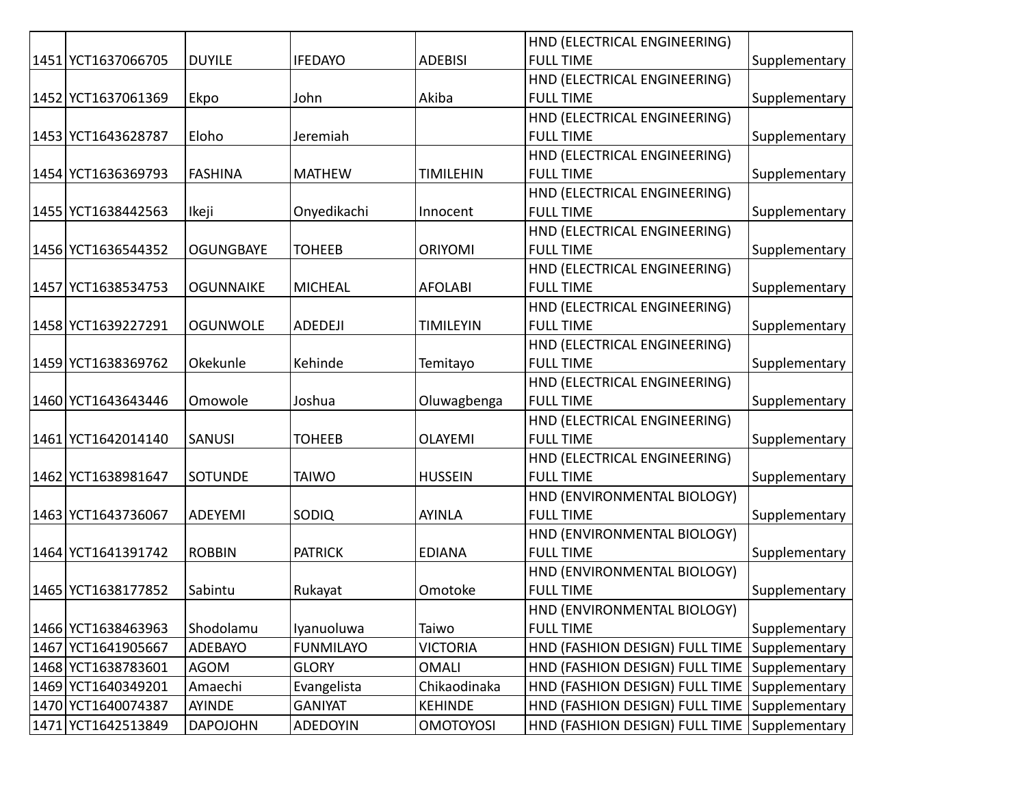|                    |                  |                  |                  | HND (ELECTRICAL ENGINEERING)                 |               |
|--------------------|------------------|------------------|------------------|----------------------------------------------|---------------|
| 1451 YCT1637066705 | <b>DUYILE</b>    | <b>IFEDAYO</b>   | <b>ADEBISI</b>   | <b>FULL TIME</b>                             | Supplementary |
|                    |                  |                  |                  | HND (ELECTRICAL ENGINEERING)                 |               |
| 1452 YCT1637061369 | Ekpo             | John             | Akiba            | <b>FULL TIME</b>                             | Supplementary |
|                    |                  |                  |                  | HND (ELECTRICAL ENGINEERING)                 |               |
| 1453 YCT1643628787 | Eloho            | Jeremiah         |                  | <b>FULL TIME</b>                             | Supplementary |
|                    |                  |                  |                  | HND (ELECTRICAL ENGINEERING)                 |               |
| 1454 YCT1636369793 | <b>FASHINA</b>   | <b>MATHEW</b>    | <b>TIMILEHIN</b> | <b>FULL TIME</b>                             | Supplementary |
|                    |                  |                  |                  | HND (ELECTRICAL ENGINEERING)                 |               |
| 1455 YCT1638442563 | Ikeji            | Onyedikachi      | Innocent         | <b>FULL TIME</b>                             | Supplementary |
|                    |                  |                  |                  | HND (ELECTRICAL ENGINEERING)                 |               |
| 1456 YCT1636544352 | <b>OGUNGBAYE</b> | <b>TOHEEB</b>    | <b>ORIYOMI</b>   | <b>FULL TIME</b>                             | Supplementary |
|                    |                  |                  |                  | HND (ELECTRICAL ENGINEERING)                 |               |
| 1457 YCT1638534753 | <b>OGUNNAIKE</b> | <b>MICHEAL</b>   | <b>AFOLABI</b>   | <b>FULL TIME</b>                             | Supplementary |
|                    |                  |                  |                  | HND (ELECTRICAL ENGINEERING)                 |               |
| 1458 YCT1639227291 | <b>OGUNWOLE</b>  | ADEDEJI          | <b>TIMILEYIN</b> | <b>FULL TIME</b>                             | Supplementary |
|                    |                  |                  |                  | HND (ELECTRICAL ENGINEERING)                 |               |
| 1459 YCT1638369762 | Okekunle         | Kehinde          | Temitayo         | <b>FULL TIME</b>                             | Supplementary |
|                    |                  |                  |                  | HND (ELECTRICAL ENGINEERING)                 |               |
| 1460 YCT1643643446 | Omowole          | Joshua           | Oluwagbenga      | <b>FULL TIME</b>                             | Supplementary |
|                    |                  |                  |                  | HND (ELECTRICAL ENGINEERING)                 |               |
| 1461 YCT1642014140 | <b>SANUSI</b>    | <b>TOHEEB</b>    | <b>OLAYEMI</b>   | <b>FULL TIME</b>                             | Supplementary |
|                    |                  |                  |                  | HND (ELECTRICAL ENGINEERING)                 |               |
| 1462 YCT1638981647 | <b>SOTUNDE</b>   | <b>TAIWO</b>     | <b>HUSSEIN</b>   | <b>FULL TIME</b>                             | Supplementary |
|                    |                  |                  |                  | HND (ENVIRONMENTAL BIOLOGY)                  |               |
| 1463 YCT1643736067 | ADEYEMI          | SODIQ            | <b>AYINLA</b>    | <b>FULL TIME</b>                             | Supplementary |
|                    |                  |                  |                  | HND (ENVIRONMENTAL BIOLOGY)                  |               |
| 1464 YCT1641391742 | <b>ROBBIN</b>    | <b>PATRICK</b>   | <b>EDIANA</b>    | <b>FULL TIME</b>                             | Supplementary |
|                    |                  |                  |                  | HND (ENVIRONMENTAL BIOLOGY)                  |               |
| 1465 YCT1638177852 | Sabintu          | Rukayat          | Omotoke          | <b>FULL TIME</b>                             | Supplementary |
|                    |                  |                  |                  | HND (ENVIRONMENTAL BIOLOGY)                  |               |
| 1466 YCT1638463963 | Shodolamu        | Iyanuoluwa       | Taiwo            | <b>FULL TIME</b>                             | Supplementary |
| 1467 YCT1641905667 | <b>ADEBAYO</b>   | <b>FUNMILAYO</b> | <b>VICTORIA</b>  | HND (FASHION DESIGN) FULL TIME Supplementary |               |
| 1468 YCT1638783601 | <b>AGOM</b>      | <b>GLORY</b>     | <b>OMALI</b>     | HND (FASHION DESIGN) FULL TIME Supplementary |               |
| 1469 YCT1640349201 | Amaechi          | Evangelista      | Chikaodinaka     | HND (FASHION DESIGN) FULL TIME Supplementary |               |
| 1470 YCT1640074387 | AYINDE           | <b>GANIYAT</b>   | <b>KEHINDE</b>   | HND (FASHION DESIGN) FULL TIME Supplementary |               |
| 1471 YCT1642513849 | <b>DAPOJOHN</b>  | <b>ADEDOYIN</b>  | <b>OMOTOYOSI</b> | HND (FASHION DESIGN) FULL TIME Supplementary |               |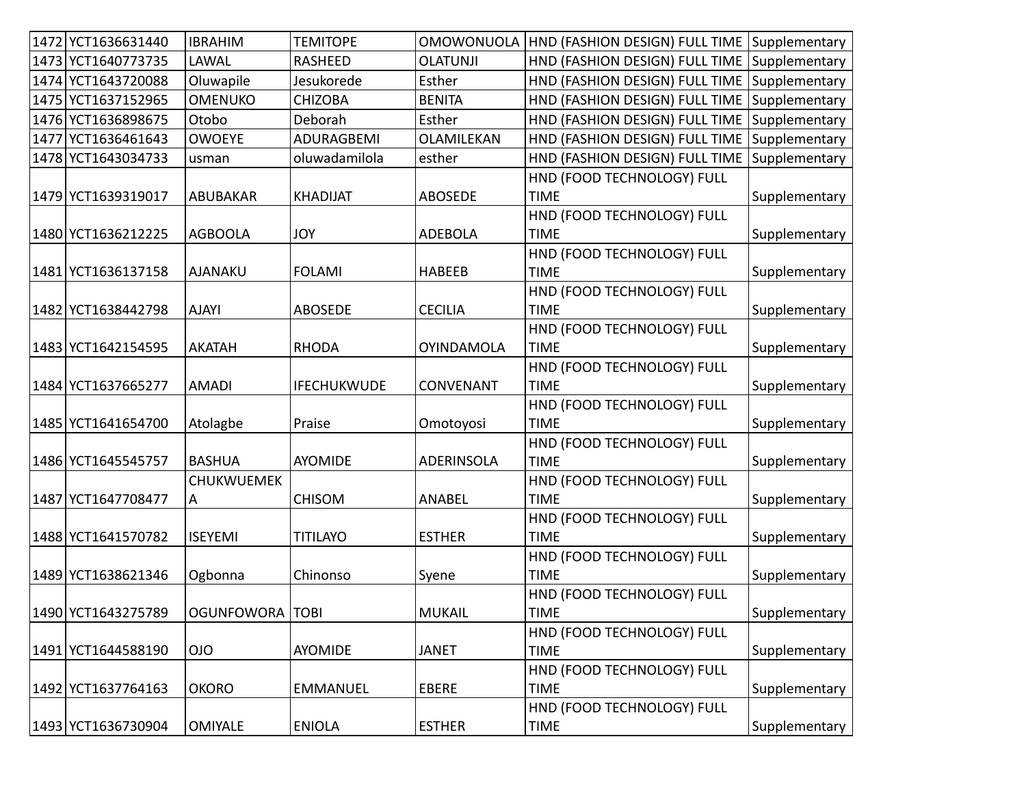| 1472 YCT1636631440 | <b>IBRAHIM</b>    | <b>TEMITOPE</b>    | <b>OMOWONUOLA</b> | HND (FASHION DESIGN) FULL TIME Supplementary |               |
|--------------------|-------------------|--------------------|-------------------|----------------------------------------------|---------------|
| 1473 YCT1640773735 | LAWAL             | <b>RASHEED</b>     | <b>OLATUNJI</b>   | HND (FASHION DESIGN) FULL TIME Supplementary |               |
| 1474 YCT1643720088 | Oluwapile         | Jesukorede         | Esther            | HND (FASHION DESIGN) FULL TIME Supplementary |               |
| 1475 YCT1637152965 | <b>OMENUKO</b>    | <b>CHIZOBA</b>     | <b>BENITA</b>     | HND (FASHION DESIGN) FULL TIME               | Supplementary |
| 1476 YCT1636898675 | Otobo             | Deborah            | Esther            | HND (FASHION DESIGN) FULL TIME               | Supplementary |
| 1477 YCT1636461643 | <b>OWOEYE</b>     | ADURAGBEMI         | OLAMILEKAN        | HND (FASHION DESIGN) FULL TIME               | Supplementary |
| 1478 YCT1643034733 | usman             | oluwadamilola      | esther            | HND (FASHION DESIGN) FULL TIME               | Supplementary |
|                    |                   |                    |                   | HND (FOOD TECHNOLOGY) FULL                   |               |
| 1479 YCT1639319017 | ABUBAKAR          | <b>KHADIJAT</b>    | <b>ABOSEDE</b>    | <b>TIME</b>                                  | Supplementary |
|                    |                   |                    |                   | HND (FOOD TECHNOLOGY) FULL                   |               |
| 1480 YCT1636212225 | <b>AGBOOLA</b>    | <b>JOY</b>         | <b>ADEBOLA</b>    | <b>TIME</b>                                  | Supplementary |
|                    |                   |                    |                   | HND (FOOD TECHNOLOGY) FULL                   |               |
| 1481 YCT1636137158 | <b>AJANAKU</b>    | <b>FOLAMI</b>      | <b>HABEEB</b>     | <b>TIME</b>                                  | Supplementary |
|                    |                   |                    |                   | HND (FOOD TECHNOLOGY) FULL                   |               |
| 1482 YCT1638442798 | <b>AJAYI</b>      | <b>ABOSEDE</b>     | <b>CECILIA</b>    | <b>TIME</b>                                  | Supplementary |
|                    |                   |                    |                   | HND (FOOD TECHNOLOGY) FULL                   |               |
| 1483 YCT1642154595 | <b>AKATAH</b>     | <b>RHODA</b>       | <b>OYINDAMOLA</b> | <b>TIME</b>                                  | Supplementary |
|                    |                   |                    |                   | HND (FOOD TECHNOLOGY) FULL                   |               |
| 1484 YCT1637665277 | <b>AMADI</b>      | <b>IFECHUKWUDE</b> | CONVENANT         | <b>TIME</b>                                  | Supplementary |
|                    |                   |                    |                   | HND (FOOD TECHNOLOGY) FULL                   |               |
| 1485 YCT1641654700 | Atolagbe          | Praise             | Omotoyosi         | <b>TIME</b>                                  | Supplementary |
|                    |                   |                    |                   | HND (FOOD TECHNOLOGY) FULL                   |               |
| 1486 YCT1645545757 | <b>BASHUA</b>     | <b>AYOMIDE</b>     | <b>ADERINSOLA</b> | <b>TIME</b>                                  | Supplementary |
|                    | <b>CHUKWUEMEK</b> |                    |                   | HND (FOOD TECHNOLOGY) FULL                   |               |
| 1487 YCT1647708477 | A                 | <b>CHISOM</b>      | <b>ANABEL</b>     | <b>TIME</b>                                  | Supplementary |
|                    |                   |                    |                   | HND (FOOD TECHNOLOGY) FULL                   |               |
| 1488 YCT1641570782 | <b>ISEYEMI</b>    | <b>TITILAYO</b>    | <b>ESTHER</b>     | <b>TIME</b>                                  | Supplementary |
|                    |                   |                    |                   | HND (FOOD TECHNOLOGY) FULL                   |               |
| 1489 YCT1638621346 | Ogbonna           | Chinonso           | Syene             | <b>TIME</b>                                  | Supplementary |
|                    |                   |                    |                   | HND (FOOD TECHNOLOGY) FULL                   |               |
| 1490 YCT1643275789 | OGUNFOWORA TOBI   |                    | <b>MUKAIL</b>     | <b>TIME</b>                                  | Supplementary |
|                    |                   |                    |                   | HND (FOOD TECHNOLOGY) FULL                   |               |
| 1491 YCT1644588190 | <b>OIO</b>        | AYOMIDE            | <b>JANET</b>      | <b>TIME</b>                                  | Supplementary |
|                    |                   |                    |                   | HND (FOOD TECHNOLOGY) FULL                   |               |
| 1492 YCT1637764163 | <b>OKORO</b>      | <b>EMMANUEL</b>    | EBERE             | <b>TIME</b>                                  | Supplementary |
|                    |                   |                    |                   | HND (FOOD TECHNOLOGY) FULL                   |               |
| 1493 YCT1636730904 | <b>OMIYALE</b>    | <b>ENIOLA</b>      | <b>ESTHER</b>     | <b>TIME</b>                                  | Supplementary |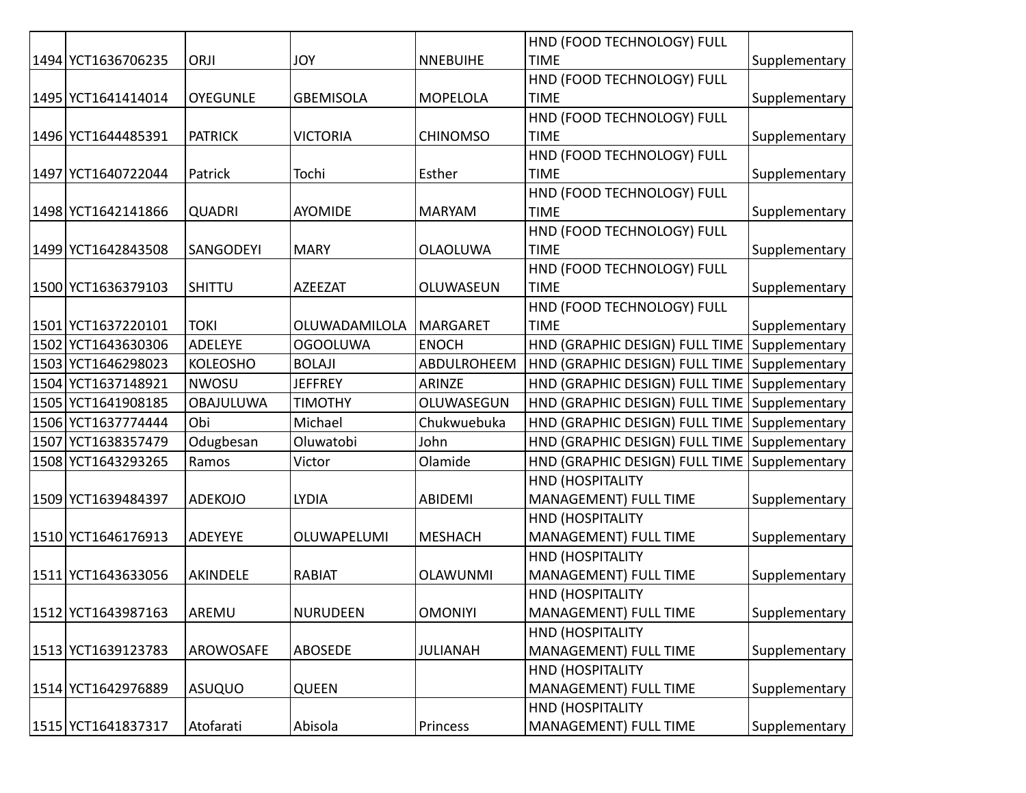|                    |                  |                  |                 | HND (FOOD TECHNOLOGY) FULL                   |               |
|--------------------|------------------|------------------|-----------------|----------------------------------------------|---------------|
| 1494 YCT1636706235 | ORJI             | <b>JOY</b>       | <b>NNEBUIHE</b> | <b>TIME</b>                                  | Supplementary |
|                    |                  |                  |                 | HND (FOOD TECHNOLOGY) FULL                   |               |
| 1495 YCT1641414014 | <b>OYEGUNLE</b>  | <b>GBEMISOLA</b> | <b>MOPELOLA</b> | <b>TIME</b>                                  | Supplementary |
|                    |                  |                  |                 | HND (FOOD TECHNOLOGY) FULL                   |               |
| 1496 YCT1644485391 | <b>PATRICK</b>   | <b>VICTORIA</b>  | <b>CHINOMSO</b> | <b>TIME</b>                                  | Supplementary |
|                    |                  |                  |                 | HND (FOOD TECHNOLOGY) FULL                   |               |
| 1497 YCT1640722044 | Patrick          | Tochi            | Esther          | <b>TIME</b>                                  | Supplementary |
|                    |                  |                  |                 | HND (FOOD TECHNOLOGY) FULL                   |               |
| 1498 YCT1642141866 | <b>QUADRI</b>    | <b>AYOMIDE</b>   | <b>MARYAM</b>   | <b>TIME</b>                                  | Supplementary |
|                    |                  |                  |                 | HND (FOOD TECHNOLOGY) FULL                   |               |
| 1499 YCT1642843508 | SANGODEYI        | <b>MARY</b>      | <b>OLAOLUWA</b> | <b>TIME</b>                                  | Supplementary |
|                    |                  |                  |                 | HND (FOOD TECHNOLOGY) FULL                   |               |
| 1500 YCT1636379103 | <b>SHITTU</b>    | <b>AZEEZAT</b>   | OLUWASEUN       | <b>TIME</b>                                  | Supplementary |
|                    |                  |                  |                 | HND (FOOD TECHNOLOGY) FULL                   |               |
| 1501 YCT1637220101 | <b>TOKI</b>      | OLUWADAMILOLA    | <b>MARGARET</b> | <b>TIME</b>                                  | Supplementary |
| 1502 YCT1643630306 | <b>ADELEYE</b>   | <b>OGOOLUWA</b>  | <b>ENOCH</b>    | HND (GRAPHIC DESIGN) FULL TIME               | Supplementary |
| 1503 YCT1646298023 | <b>KOLEOSHO</b>  | <b>BOLAJI</b>    | ABDULROHEEM     | HND (GRAPHIC DESIGN) FULL TIME Supplementary |               |
| 1504 YCT1637148921 | <b>NWOSU</b>     | <b>JEFFREY</b>   | ARINZE          | HND (GRAPHIC DESIGN) FULL TIME               | Supplementary |
| 1505 YCT1641908185 | <b>OBAJULUWA</b> | <b>TIMOTHY</b>   | OLUWASEGUN      | HND (GRAPHIC DESIGN) FULL TIME               | Supplementary |
| 1506 YCT1637774444 | Obi              | Michael          | Chukwuebuka     | HND (GRAPHIC DESIGN) FULL TIME               | Supplementary |
| 1507 YCT1638357479 | Odugbesan        | Oluwatobi        | John            | HND (GRAPHIC DESIGN) FULL TIME Supplementary |               |
| 1508 YCT1643293265 | Ramos            | Victor           | Olamide         | HND (GRAPHIC DESIGN) FULL TIME               | Supplementary |
|                    |                  |                  |                 | <b>HND (HOSPITALITY</b>                      |               |
| 1509 YCT1639484397 | <b>ADEKOJO</b>   | <b>LYDIA</b>     | ABIDEMI         | MANAGEMENT) FULL TIME                        | Supplementary |
|                    |                  |                  |                 | HND (HOSPITALITY                             |               |
| 1510 YCT1646176913 | ADEYEYE          | OLUWAPELUMI      | <b>MESHACH</b>  | MANAGEMENT) FULL TIME                        | Supplementary |
|                    |                  |                  |                 | <b>HND (HOSPITALITY</b>                      |               |
| 1511 YCT1643633056 | AKINDELE         | <b>RABIAT</b>    | <b>OLAWUNMI</b> | MANAGEMENT) FULL TIME                        | Supplementary |
|                    |                  |                  |                 | <b>HND (HOSPITALITY</b>                      |               |
| 1512 YCT1643987163 | AREMU            | <b>NURUDEEN</b>  | <b>OMONIYI</b>  | MANAGEMENT) FULL TIME                        | Supplementary |
|                    |                  |                  |                 | <b>HND (HOSPITALITY</b>                      |               |
| 1513 YCT1639123783 | AROWOSAFE        | ABOSEDE          | <b>JULIANAH</b> | MANAGEMENT) FULL TIME                        | Supplementary |
|                    |                  |                  |                 | <b>HND (HOSPITALITY</b>                      |               |
| 1514 YCT1642976889 | <b>ASUQUO</b>    | QUEEN            |                 | MANAGEMENT) FULL TIME                        | Supplementary |
|                    |                  |                  |                 | <b>HND (HOSPITALITY</b>                      |               |
| 1515 YCT1641837317 | Atofarati        | Abisola          | Princess        | <b>MANAGEMENT) FULL TIME</b>                 | Supplementary |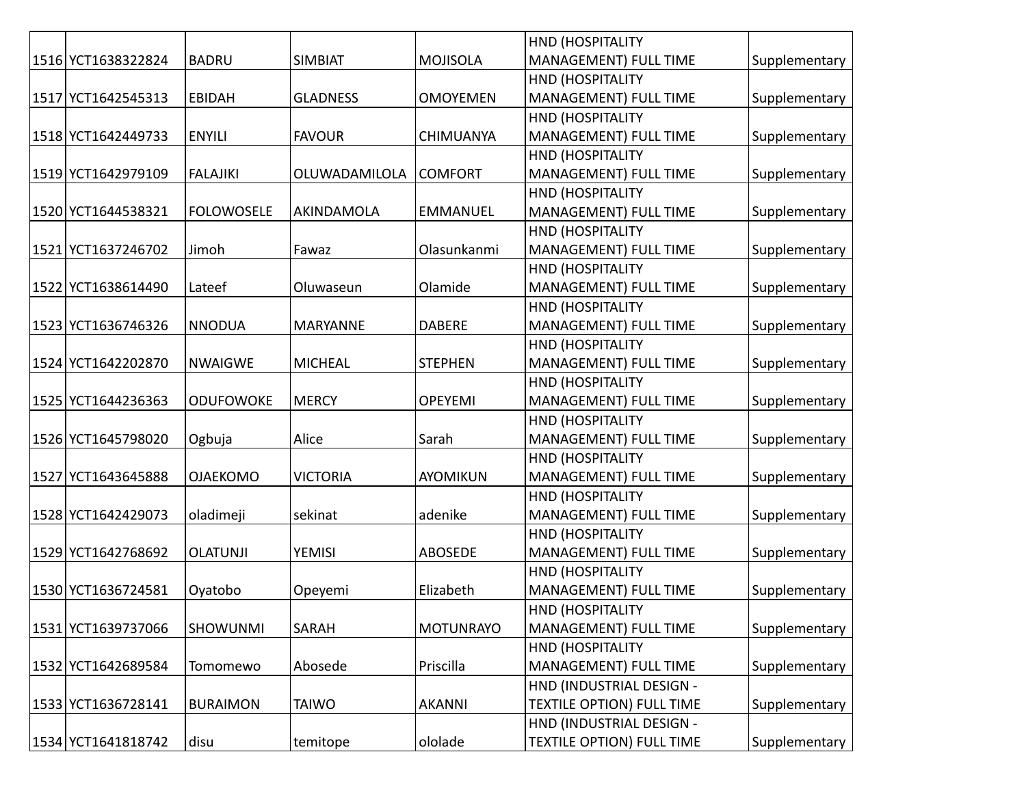| 1516 YCT1638322824 | <b>BADRU</b>      | <b>SIMBIAT</b>  | <b>MOJISOLA</b>  | HND (HOSPITALITY<br>MANAGEMENT) FULL TIME |               |
|--------------------|-------------------|-----------------|------------------|-------------------------------------------|---------------|
|                    |                   |                 |                  | HND (HOSPITALITY                          | Supplementary |
| 1517 YCT1642545313 | <b>EBIDAH</b>     | <b>GLADNESS</b> | <b>OMOYEMEN</b>  | <b>MANAGEMENT) FULL TIME</b>              | Supplementary |
|                    |                   |                 |                  | <b>HND (HOSPITALITY</b>                   |               |
| 1518 YCT1642449733 | <b>ENYILI</b>     | <b>FAVOUR</b>   | <b>CHIMUANYA</b> | <b>MANAGEMENT) FULL TIME</b>              | Supplementary |
|                    |                   |                 |                  | <b>HND (HOSPITALITY</b>                   |               |
| 1519 YCT1642979109 | <b>FALAJIKI</b>   | OLUWADAMILOLA   | <b>COMFORT</b>   | <b>MANAGEMENT) FULL TIME</b>              | Supplementary |
|                    |                   |                 |                  | <b>HND (HOSPITALITY</b>                   |               |
| 1520 YCT1644538321 | <b>FOLOWOSELE</b> | AKINDAMOLA      | <b>EMMANUEL</b>  | <b>MANAGEMENT) FULL TIME</b>              | Supplementary |
|                    |                   |                 |                  | HND (HOSPITALITY                          |               |
| 1521 YCT1637246702 | Jimoh             | Fawaz           | Olasunkanmi      | MANAGEMENT) FULL TIME                     | Supplementary |
|                    |                   |                 |                  | HND (HOSPITALITY                          |               |
| 1522 YCT1638614490 | Lateef            | Oluwaseun       | Olamide          | <b>MANAGEMENT) FULL TIME</b>              | Supplementary |
|                    |                   |                 |                  | HND (HOSPITALITY                          |               |
| 1523 YCT1636746326 | <b>NNODUA</b>     | <b>MARYANNE</b> | <b>DABERE</b>    | MANAGEMENT) FULL TIME                     | Supplementary |
|                    |                   |                 |                  | <b>HND (HOSPITALITY</b>                   |               |
| 1524 YCT1642202870 | <b>NWAIGWE</b>    | <b>MICHEAL</b>  | <b>STEPHEN</b>   | <b>MANAGEMENT) FULL TIME</b>              | Supplementary |
|                    |                   |                 |                  | HND (HOSPITALITY                          |               |
| 1525 YCT1644236363 | <b>ODUFOWOKE</b>  | <b>MERCY</b>    | <b>OPEYEMI</b>   | MANAGEMENT) FULL TIME                     | Supplementary |
|                    |                   |                 |                  | HND (HOSPITALITY                          |               |
| 1526 YCT1645798020 | Ogbuja            | Alice           | Sarah            | <b>MANAGEMENT) FULL TIME</b>              | Supplementary |
|                    |                   |                 |                  | <b>HND (HOSPITALITY</b>                   |               |
| 1527 YCT1643645888 | <b>OJAEKOMO</b>   | <b>VICTORIA</b> | <b>AYOMIKUN</b>  | MANAGEMENT) FULL TIME                     | Supplementary |
|                    |                   |                 |                  | <b>HND (HOSPITALITY</b>                   |               |
| 1528 YCT1642429073 | oladimeji         | sekinat         | adenike          | MANAGEMENT) FULL TIME                     | Supplementary |
|                    |                   |                 |                  | HND (HOSPITALITY                          |               |
| 1529 YCT1642768692 | <b>OLATUNJI</b>   | <b>YEMISI</b>   | <b>ABOSEDE</b>   | MANAGEMENT) FULL TIME                     | Supplementary |
|                    |                   |                 |                  | HND (HOSPITALITY                          |               |
| 1530 YCT1636724581 | Oyatobo           | Opeyemi         | Elizabeth        | MANAGEMENT) FULL TIME                     | Supplementary |
|                    |                   |                 |                  | HND (HOSPITALITY                          |               |
| 1531 YCT1639737066 | <b>SHOWUNMI</b>   | SARAH           | <b>MOTUNRAYO</b> | MANAGEMENT) FULL TIME                     | Supplementary |
|                    |                   |                 |                  | <b>HND (HOSPITALITY</b>                   |               |
| 1532 YCT1642689584 | Tomomewo          | Abosede         | Priscilla        | MANAGEMENT) FULL TIME                     | Supplementary |
|                    |                   |                 |                  | HND (INDUSTRIAL DESIGN -                  |               |
| 1533 YCT1636728141 | <b>BURAIMON</b>   | <b>TAIWO</b>    | <b>AKANNI</b>    | <b>TEXTILE OPTION) FULL TIME</b>          | Supplementary |
|                    |                   |                 |                  | HND (INDUSTRIAL DESIGN -                  |               |
| 1534 YCT1641818742 | disu              | temitope        | ololade          | <b>TEXTILE OPTION) FULL TIME</b>          | Supplementary |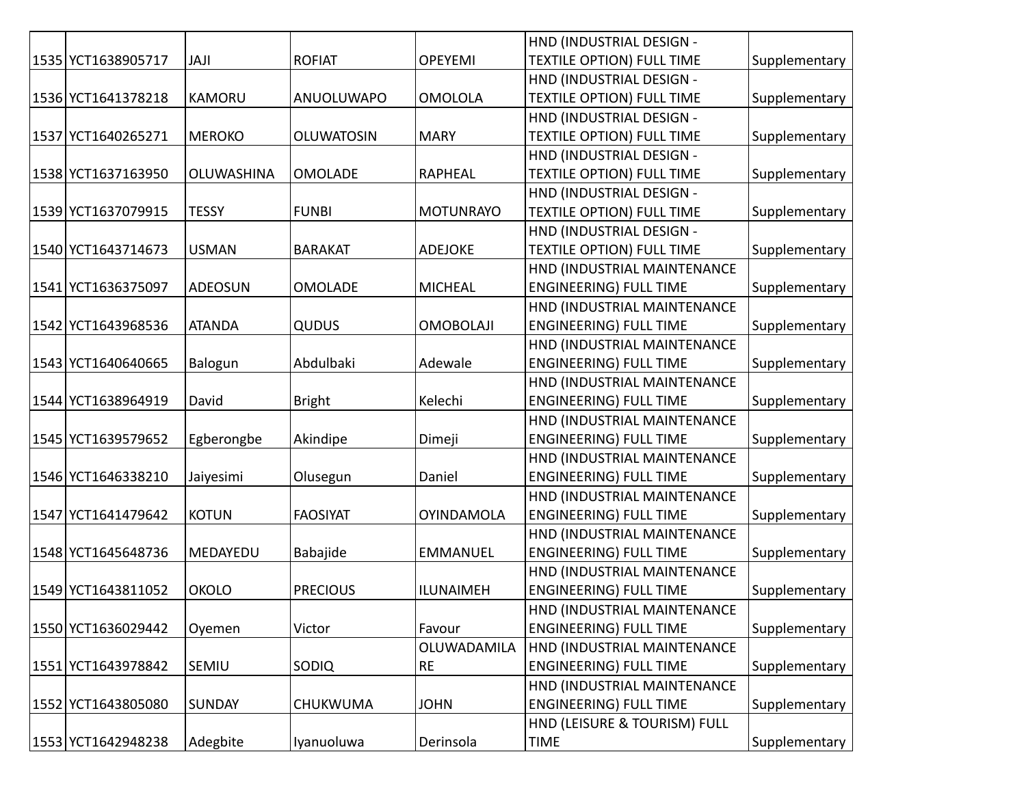|                    |                |                   |                   | HND (INDUSTRIAL DESIGN -         |               |
|--------------------|----------------|-------------------|-------------------|----------------------------------|---------------|
| 1535 YCT1638905717 | <b>JAJI</b>    | <b>ROFIAT</b>     | <b>OPEYEMI</b>    | <b>TEXTILE OPTION) FULL TIME</b> | Supplementary |
|                    |                |                   |                   | HND (INDUSTRIAL DESIGN -         |               |
| 1536 YCT1641378218 | <b>KAMORU</b>  | <b>ANUOLUWAPO</b> | <b>OMOLOLA</b>    | <b>TEXTILE OPTION) FULL TIME</b> | Supplementary |
|                    |                |                   |                   | HND (INDUSTRIAL DESIGN -         |               |
| 1537 YCT1640265271 | <b>MEROKO</b>  | <b>OLUWATOSIN</b> | <b>MARY</b>       | <b>TEXTILE OPTION) FULL TIME</b> | Supplementary |
|                    |                |                   |                   | HND (INDUSTRIAL DESIGN -         |               |
| 1538 YCT1637163950 | OLUWASHINA     | <b>OMOLADE</b>    | <b>RAPHEAL</b>    | <b>TEXTILE OPTION) FULL TIME</b> | Supplementary |
|                    |                |                   |                   | HND (INDUSTRIAL DESIGN -         |               |
| 1539 YCT1637079915 | <b>TESSY</b>   | <b>FUNBI</b>      | <b>MOTUNRAYO</b>  | <b>TEXTILE OPTION) FULL TIME</b> | Supplementary |
|                    |                |                   |                   | HND (INDUSTRIAL DESIGN -         |               |
| 1540 YCT1643714673 | <b>USMAN</b>   | <b>BARAKAT</b>    | <b>ADEJOKE</b>    | <b>TEXTILE OPTION) FULL TIME</b> | Supplementary |
|                    |                |                   |                   | HND (INDUSTRIAL MAINTENANCE      |               |
| 1541 YCT1636375097 | <b>ADEOSUN</b> | <b>OMOLADE</b>    | <b>MICHEAL</b>    | <b>ENGINEERING) FULL TIME</b>    | Supplementary |
|                    |                |                   |                   | HND (INDUSTRIAL MAINTENANCE      |               |
| 1542 YCT1643968536 | <b>ATANDA</b>  | QUDUS             | <b>OMOBOLAJI</b>  | <b>ENGINEERING) FULL TIME</b>    | Supplementary |
|                    |                |                   |                   | HND (INDUSTRIAL MAINTENANCE      |               |
| 1543 YCT1640640665 | Balogun        | Abdulbaki         | Adewale           | <b>ENGINEERING) FULL TIME</b>    | Supplementary |
|                    |                |                   |                   | HND (INDUSTRIAL MAINTENANCE      |               |
| 1544 YCT1638964919 | David          | <b>Bright</b>     | Kelechi           | <b>ENGINEERING) FULL TIME</b>    | Supplementary |
|                    |                |                   |                   | HND (INDUSTRIAL MAINTENANCE      |               |
| 1545 YCT1639579652 | Egberongbe     | Akindipe          | Dimeji            | <b>ENGINEERING) FULL TIME</b>    | Supplementary |
|                    |                |                   |                   | HND (INDUSTRIAL MAINTENANCE      |               |
| 1546 YCT1646338210 | Jaiyesimi      | Olusegun          | Daniel            | <b>ENGINEERING) FULL TIME</b>    | Supplementary |
|                    |                |                   |                   | HND (INDUSTRIAL MAINTENANCE      |               |
| 1547 YCT1641479642 | <b>KOTUN</b>   | <b>FAOSIYAT</b>   | <b>OYINDAMOLA</b> | <b>ENGINEERING) FULL TIME</b>    | Supplementary |
|                    |                |                   |                   | HND (INDUSTRIAL MAINTENANCE      |               |
| 1548 YCT1645648736 | MEDAYEDU       | Babajide          | <b>EMMANUEL</b>   | <b>ENGINEERING) FULL TIME</b>    | Supplementary |
|                    |                |                   |                   | HND (INDUSTRIAL MAINTENANCE      |               |
| 1549 YCT1643811052 | <b>OKOLO</b>   | <b>PRECIOUS</b>   | <b>ILUNAIMEH</b>  | <b>ENGINEERING) FULL TIME</b>    | Supplementary |
|                    |                |                   |                   | HND (INDUSTRIAL MAINTENANCE      |               |
| 1550 YCT1636029442 | Oyemen         | Victor            | Favour            | <b>ENGINEERING) FULL TIME</b>    | Supplementary |
|                    |                |                   | OLUWADAMILA       | HND (INDUSTRIAL MAINTENANCE      |               |
| 1551 YCT1643978842 | SEMIU          | SODIQ             | <b>RE</b>         | <b>ENGINEERING) FULL TIME</b>    | Supplementary |
|                    |                |                   |                   | HND (INDUSTRIAL MAINTENANCE      |               |
| 1552 YCT1643805080 | <b>SUNDAY</b>  | <b>CHUKWUMA</b>   | <b>JOHN</b>       | <b>ENGINEERING) FULL TIME</b>    | Supplementary |
|                    |                |                   |                   | HND (LEISURE & TOURISM) FULL     |               |
| 1553 YCT1642948238 | Adegbite       | Iyanuoluwa        | Derinsola         | <b>TIME</b>                      | Supplementary |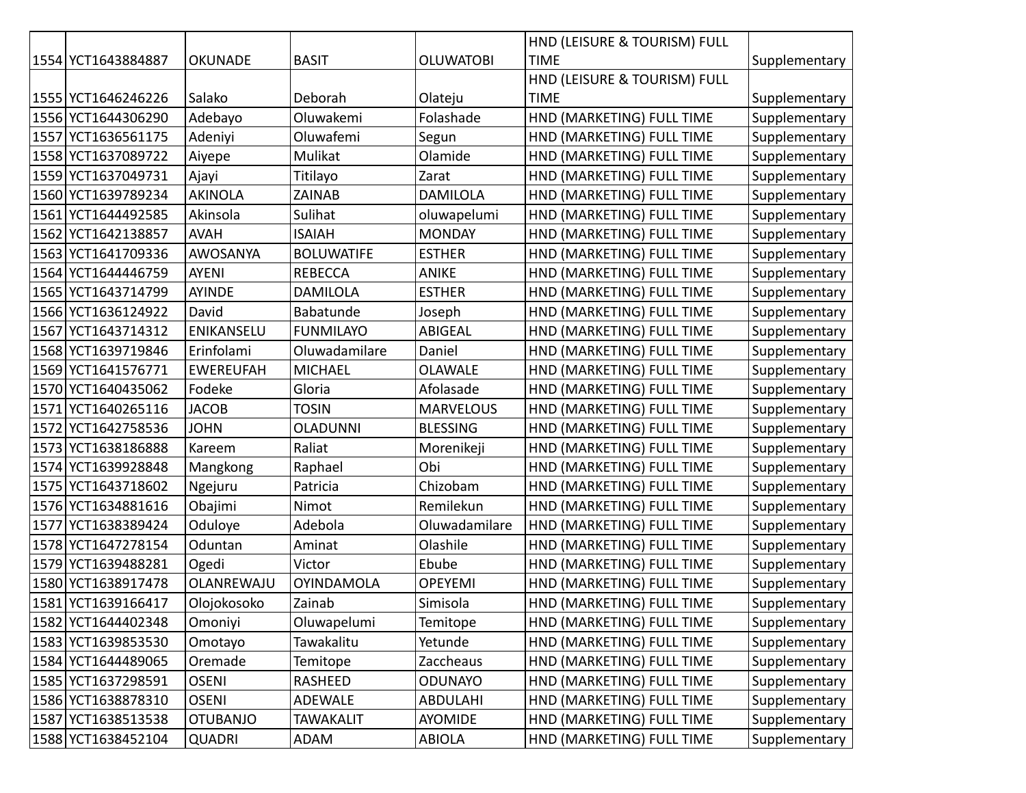|                    |                  |                   |                  | HND (LEISURE & TOURISM) FULL |               |
|--------------------|------------------|-------------------|------------------|------------------------------|---------------|
| 1554 YCT1643884887 | <b>OKUNADE</b>   | <b>BASIT</b>      | <b>OLUWATOBI</b> | <b>TIME</b>                  | Supplementary |
|                    |                  |                   |                  | HND (LEISURE & TOURISM) FULL |               |
| 1555 YCT1646246226 | Salako           | Deborah           | Olateju          | <b>TIME</b>                  | Supplementary |
| 1556 YCT1644306290 | Adebayo          | Oluwakemi         | Folashade        | HND (MARKETING) FULL TIME    | Supplementary |
| 1557 YCT1636561175 | Adeniyi          | Oluwafemi         | Segun            | HND (MARKETING) FULL TIME    | Supplementary |
| 1558 YCT1637089722 | Aiyepe           | Mulikat           | Olamide          | HND (MARKETING) FULL TIME    | Supplementary |
| 1559 YCT1637049731 | Ajayi            | Titilayo          | Zarat            | HND (MARKETING) FULL TIME    | Supplementary |
| 1560 YCT1639789234 | <b>AKINOLA</b>   | ZAINAB            | <b>DAMILOLA</b>  | HND (MARKETING) FULL TIME    | Supplementary |
| 1561 YCT1644492585 | Akinsola         | Sulihat           | oluwapelumi      | HND (MARKETING) FULL TIME    | Supplementary |
| 1562 YCT1642138857 | <b>AVAH</b>      | <b>ISAIAH</b>     | <b>MONDAY</b>    | HND (MARKETING) FULL TIME    | Supplementary |
| 1563 YCT1641709336 | AWOSANYA         | <b>BOLUWATIFE</b> | <b>ESTHER</b>    | HND (MARKETING) FULL TIME    | Supplementary |
| 1564 YCT1644446759 | <b>AYENI</b>     | <b>REBECCA</b>    | <b>ANIKE</b>     | HND (MARKETING) FULL TIME    | Supplementary |
| 1565 YCT1643714799 | AYINDE           | <b>DAMILOLA</b>   | <b>ESTHER</b>    | HND (MARKETING) FULL TIME    | Supplementary |
| 1566 YCT1636124922 | David            | Babatunde         | Joseph           | HND (MARKETING) FULL TIME    | Supplementary |
| 1567 YCT1643714312 | ENIKANSELU       | <b>FUNMILAYO</b>  | <b>ABIGEAL</b>   | HND (MARKETING) FULL TIME    | Supplementary |
| 1568 YCT1639719846 | Erinfolami       | Oluwadamilare     | Daniel           | HND (MARKETING) FULL TIME    | Supplementary |
| 1569 YCT1641576771 | <b>EWEREUFAH</b> | <b>MICHAEL</b>    | <b>OLAWALE</b>   | HND (MARKETING) FULL TIME    | Supplementary |
| 1570 YCT1640435062 | Fodeke           | Gloria            | Afolasade        | HND (MARKETING) FULL TIME    | Supplementary |
| 1571 YCT1640265116 | <b>JACOB</b>     | <b>TOSIN</b>      | <b>MARVELOUS</b> | HND (MARKETING) FULL TIME    | Supplementary |
| 1572 YCT1642758536 | <b>JOHN</b>      | <b>OLADUNNI</b>   | <b>BLESSING</b>  | HND (MARKETING) FULL TIME    | Supplementary |
| 1573 YCT1638186888 | Kareem           | Raliat            | Morenikeji       | HND (MARKETING) FULL TIME    | Supplementary |
| 1574 YCT1639928848 | Mangkong         | Raphael           | Obi              | HND (MARKETING) FULL TIME    | Supplementary |
| 1575 YCT1643718602 | Ngejuru          | Patricia          | Chizobam         | HND (MARKETING) FULL TIME    | Supplementary |
| 1576 YCT1634881616 | Obajimi          | Nimot             | Remilekun        | HND (MARKETING) FULL TIME    | Supplementary |
| 1577 YCT1638389424 | Oduloye          | Adebola           | Oluwadamilare    | HND (MARKETING) FULL TIME    | Supplementary |
| 1578 YCT1647278154 | Oduntan          | Aminat            | Olashile         | HND (MARKETING) FULL TIME    | Supplementary |
| 1579 YCT1639488281 | Ogedi            | Victor            | Ebube            | HND (MARKETING) FULL TIME    | Supplementary |
| 1580 YCT1638917478 | OLANREWAJU       | <b>OYINDAMOLA</b> | <b>OPEYEMI</b>   | HND (MARKETING) FULL TIME    | Supplementary |
| 1581 YCT1639166417 | Olojokosoko      | Zainab            | Simisola         | HND (MARKETING) FULL TIME    | Supplementary |
| 1582 YCT1644402348 | Omoniyi          | Oluwapelumi       | Temitope         | HND (MARKETING) FULL TIME    | Supplementary |
| 1583 YCT1639853530 | Omotayo          | Tawakalitu        | Yetunde          | HND (MARKETING) FULL TIME    | Supplementary |
| 1584 YCT1644489065 | Oremade          | Temitope          | Zaccheaus        | HND (MARKETING) FULL TIME    | Supplementary |
| 1585 YCT1637298591 | <b>OSENI</b>     | RASHEED           | <b>ODUNAYO</b>   | HND (MARKETING) FULL TIME    | Supplementary |
| 1586 YCT1638878310 | <b>OSENI</b>     | <b>ADEWALE</b>    | ABDULAHI         | HND (MARKETING) FULL TIME    | Supplementary |
| 1587 YCT1638513538 | <b>OTUBANJO</b>  | <b>TAWAKALIT</b>  | <b>AYOMIDE</b>   | HND (MARKETING) FULL TIME    | Supplementary |
| 1588 YCT1638452104 | <b>QUADRI</b>    | ADAM              | <b>ABIOLA</b>    | HND (MARKETING) FULL TIME    | Supplementary |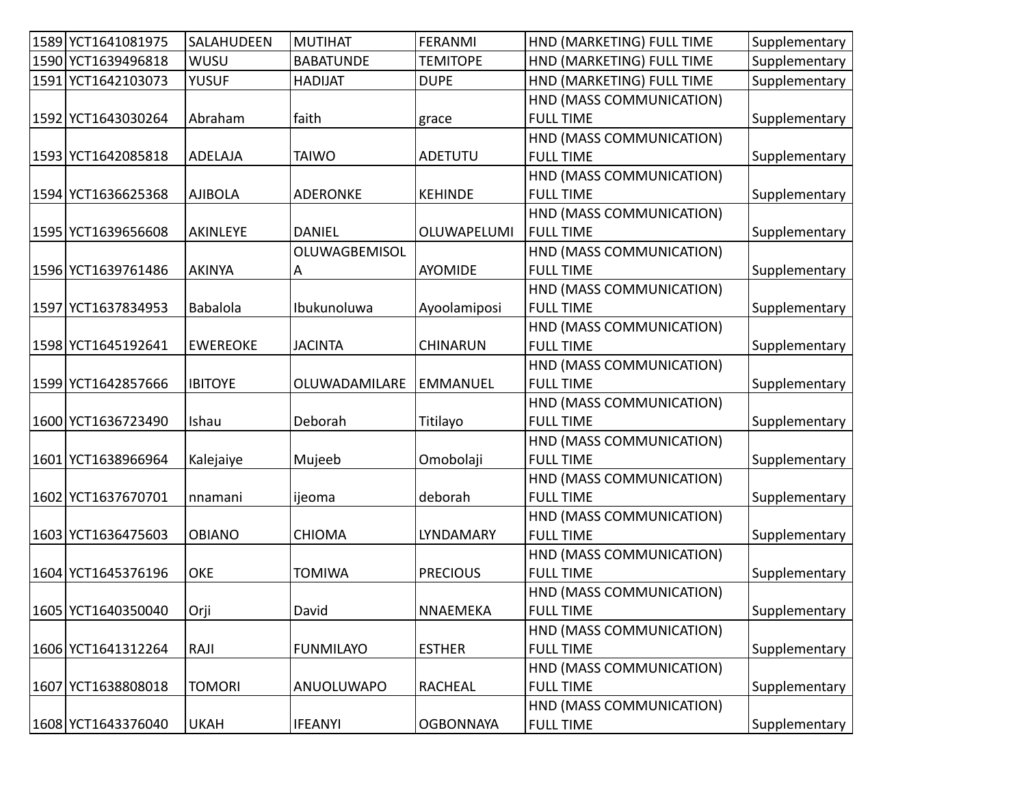| 1589 YCT1641081975 | SALAHUDEEN      | <b>MUTIHAT</b>       | <b>FERANMI</b>   | HND (MARKETING) FULL TIME | Supplementary |
|--------------------|-----------------|----------------------|------------------|---------------------------|---------------|
| 1590 YCT1639496818 | WUSU            | <b>BABATUNDE</b>     | <b>TEMITOPE</b>  | HND (MARKETING) FULL TIME | Supplementary |
| 1591 YCT1642103073 | <b>YUSUF</b>    | <b>HADIJAT</b>       | <b>DUPE</b>      | HND (MARKETING) FULL TIME | Supplementary |
|                    |                 |                      |                  | HND (MASS COMMUNICATION)  |               |
| 1592 YCT1643030264 | Abraham         | faith                | grace            | <b>FULL TIME</b>          | Supplementary |
|                    |                 |                      |                  | HND (MASS COMMUNICATION)  |               |
| 1593 YCT1642085818 | ADELAJA         | <b>TAIWO</b>         | ADETUTU          | <b>FULL TIME</b>          | Supplementary |
|                    |                 |                      |                  | HND (MASS COMMUNICATION)  |               |
| 1594 YCT1636625368 | <b>AJIBOLA</b>  | <b>ADERONKE</b>      | <b>KEHINDE</b>   | <b>FULL TIME</b>          | Supplementary |
|                    |                 |                      |                  | HND (MASS COMMUNICATION)  |               |
| 1595 YCT1639656608 | AKINLEYE        | <b>DANIEL</b>        | OLUWAPELUMI      | <b>FULL TIME</b>          | Supplementary |
|                    |                 | OLUWAGBEMISOL        |                  | HND (MASS COMMUNICATION)  |               |
| 1596 YCT1639761486 | <b>AKINYA</b>   | $\overline{A}$       | AYOMIDE          | <b>FULL TIME</b>          | Supplementary |
|                    |                 |                      |                  | HND (MASS COMMUNICATION)  |               |
| 1597 YCT1637834953 | Babalola        | Ibukunoluwa          | Ayoolamiposi     | <b>FULL TIME</b>          | Supplementary |
|                    |                 |                      |                  | HND (MASS COMMUNICATION)  |               |
| 1598 YCT1645192641 | <b>EWEREOKE</b> | <b>JACINTA</b>       | <b>CHINARUN</b>  | <b>FULL TIME</b>          | Supplementary |
|                    |                 |                      |                  | HND (MASS COMMUNICATION)  |               |
| 1599 YCT1642857666 | <b>IBITOYE</b>  | <b>OLUWADAMILARE</b> | <b>EMMANUEL</b>  | <b>FULL TIME</b>          | Supplementary |
|                    |                 |                      |                  | HND (MASS COMMUNICATION)  |               |
| 1600 YCT1636723490 | Ishau           | Deborah              | Titilayo         | <b>FULL TIME</b>          | Supplementary |
|                    |                 |                      |                  | HND (MASS COMMUNICATION)  |               |
| 1601 YCT1638966964 | Kalejaiye       | Mujeeb               | Omobolaji        | <b>FULL TIME</b>          | Supplementary |
|                    |                 |                      |                  | HND (MASS COMMUNICATION)  |               |
| 1602 YCT1637670701 | nnamani         | ijeoma               | deborah          | <b>FULL TIME</b>          | Supplementary |
|                    |                 |                      |                  | HND (MASS COMMUNICATION)  |               |
| 1603 YCT1636475603 | <b>OBIANO</b>   | <b>CHIOMA</b>        | LYNDAMARY        | <b>FULL TIME</b>          | Supplementary |
|                    |                 |                      |                  | HND (MASS COMMUNICATION)  |               |
| 1604 YCT1645376196 | <b>OKE</b>      | <b>TOMIWA</b>        | <b>PRECIOUS</b>  | <b>FULL TIME</b>          | Supplementary |
|                    |                 |                      |                  | HND (MASS COMMUNICATION)  |               |
| 1605 YCT1640350040 | Orji            | David                | NNAEMEKA         | <b>FULL TIME</b>          | Supplementary |
|                    |                 |                      |                  | HND (MASS COMMUNICATION)  |               |
| 1606 YCT1641312264 | RAJI            | <b>FUNMILAYO</b>     | <b>ESTHER</b>    | <b>FULL TIME</b>          | Supplementary |
|                    |                 |                      |                  | HND (MASS COMMUNICATION)  |               |
| 1607 YCT1638808018 | <b>TOMORI</b>   | ANUOLUWAPO           | <b>RACHEAL</b>   | <b>FULL TIME</b>          | Supplementary |
|                    |                 |                      |                  | HND (MASS COMMUNICATION)  |               |
| 1608 YCT1643376040 | <b>UKAH</b>     | <b>IFEANYI</b>       | <b>OGBONNAYA</b> | <b>FULL TIME</b>          | Supplementary |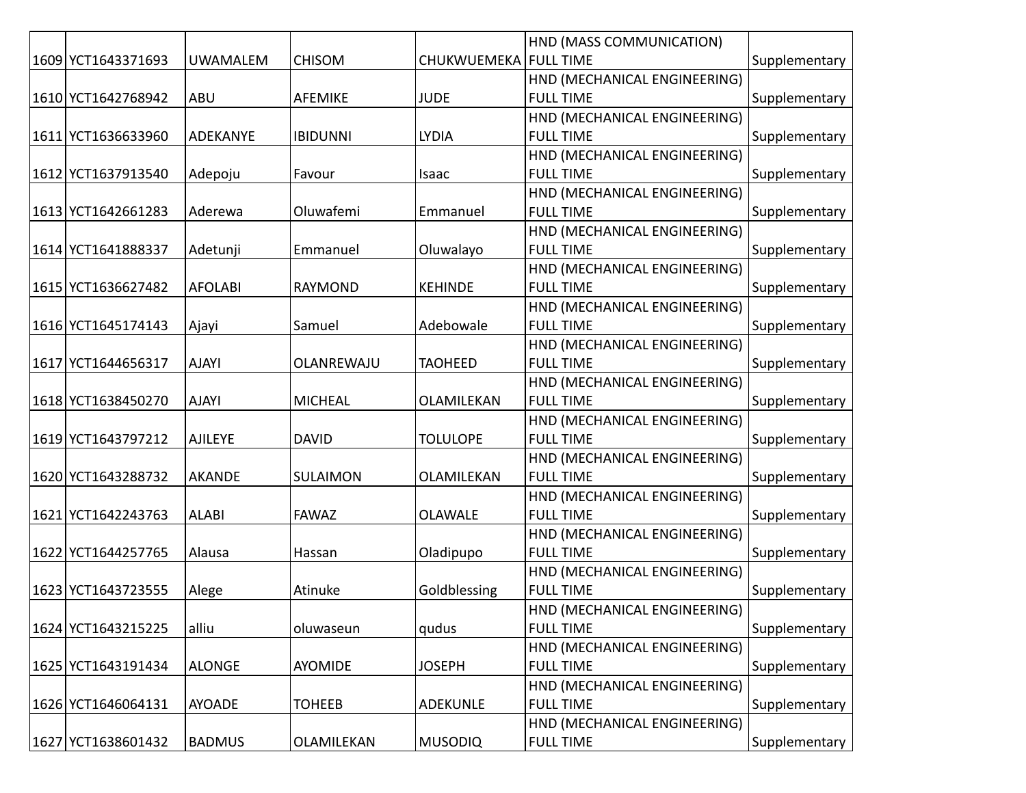|                    |                 |                 |                         | HND (MASS COMMUNICATION)     |               |
|--------------------|-----------------|-----------------|-------------------------|------------------------------|---------------|
| 1609 YCT1643371693 | <b>UWAMALEM</b> | <b>CHISOM</b>   | CHUKWUEMEKA   FULL TIME |                              | Supplementary |
|                    |                 |                 |                         | HND (MECHANICAL ENGINEERING) |               |
| 1610 YCT1642768942 | <b>ABU</b>      | <b>AFEMIKE</b>  | <b>JUDE</b>             | <b>FULL TIME</b>             | Supplementary |
|                    |                 |                 |                         | HND (MECHANICAL ENGINEERING) |               |
| 1611 YCT1636633960 | ADEKANYE        | <b>IBIDUNNI</b> | <b>LYDIA</b>            | <b>FULL TIME</b>             | Supplementary |
|                    |                 |                 |                         | HND (MECHANICAL ENGINEERING) |               |
| 1612 YCT1637913540 | Adepoju         | Favour          | Isaac                   | <b>FULL TIME</b>             | Supplementary |
|                    |                 |                 |                         | HND (MECHANICAL ENGINEERING) |               |
| 1613 YCT1642661283 | Aderewa         | Oluwafemi       | Emmanuel                | <b>FULL TIME</b>             | Supplementary |
|                    |                 |                 |                         | HND (MECHANICAL ENGINEERING) |               |
| 1614 YCT1641888337 | Adetunji        | Emmanuel        | Oluwalayo               | <b>FULL TIME</b>             | Supplementary |
|                    |                 |                 |                         | HND (MECHANICAL ENGINEERING) |               |
| 1615 YCT1636627482 | <b>AFOLABI</b>  | <b>RAYMOND</b>  | <b>KEHINDE</b>          | <b>FULL TIME</b>             | Supplementary |
|                    |                 |                 |                         | HND (MECHANICAL ENGINEERING) |               |
| 1616 YCT1645174143 | Ajayi           | Samuel          | Adebowale               | <b>FULL TIME</b>             | Supplementary |
|                    |                 |                 |                         | HND (MECHANICAL ENGINEERING) |               |
| 1617 YCT1644656317 | <b>AJAYI</b>    | OLANREWAJU      | <b>TAOHEED</b>          | <b>FULL TIME</b>             | Supplementary |
|                    |                 |                 |                         | HND (MECHANICAL ENGINEERING) |               |
| 1618 YCT1638450270 | <b>AJAYI</b>    | <b>MICHEAL</b>  | OLAMILEKAN              | <b>FULL TIME</b>             | Supplementary |
|                    |                 |                 |                         | HND (MECHANICAL ENGINEERING) |               |
| 1619 YCT1643797212 | <b>AJILEYE</b>  | <b>DAVID</b>    | <b>TOLULOPE</b>         | <b>FULL TIME</b>             | Supplementary |
|                    |                 |                 |                         | HND (MECHANICAL ENGINEERING) |               |
| 1620 YCT1643288732 | <b>AKANDE</b>   | SULAIMON        | OLAMILEKAN              | <b>FULL TIME</b>             | Supplementary |
|                    |                 |                 |                         | HND (MECHANICAL ENGINEERING) |               |
| 1621 YCT1642243763 | <b>ALABI</b>    | <b>FAWAZ</b>    | <b>OLAWALE</b>          | <b>FULL TIME</b>             | Supplementary |
|                    |                 |                 |                         | HND (MECHANICAL ENGINEERING) |               |
| 1622 YCT1644257765 | Alausa          | Hassan          | Oladipupo               | <b>FULL TIME</b>             | Supplementary |
|                    |                 |                 |                         | HND (MECHANICAL ENGINEERING) |               |
| 1623 YCT1643723555 | Alege           | Atinuke         | Goldblessing            | <b>FULL TIME</b>             | Supplementary |
|                    |                 |                 |                         | HND (MECHANICAL ENGINEERING) |               |
| 1624 YCT1643215225 | alliu           | oluwaseun       | qudus                   | <b>FULL TIME</b>             | Supplementary |
|                    |                 |                 |                         | HND (MECHANICAL ENGINEERING) |               |
| 1625 YCT1643191434 | <b>ALONGE</b>   | <b>AYOMIDE</b>  | <b>JOSEPH</b>           | <b>FULL TIME</b>             | Supplementary |
|                    |                 |                 |                         | HND (MECHANICAL ENGINEERING) |               |
| 1626 YCT1646064131 | <b>AYOADE</b>   | <b>TOHEEB</b>   | ADEKUNLE                | <b>FULL TIME</b>             | Supplementary |
|                    |                 |                 |                         | HND (MECHANICAL ENGINEERING) |               |
| 1627 YCT1638601432 | <b>BADMUS</b>   | OLAMILEKAN      | <b>MUSODIQ</b>          | <b>FULL TIME</b>             | Supplementary |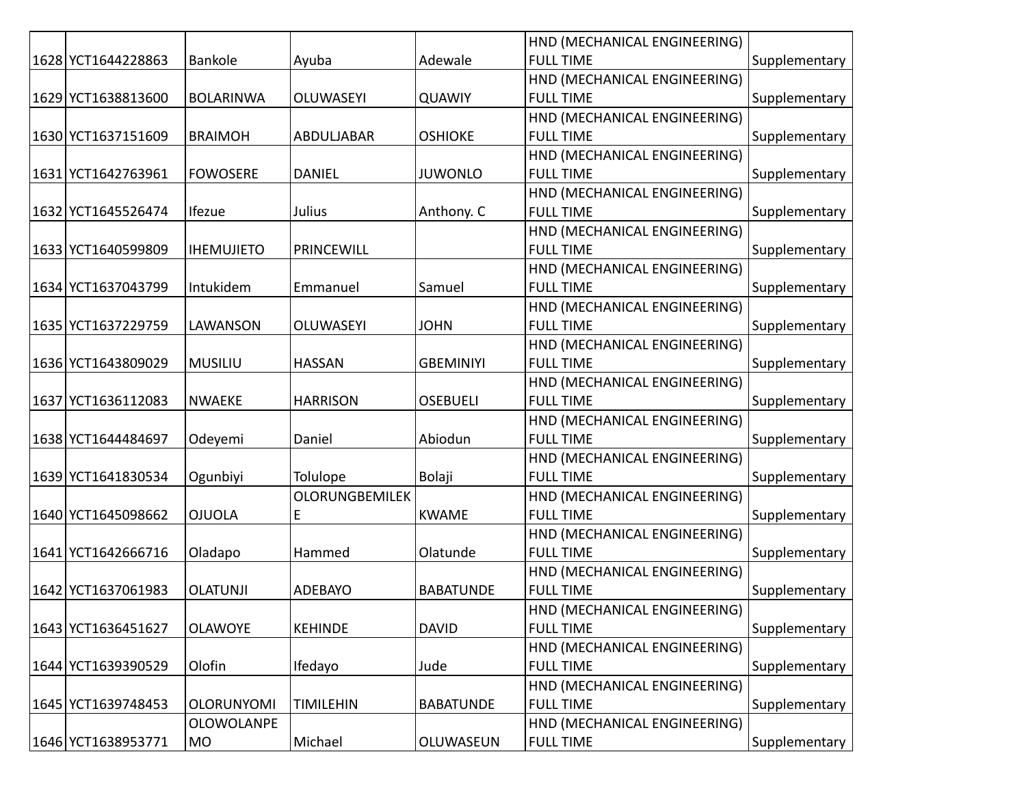|                    |                   |                       |                  | HND (MECHANICAL ENGINEERING) |               |
|--------------------|-------------------|-----------------------|------------------|------------------------------|---------------|
| 1628 YCT1644228863 | Bankole           | Ayuba                 | Adewale          | <b>FULL TIME</b>             | Supplementary |
|                    |                   |                       |                  | HND (MECHANICAL ENGINEERING) |               |
| 1629 YCT1638813600 | <b>BOLARINWA</b>  | <b>OLUWASEYI</b>      | <b>QUAWIY</b>    | <b>FULL TIME</b>             | Supplementary |
|                    |                   |                       |                  | HND (MECHANICAL ENGINEERING) |               |
| 1630 YCT1637151609 | <b>BRAIMOH</b>    | ABDULJABAR            | <b>OSHIOKE</b>   | <b>FULL TIME</b>             | Supplementary |
|                    |                   |                       |                  | HND (MECHANICAL ENGINEERING) |               |
| 1631 YCT1642763961 | <b>FOWOSERE</b>   | <b>DANIEL</b>         | <b>JUWONLO</b>   | <b>FULL TIME</b>             | Supplementary |
|                    |                   |                       |                  | HND (MECHANICAL ENGINEERING) |               |
| 1632 YCT1645526474 | Ifezue            | Julius                | Anthony. C       | <b>FULL TIME</b>             | Supplementary |
|                    |                   |                       |                  | HND (MECHANICAL ENGINEERING) |               |
| 1633 YCT1640599809 | <b>IHEMUJIETO</b> | PRINCEWILL            |                  | <b>FULL TIME</b>             | Supplementary |
|                    |                   |                       |                  | HND (MECHANICAL ENGINEERING) |               |
| 1634 YCT1637043799 | Intukidem         | Emmanuel              | Samuel           | <b>FULL TIME</b>             | Supplementary |
|                    |                   |                       |                  | HND (MECHANICAL ENGINEERING) |               |
| 1635 YCT1637229759 | LAWANSON          | <b>OLUWASEYI</b>      | <b>JOHN</b>      | <b>FULL TIME</b>             | Supplementary |
|                    |                   |                       |                  | HND (MECHANICAL ENGINEERING) |               |
| 1636 YCT1643809029 | MUSILIU           | <b>HASSAN</b>         | <b>GBEMINIYI</b> | <b>FULL TIME</b>             | Supplementary |
|                    |                   |                       |                  | HND (MECHANICAL ENGINEERING) |               |
| 1637 YCT1636112083 | <b>NWAEKE</b>     | <b>HARRISON</b>       | <b>OSEBUELI</b>  | <b>FULL TIME</b>             | Supplementary |
|                    |                   |                       |                  | HND (MECHANICAL ENGINEERING) |               |
| 1638 YCT1644484697 | Odeyemi           | Daniel                | Abiodun          | <b>FULL TIME</b>             | Supplementary |
|                    |                   |                       |                  | HND (MECHANICAL ENGINEERING) |               |
| 1639 YCT1641830534 | Ogunbiyi          | <b>Tolulope</b>       | Bolaji           | <b>FULL TIME</b>             | Supplementary |
|                    |                   | <b>OLORUNGBEMILEK</b> |                  | HND (MECHANICAL ENGINEERING) |               |
| 1640 YCT1645098662 | <b>OJUOLA</b>     | E                     | <b>KWAME</b>     | <b>FULL TIME</b>             | Supplementary |
|                    |                   |                       |                  | HND (MECHANICAL ENGINEERING) |               |
| 1641 YCT1642666716 | Oladapo           | Hammed                | Olatunde         | <b>FULL TIME</b>             | Supplementary |
|                    |                   |                       |                  | HND (MECHANICAL ENGINEERING) |               |
| 1642 YCT1637061983 | <b>OLATUNJI</b>   | <b>ADEBAYO</b>        | <b>BABATUNDE</b> | <b>FULL TIME</b>             | Supplementary |
|                    |                   |                       |                  | HND (MECHANICAL ENGINEERING) |               |
| 1643 YCT1636451627 | <b>OLAWOYE</b>    | <b>KEHINDE</b>        | <b>DAVID</b>     | <b>FULL TIME</b>             | Supplementary |
|                    |                   |                       |                  | HND (MECHANICAL ENGINEERING) |               |
| 1644 YCT1639390529 | Olofin            | Ifedayo               | Jude             | <b>FULL TIME</b>             | Supplementary |
|                    |                   |                       |                  | HND (MECHANICAL ENGINEERING) |               |
| 1645 YCT1639748453 | <b>OLORUNYOMI</b> | <b>TIMILEHIN</b>      | <b>BABATUNDE</b> | <b>FULL TIME</b>             | Supplementary |
|                    | <b>OLOWOLANPE</b> |                       |                  | HND (MECHANICAL ENGINEERING) |               |
| 1646 YCT1638953771 | MO                | Michael               | OLUWASEUN        | <b>FULL TIME</b>             | Supplementary |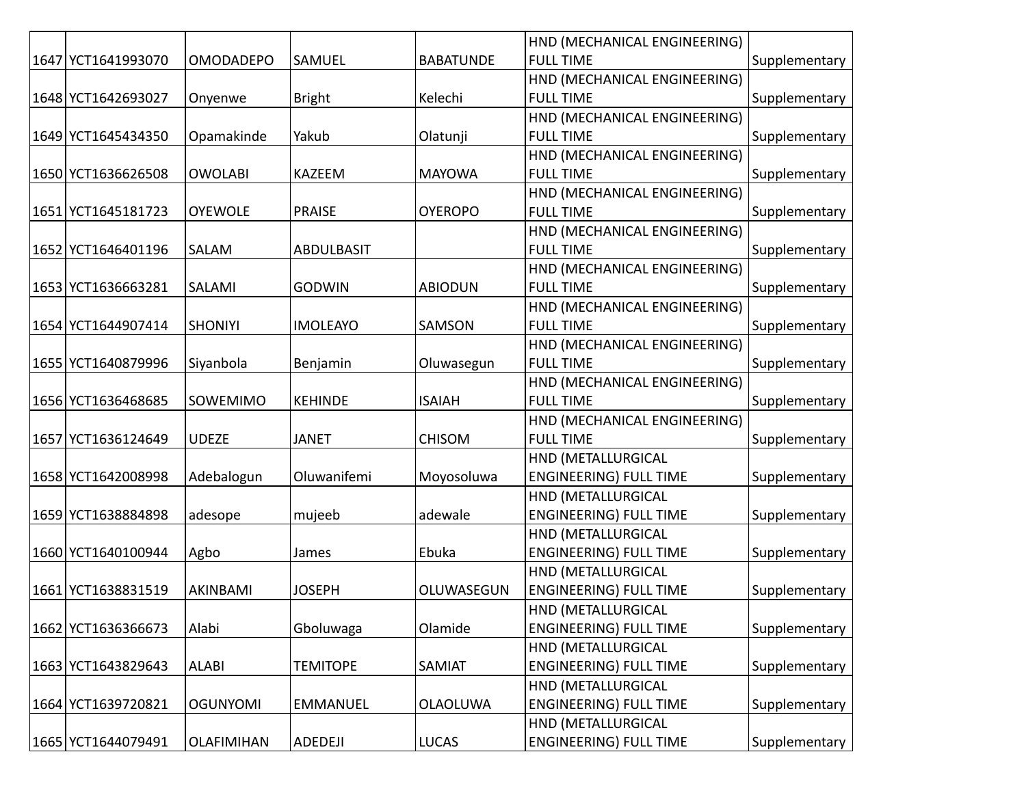|                    |                   |                   |                  | HND (MECHANICAL ENGINEERING)  |               |
|--------------------|-------------------|-------------------|------------------|-------------------------------|---------------|
| 1647 YCT1641993070 | <b>OMODADEPO</b>  | SAMUEL            | <b>BABATUNDE</b> | <b>FULL TIME</b>              | Supplementary |
|                    |                   |                   |                  | HND (MECHANICAL ENGINEERING)  |               |
| 1648 YCT1642693027 | Onyenwe           | <b>Bright</b>     | Kelechi          | <b>FULL TIME</b>              | Supplementary |
|                    |                   |                   |                  | HND (MECHANICAL ENGINEERING)  |               |
| 1649 YCT1645434350 | Opamakinde        | Yakub             | Olatunji         | <b>FULL TIME</b>              | Supplementary |
|                    |                   |                   |                  | HND (MECHANICAL ENGINEERING)  |               |
| 1650 YCT1636626508 | <b>OWOLABI</b>    | <b>KAZEEM</b>     | <b>MAYOWA</b>    | <b>FULL TIME</b>              | Supplementary |
|                    |                   |                   |                  | HND (MECHANICAL ENGINEERING)  |               |
| 1651 YCT1645181723 | <b>OYEWOLE</b>    | <b>PRAISE</b>     | <b>OYEROPO</b>   | <b>FULL TIME</b>              | Supplementary |
|                    |                   |                   |                  | HND (MECHANICAL ENGINEERING)  |               |
| 1652 YCT1646401196 | SALAM             | <b>ABDULBASIT</b> |                  | <b>FULL TIME</b>              | Supplementary |
|                    |                   |                   |                  | HND (MECHANICAL ENGINEERING)  |               |
| 1653 YCT1636663281 | SALAMI            | <b>GODWIN</b>     | <b>ABIODUN</b>   | <b>FULL TIME</b>              | Supplementary |
|                    |                   |                   |                  | HND (MECHANICAL ENGINEERING)  |               |
| 1654 YCT1644907414 | <b>SHONIYI</b>    | <b>IMOLEAYO</b>   | SAMSON           | <b>FULL TIME</b>              | Supplementary |
|                    |                   |                   |                  | HND (MECHANICAL ENGINEERING)  |               |
| 1655 YCT1640879996 | Siyanbola         | Benjamin          | Oluwasegun       | <b>FULL TIME</b>              | Supplementary |
|                    |                   |                   |                  | HND (MECHANICAL ENGINEERING)  |               |
| 1656 YCT1636468685 | SOWEMIMO          | <b>KEHINDE</b>    | <b>ISAIAH</b>    | <b>FULL TIME</b>              | Supplementary |
|                    |                   |                   |                  | HND (MECHANICAL ENGINEERING)  |               |
| 1657 YCT1636124649 | <b>UDEZE</b>      | <b>JANET</b>      | <b>CHISOM</b>    | <b>FULL TIME</b>              | Supplementary |
|                    |                   |                   |                  | HND (METALLURGICAL            |               |
| 1658 YCT1642008998 | Adebalogun        | Oluwanifemi       | Moyosoluwa       | <b>ENGINEERING) FULL TIME</b> | Supplementary |
|                    |                   |                   |                  | HND (METALLURGICAL            |               |
| 1659 YCT1638884898 | adesope           | mujeeb            | adewale          | <b>ENGINEERING) FULL TIME</b> | Supplementary |
|                    |                   |                   |                  | HND (METALLURGICAL            |               |
| 1660 YCT1640100944 | Agbo              | James             | Ebuka            | <b>ENGINEERING) FULL TIME</b> | Supplementary |
|                    |                   |                   |                  | HND (METALLURGICAL            |               |
| 1661 YCT1638831519 | AKINBAMI          | <b>JOSEPH</b>     | OLUWASEGUN       | <b>ENGINEERING) FULL TIME</b> | Supplementary |
|                    |                   |                   |                  | HND (METALLURGICAL            |               |
| 1662 YCT1636366673 | Alabi             | Gboluwaga         | Olamide          | <b>ENGINEERING) FULL TIME</b> | Supplementary |
|                    |                   |                   |                  | HND (METALLURGICAL            |               |
| 1663 YCT1643829643 | <b>ALABI</b>      | <b>TEMITOPE</b>   | SAMIAT           | <b>ENGINEERING) FULL TIME</b> | Supplementary |
|                    |                   |                   |                  | HND (METALLURGICAL            |               |
| 1664 YCT1639720821 | <b>OGUNYOMI</b>   | <b>EMMANUEL</b>   | <b>OLAOLUWA</b>  | <b>ENGINEERING) FULL TIME</b> | Supplementary |
|                    |                   |                   |                  | HND (METALLURGICAL            |               |
| 1665 YCT1644079491 | <b>OLAFIMIHAN</b> | ADEDEJI           | <b>LUCAS</b>     | <b>ENGINEERING) FULL TIME</b> | Supplementary |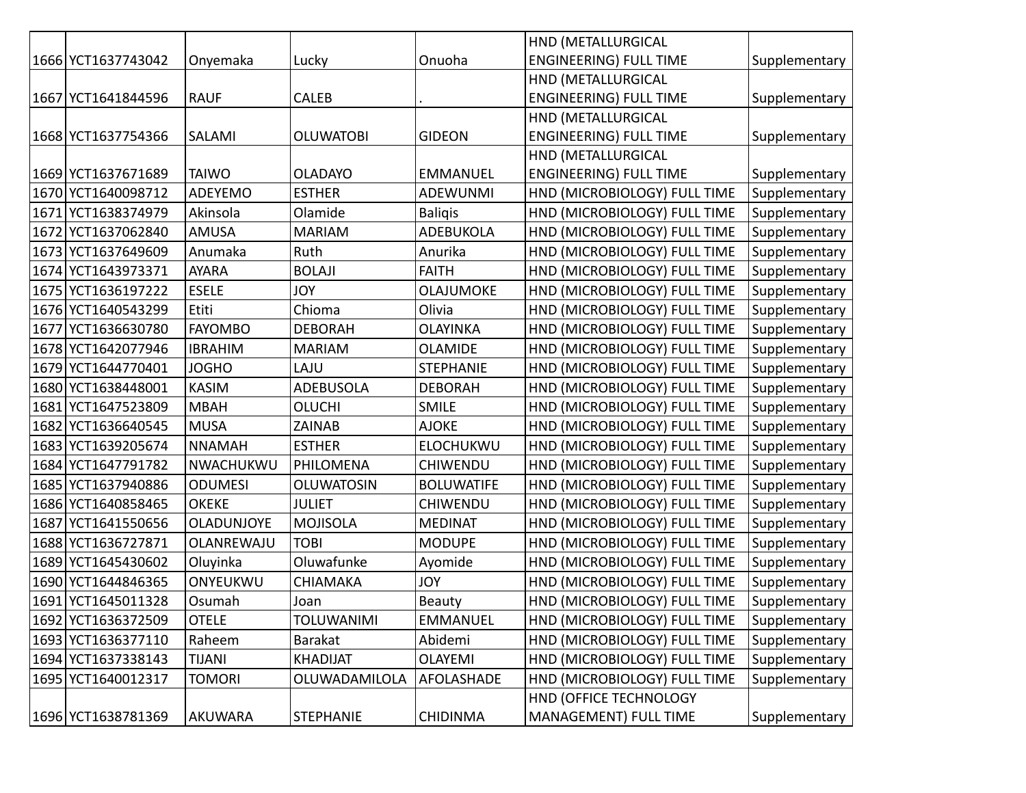|      |                    |                   |                   |                   | HND (METALLURGICAL            |               |
|------|--------------------|-------------------|-------------------|-------------------|-------------------------------|---------------|
|      | 1666 YCT1637743042 | Onyemaka          | Lucky             | Onuoha            | <b>ENGINEERING) FULL TIME</b> | Supplementary |
|      |                    |                   |                   |                   | HND (METALLURGICAL            |               |
|      | 1667 YCT1641844596 | <b>RAUF</b>       | <b>CALEB</b>      |                   | <b>ENGINEERING) FULL TIME</b> | Supplementary |
|      |                    |                   |                   |                   | HND (METALLURGICAL            |               |
|      | 1668 YCT1637754366 | SALAMI            | <b>OLUWATOBI</b>  | <b>GIDEON</b>     | <b>ENGINEERING) FULL TIME</b> | Supplementary |
|      |                    |                   |                   |                   | HND (METALLURGICAL            |               |
|      | 1669 YCT1637671689 | <b>TAIWO</b>      | <b>OLADAYO</b>    | <b>EMMANUEL</b>   | <b>ENGINEERING) FULL TIME</b> | Supplementary |
| 1670 | YCT1640098712      | ADEYEMO           | <b>ESTHER</b>     | <b>ADEWUNMI</b>   | HND (MICROBIOLOGY) FULL TIME  | Supplementary |
| 1671 | YCT1638374979      | Akinsola          | Olamide           | <b>Baligis</b>    | HND (MICROBIOLOGY) FULL TIME  | Supplementary |
| 1672 | YCT1637062840      | AMUSA             | <b>MARIAM</b>     | <b>ADEBUKOLA</b>  | HND (MICROBIOLOGY) FULL TIME  | Supplementary |
| 1673 | YCT1637649609      | Anumaka           | Ruth              | Anurika           | HND (MICROBIOLOGY) FULL TIME  | Supplementary |
| 1674 | YCT1643973371      | <b>AYARA</b>      | <b>BOLAJI</b>     | <b>FAITH</b>      | HND (MICROBIOLOGY) FULL TIME  | Supplementary |
| 1675 | YCT1636197222      | <b>ESELE</b>      | <b>JOY</b>        | OLAJUMOKE         | HND (MICROBIOLOGY) FULL TIME  | Supplementary |
| 1676 | YCT1640543299      | Etiti             | Chioma            | Olivia            | HND (MICROBIOLOGY) FULL TIME  | Supplementary |
| 1677 | YCT1636630780      | <b>FAYOMBO</b>    | <b>DEBORAH</b>    | <b>OLAYINKA</b>   | HND (MICROBIOLOGY) FULL TIME  | Supplementary |
|      | 1678 YCT1642077946 | <b>IBRAHIM</b>    | <b>MARIAM</b>     | <b>OLAMIDE</b>    | HND (MICROBIOLOGY) FULL TIME  | Supplementary |
|      | 1679 YCT1644770401 | <b>JOGHO</b>      | LAJU              | <b>STEPHANIE</b>  | HND (MICROBIOLOGY) FULL TIME  | Supplementary |
| 1680 | YCT1638448001      | <b>KASIM</b>      | <b>ADEBUSOLA</b>  | <b>DEBORAH</b>    | HND (MICROBIOLOGY) FULL TIME  | Supplementary |
| 1681 | YCT1647523809      | <b>MBAH</b>       | <b>OLUCHI</b>     | <b>SMILE</b>      | HND (MICROBIOLOGY) FULL TIME  | Supplementary |
| 1682 | YCT1636640545      | <b>MUSA</b>       | ZAINAB            | <b>AJOKE</b>      | HND (MICROBIOLOGY) FULL TIME  | Supplementary |
| 1683 | YCT1639205674      | <b>NNAMAH</b>     | <b>ESTHER</b>     | <b>ELOCHUKWU</b>  | HND (MICROBIOLOGY) FULL TIME  | Supplementary |
| 1684 | YCT1647791782      | NWACHUKWU         | PHILOMENA         | <b>CHIWENDU</b>   | HND (MICROBIOLOGY) FULL TIME  | Supplementary |
| 1685 | YCT1637940886      | <b>ODUMESI</b>    | <b>OLUWATOSIN</b> | <b>BOLUWATIFE</b> | HND (MICROBIOLOGY) FULL TIME  | Supplementary |
| 1686 | YCT1640858465      | <b>OKEKE</b>      | <b>JULIET</b>     | <b>CHIWENDU</b>   | HND (MICROBIOLOGY) FULL TIME  | Supplementary |
| 1687 | YCT1641550656      | <b>OLADUNJOYE</b> | <b>MOJISOLA</b>   | <b>MEDINAT</b>    | HND (MICROBIOLOGY) FULL TIME  | Supplementary |
| 1688 | YCT1636727871      | OLANREWAJU        | <b>TOBI</b>       | <b>MODUPE</b>     | HND (MICROBIOLOGY) FULL TIME  | Supplementary |
| 1689 | YCT1645430602      | Oluyinka          | Oluwafunke        | Ayomide           | HND (MICROBIOLOGY) FULL TIME  | Supplementary |
| 1690 | YCT1644846365      | ONYEUKWU          | <b>CHIAMAKA</b>   | <b>JOY</b>        | HND (MICROBIOLOGY) FULL TIME  | Supplementary |
|      | 1691 YCT1645011328 | Osumah            | Joan              | Beauty            | HND (MICROBIOLOGY) FULL TIME  | Supplementary |
|      | 1692 YCT1636372509 | <b>OTELE</b>      | <b>TOLUWANIMI</b> | <b>EMMANUEL</b>   | HND (MICROBIOLOGY) FULL TIME  | Supplementary |
|      | 1693 YCT1636377110 | Raheem            | <b>Barakat</b>    | Abidemi           | HND (MICROBIOLOGY) FULL TIME  | Supplementary |
|      | 1694 YCT1637338143 | <b>TIJANI</b>     | <b>KHADIJAT</b>   | <b>OLAYEMI</b>    | HND (MICROBIOLOGY) FULL TIME  | Supplementary |
|      | 1695 YCT1640012317 | <b>TOMORI</b>     | OLUWADAMILOLA     | AFOLASHADE        | HND (MICROBIOLOGY) FULL TIME  | Supplementary |
|      |                    |                   |                   |                   | HND (OFFICE TECHNOLOGY        |               |
|      | 1696 YCT1638781369 | AKUWARA           | <b>STEPHANIE</b>  | <b>CHIDINMA</b>   | MANAGEMENT) FULL TIME         | Supplementary |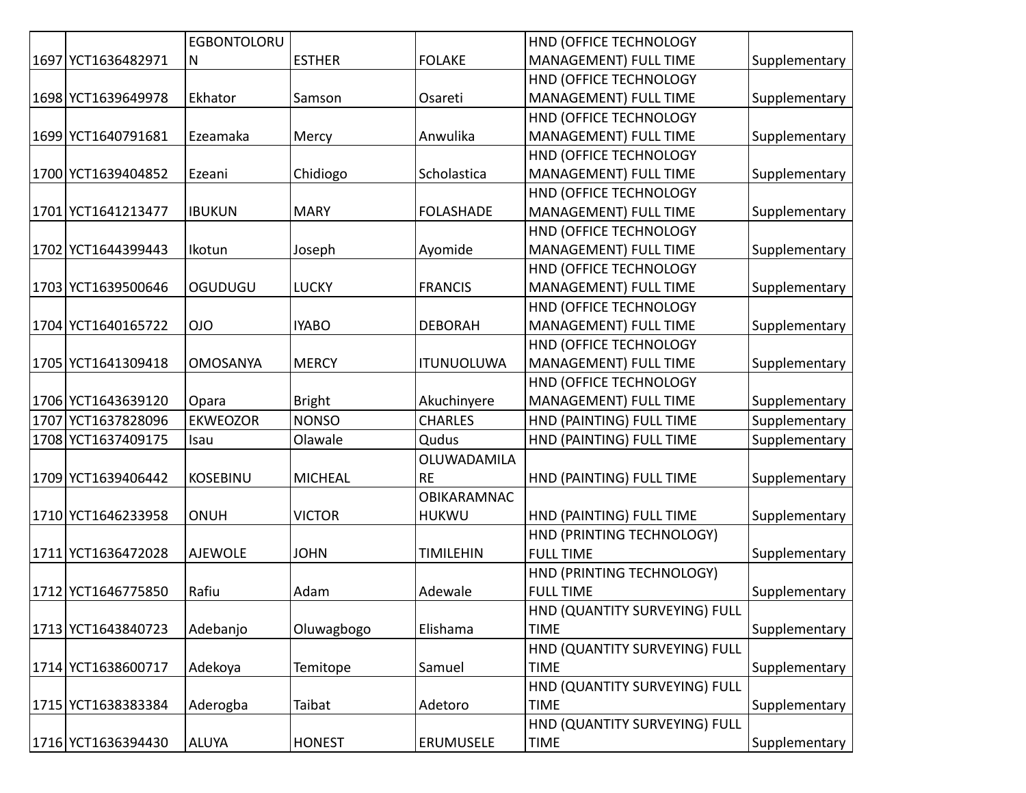|                    | <b>EGBONTOLORU</b> |                |                   | HND (OFFICE TECHNOLOGY        |               |
|--------------------|--------------------|----------------|-------------------|-------------------------------|---------------|
| 1697 YCT1636482971 | N                  | <b>ESTHER</b>  | <b>FOLAKE</b>     | MANAGEMENT) FULL TIME         | Supplementary |
|                    |                    |                |                   | HND (OFFICE TECHNOLOGY        |               |
| 1698 YCT1639649978 | Ekhator            | Samson         | Osareti           | MANAGEMENT) FULL TIME         | Supplementary |
|                    |                    |                |                   | HND (OFFICE TECHNOLOGY        |               |
| 1699 YCT1640791681 | Ezeamaka           | Mercy          | Anwulika          | MANAGEMENT) FULL TIME         | Supplementary |
|                    |                    |                |                   | HND (OFFICE TECHNOLOGY        |               |
| 1700 YCT1639404852 | Ezeani             | Chidiogo       | Scholastica       | MANAGEMENT) FULL TIME         | Supplementary |
|                    |                    |                |                   | HND (OFFICE TECHNOLOGY        |               |
| 1701 YCT1641213477 | <b>IBUKUN</b>      | <b>MARY</b>    | <b>FOLASHADE</b>  | MANAGEMENT) FULL TIME         | Supplementary |
|                    |                    |                |                   | HND (OFFICE TECHNOLOGY        |               |
| 1702 YCT1644399443 | Ikotun             | Joseph         | Ayomide           | MANAGEMENT) FULL TIME         | Supplementary |
|                    |                    |                |                   | HND (OFFICE TECHNOLOGY        |               |
| 1703 YCT1639500646 | OGUDUGU            | <b>LUCKY</b>   | <b>FRANCIS</b>    | MANAGEMENT) FULL TIME         | Supplementary |
|                    |                    |                |                   | HND (OFFICE TECHNOLOGY        |               |
| 1704 YCT1640165722 | <b>OIO</b>         | <b>IYABO</b>   | <b>DEBORAH</b>    | MANAGEMENT) FULL TIME         | Supplementary |
|                    |                    |                |                   | HND (OFFICE TECHNOLOGY        |               |
| 1705 YCT1641309418 | <b>OMOSANYA</b>    | <b>MERCY</b>   | <b>ITUNUOLUWA</b> | MANAGEMENT) FULL TIME         | Supplementary |
|                    |                    |                |                   | HND (OFFICE TECHNOLOGY        |               |
| 1706 YCT1643639120 | Opara              | <b>Bright</b>  | Akuchinyere       | MANAGEMENT) FULL TIME         | Supplementary |
| 1707 YCT1637828096 | <b>EKWEOZOR</b>    | <b>NONSO</b>   | <b>CHARLES</b>    | HND (PAINTING) FULL TIME      | Supplementary |
| 1708 YCT1637409175 | Isau               | Olawale        | Qudus             | HND (PAINTING) FULL TIME      | Supplementary |
|                    |                    |                | OLUWADAMILA       |                               |               |
| 1709 YCT1639406442 | <b>KOSEBINU</b>    | <b>MICHEAL</b> | <b>RE</b>         | HND (PAINTING) FULL TIME      | Supplementary |
|                    |                    |                | OBIKARAMNAC       |                               |               |
| 1710 YCT1646233958 | ONUH               | <b>VICTOR</b>  | <b>HUKWU</b>      | HND (PAINTING) FULL TIME      | Supplementary |
|                    |                    |                |                   | HND (PRINTING TECHNOLOGY)     |               |
| 1711 YCT1636472028 | <b>AJEWOLE</b>     | <b>JOHN</b>    | <b>TIMILEHIN</b>  | <b>FULL TIME</b>              | Supplementary |
|                    |                    |                |                   | HND (PRINTING TECHNOLOGY)     |               |
| 1712 YCT1646775850 | Rafiu              | Adam           | Adewale           | <b>FULL TIME</b>              | Supplementary |
|                    |                    |                |                   | HND (QUANTITY SURVEYING) FULL |               |
| 1713 YCT1643840723 | Adebanjo           | Oluwagbogo     | Elishama          | <b>TIME</b>                   | Supplementary |
|                    |                    |                |                   | HND (QUANTITY SURVEYING) FULL |               |
| 1714 YCT1638600717 | Adekoya            | Temitope       | Samuel            | <b>TIME</b>                   | Supplementary |
|                    |                    |                |                   | HND (QUANTITY SURVEYING) FULL |               |
| 1715 YCT1638383384 | Aderogba           | Taibat         | Adetoro           | <b>TIME</b>                   | Supplementary |
|                    |                    |                |                   | HND (QUANTITY SURVEYING) FULL |               |
| 1716 YCT1636394430 | <b>ALUYA</b>       | <b>HONEST</b>  | ERUMUSELE         | <b>TIME</b>                   | Supplementary |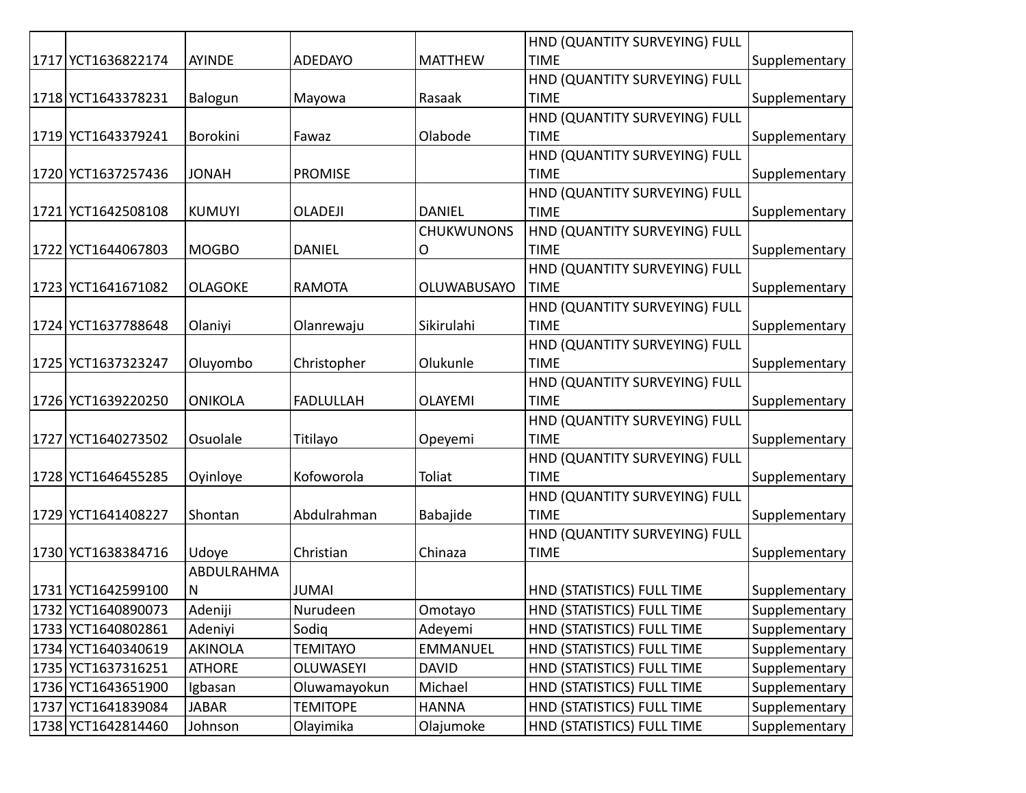|                    |                |                  |                   | HND (QUANTITY SURVEYING) FULL |               |
|--------------------|----------------|------------------|-------------------|-------------------------------|---------------|
| 1717 YCT1636822174 | AYINDE         | <b>ADEDAYO</b>   | <b>MATTHEW</b>    | <b>TIME</b>                   | Supplementary |
|                    |                |                  |                   | HND (QUANTITY SURVEYING) FULL |               |
| 1718 YCT1643378231 | Balogun        | Mayowa           | Rasaak            | <b>TIME</b>                   | Supplementary |
|                    |                |                  |                   | HND (QUANTITY SURVEYING) FULL |               |
| 1719 YCT1643379241 | Borokini       | Fawaz            | Olabode           | <b>TIME</b>                   | Supplementary |
|                    |                |                  |                   | HND (QUANTITY SURVEYING) FULL |               |
| 1720 YCT1637257436 | <b>JONAH</b>   | <b>PROMISE</b>   |                   | <b>TIME</b>                   | Supplementary |
|                    |                |                  |                   | HND (QUANTITY SURVEYING) FULL |               |
| 1721 YCT1642508108 | <b>KUMUYI</b>  | <b>OLADEJI</b>   | <b>DANIEL</b>     | <b>TIME</b>                   | Supplementary |
|                    |                |                  | <b>CHUKWUNONS</b> | HND (QUANTITY SURVEYING) FULL |               |
| 1722 YCT1644067803 | <b>MOGBO</b>   | <b>DANIEL</b>    | O                 | <b>TIME</b>                   | Supplementary |
|                    |                |                  |                   | HND (QUANTITY SURVEYING) FULL |               |
| 1723 YCT1641671082 | <b>OLAGOKE</b> | <b>RAMOTA</b>    | OLUWABUSAYO       | <b>TIME</b>                   | Supplementary |
|                    |                |                  |                   | HND (QUANTITY SURVEYING) FULL |               |
| 1724 YCT1637788648 | Olaniyi        | Olanrewaju       | Sikirulahi        | <b>TIME</b>                   | Supplementary |
|                    |                |                  |                   | HND (QUANTITY SURVEYING) FULL |               |
| 1725 YCT1637323247 | Oluyombo       | Christopher      | Olukunle          | <b>TIME</b>                   | Supplementary |
|                    |                |                  |                   | HND (QUANTITY SURVEYING) FULL |               |
| 1726 YCT1639220250 | <b>ONIKOLA</b> | <b>FADLULLAH</b> | <b>OLAYEMI</b>    | <b>TIME</b>                   | Supplementary |
|                    |                |                  |                   | HND (QUANTITY SURVEYING) FULL |               |
| 1727 YCT1640273502 | Osuolale       | Titilayo         | Opeyemi           | <b>TIME</b>                   | Supplementary |
|                    |                |                  |                   | HND (QUANTITY SURVEYING) FULL |               |
| 1728 YCT1646455285 | Oyinloye       | Kofoworola       | Toliat            | <b>TIME</b>                   | Supplementary |
|                    |                |                  |                   | HND (QUANTITY SURVEYING) FULL |               |
| 1729 YCT1641408227 | Shontan        | Abdulrahman      | Babajide          | <b>TIME</b>                   | Supplementary |
|                    |                |                  |                   | HND (QUANTITY SURVEYING) FULL |               |
| 1730 YCT1638384716 | Udoye          | Christian        | Chinaza           | <b>TIME</b>                   | Supplementary |
|                    | ABDULRAHMA     |                  |                   |                               |               |
| 1731 YCT1642599100 | $\mathsf{N}$   | <b>JUMAI</b>     |                   | HND (STATISTICS) FULL TIME    | Supplementary |
| 1732 YCT1640890073 | Adeniji        | Nurudeen         | Omotayo           | HND (STATISTICS) FULL TIME    | Supplementary |
| 1733 YCT1640802861 | Adeniyi        | Sodig            | Adeyemi           | HND (STATISTICS) FULL TIME    | Supplementary |
| 1734 YCT1640340619 | <b>AKINOLA</b> | <b>TEMITAYO</b>  | <b>EMMANUEL</b>   | HND (STATISTICS) FULL TIME    | Supplementary |
| 1735 YCT1637316251 | <b>ATHORE</b>  | OLUWASEYI        | <b>DAVID</b>      | HND (STATISTICS) FULL TIME    | Supplementary |
| 1736 YCT1643651900 | Igbasan        | Oluwamayokun     | Michael           | HND (STATISTICS) FULL TIME    | Supplementary |
| 1737 YCT1641839084 | <b>JABAR</b>   | <b>TEMITOPE</b>  | <b>HANNA</b>      | HND (STATISTICS) FULL TIME    | Supplementary |
| 1738 YCT1642814460 | Johnson        | Olayimika        | Olajumoke         | HND (STATISTICS) FULL TIME    | Supplementary |